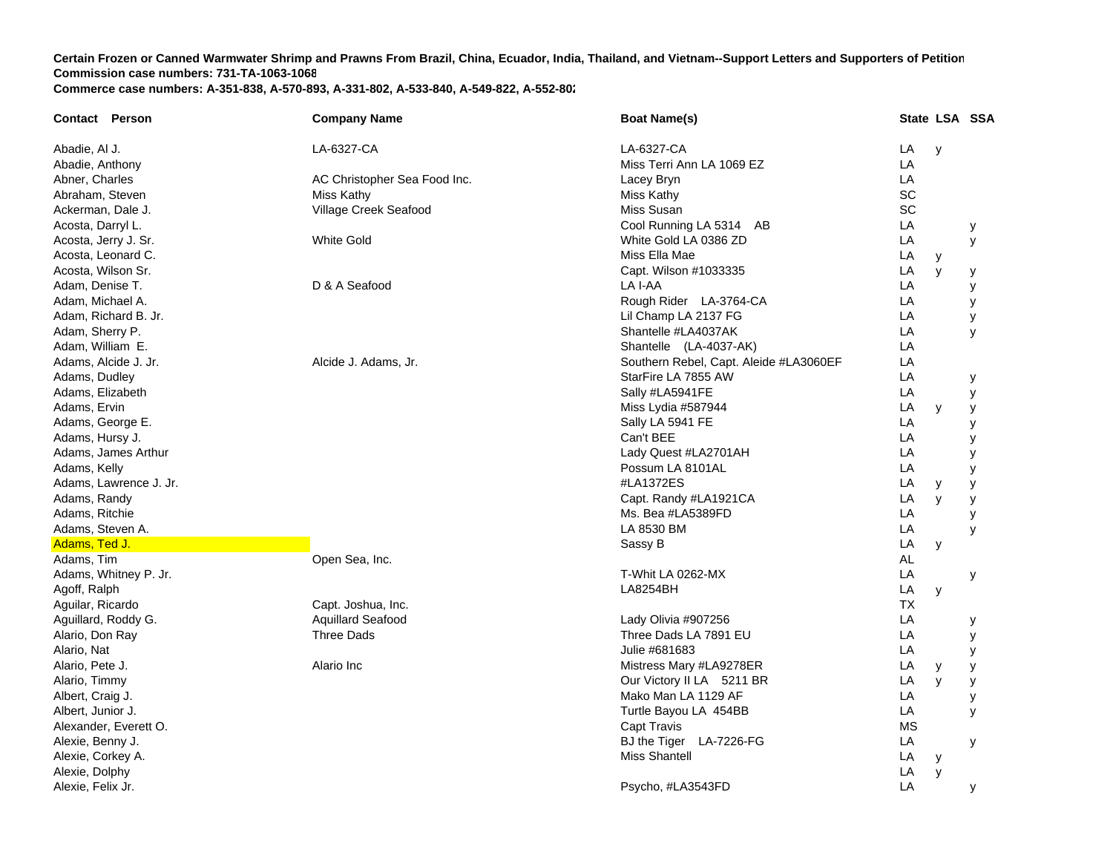| <b>Contact Person</b>  | <b>Company Name</b>          | <b>Boat Name(s)</b>                    |           |              | State LSA SSA |
|------------------------|------------------------------|----------------------------------------|-----------|--------------|---------------|
| Abadie, Al J.          | LA-6327-CA                   | LA-6327-CA                             | LA        | $\mathsf{y}$ |               |
| Abadie, Anthony        |                              | Miss Terri Ann LA 1069 EZ              | LA        |              |               |
| Abner, Charles         | AC Christopher Sea Food Inc. | Lacey Bryn                             | LA        |              |               |
| Abraham, Steven        | Miss Kathy                   | Miss Kathy                             | SC        |              |               |
| Ackerman, Dale J.      | Village Creek Seafood        | Miss Susan                             | SC        |              |               |
| Acosta, Darryl L.      |                              | Cool Running LA 5314 AB                | LA        |              | у             |
| Acosta, Jerry J. Sr.   | <b>White Gold</b>            | White Gold LA 0386 ZD                  | LA        |              | y             |
| Acosta, Leonard C.     |                              | Miss Ella Mae                          | LA        | y            |               |
| Acosta, Wilson Sr.     |                              | Capt. Wilson #1033335                  | LA        | y            | у             |
| Adam, Denise T.        | D & A Seafood                | LA I-AA                                | LA        |              | У             |
| Adam, Michael A.       |                              | Rough Rider LA-3764-CA                 | LA        |              | У             |
| Adam, Richard B. Jr.   |                              | Lil Champ LA 2137 FG                   | LA        |              | у             |
| Adam, Sherry P.        |                              | Shantelle #LA4037AK                    | LA        |              | У             |
| Adam, William E.       |                              | Shantelle (LA-4037-AK)                 | LA        |              |               |
| Adams, Alcide J. Jr.   | Alcide J. Adams, Jr.         | Southern Rebel, Capt. Aleide #LA3060EF | LA        |              |               |
| Adams, Dudley          |                              | StarFire LA 7855 AW                    | LA        |              | у             |
| Adams, Elizabeth       |                              | Sally #LA5941FE                        | LA        |              | у             |
| Adams, Ervin           |                              | Miss Lydia #587944                     | LA        | y            | y             |
| Adams, George E.       |                              | Sally LA 5941 FE                       | LA        |              | У             |
| Adams, Hursy J.        |                              | Can't BEE                              | LA        |              | У             |
| Adams, James Arthur    |                              | Lady Quest #LA2701AH                   | LA        |              | у             |
| Adams, Kelly           |                              | Possum LA 8101AL                       | LA        |              | У             |
| Adams, Lawrence J. Jr. |                              | #LA1372ES                              | LA        | У            | у             |
| Adams, Randy           |                              | Capt. Randy #LA1921CA                  | LA        | y            | У             |
| Adams, Ritchie         |                              | Ms. Bea #LA5389FD                      | LA        |              | у             |
| Adams, Steven A.       |                              | LA 8530 BM                             | LA        |              | y             |
| Adams, Ted J.          |                              | Sassy B                                | LA        | y            |               |
| Adams, Tim             | Open Sea, Inc.               |                                        | <b>AL</b> |              |               |
| Adams, Whitney P. Jr.  |                              | T-Whit LA 0262-MX                      | LA        |              | у             |
| Agoff, Ralph           |                              | <b>LA8254BH</b>                        | LA        | у            |               |
| Aguilar, Ricardo       | Capt. Joshua, Inc.           |                                        | <b>TX</b> |              |               |
| Aguillard, Roddy G.    | <b>Aquillard Seafood</b>     | Lady Olivia #907256                    | LA        |              | у             |
| Alario, Don Ray        | Three Dads                   | Three Dads LA 7891 EU                  | LA        |              | y             |
| Alario, Nat            |                              | Julie #681683                          | LA        |              | У             |
| Alario, Pete J.        | Alario Inc                   | Mistress Mary #LA9278ER                | LA        | y            | у             |
| Alario, Timmy          |                              | Our Victory II LA 5211 BR              | LA        | y            | У             |
| Albert, Craig J.       |                              | Mako Man LA 1129 AF                    | LA        |              | У             |
| Albert, Junior J.      |                              | Turtle Bayou LA 454BB                  | LA        |              | y             |
| Alexander, Everett O.  |                              | Capt Travis                            | <b>MS</b> |              |               |
| Alexie, Benny J.       |                              | BJ the Tiger LA-7226-FG                | LA        |              | У             |
| Alexie, Corkey A.      |                              | <b>Miss Shantell</b>                   | LA        | y            |               |
| Alexie, Dolphy         |                              |                                        | LA        | y            |               |
| Alexie, Felix Jr.      |                              | Psycho, #LA3543FD                      | LA        |              | У             |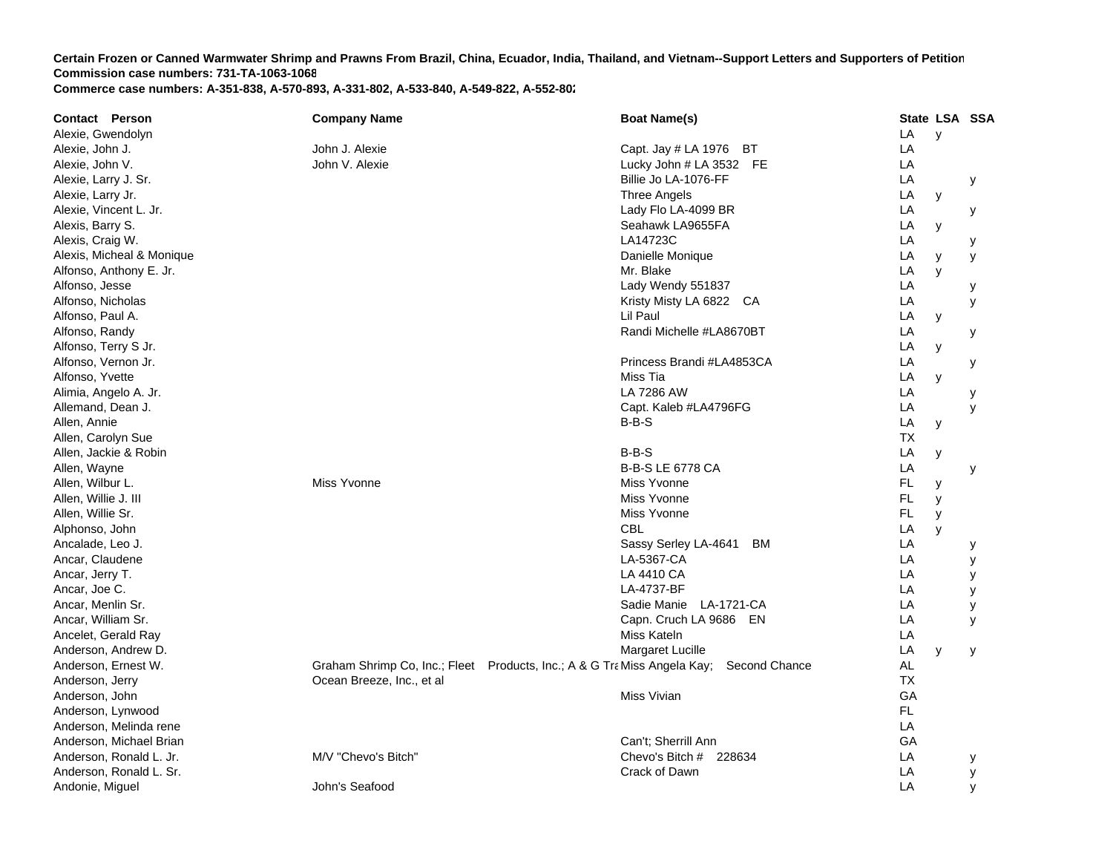| <b>Contact Person</b>     | <b>Company Name</b>       | <b>Boat Name(s)</b>                                                                       |           | State LSA SSA |   |
|---------------------------|---------------------------|-------------------------------------------------------------------------------------------|-----------|---------------|---|
| Alexie, Gwendolyn         |                           |                                                                                           | LA        | $\mathsf{v}$  |   |
| Alexie, John J.           | John J. Alexie            | Capt. Jay # LA 1976 BT                                                                    | LA        |               |   |
| Alexie, John V.           | John V. Alexie            | Lucky John # LA 3532 FE                                                                   | LA        |               |   |
| Alexie, Larry J. Sr.      |                           | Billie Jo LA-1076-FF                                                                      | LA        |               | У |
| Alexie, Larry Jr.         |                           | Three Angels                                                                              | LA        | У             |   |
| Alexie, Vincent L. Jr.    |                           | Lady Flo LA-4099 BR                                                                       | LA        |               | У |
| Alexis, Barry S.          |                           | Seahawk LA9655FA                                                                          | LA        | y             |   |
| Alexis, Craig W.          |                           | LA14723C                                                                                  | LA        |               | у |
| Alexis, Micheal & Monique |                           | Danielle Monique                                                                          | LA        | у             | y |
| Alfonso, Anthony E. Jr.   |                           | Mr. Blake                                                                                 | LA        | y             |   |
| Alfonso, Jesse            |                           | Lady Wendy 551837                                                                         | LA        |               | у |
| Alfonso, Nicholas         |                           | Kristy Misty LA 6822 CA                                                                   | LA        |               | У |
| Alfonso, Paul A.          |                           | Lil Paul                                                                                  | LA        | У             |   |
| Alfonso, Randy            |                           | Randi Michelle #LA8670BT                                                                  | LA        |               | у |
| Alfonso, Terry S Jr.      |                           |                                                                                           | LA        | y             |   |
| Alfonso, Vernon Jr.       |                           | Princess Brandi #LA4853CA                                                                 | LA        |               | у |
| Alfonso, Yvette           |                           | Miss Tia                                                                                  | LA        | y             |   |
| Alimia, Angelo A. Jr.     |                           | LA 7286 AW                                                                                | LA        |               | у |
| Allemand, Dean J.         |                           | Capt. Kaleb #LA4796FG                                                                     | LA        |               | У |
| Allen, Annie              |                           | $B-B-S$                                                                                   | LA        | у             |   |
| Allen, Carolyn Sue        |                           |                                                                                           | ТX        |               |   |
| Allen, Jackie & Robin     |                           | $B-B-S$                                                                                   | LA        | У             |   |
| Allen, Wayne              |                           | <b>B-B-S LE 6778 CA</b>                                                                   | LA        |               | у |
| Allen, Wilbur L.          | Miss Yvonne               | Miss Yvonne                                                                               | FL.       | y             |   |
| Allen, Willie J. III      |                           | Miss Yvonne                                                                               | FL.       | У             |   |
| Allen, Willie Sr.         |                           | Miss Yvonne                                                                               | FL.       | y             |   |
| Alphonso, John            |                           | <b>CBL</b>                                                                                | LA        | $\mathsf{V}$  |   |
| Ancalade, Leo J.          |                           | Sassy Serley LA-4641<br>ВM                                                                | LA        |               | у |
| Ancar, Claudene           |                           | LA-5367-CA                                                                                | LA        |               | у |
| Ancar, Jerry T.           |                           | LA 4410 CA                                                                                | LA        |               | У |
| Ancar, Joe C.             |                           | LA-4737-BF                                                                                | LA        |               | у |
| Ancar, Menlin Sr.         |                           | Sadie Manie LA-1721-CA                                                                    | LA        |               | у |
| Ancar, William Sr.        |                           | Capn. Cruch LA 9686 EN                                                                    | LA        |               | y |
| Ancelet, Gerald Ray       |                           | Miss Kateln                                                                               | LA        |               |   |
| Anderson, Andrew D.       |                           | Margaret Lucille                                                                          | LA        | y             | У |
| Anderson, Ernest W.       |                           | Graham Shrimp Co, Inc.; Fleet Products, Inc.; A & G Tra Miss Angela Kay;<br>Second Chance | AL        |               |   |
| Anderson, Jerry           | Ocean Breeze, Inc., et al |                                                                                           | <b>TX</b> |               |   |
| Anderson, John            |                           | Miss Vivian                                                                               | GA        |               |   |
| Anderson, Lynwood         |                           |                                                                                           | FL        |               |   |
| Anderson, Melinda rene    |                           |                                                                                           | LA        |               |   |
| Anderson, Michael Brian   |                           | Can't: Sherrill Ann                                                                       | GA        |               |   |
| Anderson, Ronald L. Jr.   | M/V "Chevo's Bitch"       | Chevo's Bitch # 228634                                                                    | LA        |               | у |
| Anderson, Ronald L. Sr.   |                           | Crack of Dawn                                                                             | LA        |               | У |
| Andonie, Miguel           | John's Seafood            |                                                                                           | LA        |               | y |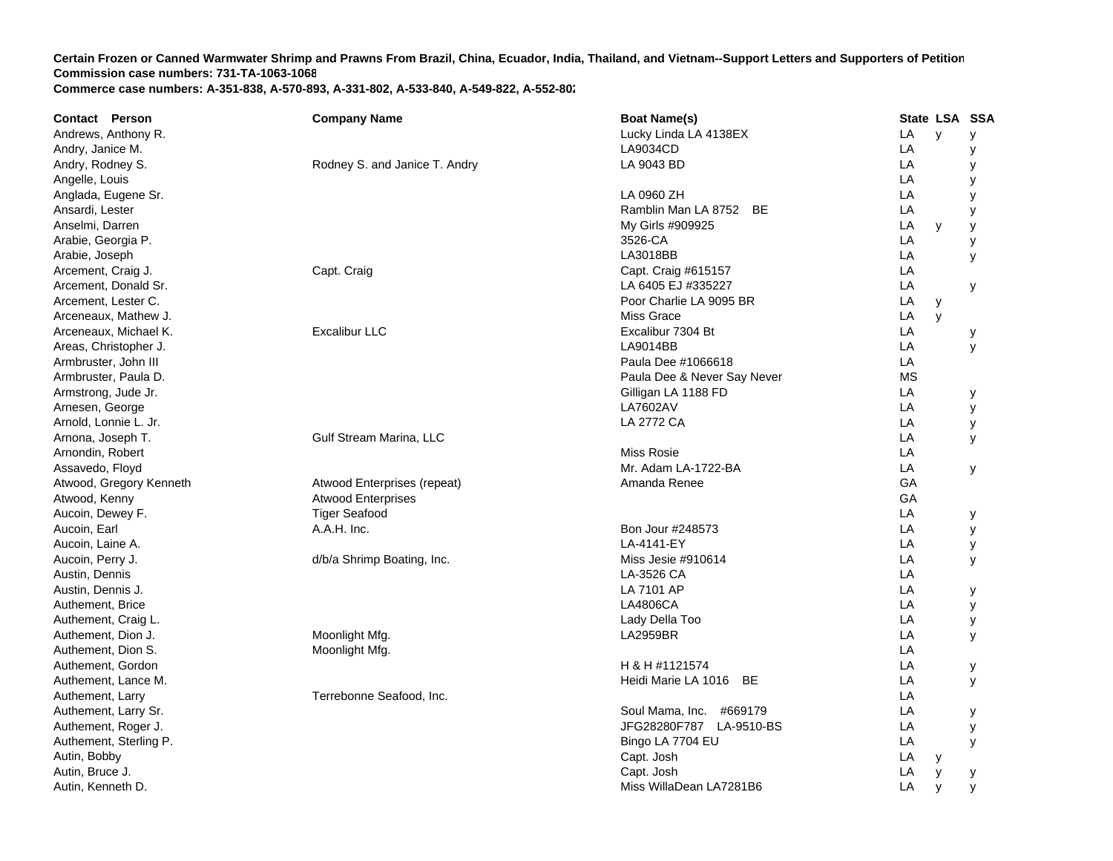| <b>Boat Name(s)</b><br><b>Company Name</b><br>Andrews, Anthony R.<br>Lucky Linda LA 4138EX<br>LA<br>$\mathsf{v}$<br>У<br>LA<br>Andry, Janice M.<br>LA9034CD<br>У<br>LA<br>LA 9043 BD<br>Andry, Rodney S.<br>Rodney S. and Janice T. Andry<br>у<br>LA<br>Angelle, Louis<br>y<br>LA<br>Anglada, Eugene Sr.<br>LA 0960 ZH<br>y<br>Ramblin Man LA 8752 BE<br>LA<br>Ansardi, Lester<br>У<br>Anselmi, Darren<br>My Girls #909925<br>LA<br>y<br>y<br>Arabie, Georgia P.<br>3526-CA<br>LA<br>у<br>LA3018BB<br>LA<br>Arabie, Joseph<br>У<br>Arcement, Craig J.<br>Capt. Craig<br>Capt. Craig #615157<br>LA<br>LA<br>Arcement, Donald Sr.<br>LA 6405 EJ #335227<br>У<br>LA<br>Arcement, Lester C.<br>Poor Charlie LA 9095 BR<br>y<br>Arceneaux, Mathew J.<br><b>Miss Grace</b><br>LA<br>y<br><b>Excalibur LLC</b><br>Excalibur 7304 Bt<br>LA<br>Arceneaux, Michael K.<br>у<br>LA9014BB<br>LA<br>Areas, Christopher J.<br>У<br>LA<br>Armbruster, John III<br>Paula Dee #1066618 |
|----------------------------------------------------------------------------------------------------------------------------------------------------------------------------------------------------------------------------------------------------------------------------------------------------------------------------------------------------------------------------------------------------------------------------------------------------------------------------------------------------------------------------------------------------------------------------------------------------------------------------------------------------------------------------------------------------------------------------------------------------------------------------------------------------------------------------------------------------------------------------------------------------------------------------------------------------------------------|
|                                                                                                                                                                                                                                                                                                                                                                                                                                                                                                                                                                                                                                                                                                                                                                                                                                                                                                                                                                      |
|                                                                                                                                                                                                                                                                                                                                                                                                                                                                                                                                                                                                                                                                                                                                                                                                                                                                                                                                                                      |
|                                                                                                                                                                                                                                                                                                                                                                                                                                                                                                                                                                                                                                                                                                                                                                                                                                                                                                                                                                      |
|                                                                                                                                                                                                                                                                                                                                                                                                                                                                                                                                                                                                                                                                                                                                                                                                                                                                                                                                                                      |
|                                                                                                                                                                                                                                                                                                                                                                                                                                                                                                                                                                                                                                                                                                                                                                                                                                                                                                                                                                      |
|                                                                                                                                                                                                                                                                                                                                                                                                                                                                                                                                                                                                                                                                                                                                                                                                                                                                                                                                                                      |
|                                                                                                                                                                                                                                                                                                                                                                                                                                                                                                                                                                                                                                                                                                                                                                                                                                                                                                                                                                      |
|                                                                                                                                                                                                                                                                                                                                                                                                                                                                                                                                                                                                                                                                                                                                                                                                                                                                                                                                                                      |
|                                                                                                                                                                                                                                                                                                                                                                                                                                                                                                                                                                                                                                                                                                                                                                                                                                                                                                                                                                      |
|                                                                                                                                                                                                                                                                                                                                                                                                                                                                                                                                                                                                                                                                                                                                                                                                                                                                                                                                                                      |
|                                                                                                                                                                                                                                                                                                                                                                                                                                                                                                                                                                                                                                                                                                                                                                                                                                                                                                                                                                      |
|                                                                                                                                                                                                                                                                                                                                                                                                                                                                                                                                                                                                                                                                                                                                                                                                                                                                                                                                                                      |
|                                                                                                                                                                                                                                                                                                                                                                                                                                                                                                                                                                                                                                                                                                                                                                                                                                                                                                                                                                      |
|                                                                                                                                                                                                                                                                                                                                                                                                                                                                                                                                                                                                                                                                                                                                                                                                                                                                                                                                                                      |
|                                                                                                                                                                                                                                                                                                                                                                                                                                                                                                                                                                                                                                                                                                                                                                                                                                                                                                                                                                      |
|                                                                                                                                                                                                                                                                                                                                                                                                                                                                                                                                                                                                                                                                                                                                                                                                                                                                                                                                                                      |
| <b>MS</b><br>Paula Dee & Never Say Never<br>Armbruster, Paula D.                                                                                                                                                                                                                                                                                                                                                                                                                                                                                                                                                                                                                                                                                                                                                                                                                                                                                                     |
| LA<br>Armstrong, Jude Jr.<br>Gilligan LA 1188 FD<br>У                                                                                                                                                                                                                                                                                                                                                                                                                                                                                                                                                                                                                                                                                                                                                                                                                                                                                                                |
| <b>LA7602AV</b><br>LA<br>Arnesen, George<br>у                                                                                                                                                                                                                                                                                                                                                                                                                                                                                                                                                                                                                                                                                                                                                                                                                                                                                                                        |
| LA<br>Arnold, Lonnie L. Jr.<br>LA 2772 CA<br>y                                                                                                                                                                                                                                                                                                                                                                                                                                                                                                                                                                                                                                                                                                                                                                                                                                                                                                                       |
| LA<br>Arnona, Joseph T.<br>Gulf Stream Marina, LLC<br>У                                                                                                                                                                                                                                                                                                                                                                                                                                                                                                                                                                                                                                                                                                                                                                                                                                                                                                              |
| Miss Rosie<br>LA<br>Arnondin, Robert                                                                                                                                                                                                                                                                                                                                                                                                                                                                                                                                                                                                                                                                                                                                                                                                                                                                                                                                 |
| Mr. Adam LA-1722-BA<br>LA<br>Assavedo, Floyd<br>у                                                                                                                                                                                                                                                                                                                                                                                                                                                                                                                                                                                                                                                                                                                                                                                                                                                                                                                    |
| GA<br>Atwood, Gregory Kenneth<br>Atwood Enterprises (repeat)<br>Amanda Renee                                                                                                                                                                                                                                                                                                                                                                                                                                                                                                                                                                                                                                                                                                                                                                                                                                                                                         |
| Atwood, Kenny<br><b>Atwood Enterprises</b><br>GA                                                                                                                                                                                                                                                                                                                                                                                                                                                                                                                                                                                                                                                                                                                                                                                                                                                                                                                     |
| Aucoin, Dewey F.<br><b>Tiger Seafood</b><br>LA<br>у                                                                                                                                                                                                                                                                                                                                                                                                                                                                                                                                                                                                                                                                                                                                                                                                                                                                                                                  |
| A.A.H. Inc.<br>LA<br>Bon Jour #248573<br>Aucoin, Earl<br>у                                                                                                                                                                                                                                                                                                                                                                                                                                                                                                                                                                                                                                                                                                                                                                                                                                                                                                           |
| LA-4141-EY<br>LA<br>Aucoin, Laine A.<br>у                                                                                                                                                                                                                                                                                                                                                                                                                                                                                                                                                                                                                                                                                                                                                                                                                                                                                                                            |
| LA<br>Miss Jesie #910614<br>Aucoin, Perry J.<br>d/b/a Shrimp Boating, Inc.<br>y                                                                                                                                                                                                                                                                                                                                                                                                                                                                                                                                                                                                                                                                                                                                                                                                                                                                                      |
| LA-3526 CA<br>LA<br>Austin, Dennis                                                                                                                                                                                                                                                                                                                                                                                                                                                                                                                                                                                                                                                                                                                                                                                                                                                                                                                                   |
| LA<br>Austin, Dennis J.<br>LA 7101 AP<br>у                                                                                                                                                                                                                                                                                                                                                                                                                                                                                                                                                                                                                                                                                                                                                                                                                                                                                                                           |
| LA<br><b>LA4806CA</b><br>Authement, Brice<br>У                                                                                                                                                                                                                                                                                                                                                                                                                                                                                                                                                                                                                                                                                                                                                                                                                                                                                                                       |
| Lady Della Too<br>LA<br>Authement, Craig L.<br>у                                                                                                                                                                                                                                                                                                                                                                                                                                                                                                                                                                                                                                                                                                                                                                                                                                                                                                                     |
| <b>LA2959BR</b><br>LA<br>Authement, Dion J.<br>Moonlight Mfg.<br>У                                                                                                                                                                                                                                                                                                                                                                                                                                                                                                                                                                                                                                                                                                                                                                                                                                                                                                   |
| LA<br>Moonlight Mfg.<br>Authement, Dion S.                                                                                                                                                                                                                                                                                                                                                                                                                                                                                                                                                                                                                                                                                                                                                                                                                                                                                                                           |
| H & H #1121574<br>LA<br>Authement, Gordon<br>у                                                                                                                                                                                                                                                                                                                                                                                                                                                                                                                                                                                                                                                                                                                                                                                                                                                                                                                       |
| LA<br>Authement, Lance M.<br>Heidi Marie LA 1016 BE<br>У                                                                                                                                                                                                                                                                                                                                                                                                                                                                                                                                                                                                                                                                                                                                                                                                                                                                                                             |
| Terrebonne Seafood, Inc.<br>LA<br>Authement, Larry                                                                                                                                                                                                                                                                                                                                                                                                                                                                                                                                                                                                                                                                                                                                                                                                                                                                                                                   |
| Authement, Larry Sr.<br>Soul Mama, Inc. #669179<br>LA<br>у                                                                                                                                                                                                                                                                                                                                                                                                                                                                                                                                                                                                                                                                                                                                                                                                                                                                                                           |
| JFG28280F787 LA-9510-BS<br>LA<br>Authement, Roger J.<br>у                                                                                                                                                                                                                                                                                                                                                                                                                                                                                                                                                                                                                                                                                                                                                                                                                                                                                                            |
| Authement, Sterling P.<br>Bingo LA 7704 EU<br>LA<br>y                                                                                                                                                                                                                                                                                                                                                                                                                                                                                                                                                                                                                                                                                                                                                                                                                                                                                                                |
| Capt. Josh<br>LA<br>Autin, Bobby<br>y                                                                                                                                                                                                                                                                                                                                                                                                                                                                                                                                                                                                                                                                                                                                                                                                                                                                                                                                |
| Autin, Bruce J.<br>Capt. Josh<br>LA<br>y<br>у                                                                                                                                                                                                                                                                                                                                                                                                                                                                                                                                                                                                                                                                                                                                                                                                                                                                                                                        |
| Miss WillaDean LA7281B6<br>LA<br>Autin, Kenneth D.<br>y<br>y                                                                                                                                                                                                                                                                                                                                                                                                                                                                                                                                                                                                                                                                                                                                                                                                                                                                                                         |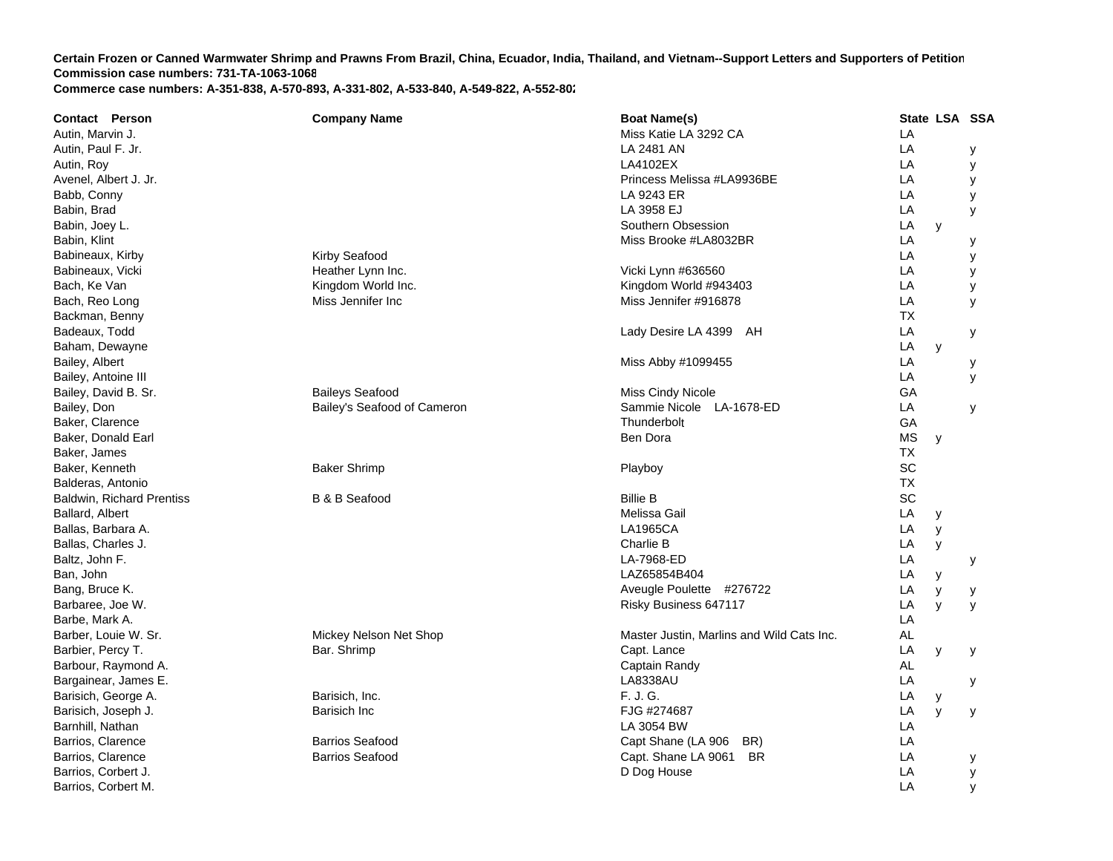| <b>Contact Person</b>            | <b>Company Name</b>         | <b>Boat Name(s)</b>                       |           | State LSA SSA |   |
|----------------------------------|-----------------------------|-------------------------------------------|-----------|---------------|---|
| Autin, Marvin J.                 |                             | Miss Katie LA 3292 CA                     | LA        |               |   |
| Autin, Paul F. Jr.               |                             | LA 2481 AN                                | LA        |               | у |
| Autin, Roy                       |                             | LA4102EX                                  | LA        |               | у |
| Avenel, Albert J. Jr.            |                             | Princess Melissa #LA9936BE                | LA        |               | у |
| Babb, Conny                      |                             | LA 9243 ER                                | LA        |               | у |
| Babin, Brad                      |                             | LA 3958 EJ                                | LA        |               | У |
| Babin, Joey L.                   |                             | Southern Obsession                        | LA        | y             |   |
| Babin, Klint                     |                             | Miss Brooke #LA8032BR                     | LA        |               | у |
| Babineaux, Kirby                 | <b>Kirby Seafood</b>        |                                           | LA        |               | у |
| Babineaux, Vicki                 | Heather Lynn Inc.           | Vicki Lynn #636560                        | LA        |               | у |
| Bach, Ke Van                     | Kingdom World Inc.          | Kingdom World #943403                     | LA        |               | у |
| Bach, Reo Long                   | Miss Jennifer Inc           | Miss Jennifer #916878                     | LA        |               | У |
| Backman, Benny                   |                             |                                           | <b>TX</b> |               |   |
| Badeaux, Todd                    |                             | Lady Desire LA 4399 AH                    | LA        |               | у |
| Baham, Dewayne                   |                             |                                           | LA        | y             |   |
| Bailey, Albert                   |                             | Miss Abby #1099455                        | LA        |               | у |
| Bailey, Antoine III              |                             |                                           | LA        |               | y |
| Bailey, David B. Sr.             | <b>Baileys Seafood</b>      | Miss Cindy Nicole                         | GA        |               |   |
| Bailey, Don                      | Bailey's Seafood of Cameron | Sammie Nicole LA-1678-ED                  | LA        |               | У |
| Baker, Clarence                  |                             | Thunderbolt                               | GA        |               |   |
| Baker, Donald Earl               |                             | Ben Dora                                  | <b>MS</b> | y             |   |
| Baker, James                     |                             |                                           | <b>TX</b> |               |   |
| Baker, Kenneth                   | <b>Baker Shrimp</b>         | Playboy                                   | SC        |               |   |
| Balderas, Antonio                |                             |                                           | <b>TX</b> |               |   |
| <b>Baldwin, Richard Prentiss</b> | <b>B &amp; B Seafood</b>    | <b>Billie B</b>                           | SC        |               |   |
| Ballard, Albert                  |                             | Melissa Gail                              | LA        | У             |   |
| Ballas, Barbara A.               |                             | <b>LA1965CA</b>                           | LA        | y             |   |
| Ballas, Charles J.               |                             | Charlie B                                 | LA        | y             |   |
| Baltz, John F.                   |                             | LA-7968-ED                                | LA        |               | у |
| Ban, John                        |                             | LAZ65854B404                              | LA        | y             |   |
| Bang, Bruce K.                   |                             | Aveugle Poulette #276722                  | LA        | y             | у |
| Barbaree, Joe W.                 |                             | Risky Business 647117                     | LA        | y             | y |
| Barbe, Mark A.                   |                             |                                           | LA        |               |   |
| Barber, Louie W. Sr.             | Mickey Nelson Net Shop      | Master Justin, Marlins and Wild Cats Inc. | AL        |               |   |
| Barbier, Percy T.                | Bar. Shrimp                 | Capt. Lance                               | LA        | y             | у |
| Barbour, Raymond A.              |                             | Captain Randy                             | AL        |               |   |
| Bargainear, James E.             |                             | <b>LA8338AU</b>                           | LA        |               | у |
| Barisich, George A.              | Barisich, Inc.              | F. J. G.                                  | LA        | у             |   |
| Barisich, Joseph J.              | Barisich Inc                | FJG #274687                               | LA        | y             | у |
| Barnhill, Nathan                 |                             | LA 3054 BW                                | LA        |               |   |
| Barrios, Clarence                | <b>Barrios Seafood</b>      | Capt Shane (LA 906<br>BR)                 | LA        |               |   |
| Barrios, Clarence                | <b>Barrios Seafood</b>      | Capt. Shane LA 9061 BR                    | LA        |               | у |
| Barrios, Corbert J.              |                             | D Dog House                               | LA        |               | У |
| Barrios, Corbert M.              |                             |                                           | LA        |               | y |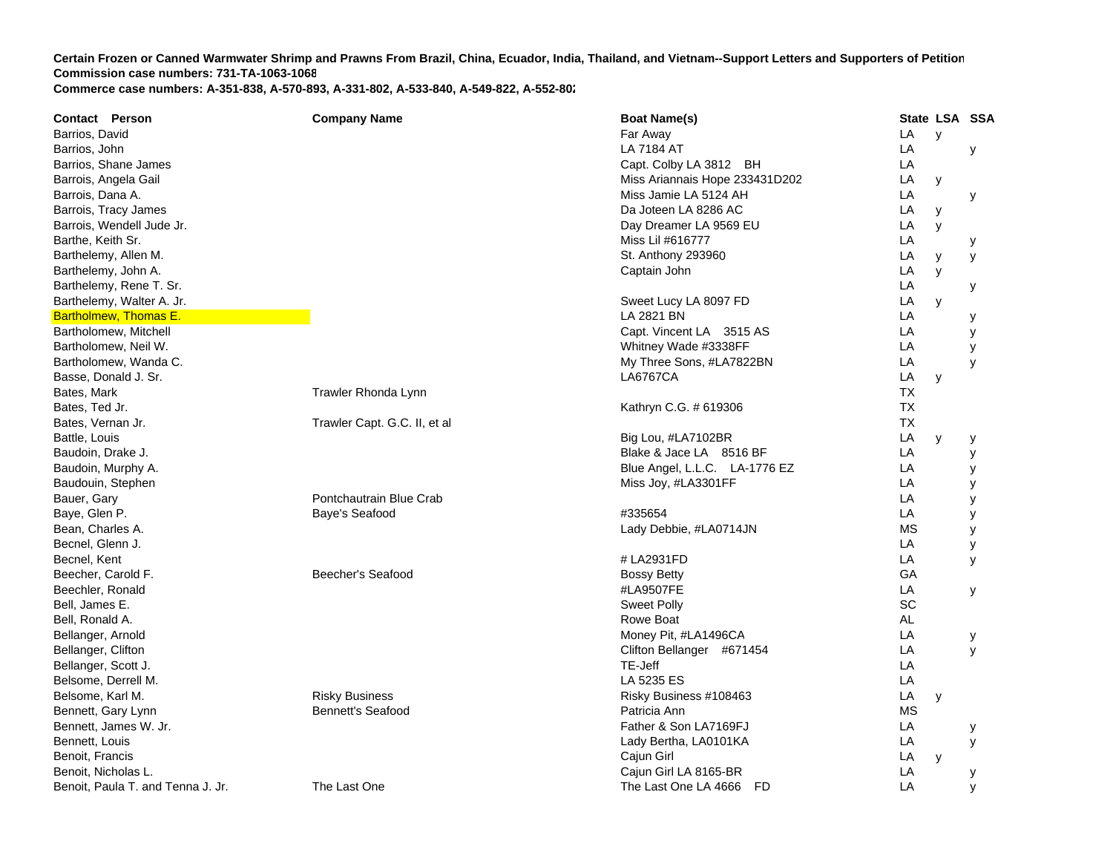| LA<br>Barrios, David<br>Far Away<br>y<br>LA<br>LA 7184 AT<br>Barrios, John<br>У<br>LA<br>Capt. Colby LA 3812 BH<br>Barrios, Shane James<br>Barrois, Angela Gail<br>Miss Ariannais Hope 233431D202<br>LA<br>y<br>LA<br>Barrois, Dana A.<br>Miss Jamie LA 5124 AH<br>У<br>Da Joteen LA 8286 AC<br>LA<br>Barrois, Tracy James<br>y<br>Barrois, Wendell Jude Jr.<br>LA<br>Day Dreamer LA 9569 EU<br>y<br>LA<br>Barthe, Keith Sr.<br>Miss Lil #616777<br>у<br>LA<br>Barthelemy, Allen M.<br>St. Anthony 293960<br>y<br>У<br>Barthelemy, John A.<br>LA<br>Captain John<br>y<br>Barthelemy, Rene T. Sr.<br>LA<br>у<br>LA<br>Barthelemy, Walter A. Jr.<br>Sweet Lucy LA 8097 FD<br>y<br>LA<br><b>Bartholmew, Thomas E.</b><br>LA 2821 BN<br>у<br>LA<br>Capt. Vincent LA 3515 AS<br>Bartholomew, Mitchell<br>У<br>Whitney Wade #3338FF<br>LA<br>Bartholomew, Neil W.<br>y<br>LA<br>Bartholomew, Wanda C.<br>My Three Sons, #LA7822BN<br>y<br>Basse, Donald J. Sr.<br><b>LA6767CA</b><br>LA<br>y<br>Trawler Rhonda Lynn<br><b>TX</b><br>Bates, Mark<br><b>TX</b><br>Bates, Ted Jr.<br>Kathryn C.G. # 619306<br>Trawler Capt. G.C. II, et al<br><b>TX</b><br>Bates, Vernan Jr.<br>LA<br>Battle, Louis<br>Big Lou, #LA7102BR<br>y<br>у<br>Blake & Jace LA 8516 BF<br>LA<br>Baudoin, Drake J.<br>У<br>Baudoin, Murphy A.<br>Blue Angel, L.L.C. LA-1776 EZ<br>LA<br>У<br>LA<br>Baudouin, Stephen<br>Miss Joy, #LA3301FF<br>у<br>Pontchautrain Blue Crab<br>LA<br>Bauer, Gary<br>y<br>Baye, Glen P.<br>Baye's Seafood<br>#335654<br>LA<br>У<br><b>MS</b><br>Bean, Charles A.<br>Lady Debbie, #LA0714JN<br>У<br>Becnel, Glenn J.<br>LA<br>у<br>Becnel, Kent<br># LA2931FD<br>LA<br>y<br>GA<br>Beecher, Carold F.<br>Beecher's Seafood<br><b>Bossy Betty</b><br>LA<br>#LA9507FE<br>Beechler, Ronald<br>У<br>SC<br>Bell, James E.<br><b>Sweet Polly</b><br><b>AL</b><br>Rowe Boat<br>Bell, Ronald A.<br>LA<br>Bellanger, Arnold<br>Money Pit, #LA1496CA<br>у<br>LA<br>Bellanger, Clifton<br>Clifton Bellanger #671454<br>y<br>TE-Jeff<br>LA<br>Bellanger, Scott J.<br>LA<br>Belsome, Derrell M.<br>LA 5235 ES<br><b>Risky Business</b><br>LA<br>Belsome, Karl M.<br>Risky Business #108463<br>y<br><b>Bennett's Seafood</b><br><b>MS</b><br>Bennett, Gary Lynn<br>Patricia Ann<br>Father & Son LA7169FJ<br>LA<br>Bennett, James W. Jr.<br>у |
|---------------------------------------------------------------------------------------------------------------------------------------------------------------------------------------------------------------------------------------------------------------------------------------------------------------------------------------------------------------------------------------------------------------------------------------------------------------------------------------------------------------------------------------------------------------------------------------------------------------------------------------------------------------------------------------------------------------------------------------------------------------------------------------------------------------------------------------------------------------------------------------------------------------------------------------------------------------------------------------------------------------------------------------------------------------------------------------------------------------------------------------------------------------------------------------------------------------------------------------------------------------------------------------------------------------------------------------------------------------------------------------------------------------------------------------------------------------------------------------------------------------------------------------------------------------------------------------------------------------------------------------------------------------------------------------------------------------------------------------------------------------------------------------------------------------------------------------------------------------------------------------------------------------------------------------------------------------------------------------------------------------------------------------------------------------------------------------------------------------------------------------------------------------------------------------------------------------------------------------------------------------------------------------------------------------------------|
|                                                                                                                                                                                                                                                                                                                                                                                                                                                                                                                                                                                                                                                                                                                                                                                                                                                                                                                                                                                                                                                                                                                                                                                                                                                                                                                                                                                                                                                                                                                                                                                                                                                                                                                                                                                                                                                                                                                                                                                                                                                                                                                                                                                                                                                                                                                           |
|                                                                                                                                                                                                                                                                                                                                                                                                                                                                                                                                                                                                                                                                                                                                                                                                                                                                                                                                                                                                                                                                                                                                                                                                                                                                                                                                                                                                                                                                                                                                                                                                                                                                                                                                                                                                                                                                                                                                                                                                                                                                                                                                                                                                                                                                                                                           |
|                                                                                                                                                                                                                                                                                                                                                                                                                                                                                                                                                                                                                                                                                                                                                                                                                                                                                                                                                                                                                                                                                                                                                                                                                                                                                                                                                                                                                                                                                                                                                                                                                                                                                                                                                                                                                                                                                                                                                                                                                                                                                                                                                                                                                                                                                                                           |
|                                                                                                                                                                                                                                                                                                                                                                                                                                                                                                                                                                                                                                                                                                                                                                                                                                                                                                                                                                                                                                                                                                                                                                                                                                                                                                                                                                                                                                                                                                                                                                                                                                                                                                                                                                                                                                                                                                                                                                                                                                                                                                                                                                                                                                                                                                                           |
|                                                                                                                                                                                                                                                                                                                                                                                                                                                                                                                                                                                                                                                                                                                                                                                                                                                                                                                                                                                                                                                                                                                                                                                                                                                                                                                                                                                                                                                                                                                                                                                                                                                                                                                                                                                                                                                                                                                                                                                                                                                                                                                                                                                                                                                                                                                           |
|                                                                                                                                                                                                                                                                                                                                                                                                                                                                                                                                                                                                                                                                                                                                                                                                                                                                                                                                                                                                                                                                                                                                                                                                                                                                                                                                                                                                                                                                                                                                                                                                                                                                                                                                                                                                                                                                                                                                                                                                                                                                                                                                                                                                                                                                                                                           |
|                                                                                                                                                                                                                                                                                                                                                                                                                                                                                                                                                                                                                                                                                                                                                                                                                                                                                                                                                                                                                                                                                                                                                                                                                                                                                                                                                                                                                                                                                                                                                                                                                                                                                                                                                                                                                                                                                                                                                                                                                                                                                                                                                                                                                                                                                                                           |
|                                                                                                                                                                                                                                                                                                                                                                                                                                                                                                                                                                                                                                                                                                                                                                                                                                                                                                                                                                                                                                                                                                                                                                                                                                                                                                                                                                                                                                                                                                                                                                                                                                                                                                                                                                                                                                                                                                                                                                                                                                                                                                                                                                                                                                                                                                                           |
|                                                                                                                                                                                                                                                                                                                                                                                                                                                                                                                                                                                                                                                                                                                                                                                                                                                                                                                                                                                                                                                                                                                                                                                                                                                                                                                                                                                                                                                                                                                                                                                                                                                                                                                                                                                                                                                                                                                                                                                                                                                                                                                                                                                                                                                                                                                           |
|                                                                                                                                                                                                                                                                                                                                                                                                                                                                                                                                                                                                                                                                                                                                                                                                                                                                                                                                                                                                                                                                                                                                                                                                                                                                                                                                                                                                                                                                                                                                                                                                                                                                                                                                                                                                                                                                                                                                                                                                                                                                                                                                                                                                                                                                                                                           |
|                                                                                                                                                                                                                                                                                                                                                                                                                                                                                                                                                                                                                                                                                                                                                                                                                                                                                                                                                                                                                                                                                                                                                                                                                                                                                                                                                                                                                                                                                                                                                                                                                                                                                                                                                                                                                                                                                                                                                                                                                                                                                                                                                                                                                                                                                                                           |
|                                                                                                                                                                                                                                                                                                                                                                                                                                                                                                                                                                                                                                                                                                                                                                                                                                                                                                                                                                                                                                                                                                                                                                                                                                                                                                                                                                                                                                                                                                                                                                                                                                                                                                                                                                                                                                                                                                                                                                                                                                                                                                                                                                                                                                                                                                                           |
|                                                                                                                                                                                                                                                                                                                                                                                                                                                                                                                                                                                                                                                                                                                                                                                                                                                                                                                                                                                                                                                                                                                                                                                                                                                                                                                                                                                                                                                                                                                                                                                                                                                                                                                                                                                                                                                                                                                                                                                                                                                                                                                                                                                                                                                                                                                           |
|                                                                                                                                                                                                                                                                                                                                                                                                                                                                                                                                                                                                                                                                                                                                                                                                                                                                                                                                                                                                                                                                                                                                                                                                                                                                                                                                                                                                                                                                                                                                                                                                                                                                                                                                                                                                                                                                                                                                                                                                                                                                                                                                                                                                                                                                                                                           |
|                                                                                                                                                                                                                                                                                                                                                                                                                                                                                                                                                                                                                                                                                                                                                                                                                                                                                                                                                                                                                                                                                                                                                                                                                                                                                                                                                                                                                                                                                                                                                                                                                                                                                                                                                                                                                                                                                                                                                                                                                                                                                                                                                                                                                                                                                                                           |
|                                                                                                                                                                                                                                                                                                                                                                                                                                                                                                                                                                                                                                                                                                                                                                                                                                                                                                                                                                                                                                                                                                                                                                                                                                                                                                                                                                                                                                                                                                                                                                                                                                                                                                                                                                                                                                                                                                                                                                                                                                                                                                                                                                                                                                                                                                                           |
|                                                                                                                                                                                                                                                                                                                                                                                                                                                                                                                                                                                                                                                                                                                                                                                                                                                                                                                                                                                                                                                                                                                                                                                                                                                                                                                                                                                                                                                                                                                                                                                                                                                                                                                                                                                                                                                                                                                                                                                                                                                                                                                                                                                                                                                                                                                           |
|                                                                                                                                                                                                                                                                                                                                                                                                                                                                                                                                                                                                                                                                                                                                                                                                                                                                                                                                                                                                                                                                                                                                                                                                                                                                                                                                                                                                                                                                                                                                                                                                                                                                                                                                                                                                                                                                                                                                                                                                                                                                                                                                                                                                                                                                                                                           |
|                                                                                                                                                                                                                                                                                                                                                                                                                                                                                                                                                                                                                                                                                                                                                                                                                                                                                                                                                                                                                                                                                                                                                                                                                                                                                                                                                                                                                                                                                                                                                                                                                                                                                                                                                                                                                                                                                                                                                                                                                                                                                                                                                                                                                                                                                                                           |
|                                                                                                                                                                                                                                                                                                                                                                                                                                                                                                                                                                                                                                                                                                                                                                                                                                                                                                                                                                                                                                                                                                                                                                                                                                                                                                                                                                                                                                                                                                                                                                                                                                                                                                                                                                                                                                                                                                                                                                                                                                                                                                                                                                                                                                                                                                                           |
|                                                                                                                                                                                                                                                                                                                                                                                                                                                                                                                                                                                                                                                                                                                                                                                                                                                                                                                                                                                                                                                                                                                                                                                                                                                                                                                                                                                                                                                                                                                                                                                                                                                                                                                                                                                                                                                                                                                                                                                                                                                                                                                                                                                                                                                                                                                           |
|                                                                                                                                                                                                                                                                                                                                                                                                                                                                                                                                                                                                                                                                                                                                                                                                                                                                                                                                                                                                                                                                                                                                                                                                                                                                                                                                                                                                                                                                                                                                                                                                                                                                                                                                                                                                                                                                                                                                                                                                                                                                                                                                                                                                                                                                                                                           |
|                                                                                                                                                                                                                                                                                                                                                                                                                                                                                                                                                                                                                                                                                                                                                                                                                                                                                                                                                                                                                                                                                                                                                                                                                                                                                                                                                                                                                                                                                                                                                                                                                                                                                                                                                                                                                                                                                                                                                                                                                                                                                                                                                                                                                                                                                                                           |
|                                                                                                                                                                                                                                                                                                                                                                                                                                                                                                                                                                                                                                                                                                                                                                                                                                                                                                                                                                                                                                                                                                                                                                                                                                                                                                                                                                                                                                                                                                                                                                                                                                                                                                                                                                                                                                                                                                                                                                                                                                                                                                                                                                                                                                                                                                                           |
|                                                                                                                                                                                                                                                                                                                                                                                                                                                                                                                                                                                                                                                                                                                                                                                                                                                                                                                                                                                                                                                                                                                                                                                                                                                                                                                                                                                                                                                                                                                                                                                                                                                                                                                                                                                                                                                                                                                                                                                                                                                                                                                                                                                                                                                                                                                           |
|                                                                                                                                                                                                                                                                                                                                                                                                                                                                                                                                                                                                                                                                                                                                                                                                                                                                                                                                                                                                                                                                                                                                                                                                                                                                                                                                                                                                                                                                                                                                                                                                                                                                                                                                                                                                                                                                                                                                                                                                                                                                                                                                                                                                                                                                                                                           |
|                                                                                                                                                                                                                                                                                                                                                                                                                                                                                                                                                                                                                                                                                                                                                                                                                                                                                                                                                                                                                                                                                                                                                                                                                                                                                                                                                                                                                                                                                                                                                                                                                                                                                                                                                                                                                                                                                                                                                                                                                                                                                                                                                                                                                                                                                                                           |
|                                                                                                                                                                                                                                                                                                                                                                                                                                                                                                                                                                                                                                                                                                                                                                                                                                                                                                                                                                                                                                                                                                                                                                                                                                                                                                                                                                                                                                                                                                                                                                                                                                                                                                                                                                                                                                                                                                                                                                                                                                                                                                                                                                                                                                                                                                                           |
|                                                                                                                                                                                                                                                                                                                                                                                                                                                                                                                                                                                                                                                                                                                                                                                                                                                                                                                                                                                                                                                                                                                                                                                                                                                                                                                                                                                                                                                                                                                                                                                                                                                                                                                                                                                                                                                                                                                                                                                                                                                                                                                                                                                                                                                                                                                           |
|                                                                                                                                                                                                                                                                                                                                                                                                                                                                                                                                                                                                                                                                                                                                                                                                                                                                                                                                                                                                                                                                                                                                                                                                                                                                                                                                                                                                                                                                                                                                                                                                                                                                                                                                                                                                                                                                                                                                                                                                                                                                                                                                                                                                                                                                                                                           |
|                                                                                                                                                                                                                                                                                                                                                                                                                                                                                                                                                                                                                                                                                                                                                                                                                                                                                                                                                                                                                                                                                                                                                                                                                                                                                                                                                                                                                                                                                                                                                                                                                                                                                                                                                                                                                                                                                                                                                                                                                                                                                                                                                                                                                                                                                                                           |
|                                                                                                                                                                                                                                                                                                                                                                                                                                                                                                                                                                                                                                                                                                                                                                                                                                                                                                                                                                                                                                                                                                                                                                                                                                                                                                                                                                                                                                                                                                                                                                                                                                                                                                                                                                                                                                                                                                                                                                                                                                                                                                                                                                                                                                                                                                                           |
|                                                                                                                                                                                                                                                                                                                                                                                                                                                                                                                                                                                                                                                                                                                                                                                                                                                                                                                                                                                                                                                                                                                                                                                                                                                                                                                                                                                                                                                                                                                                                                                                                                                                                                                                                                                                                                                                                                                                                                                                                                                                                                                                                                                                                                                                                                                           |
|                                                                                                                                                                                                                                                                                                                                                                                                                                                                                                                                                                                                                                                                                                                                                                                                                                                                                                                                                                                                                                                                                                                                                                                                                                                                                                                                                                                                                                                                                                                                                                                                                                                                                                                                                                                                                                                                                                                                                                                                                                                                                                                                                                                                                                                                                                                           |
|                                                                                                                                                                                                                                                                                                                                                                                                                                                                                                                                                                                                                                                                                                                                                                                                                                                                                                                                                                                                                                                                                                                                                                                                                                                                                                                                                                                                                                                                                                                                                                                                                                                                                                                                                                                                                                                                                                                                                                                                                                                                                                                                                                                                                                                                                                                           |
|                                                                                                                                                                                                                                                                                                                                                                                                                                                                                                                                                                                                                                                                                                                                                                                                                                                                                                                                                                                                                                                                                                                                                                                                                                                                                                                                                                                                                                                                                                                                                                                                                                                                                                                                                                                                                                                                                                                                                                                                                                                                                                                                                                                                                                                                                                                           |
|                                                                                                                                                                                                                                                                                                                                                                                                                                                                                                                                                                                                                                                                                                                                                                                                                                                                                                                                                                                                                                                                                                                                                                                                                                                                                                                                                                                                                                                                                                                                                                                                                                                                                                                                                                                                                                                                                                                                                                                                                                                                                                                                                                                                                                                                                                                           |
|                                                                                                                                                                                                                                                                                                                                                                                                                                                                                                                                                                                                                                                                                                                                                                                                                                                                                                                                                                                                                                                                                                                                                                                                                                                                                                                                                                                                                                                                                                                                                                                                                                                                                                                                                                                                                                                                                                                                                                                                                                                                                                                                                                                                                                                                                                                           |
|                                                                                                                                                                                                                                                                                                                                                                                                                                                                                                                                                                                                                                                                                                                                                                                                                                                                                                                                                                                                                                                                                                                                                                                                                                                                                                                                                                                                                                                                                                                                                                                                                                                                                                                                                                                                                                                                                                                                                                                                                                                                                                                                                                                                                                                                                                                           |
|                                                                                                                                                                                                                                                                                                                                                                                                                                                                                                                                                                                                                                                                                                                                                                                                                                                                                                                                                                                                                                                                                                                                                                                                                                                                                                                                                                                                                                                                                                                                                                                                                                                                                                                                                                                                                                                                                                                                                                                                                                                                                                                                                                                                                                                                                                                           |
| LA<br>Bennett, Louis<br>Lady Bertha, LA0101KA<br>У                                                                                                                                                                                                                                                                                                                                                                                                                                                                                                                                                                                                                                                                                                                                                                                                                                                                                                                                                                                                                                                                                                                                                                                                                                                                                                                                                                                                                                                                                                                                                                                                                                                                                                                                                                                                                                                                                                                                                                                                                                                                                                                                                                                                                                                                        |
| Cajun Girl<br>LA<br>Benoit, Francis<br>y                                                                                                                                                                                                                                                                                                                                                                                                                                                                                                                                                                                                                                                                                                                                                                                                                                                                                                                                                                                                                                                                                                                                                                                                                                                                                                                                                                                                                                                                                                                                                                                                                                                                                                                                                                                                                                                                                                                                                                                                                                                                                                                                                                                                                                                                                  |
| Benoit, Nicholas L.<br>Cajun Girl LA 8165-BR<br>LA<br>у                                                                                                                                                                                                                                                                                                                                                                                                                                                                                                                                                                                                                                                                                                                                                                                                                                                                                                                                                                                                                                                                                                                                                                                                                                                                                                                                                                                                                                                                                                                                                                                                                                                                                                                                                                                                                                                                                                                                                                                                                                                                                                                                                                                                                                                                   |
| LA<br>Benoit, Paula T. and Tenna J. Jr.<br>The Last One<br>The Last One LA 4666 FD<br>У                                                                                                                                                                                                                                                                                                                                                                                                                                                                                                                                                                                                                                                                                                                                                                                                                                                                                                                                                                                                                                                                                                                                                                                                                                                                                                                                                                                                                                                                                                                                                                                                                                                                                                                                                                                                                                                                                                                                                                                                                                                                                                                                                                                                                                   |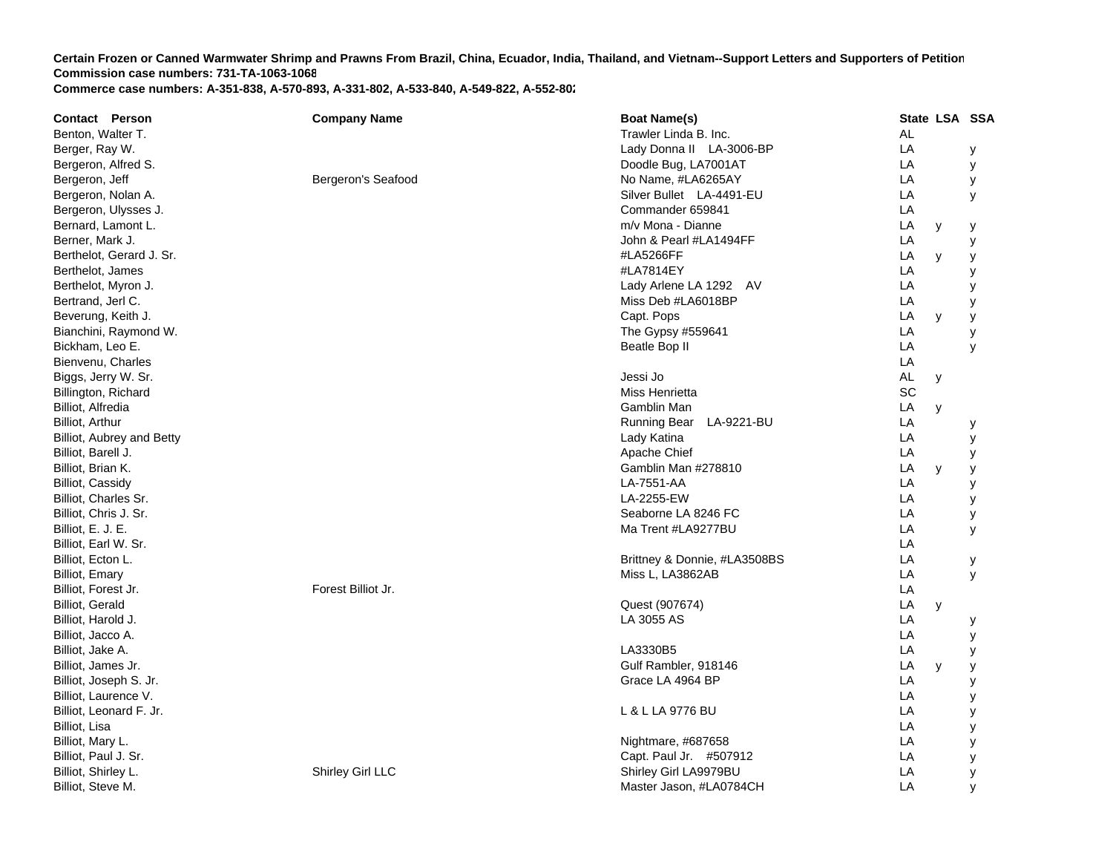| <b>Contact Person</b>     | <b>Company Name</b> | <b>Boat Name(s)</b>          |           | State LSA SSA |   |
|---------------------------|---------------------|------------------------------|-----------|---------------|---|
| Benton, Walter T.         |                     | Trawler Linda B. Inc.        | AL        |               |   |
| Berger, Ray W.            |                     | Lady Donna II LA-3006-BP     | LA        |               | у |
| Bergeron, Alfred S.       |                     | Doodle Bug, LA7001AT         | LA        |               | у |
| Bergeron, Jeff            | Bergeron's Seafood  | No Name, #LA6265AY           | LA        |               | у |
| Bergeron, Nolan A.        |                     | Silver Bullet LA-4491-EU     | LA        |               | y |
| Bergeron, Ulysses J.      |                     | Commander 659841             | LA        |               |   |
| Bernard, Lamont L.        |                     | m/v Mona - Dianne            | LA        | у             | у |
| Berner, Mark J.           |                     | John & Pearl #LA1494FF       | LA        |               | У |
| Berthelot, Gerard J. Sr.  |                     | #LA5266FF                    | LA        | y             | y |
| Berthelot, James          |                     | #LA7814EY                    | LA        |               | y |
| Berthelot, Myron J.       |                     | Lady Arlene LA 1292 AV       | LA        |               | У |
| Bertrand, Jerl C.         |                     | Miss Deb #LA6018BP           | LA        |               | у |
| Beverung, Keith J.        |                     | Capt. Pops                   | LA        | y             | у |
| Bianchini, Raymond W.     |                     | The Gypsy #559641            | LA        |               | у |
| Bickham, Leo E.           |                     | Beatle Bop II                | LA        |               | У |
| Bienvenu, Charles         |                     |                              | LA        |               |   |
| Biggs, Jerry W. Sr.       |                     | Jessi Jo                     | <b>AL</b> | У             |   |
| Billington, Richard       |                     | Miss Henrietta               | SC        |               |   |
| Billiot, Alfredia         |                     | Gamblin Man                  | LA        | y             |   |
| Billiot, Arthur           |                     | Running Bear<br>LA-9221-BU   | LA        |               | у |
| Billiot, Aubrey and Betty |                     | Lady Katina                  | LA        |               | У |
| Billiot, Barell J.        |                     | Apache Chief                 | LA        |               | У |
| Billiot, Brian K.         |                     | Gamblin Man #278810          | LA        | y             | у |
| Billiot, Cassidy          |                     | LA-7551-AA                   | LA        |               | у |
| Billiot, Charles Sr.      |                     | LA-2255-EW                   | LA        |               | у |
| Billiot, Chris J. Sr.     |                     | Seaborne LA 8246 FC          | LA        |               | у |
| Billiot, E. J. E.         |                     | Ma Trent #LA9277BU           | LA        |               | У |
| Billiot, Earl W. Sr.      |                     |                              | LA        |               |   |
| Billiot, Ecton L.         |                     | Brittney & Donnie, #LA3508BS | LA        |               | у |
| <b>Billiot, Emary</b>     |                     | Miss L, LA3862AB             | LA        |               | y |
| Billiot, Forest Jr.       | Forest Billiot Jr.  |                              | LA        |               |   |
| <b>Billiot, Gerald</b>    |                     | Quest (907674)               | LA        | y             |   |
| Billiot, Harold J.        |                     | LA 3055 AS                   | LA        |               | у |
| Billiot, Jacco A.         |                     |                              | LA        |               | у |
| Billiot, Jake A.          |                     | LA3330B5                     | LA        |               | у |
| Billiot, James Jr.        |                     | Gulf Rambler, 918146         | LA        | y             | у |
| Billiot, Joseph S. Jr.    |                     | Grace LA 4964 BP             | LA        |               | у |
| Billiot, Laurence V.      |                     |                              | LA        |               | у |
| Billiot, Leonard F. Jr.   |                     | L & L LA 9776 BU             | LA        |               | У |
| Billiot, Lisa             |                     |                              | LA        |               | у |
| Billiot, Mary L.          |                     | Nightmare, #687658           | LA        |               | у |
| Billiot, Paul J. Sr.      |                     | Capt. Paul Jr. #507912       | LA        |               | У |
| Billiot, Shirley L.       | Shirley Girl LLC    | Shirley Girl LA9979BU        | LA        |               | У |
| Billiot, Steve M.         |                     | Master Jason, #LA0784CH      | LA        |               | y |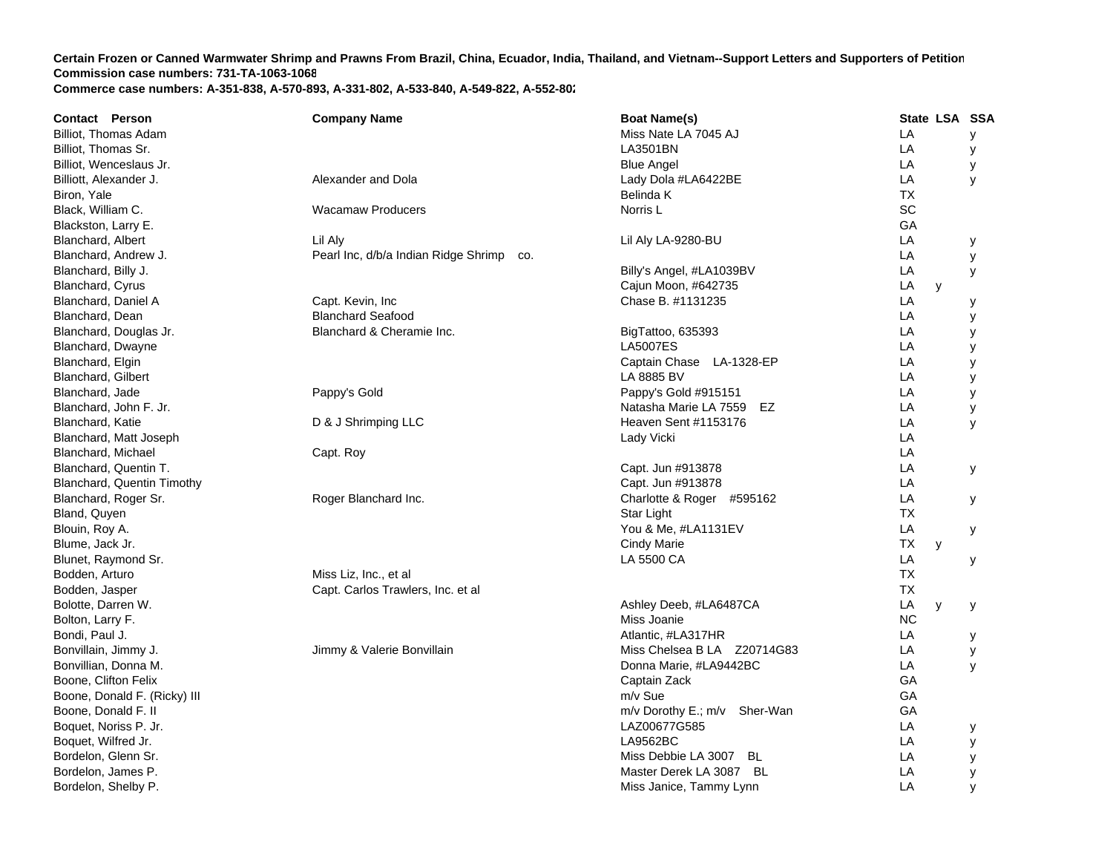| Contact Person               | <b>Company Name</b>                      | <b>Boat Name(s)</b>          | State LSA SSA |   |
|------------------------------|------------------------------------------|------------------------------|---------------|---|
| Billiot, Thomas Adam         |                                          | Miss Nate LA 7045 AJ         | LA            | У |
| Billiot, Thomas Sr.          |                                          | LA3501BN                     | LA            | у |
| Billiot, Wenceslaus Jr.      |                                          | <b>Blue Angel</b>            | LA            | у |
| Billiott, Alexander J.       | Alexander and Dola                       | Lady Dola #LA6422BE          | LA            | y |
| Biron, Yale                  |                                          | Belinda K                    | <b>TX</b>     |   |
| Black, William C.            | <b>Wacamaw Producers</b>                 | Norris <sub>L</sub>          | SC            |   |
| Blackston, Larry E.          |                                          |                              | GA            |   |
| Blanchard, Albert            | Lil Aly                                  | Lil Aly LA-9280-BU           | LA            | у |
| Blanchard, Andrew J.         | Pearl Inc, d/b/a Indian Ridge Shrimp co. |                              | LA            | У |
| Blanchard, Billy J.          |                                          | Billy's Angel, #LA1039BV     | LA            | у |
| <b>Blanchard, Cyrus</b>      |                                          | Cajun Moon, #642735          | LA<br>y       |   |
| Blanchard, Daniel A          | Capt. Kevin, Inc                         | Chase B. #1131235            | LA            | у |
| Blanchard, Dean              | <b>Blanchard Seafood</b>                 |                              | LA            | у |
| Blanchard, Douglas Jr.       | Blanchard & Cheramie Inc.                | BigTattoo, 635393            | LA            | у |
| Blanchard, Dwayne            |                                          | <b>LA5007ES</b>              | LA            | у |
| Blanchard, Elgin             |                                          | Captain Chase LA-1328-EP     | LA            | у |
| Blanchard, Gilbert           |                                          | LA 8885 BV                   | LA            | У |
| Blanchard, Jade              | Pappy's Gold                             | Pappy's Gold #915151         | LA            | у |
| Blanchard, John F. Jr.       |                                          | Natasha Marie LA 7559 EZ     | LA            | у |
| Blanchard, Katie             | D & J Shrimping LLC                      | Heaven Sent #1153176         | LA            | У |
| Blanchard, Matt Joseph       |                                          | Lady Vicki                   | LA            |   |
| Blanchard, Michael           | Capt. Roy                                |                              | LA            |   |
| Blanchard, Quentin T.        |                                          | Capt. Jun #913878            | LA            | У |
| Blanchard, Quentin Timothy   |                                          | Capt. Jun #913878            | LA            |   |
| Blanchard, Roger Sr.         | Roger Blanchard Inc.                     | Charlotte & Roger #595162    | LA            | У |
| Bland, Quyen                 |                                          | Star Light                   | <b>TX</b>     |   |
| Blouin, Roy A.               |                                          | You & Me, #LA1131EV          | LA            | у |
| Blume, Jack Jr.              |                                          | Cindy Marie                  | ТX<br>y       |   |
| Blunet, Raymond Sr.          |                                          | LA 5500 CA                   | LA            | у |
| Bodden, Arturo               | Miss Liz, Inc., et al                    |                              | <b>TX</b>     |   |
| Bodden, Jasper               | Capt. Carlos Trawlers, Inc. et al        |                              | <b>TX</b>     |   |
| Bolotte, Darren W.           |                                          | Ashley Deeb, #LA6487CA       | LA<br>y       | у |
| Bolton, Larry F.             |                                          | Miss Joanie                  | <b>NC</b>     |   |
| Bondi, Paul J.               |                                          | Atlantic, #LA317HR           | LA            | у |
| Bonvillain, Jimmy J.         | Jimmy & Valerie Bonvillain               | Miss Chelsea B LA Z20714G83  | LA            | У |
| Bonvillian, Donna M.         |                                          | Donna Marie, #LA9442BC       | LA            | y |
| Boone, Clifton Felix         |                                          | Captain Zack                 | GA            |   |
| Boone, Donald F. (Ricky) III |                                          | m/v Sue                      | GA            |   |
| Boone, Donald F. II          |                                          | m/v Dorothy E.; m/v Sher-Wan | GA            |   |
| Boquet, Noriss P. Jr.        |                                          | LAZ00677G585                 | LA            | у |
| Boquet, Wilfred Jr.          |                                          | LA9562BC                     | LA            | У |
| Bordelon, Glenn Sr.          |                                          | Miss Debbie LA 3007 BL       | LA            | у |
| Bordelon, James P.           |                                          | Master Derek LA 3087 BL      | LA            | У |
| Bordelon, Shelby P.          |                                          | Miss Janice, Tammy Lynn      | LA            | y |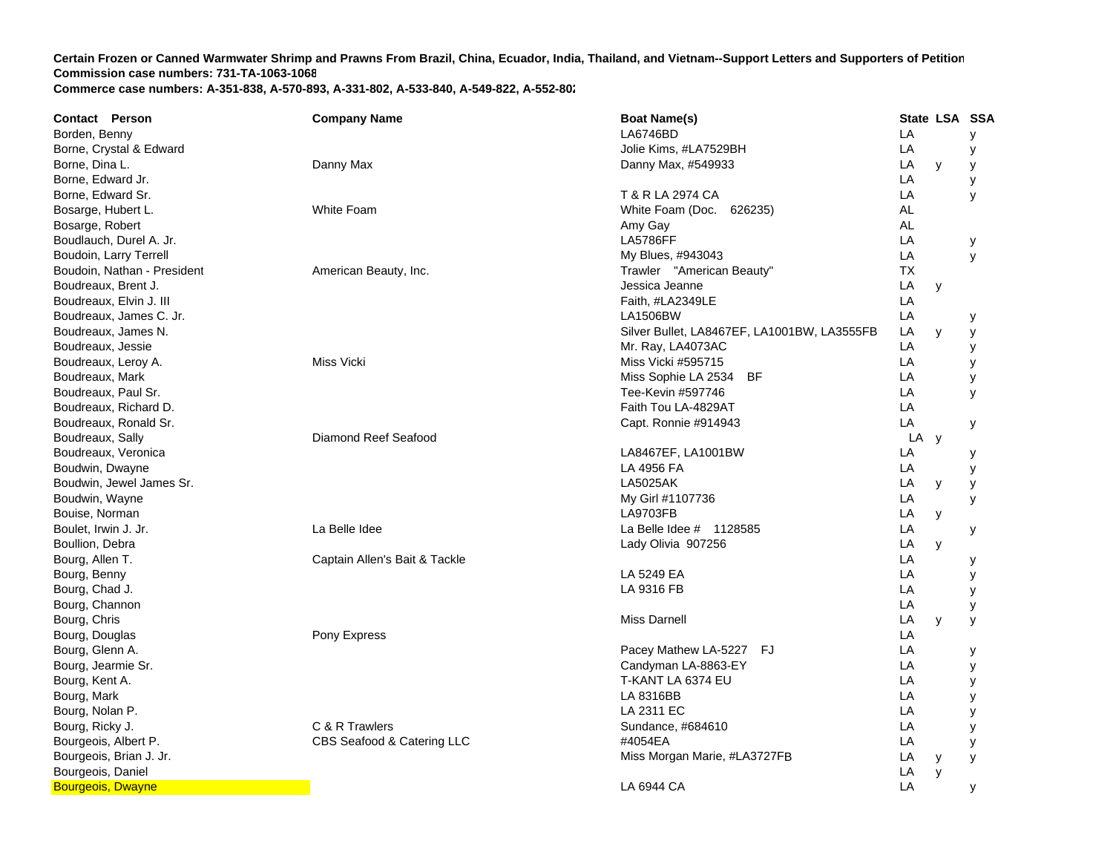| <b>Contact Person</b>       | <b>Company Name</b>           | <b>Boat Name(s)</b>                         |      | State LSA SSA |   |
|-----------------------------|-------------------------------|---------------------------------------------|------|---------------|---|
| Borden, Benny               |                               | LA6746BD                                    | LA   |               | у |
| Borne, Crystal & Edward     |                               | Jolie Kims, #LA7529BH                       | LA   |               | у |
| Borne, Dina L.              | Danny Max                     | Danny Max, #549933                          | LA   | y             | У |
| Borne, Edward Jr.           |                               |                                             | LA   |               | у |
| Borne, Edward Sr.           |                               | T & R LA 2974 CA                            | LA   |               | y |
| Bosarge, Hubert L.          | White Foam                    | White Foam (Doc. 626235)                    | AL   |               |   |
| Bosarge, Robert             |                               | Amy Gay                                     | AL   |               |   |
| Boudlauch, Durel A. Jr.     |                               | <b>LA5786FF</b>                             | LA   |               | у |
| Boudoin, Larry Terrell      |                               | My Blues, #943043                           | LA   |               | y |
| Boudoin, Nathan - President | American Beauty, Inc.         | Trawler "American Beauty"                   | ТX   |               |   |
| Boudreaux, Brent J.         |                               | Jessica Jeanne                              | LA   | y             |   |
| Boudreaux, Elvin J. III     |                               | Faith, #LA2349LE                            | LA   |               |   |
| Boudreaux, James C. Jr.     |                               | <b>LA1506BW</b>                             | LA   |               | у |
| Boudreaux, James N.         |                               | Silver Bullet, LA8467EF, LA1001BW, LA3555FB | LA   | y             | У |
| Boudreaux, Jessie           |                               | Mr. Ray, LA4073AC                           | LA   |               | y |
| Boudreaux, Leroy A.         | Miss Vicki                    | Miss Vicki #595715                          | LA   |               | у |
| Boudreaux, Mark             |                               | Miss Sophie LA 2534 BF                      | LA   |               | У |
| Boudreaux, Paul Sr.         |                               | Tee-Kevin #597746                           | LA   |               | y |
| Boudreaux, Richard D.       |                               | Faith Tou LA-4829AT                         | LA   |               |   |
| Boudreaux, Ronald Sr.       |                               | Capt. Ronnie #914943                        | LA   |               | У |
| Boudreaux, Sally            | Diamond Reef Seafood          |                                             | LA y |               |   |
| Boudreaux, Veronica         |                               | LA8467EF, LA1001BW                          | LA   |               | у |
| Boudwin, Dwayne             |                               | LA 4956 FA                                  | LA   |               | У |
| Boudwin, Jewel James Sr.    |                               | <b>LA5025AK</b>                             | LA   | y             | у |
| Boudwin, Wayne              |                               | My Girl #1107736                            | LA   |               | y |
| Bouise, Norman              |                               | <b>LA9703FB</b>                             | LA   | y             |   |
| Boulet, Irwin J. Jr.        | La Belle Idee                 | La Belle Idee # 1128585                     | LA   |               | у |
| Boullion, Debra             |                               | Lady Olivia 907256                          | LA   | y             |   |
| Bourg, Allen T.             | Captain Allen's Bait & Tackle |                                             | LA   |               | у |
| Bourg, Benny                |                               | LA 5249 EA                                  | LA   |               | У |
| Bourg, Chad J.              |                               | LA 9316 FB                                  | LA   |               | у |
| Bourg, Channon              |                               |                                             | LA   |               | У |
| Bourg, Chris                |                               | Miss Darnell                                | LA   | y             | у |
| Bourg, Douglas              | Pony Express                  |                                             | LA   |               |   |
| Bourg, Glenn A.             |                               | Pacey Mathew LA-5227 FJ                     | LA   |               | у |
| Bourg, Jearmie Sr.          |                               | Candyman LA-8863-EY                         | LA   |               | у |
| Bourg, Kent A.              |                               | T-KANT LA 6374 EU                           | LA   |               | у |
| Bourg, Mark                 |                               | LA 8316BB                                   | LA   |               | У |
| Bourg, Nolan P.             |                               | LA 2311 EC                                  | LA   |               | У |
| Bourg, Ricky J.             | C & R Trawlers                | Sundance, #684610                           | LA   |               | y |
| Bourgeois, Albert P.        | CBS Seafood & Catering LLC    | #4054EA                                     | LA   |               | y |
| Bourgeois, Brian J. Jr.     |                               | Miss Morgan Marie, #LA3727FB                | LA   | y             | y |
| Bourgeois, Daniel           |                               |                                             | LA   | y             |   |
| <b>Bourgeois, Dwayne</b>    |                               | LA 6944 CA                                  | LA   |               | У |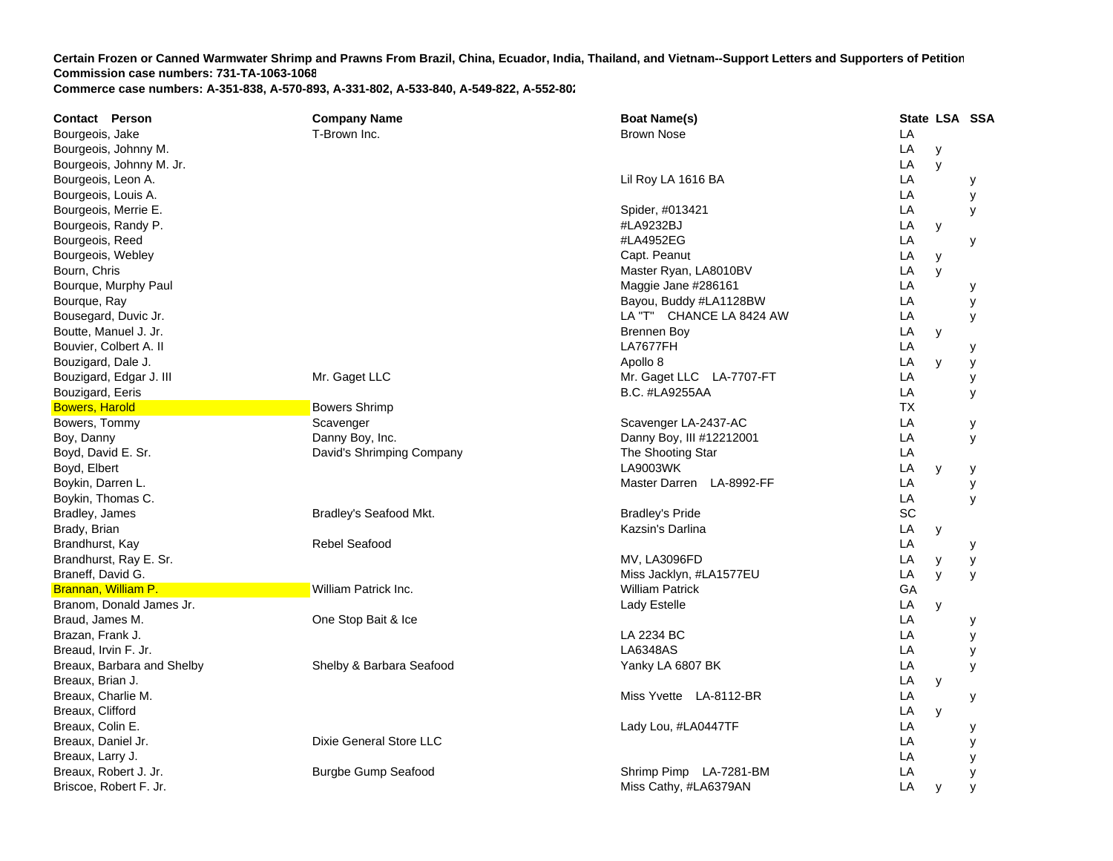| <b>Contact Person</b>      | <b>Company Name</b>        | <b>Boat Name(s)</b>      |    | State LSA SSA |   |
|----------------------------|----------------------------|--------------------------|----|---------------|---|
| Bourgeois, Jake            | T-Brown Inc.               | <b>Brown Nose</b>        | LA |               |   |
| Bourgeois, Johnny M.       |                            |                          | LA | у             |   |
| Bourgeois, Johnny M. Jr.   |                            |                          | LA | y             |   |
| Bourgeois, Leon A.         |                            | Lil Roy LA 1616 BA       | LA |               | у |
| Bourgeois, Louis A.        |                            |                          | LA |               | У |
| Bourgeois, Merrie E.       |                            | Spider, #013421          | LA |               | У |
| Bourgeois, Randy P.        |                            | #LA9232BJ                | LA | y             |   |
| Bourgeois, Reed            |                            | #LA4952EG                | LA |               | У |
| Bourgeois, Webley          |                            | Capt. Peanut             | LA | y             |   |
| Bourn, Chris               |                            | Master Ryan, LA8010BV    | LA | y             |   |
| Bourque, Murphy Paul       |                            | Maggie Jane #286161      | LA |               | у |
| Bourque, Ray               |                            | Bayou, Buddy #LA1128BW   | LA |               | У |
| Bousegard, Duvic Jr.       |                            | LA "T" CHANCE LA 8424 AW | LA |               | У |
| Boutte, Manuel J. Jr.      |                            | <b>Brennen Boy</b>       | LA | у             |   |
| Bouvier, Colbert A. II     |                            | LA7677FH                 | LA |               | у |
| Bouzigard, Dale J.         |                            | Apollo 8                 | LA | y             | у |
| Bouzigard, Edgar J. III    | Mr. Gaget LLC              | Mr. Gaget LLC LA-7707-FT | LA |               | у |
| Bouzigard, Eeris           |                            | <b>B.C. #LA9255AA</b>    | LA |               | У |
| <b>Bowers, Harold</b>      | <b>Bowers Shrimp</b>       |                          | ТX |               |   |
| Bowers, Tommy              | Scavenger                  | Scavenger LA-2437-AC     | LA |               | у |
| Boy, Danny                 | Danny Boy, Inc.            | Danny Boy, III #12212001 | LA |               | У |
| Boyd, David E. Sr.         | David's Shrimping Company  | The Shooting Star        | LA |               |   |
| Boyd, Elbert               |                            | LA9003WK                 | LA | y             | у |
| Boykin, Darren L.          |                            | Master Darren LA-8992-FF | LA |               | У |
| Boykin, Thomas C.          |                            |                          | LA |               | y |
| Bradley, James             | Bradley's Seafood Mkt.     | <b>Bradley's Pride</b>   | SC |               |   |
| Brady, Brian               |                            | Kazsin's Darlina         | LA | у             |   |
| Brandhurst, Kay            | Rebel Seafood              |                          | LA |               | у |
| Brandhurst, Ray E. Sr.     |                            | MV, LA3096FD             | LA | у             | у |
| Braneff, David G.          |                            | Miss Jacklyn, #LA1577EU  | LA | y             | y |
| Brannan, William P.        | William Patrick Inc.       | <b>William Patrick</b>   | GA |               |   |
| Branom, Donald James Jr.   |                            | Lady Estelle             | LA | y             |   |
| Braud, James M.            | One Stop Bait & Ice        |                          | LA |               | у |
| Brazan, Frank J.           |                            | LA 2234 BC               | LA |               | y |
| Breaud, Irvin F. Jr.       |                            | LA6348AS                 | LA |               | У |
| Breaux, Barbara and Shelby | Shelby & Barbara Seafood   | Yanky LA 6807 BK         | LA |               | У |
| Breaux, Brian J.           |                            |                          | LA | у             |   |
| Breaux, Charlie M.         |                            | Miss Yvette LA-8112-BR   | LA |               | у |
| Breaux, Clifford           |                            |                          | LA | y             |   |
| Breaux, Colin E.           |                            | Lady Lou, #LA0447TF      | LA |               | у |
| Breaux, Daniel Jr.         | Dixie General Store LLC    |                          | LA |               | У |
| Breaux, Larry J.           |                            |                          | LA |               | У |
| Breaux, Robert J. Jr.      | <b>Burgbe Gump Seafood</b> | Shrimp Pimp LA-7281-BM   | LA |               | у |
| Briscoe, Robert F. Jr.     |                            | Miss Cathy, #LA6379AN    | LA | y             | У |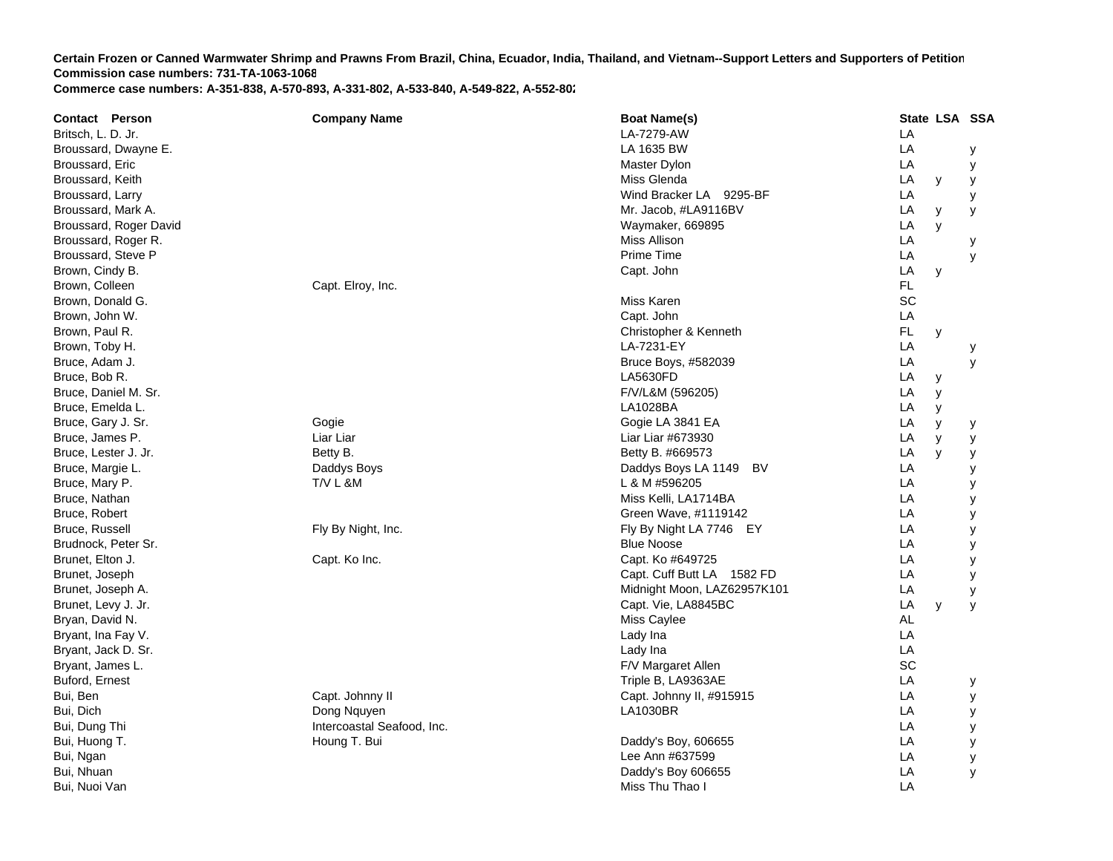| <b>Contact Person</b>  | <b>Company Name</b>        | <b>Boat Name(s)</b>         | State LSA SSA  |
|------------------------|----------------------------|-----------------------------|----------------|
| Britsch, L. D. Jr.     |                            | LA-7279-AW                  | LA             |
| Broussard, Dwayne E.   |                            | LA 1635 BW                  | LA<br>у        |
| Broussard, Eric        |                            | Master Dylon                | LA<br>у        |
| Broussard, Keith       |                            | Miss Glenda                 | LA<br>y<br>у   |
| Broussard, Larry       |                            | Wind Bracker LA 9295-BF     | LA<br>у        |
| Broussard, Mark A.     |                            | Mr. Jacob, #LA9116BV        | LA<br>y<br>у   |
| Broussard, Roger David |                            | Waymaker, 669895            | LA<br>y        |
| Broussard, Roger R.    |                            | Miss Allison                | LA<br>у        |
| Broussard, Steve P     |                            | <b>Prime Time</b>           | LA<br>У        |
| Brown, Cindy B.        |                            | Capt. John                  | LA<br>у        |
| Brown, Colleen         | Capt. Elroy, Inc.          |                             | FL             |
| Brown, Donald G.       |                            | Miss Karen                  | SC             |
| Brown, John W.         |                            | Capt. John                  | LA             |
| Brown, Paul R.         |                            | Christopher & Kenneth       | <b>FL</b><br>У |
| Brown, Toby H.         |                            | LA-7231-EY                  | LA<br>у        |
| Bruce, Adam J.         |                            | Bruce Boys, #582039         | LA<br>у        |
| Bruce, Bob R.          |                            | <b>LA5630FD</b>             | LA<br>у        |
| Bruce, Daniel M. Sr.   |                            | F/V/L&M (596205)            | LA<br>y        |
| Bruce, Emelda L.       |                            | LA1028BA                    | LA<br>У        |
| Bruce, Gary J. Sr.     | Gogie                      | Gogie LA 3841 EA            | LA<br>У<br>у   |
| Bruce, James P.        | Liar Liar                  | Liar Liar #673930           | LA<br>y<br>у   |
| Bruce, Lester J. Jr.   | Betty B.                   | Betty B. #669573            | LA<br>y<br>у   |
| Bruce, Margie L.       | Daddys Boys                | Daddys Boys LA 1149<br>BV   | LA<br>у        |
| Bruce, Mary P.         | <b>T/V L &amp;M</b>        | L & M #596205               | LA<br>у        |
| Bruce, Nathan          |                            | Miss Kelli, LA1714BA        | LA<br>у        |
| Bruce, Robert          |                            | Green Wave, #1119142        | LA<br>у        |
| Bruce, Russell         | Fly By Night, Inc.         | Fly By Night LA 7746 EY     | LA<br>у        |
| Brudnock, Peter Sr.    |                            | <b>Blue Noose</b>           | LA<br>у        |
| Brunet, Elton J.       | Capt. Ko Inc.              | Capt. Ko #649725            | LA<br>у        |
| Brunet, Joseph         |                            | Capt. Cuff Butt LA 1582 FD  | LA<br>у        |
| Brunet, Joseph A.      |                            | Midnight Moon, LAZ62957K101 | LA<br>у        |
| Brunet, Levy J. Jr.    |                            | Capt. Vie, LA8845BC         | LA<br>y<br>У   |
| Bryan, David N.        |                            | Miss Caylee                 | AL             |
| Bryant, Ina Fay V.     |                            | Lady Ina                    | LA             |
| Bryant, Jack D. Sr.    |                            | Lady Ina                    | LA             |
| Bryant, James L.       |                            | F/V Margaret Allen          | SC             |
| Buford, Ernest         |                            | Triple B, LA9363AE          | LA<br>у        |
| Bui, Ben               | Capt. Johnny II            | Capt. Johnny II, #915915    | LA<br>у        |
| Bui, Dich              | Dong Nguyen                | <b>LA1030BR</b>             | LA<br>у        |
| Bui, Dung Thi          | Intercoastal Seafood, Inc. |                             | LA<br>у        |
| Bui, Huong T.          | Houng T. Bui               | Daddy's Boy, 606655         | LA<br>у        |
| Bui, Ngan              |                            | Lee Ann #637599             | LA<br>у        |
| Bui, Nhuan             |                            | Daddy's Boy 606655          | LA<br>y        |
| Bui, Nuoi Van          |                            | Miss Thu Thao I             | LA             |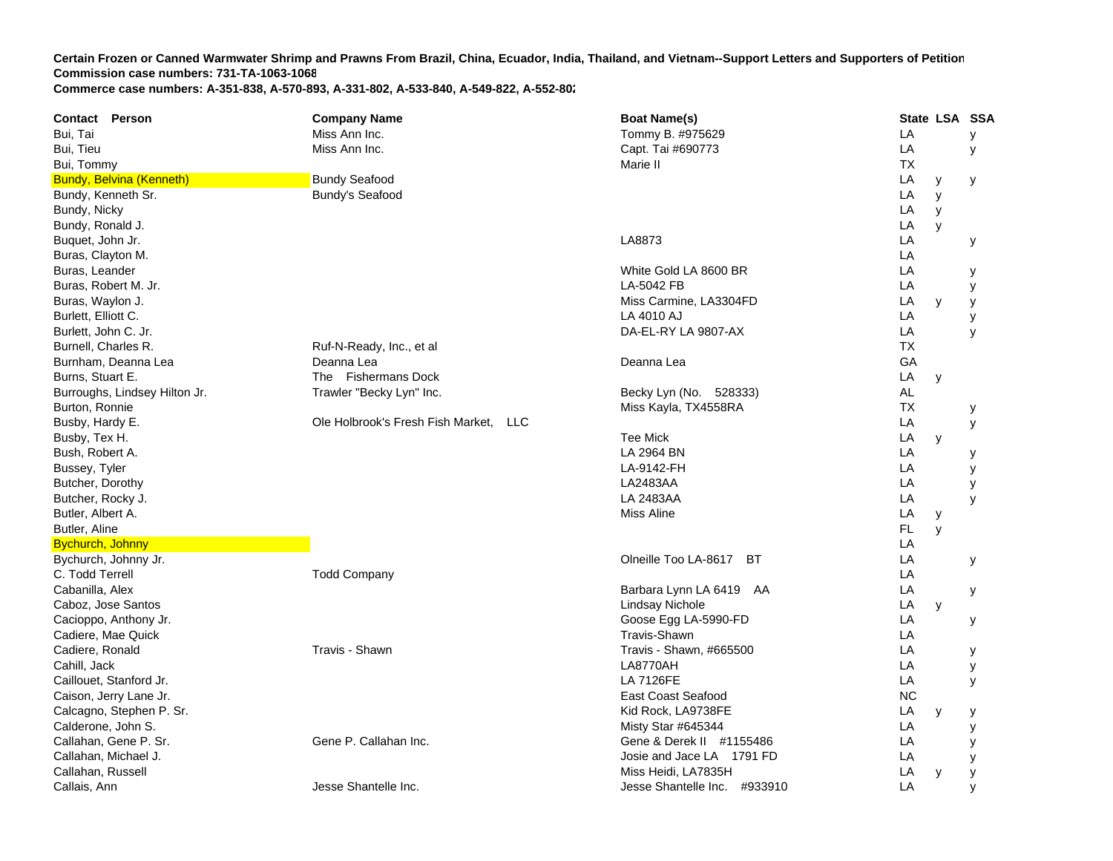| Contact Person                  | <b>Company Name</b>                             | <b>Boat Name(s)</b>          |           | State LSA SSA |   |
|---------------------------------|-------------------------------------------------|------------------------------|-----------|---------------|---|
| Bui, Tai                        | Miss Ann Inc.                                   | Tommy B. #975629             | LA        |               | у |
| Bui, Tieu                       | Miss Ann Inc.                                   | Capt. Tai #690773            | LA        |               | У |
| Bui, Tommy                      |                                                 | Marie II                     | <b>TX</b> |               |   |
| <b>Bundy, Belvina (Kenneth)</b> | <b>Bundy Seafood</b>                            |                              | LA        | У             | у |
| Bundy, Kenneth Sr.              | <b>Bundy's Seafood</b>                          |                              | LA        | y             |   |
| Bundy, Nicky                    |                                                 |                              | LA        | y             |   |
| Bundy, Ronald J.                |                                                 |                              | LA        | y             |   |
| Buquet, John Jr.                |                                                 | LA8873                       | LA        |               | у |
| Buras, Clayton M.               |                                                 |                              | LA        |               |   |
| Buras, Leander                  |                                                 | White Gold LA 8600 BR        | LA        |               | у |
| Buras, Robert M. Jr.            |                                                 | LA-5042 FB                   | LA        |               | У |
| Buras, Waylon J.                |                                                 | Miss Carmine, LA3304FD       | LA        | y             | у |
| Burlett, Elliott C.             |                                                 | <b>LA 4010 AJ</b>            | LA        |               | у |
| Burlett, John C. Jr.            |                                                 | DA-EL-RY LA 9807-AX          | LA        |               | У |
| Burnell, Charles R.             | Ruf-N-Ready, Inc., et al                        |                              | <b>TX</b> |               |   |
| Burnham, Deanna Lea             | Deanna Lea                                      | Deanna Lea                   | GA        |               |   |
| Burns, Stuart E.                | The Fishermans Dock                             |                              | LA        | y             |   |
| Burroughs, Lindsey Hilton Jr.   | Trawler "Becky Lyn" Inc.                        | Becky Lyn (No. 528333)       | <b>AL</b> |               |   |
| Burton, Ronnie                  |                                                 | Miss Kayla, TX4558RA         | ТX        |               | у |
| Busby, Hardy E.                 | Ole Holbrook's Fresh Fish Market.<br><b>LLC</b> |                              | LA        |               | У |
| Busby, Tex H.                   |                                                 | <b>Tee Mick</b>              | LA        | y             |   |
| Bush, Robert A.                 |                                                 | LA 2964 BN                   | LA        |               | у |
| Bussey, Tyler                   |                                                 | LA-9142-FH                   | LA        |               | У |
| Butcher, Dorothy                |                                                 | LA2483AA                     | LA        |               | y |
| Butcher, Rocky J.               |                                                 | LA 2483AA                    | LA        |               | y |
| Butler, Albert A.               |                                                 | Miss Aline                   | LA        | у             |   |
| Butler, Aline                   |                                                 |                              | FL.       | y             |   |
| <b>Bychurch, Johnny</b>         |                                                 |                              | LA        |               |   |
| Bychurch, Johnny Jr.            |                                                 | Olneille Too LA-8617<br>BT   | LA        |               | У |
| C. Todd Terrell                 | <b>Todd Company</b>                             |                              | LA        |               |   |
| Cabanilla, Alex                 |                                                 | Barbara Lynn LA 6419 AA      | LA        |               | у |
| Caboz, Jose Santos              |                                                 | Lindsay Nichole              | LA        | y             |   |
| Cacioppo, Anthony Jr.           |                                                 | Goose Egg LA-5990-FD         | LA        |               | у |
| Cadiere, Mae Quick              |                                                 | <b>Travis-Shawn</b>          | LA        |               |   |
| Cadiere, Ronald                 | Travis - Shawn                                  | Travis - Shawn, #665500      | LA        |               | у |
| Cahill, Jack                    |                                                 | <b>LA8770AH</b>              | LA        |               | у |
| Caillouet, Stanford Jr.         |                                                 | <b>LA 7126FE</b>             | LA        |               | y |
| Caison, Jerry Lane Jr.          |                                                 | East Coast Seafood           | <b>NC</b> |               |   |
| Calcagno, Stephen P. Sr.        |                                                 | Kid Rock, LA9738FE           | LA        | y             | у |
| Calderone, John S.              |                                                 | Misty Star #645344           | LA        |               | y |
| Callahan, Gene P. Sr.           | Gene P. Callahan Inc.                           | Gene & Derek II #1155486     | LA        |               | У |
| Callahan, Michael J.            |                                                 | Josie and Jace LA 1791 FD    | LA        |               | у |
| Callahan, Russell               |                                                 | Miss Heidi, LA7835H          | LA        | y             | у |
| Callais, Ann                    | Jesse Shantelle Inc.                            | Jesse Shantelle Inc. #933910 | LA        |               | У |
|                                 |                                                 |                              |           |               |   |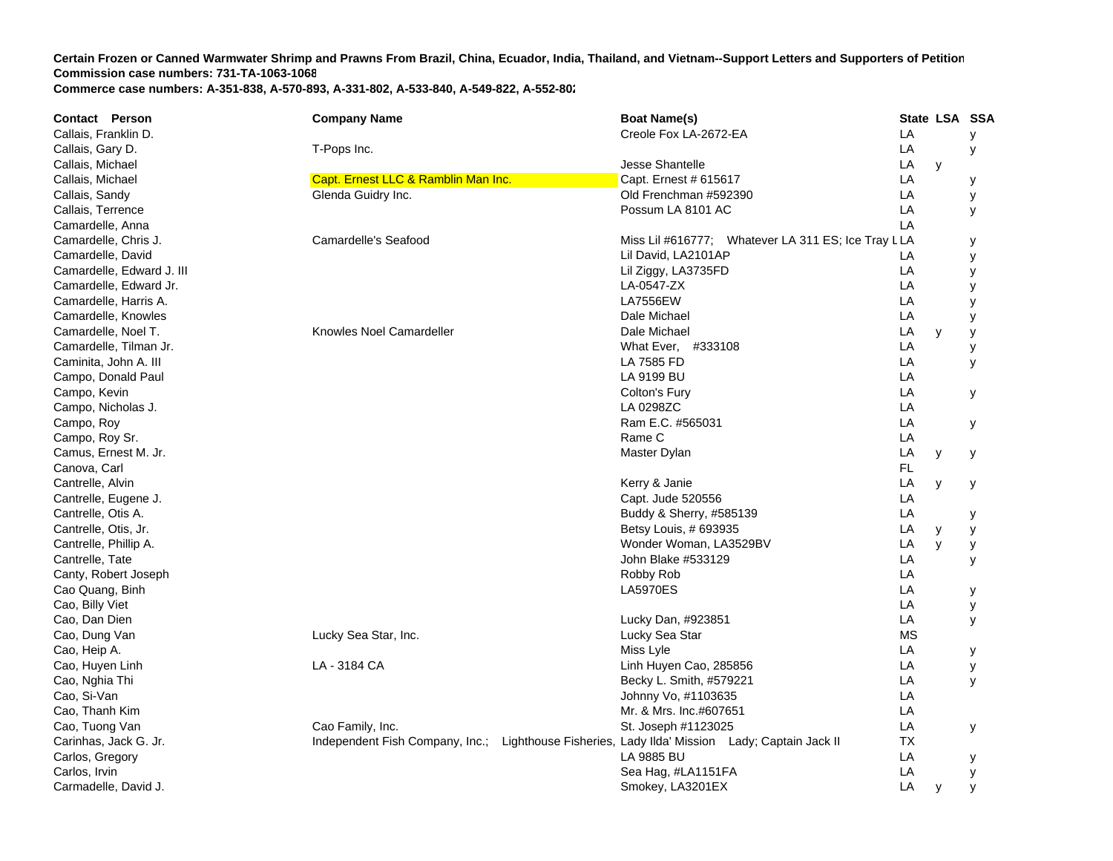**Contact Person Company Name Boat Name(s) State LSA SSA**  Callais, Franklin D. Creole Fox LA-2672-E A LA y Callais, Gary D. T-Pops Inc. LA y Callais, Michael Jesse Shantelle L A y Callais, Michael Capt. Capt. Ernest LLC & Ramblin Man Inc. Capt. Ernest # 615617 Capt. Ernest # 615617 LA y Callais, Sandy **Glenda Guidry Inc.** Callais, Sandy LA y Callais, Terrence Possum LA 8101 A CC LA y Camardelle, Anna LA Camardelle, Chris J. Camardelle Scafood Camardelle's Seafood Miss Lil #616777; Whatever LA 311 ES; Ice Tray LLA y Camardelle, David Lil David, LA2101AP P LA y Camardelle, Edward J. III Lil Ziggy, LA3735FD D LA y Camardelle, Edward Jr. LA-0547-ZX LA y Camardelle, Harris A. LA7556EW L **LA**  y Camardelle, Knowles **Date Michael Library Camardelle**, Knowles Dale Michael Library Camardelle, Camardelle, Camardelle, Camardelle, Camardelle, Camardelle, Camardelle, Camardelle, Camardelle, Camardelle, Camardelle, Camard A y Camardelle, Noel T. Camardeller Camardeller Camardeller Camardeller Dale Michael **LA**  y y Camardelle, Tilman Jr. What Ever, #333108 L **LA**  y Caminita, John A. III LA 7585 FD L A y Campo, Donald Paul LA 9199 BU L **LA** Campo, Kevin Colton's Fury LA y Campo, Nicholas J. LA 0298ZC C<sub>LA</sub> Campo, Roy Ram E.C. #565031 L A y Campo, Roy Sr. Rame C L **LA** Camus, Ernest M. Jr. Master Dylan Later and Camus, Ernest M. Jr. Master Dylan Later and Later and Later and Later and Later and Later and Later and Later and Later and Later and Later and Later and Later and Later and Late **LA**  y y Canova, Carl FL Cantrelle, Alvin Kerry & Janie L **LA**  y y Cantrelle, Eugene J. Capt. Jude 520556 LA Cantrelle, Otis A. Cantrelle, Otis A. Cantrelle, Otis A. Cantrelle, Otis A. Cantrelle, Otis A. Cantrelle, Otis A. Cantrelle, Otis A. Cantrelle, Otis A. Cantrelle, Otis A. Cantrelle, Otis A. Cantrelle, Otis A. Cantrelle, Ot Cantrelle, Otis, Jr. Betsy Louis, # 693935 LA y y Cantrelle, Phillip A. Wonder Woman, LA3529BV L **LA**  y y Cantrelle, Tate John Blake #533129 LA y Canty, Robert Joseph **Example 20** Canty, Robert Joseph **Robert Joseph Robert Joseph Robert Joseph Robert Joseph LA** Cao Quang, Binh Latter and the control of the control of the control of the control of the control of the control of the control of the control of the control of the control of the control of the control of the control of **LA**  y Cao, Billy Viet LA y Cao, Dan Dien Lucky Dan, #923851 L A y Cao, Dung Van Lucky Sea Star, Inc. Lucky Sea Star MS Cao, Heip A. Miss Lyle Later and the Later and the Later and the Later and the Later and the Later and Later and L A y Cao, Huyen Linh LA-3184 CA Linh Huyen Cao, 285856 LA LA y Cao, Nghia Thi Becky L. Smith, #579221 L A y Cao, Si-Van Johnny Vo, #1103635 LA Cao, Thanh Kim Mr. & Mrs. Inc.#607651 ACao, Tuong Van Cao Cao Family, Inc. Cao Family, Inc. St. Joseph #1123025 Cao, Tuong Van CA y Carinhas, Jack G. Jr. **Independent Fish Company, Inc.; Lighthouse Fisheries, Lady Ilda' Mission Lady; Captain Jack II** TX Carlos, Gregory LA 9885 BU L **LA**  y Carlos, Irvin Sea Hag, #LA1151F A LA y Carmadelle, David J. Smokey, LA3201EX LA y y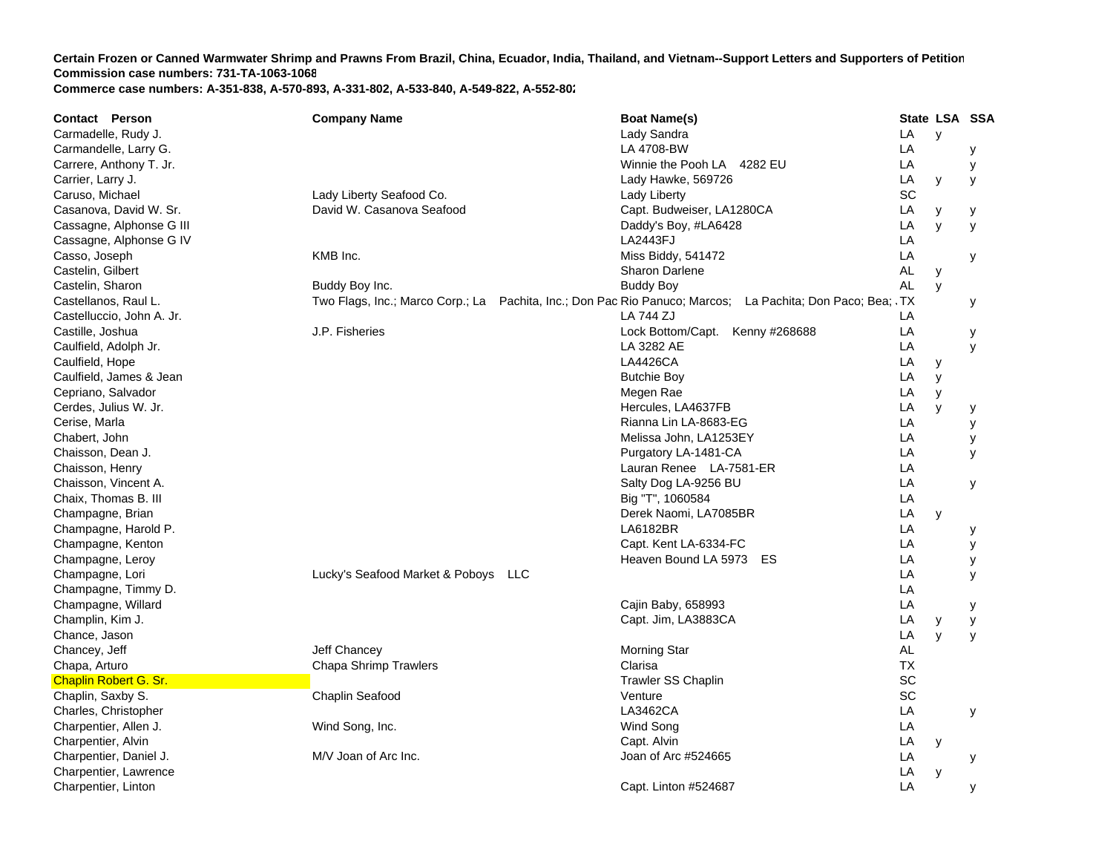**Certain Frozen or Canned Warmwater Shrimp and Prawns From Brazil, China, Ecuador, India, Thailand, and Vietnam--Support Letters and Supporters of Petition Commission case numbers: 731-TA-1063-1068**

**Commerce case numbers: A-351-838, A-570-893, A-331-802, A-533-840, A-549-822, A-552-802**

| <b>Contact Person</b>        | <b>Company Name</b>                 | <b>Boat Name(s)</b>                                                                                        |           | State LSA SSA |   |
|------------------------------|-------------------------------------|------------------------------------------------------------------------------------------------------------|-----------|---------------|---|
| Carmadelle, Rudy J.          |                                     | Lady Sandra                                                                                                | LA        | y             |   |
| Carmandelle, Larry G.        |                                     | LA 4708-BW                                                                                                 | LA        |               | у |
| Carrere, Anthony T. Jr.      |                                     | Winnie the Pooh LA 4282 EU                                                                                 | LA        |               | у |
| Carrier, Larry J.            |                                     | Lady Hawke, 569726                                                                                         | LA        | У             | y |
| Caruso, Michael              | Lady Liberty Seafood Co.            | Lady Liberty                                                                                               | <b>SC</b> |               |   |
| Casanova, David W. Sr.       | David W. Casanova Seafood           | Capt. Budweiser, LA1280CA                                                                                  | LA        | y             | у |
| Cassagne, Alphonse G III     |                                     | Daddy's Boy, #LA6428                                                                                       | LA        | y             | y |
| Cassagne, Alphonse G IV      |                                     | LA2443FJ                                                                                                   | LA        |               |   |
| Casso, Joseph                | KMB Inc.                            | Miss Biddy, 541472                                                                                         | LA        |               | у |
| Castelin, Gilbert            |                                     | Sharon Darlene                                                                                             | AL        | y             |   |
| Castelin, Sharon             | Buddy Boy Inc.                      | <b>Buddy Boy</b>                                                                                           | <b>AL</b> | y             |   |
| Castellanos, Raul L.         |                                     | Two Flags, Inc.; Marco Corp.; La Pachita, Inc.; Don Pac Rio Panuco; Marcos; La Pachita; Don Paco; Bea; .TX |           |               | у |
| Castelluccio, John A. Jr.    |                                     | LA 744 ZJ                                                                                                  | LA        |               |   |
| Castille, Joshua             | J.P. Fisheries                      | Lock Bottom/Capt. Kenny #268688                                                                            | LA        |               | у |
| Caulfield, Adolph Jr.        |                                     | LA 3282 AE                                                                                                 | LA        |               | y |
| Caulfield, Hope              |                                     | <b>LA4426CA</b>                                                                                            | LA        | У             |   |
| Caulfield, James & Jean      |                                     | <b>Butchie Boy</b>                                                                                         | LA        | y             |   |
| Cepriano, Salvador           |                                     | Megen Rae                                                                                                  | LA        | y             |   |
| Cerdes, Julius W. Jr.        |                                     | Hercules, LA4637FB                                                                                         | LA        | y             | у |
| Cerise, Marla                |                                     | Rianna Lin LA-8683-EG                                                                                      | LA        |               | У |
| Chabert, John                |                                     | Melissa John, LA1253EY                                                                                     | LA        |               | У |
| Chaisson, Dean J.            |                                     | Purgatory LA-1481-CA                                                                                       | LA        |               | y |
| Chaisson, Henry              |                                     | Lauran Renee LA-7581-ER                                                                                    | LA        |               |   |
| Chaisson, Vincent A.         |                                     | Salty Dog LA-9256 BU                                                                                       | LA        |               | У |
| Chaix, Thomas B. III         |                                     | Big "T", 1060584                                                                                           | LA        |               |   |
| Champagne, Brian             |                                     | Derek Naomi, LA7085BR                                                                                      | LA        | y             |   |
| Champagne, Harold P.         |                                     | LA6182BR                                                                                                   | LA        |               | у |
| Champagne, Kenton            |                                     | Capt. Kent LA-6334-FC                                                                                      | LA        |               | У |
| Champagne, Leroy             |                                     | Heaven Bound LA 5973 ES                                                                                    | LA        |               | У |
| Champagne, Lori              | Lucky's Seafood Market & Poboys LLC |                                                                                                            | LA        |               | y |
| Champagne, Timmy D.          |                                     |                                                                                                            | LA        |               |   |
| Champagne, Willard           |                                     | Cajin Baby, 658993                                                                                         | LA        |               | у |
| Champlin, Kim J.             |                                     | Capt. Jim, LA3883CA                                                                                        | LA        | у             | У |
| Chance, Jason                |                                     |                                                                                                            | LA        | y             | y |
| Chancey, Jeff                | Jeff Chancey                        | Morning Star                                                                                               | AL        |               |   |
| Chapa, Arturo                | <b>Chapa Shrimp Trawlers</b>        | Clarisa                                                                                                    | <b>TX</b> |               |   |
| <b>Chaplin Robert G. Sr.</b> |                                     | <b>Trawler SS Chaplin</b>                                                                                  | SC        |               |   |
| Chaplin, Saxby S.            | Chaplin Seafood                     | Venture                                                                                                    | SC        |               |   |
| Charles, Christopher         |                                     | LA3462CA                                                                                                   | LA        |               | у |
| Charpentier, Allen J.        | Wind Song, Inc.                     | Wind Song                                                                                                  | LA        |               |   |
| Charpentier, Alvin           |                                     | Capt. Alvin                                                                                                | LA        | У             |   |
| Charpentier, Daniel J.       | M/V Joan of Arc Inc.                | Joan of Arc #524665                                                                                        | LA        |               | У |
| Charpentier, Lawrence        |                                     |                                                                                                            | LA        | y             |   |
| Charpentier, Linton          |                                     | Capt. Linton #524687                                                                                       | LA        |               |   |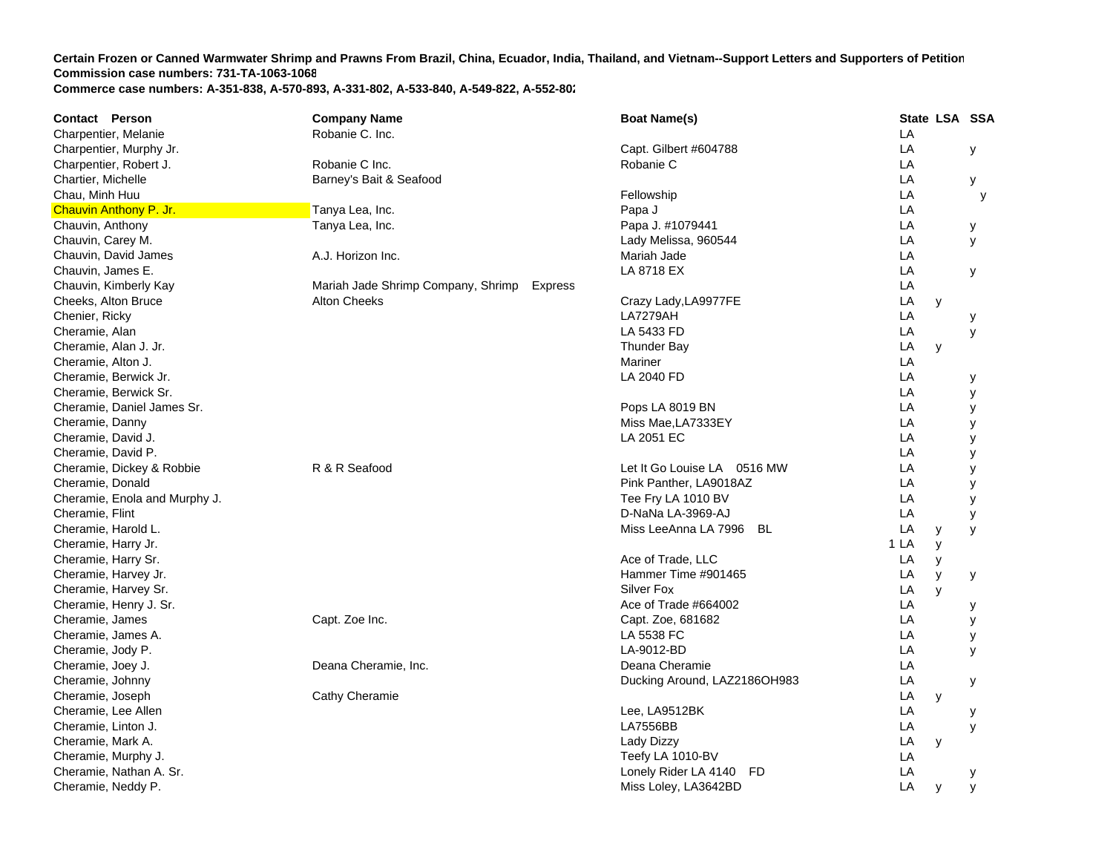| Contact Person                | <b>Company Name</b>                           | <b>Boat Name(s)</b>          |      |   | State LSA SSA |
|-------------------------------|-----------------------------------------------|------------------------------|------|---|---------------|
| Charpentier, Melanie          | Robanie C. Inc.                               |                              | LA   |   |               |
| Charpentier, Murphy Jr.       |                                               | Capt. Gilbert #604788        | LA   |   | У             |
| Charpentier, Robert J.        | Robanie C Inc.                                | Robanie C                    | LA   |   |               |
| Chartier, Michelle            | Barney's Bait & Seafood                       |                              | LA   |   | y             |
| Chau, Minh Huu                |                                               | Fellowship                   | LA   |   | y             |
| <b>Chauvin Anthony P. Jr.</b> | Tanya Lea, Inc.                               | Papa J                       | LA   |   |               |
| Chauvin, Anthony              | Tanya Lea, Inc.                               | Papa J. #1079441             | LA   |   | У             |
| Chauvin, Carey M.             |                                               | Lady Melissa, 960544         | LA   |   | У             |
| Chauvin, David James          | A.J. Horizon Inc.                             | Mariah Jade                  | LA   |   |               |
| Chauvin, James E.             |                                               | LA 8718 EX                   | LA   |   | У             |
| Chauvin, Kimberly Kay         | Mariah Jade Shrimp Company, Shrimp<br>Express |                              | LA   |   |               |
| Cheeks, Alton Bruce           | <b>Alton Cheeks</b>                           | Crazy Lady, LA9977FE         | LA   | y |               |
| Chenier, Ricky                |                                               | <b>LA7279AH</b>              | LA   |   | у             |
| Cheramie, Alan                |                                               | LA 5433 FD                   | LA   |   | У             |
| Cheramie, Alan J. Jr.         |                                               | Thunder Bay                  | LA   | y |               |
| Cheramie, Alton J.            |                                               | Mariner                      | LA   |   |               |
| Cheramie, Berwick Jr.         |                                               | LA 2040 FD                   | LA   |   | у             |
| Cheramie, Berwick Sr.         |                                               |                              | LA   |   | у             |
| Cheramie, Daniel James Sr.    |                                               | Pops LA 8019 BN              | LA   |   | У             |
| Cheramie, Danny               |                                               | Miss Mae, LA7333EY           | LA   |   | У             |
| Cheramie, David J.            |                                               | LA 2051 EC                   | LA   |   | у             |
| Cheramie, David P.            |                                               |                              | LA   |   | У             |
| Cheramie, Dickey & Robbie     | R & R Seafood                                 | Let It Go Louise LA 0516 MW  | LA   |   | У             |
| Cheramie, Donald              |                                               | Pink Panther, LA9018AZ       | LA   |   | У             |
| Cheramie, Enola and Murphy J. |                                               | Tee Fry LA 1010 BV           | LA   |   | У             |
| Cheramie, Flint               |                                               | D-NaNa LA-3969-AJ            | LA   |   | У             |
| Cheramie, Harold L.           |                                               | Miss LeeAnna LA 7996<br>BL   | LA   | У | y             |
| Cheramie, Harry Jr.           |                                               |                              | 1 LA | y |               |
| Cheramie, Harry Sr.           |                                               | Ace of Trade, LLC            | LA   | y |               |
| Cheramie, Harvey Jr.          |                                               | Hammer Time #901465          | LA   | y | У             |
| Cheramie, Harvey Sr.          |                                               | Silver Fox                   | LA   | y |               |
| Cheramie, Henry J. Sr.        |                                               | Ace of Trade #664002         | LA   |   | у             |
| Cheramie, James               | Capt. Zoe Inc.                                | Capt. Zoe, 681682            | LA   |   | у             |
| Cheramie, James A.            |                                               | LA 5538 FC                   | LA   |   | у             |
| Cheramie, Jody P.             |                                               | LA-9012-BD                   | LA   |   | y             |
| Cheramie, Joey J.             | Deana Cheramie, Inc.                          | Deana Cheramie               | LA   |   |               |
| Cheramie, Johnny              |                                               | Ducking Around, LAZ2186OH983 | LA   |   | у             |
| Cheramie, Joseph              | Cathy Cheramie                                |                              | LA   | y |               |
| Cheramie, Lee Allen           |                                               | Lee, LA9512BK                | LA   |   | у             |
| Cheramie, Linton J.           |                                               | <b>LA7556BB</b>              | LA   |   | y             |
| Cheramie, Mark A.             |                                               | Lady Dizzy                   | LA   | y |               |
| Cheramie, Murphy J.           |                                               | Teefy LA 1010-BV             | LA   |   |               |
| Cheramie, Nathan A. Sr.       |                                               | Lonely Rider LA 4140 FD      | LA   |   | у             |
| Cheramie, Neddy P.            |                                               | Miss Loley, LA3642BD         | LA   | y | y             |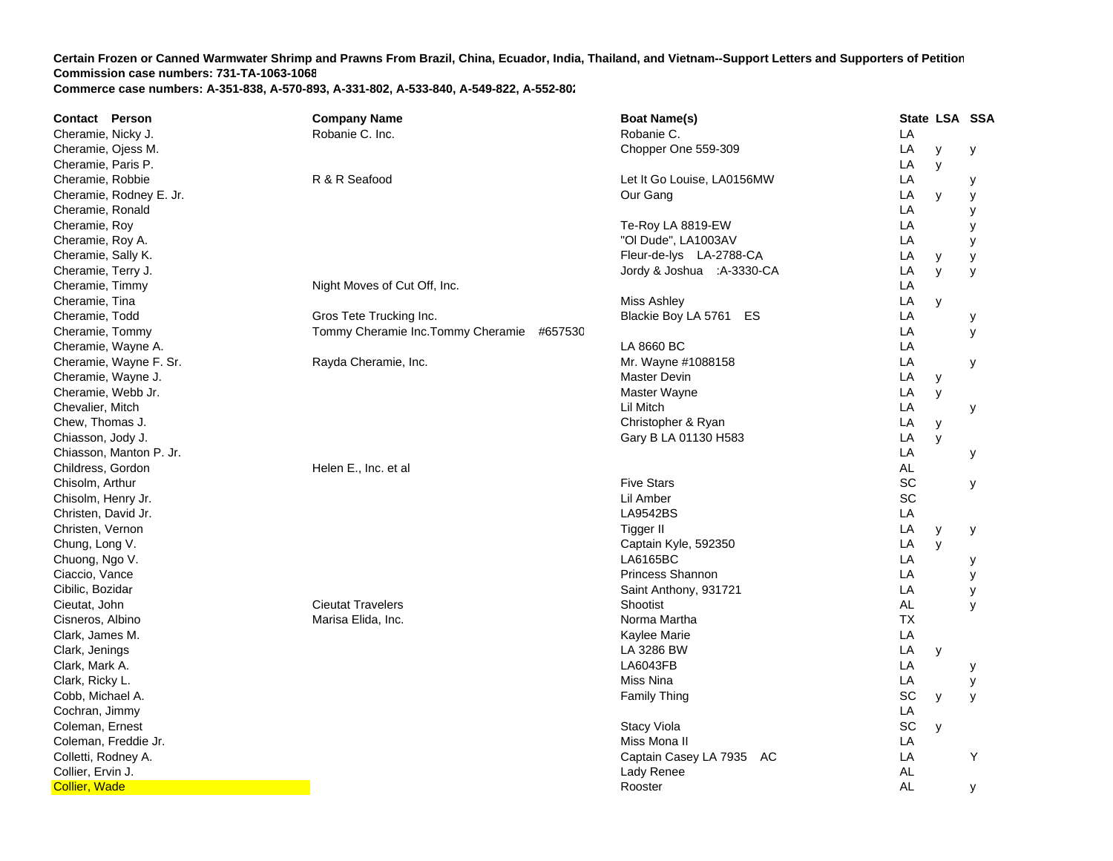| Contact Person          | <b>Company Name</b>                           | <b>Boat Name(s)</b>        |           | State LSA SSA |   |
|-------------------------|-----------------------------------------------|----------------------------|-----------|---------------|---|
| Cheramie, Nicky J.      | Robanie C. Inc.                               | Robanie C.                 | LA        |               |   |
| Cheramie, Ojess M.      |                                               | Chopper One 559-309        | LA        | у             | у |
| Cheramie, Paris P.      |                                               |                            | LA        | y             |   |
| Cheramie, Robbie        | R & R Seafood                                 | Let It Go Louise, LA0156MW | LA        |               | у |
| Cheramie, Rodney E. Jr. |                                               | Our Gang                   | LA        | y             | У |
| Cheramie, Ronald        |                                               |                            | LA        |               | у |
| Cheramie, Roy           |                                               | Te-Roy LA 8819-EW          | LA        |               | у |
| Cheramie, Roy A.        |                                               | "OI Dude", LA1003AV        | LA        |               | у |
| Cheramie, Sally K.      |                                               | Fleur-de-lys LA-2788-CA    | LA        | У             | У |
| Cheramie, Terry J.      |                                               | Jordy & Joshua :A-3330-CA  | LA        | y             | y |
| Cheramie, Timmy         | Night Moves of Cut Off, Inc.                  |                            | LA        |               |   |
| Cheramie, Tina          |                                               | <b>Miss Ashley</b>         | LA        | y             |   |
| Cheramie, Todd          | Gros Tete Trucking Inc.                       | Blackie Boy LA 5761 ES     | LA        |               | у |
| Cheramie, Tommy         | Tommy Cheramie Inc. Tommy Cheramie<br>#657530 |                            | LA        |               | У |
| Cheramie, Wayne A.      |                                               | LA 8660 BC                 | LA        |               |   |
| Cheramie, Wayne F. Sr.  | Rayda Cheramie, Inc.                          | Mr. Wayne #1088158         | LA        |               | у |
| Cheramie, Wayne J.      |                                               | Master Devin               | LA        | у             |   |
| Cheramie, Webb Jr.      |                                               | Master Wayne               | LA        | y             |   |
| Chevalier, Mitch        |                                               | Lil Mitch                  | LA        |               | У |
| Chew, Thomas J.         |                                               | Christopher & Ryan         | LA        | y             |   |
| Chiasson, Jody J.       |                                               | Gary B LA 01130 H583       | LA        | y             |   |
| Chiasson, Manton P. Jr. |                                               |                            | LA        |               | У |
| Childress, Gordon       | Helen E., Inc. et al                          |                            | <b>AL</b> |               |   |
| Chisolm, Arthur         |                                               | <b>Five Stars</b>          | SC        |               | у |
| Chisolm, Henry Jr.      |                                               | Lil Amber                  | SC        |               |   |
| Christen, David Jr.     |                                               | <b>LA9542BS</b>            | LA        |               |   |
| Christen, Vernon        |                                               | <b>Tigger II</b>           | LA        | y             | у |
| Chung, Long V.          |                                               | Captain Kyle, 592350       | LA        | y             |   |
| Chuong, Ngo V.          |                                               | LA6165BC                   | LA        |               | у |
| Ciaccio, Vance          |                                               | Princess Shannon           | LA        |               | У |
| Cibilic, Bozidar        |                                               | Saint Anthony, 931721      | LA        |               | У |
| Cieutat, John           | <b>Cieutat Travelers</b>                      | Shootist                   | <b>AL</b> |               | y |
| Cisneros, Albino        | Marisa Elida, Inc.                            | Norma Martha               | <b>TX</b> |               |   |
| Clark, James M.         |                                               | Kaylee Marie               | LA        |               |   |
| Clark, Jenings          |                                               | LA 3286 BW                 | LA        | у             |   |
| Clark, Mark A.          |                                               | LA6043FB                   | LA        |               | у |
| Clark, Ricky L.         |                                               | Miss Nina                  | LA        |               | у |
| Cobb, Michael A.        |                                               | <b>Family Thing</b>        | SC        | У             | y |
| Cochran, Jimmy          |                                               |                            | LA        |               |   |
| Coleman, Ernest         |                                               | <b>Stacy Viola</b>         | SC        | y             |   |
| Coleman, Freddie Jr.    |                                               | Miss Mona II               | LA        |               |   |
| Colletti, Rodney A.     |                                               | Captain Casey LA 7935 AC   | LA        |               | Y |
| Collier, Ervin J.       |                                               | Lady Renee                 | <b>AL</b> |               |   |
| <b>Collier, Wade</b>    |                                               | Rooster                    | AL        |               | У |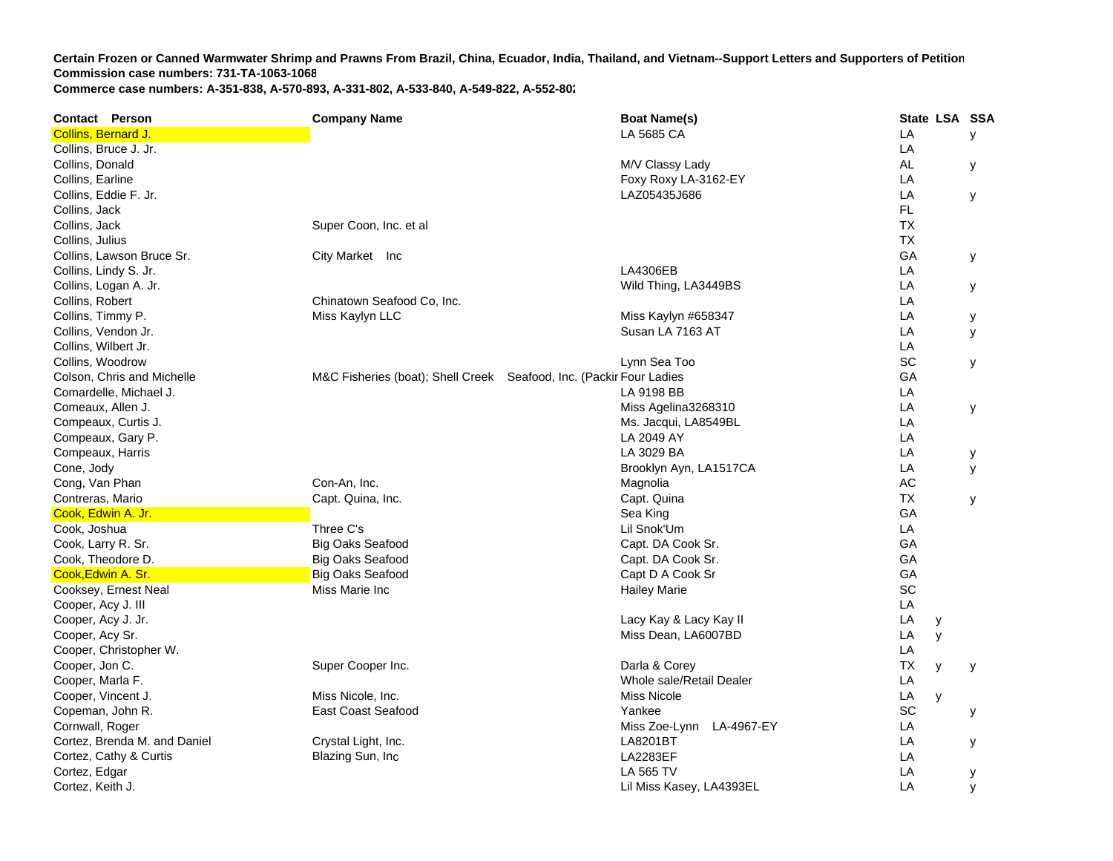**Contact Person Company Name Boat Name(s) State LSA SSA**  Collins, Bernard J. LA 5685 CA LA y Collins, Bruce J. Jr. LA Collins, Donald M/V Classy Lady AL y Collins, Earline Foxy Roxy LA-3162-E Yy dia 12 dia 31.1819° ary 2.1819° amin'ny soratra desimaly. Ilay kaominin Collins, Eddie F. Jr. LAZ05435J686 LA y Collins, Jack FL Collins, Jack Super Coon, Inc. et al. TXCollins, Julius TXCollins, Lawson Bruce Sr. City Market Inc GA y Collins, Lindy S. Jr. LA4306EB L **LA** Collins, Logan A. Jr. Wild Thing, LA3449BS L **LA**  y Collins, Robert Chinatown Seafood Co, Inc. LA Collins, Timmy P. Miss Kaylyn LLC Miss Kaylyn #658347 LA y Collins, Vendon Jr. Susan LA 7163 AT T<sub>a</sub> the contract of the contract of the contract of the contract of the contract of the contract of the contract of the contract of the contract of the contract of the contract of the contract of the contract of the contr  $LA$   $V$ Collins, Wilbert Jr. LA Collins, Woodrow Lynn Sea Too SC y Colson, Chris and Michelle M&C Fisheries (boat); Shell Creek Seafood, Inc. (Packir Four Ladies **GA** Comardelle, Michael J. LA 9198 BB L **LA** Comeaux, Allen J. Comeaux, Allen J. Comeaux, Allen J. Comeaux, Allen J. Comeaux, Allen J. Comeaux, Allen J. Comeaux, Allen J. Comeaux, Allen J. Comeaux, Allen J. Comeaux, Allen J. Comeaux, Allen J. Comeaux, Allen J. Comeau Compeaux, Curtis J. New York Curtis J. And The Compeaux, Curtis J. Ms. Jacqui, LA8549BL LA8549BL LA8549BL LA8549BL ACompeaux, Gary P. LA 2049 AY in the contract of the contract of the contract of the contract of the contract of the contract of the contract of the contract of the contract of the contract of the contract of the contract of the contract of the contrac Compeaux, Harris LA 3029 BA A LA y Cone, Jody Brooklyn Ayn, LA1517C A LA y Cong, Van Phan Controlled Con-An, Inc. Controlled Controlled Controlled Magnolia AC Constantine AC AC AC AC AC Contreras, Mario Capt. Quina, Inc. Capt. Quina T X y Cook, Edwin A. Jr. Sea King Gook, Edwin A. Jr. Sea King Sea King Sea King Sea King Sea King Sea King Sea King Sea King Sea King Sea King Sea King Sea King Sea King Sea King Sea King Sea King Sea King Sea King Sea King Sea GA Cook, Joshua Three C's Lil Snok'Um L LA Cook, Larry R. Sr. Big Oaks Seafood Capt. DA Cook Sr. G **GA** Cook, Theodore D. Big Oaks Seafood Capt. DA Cook Sr. G GA **Cook,Edwin A. Sr. Big Oaks Seafood** Capt D A Cook Sr Gook Sr Gook Sr Gook Sr Gook Sr Gook Sr Gook Sr Gook Sr Gook Sr GA Cooksey, Ernest Neal **SC Cooksey, Ernest Neal SC** Cooksey, Ernest Neal SC Cooksey, Ernest Neal SC Cooper, Acy J. III LA Cooper, Acy J. Jr. Cooper, Acy J. Jr. Cooper, Acy J. Jr. Cooper, Acy J. Jr. Cooper, Acy J. Jr. Cooper, Acy II Lacy Kay II Lacy Kay II Lacy Kay II Lacy Kay II Lacy Kay II Lacy Kay II Lacy Kay II Lacy Kay II Lacy Kay II Lacy **LA**  y Cooper, Acy Sr. No. 2008. The Cooper, Acy Sr. Miss Dean, LA6007BD LAGOOT Acy Sr. No. 2008. LAGOOT Access 1999. **LA**  y Cooper, Christopher W. LA Cooper, Jon C. Super Cooper Inc. Darla & Corey T TX y y Cooper, Marla F. New York 1988, New York 1989, New York 1989, New York 1989, New York 1989, New York 1989, New York 1989, New York 1989, New York 1989, New York 1989, New York 1989, New York 1989, New York 1989, New York 1 **LA** Cooper, Vincent J. **Miss Nicole, Inc.** Miss Nicole, Inc. **Miss Nicole** Letteral and Miss Nicole Letteral Association and Miss Nicole Letteral Association and Miss Nicole Letteral Association and Miss Nicole Letteral Associ **LA**  y Copeman, John R. East Coast Seafood Yankee SC y Cornwall, Roger Miss Zoe-Lynn LA-4967-E Y LA Cortez, Brenda M. and Daniel Crystal Light, Inc. LA8201BT T<sub>a</sub> the contract of the contract of the contract of the contract of the contract of the contract of the contract of the contract of the contract of the contract of the contract of the contract of the contract of the contr LA y Cortez, Cathy & Curtis **Example 20** Exercise Cortez, Cathy & Curtis LA<sub>2283</sub> Exercise Cortez, Cathy & Curtis LA Cortez, Edgar I A 565 TV V LA y Cortez, Keith J. Lil Miss Kasey, LA4393EL LA y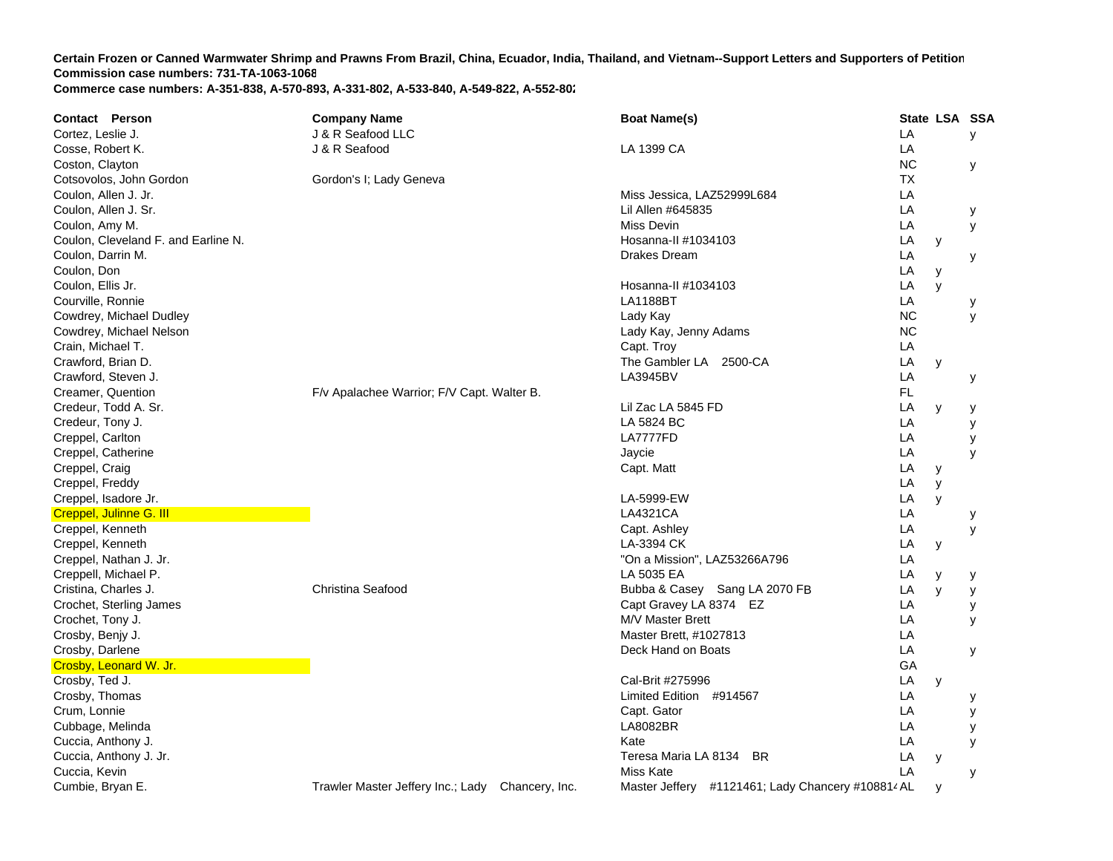| <b>Contact Person</b>               | <b>Company Name</b>                              | <b>Boat Name(s)</b>                               |           | State LSA SSA |   |
|-------------------------------------|--------------------------------------------------|---------------------------------------------------|-----------|---------------|---|
| Cortez, Leslie J.                   | J & R Seafood LLC                                |                                                   | LA        |               | У |
| Cosse, Robert K.                    | J & R Seafood                                    | LA 1399 CA                                        | LA        |               |   |
| Coston, Clayton                     |                                                  |                                                   | <b>NC</b> |               | У |
| Cotsovolos, John Gordon             | Gordon's I; Lady Geneva                          |                                                   | ТX        |               |   |
| Coulon, Allen J. Jr.                |                                                  | Miss Jessica, LAZ52999L684                        | LA        |               |   |
| Coulon, Allen J. Sr.                |                                                  | Lil Allen #645835                                 | LA        |               | у |
| Coulon, Amy M.                      |                                                  | Miss Devin                                        | LA        |               | У |
| Coulon, Cleveland F. and Earline N. |                                                  | Hosanna-II #1034103                               | LA        | у             |   |
| Coulon, Darrin M.                   |                                                  | Drakes Dream                                      | LA        |               | у |
| Coulon, Don                         |                                                  |                                                   | LA        | y             |   |
| Coulon, Ellis Jr.                   |                                                  | Hosanna-II #1034103                               | LA        | $\mathsf{V}$  |   |
| Courville, Ronnie                   |                                                  | <b>LA1188BT</b>                                   | LA        |               | у |
| Cowdrey, Michael Dudley             |                                                  | Lady Kay                                          | <b>NC</b> |               | y |
| Cowdrey, Michael Nelson             |                                                  | Lady Kay, Jenny Adams                             | <b>NC</b> |               |   |
| Crain, Michael T.                   |                                                  | Capt. Troy                                        | LA        |               |   |
| Crawford, Brian D.                  |                                                  | The Gambler LA 2500-CA                            | LA        | y             |   |
| Crawford, Steven J.                 |                                                  | LA3945BV                                          | LA        |               | у |
| Creamer, Quention                   | F/v Apalachee Warrior; F/V Capt. Walter B.       |                                                   | FL        |               |   |
| Credeur, Todd A. Sr.                |                                                  | Lil Zac LA 5845 FD                                | LA        | y             | у |
| Credeur, Tony J.                    |                                                  | LA 5824 BC                                        | LA        |               | у |
| Creppel, Carlton                    |                                                  | LA7777FD                                          | LA        |               | y |
| Creppel, Catherine                  |                                                  | Jaycie                                            | LA        |               | y |
| Creppel, Craig                      |                                                  | Capt. Matt                                        | LA        | У             |   |
| Creppel, Freddy                     |                                                  |                                                   | LA        | y             |   |
| Creppel, Isadore Jr.                |                                                  | LA-5999-EW                                        | LA        | y             |   |
| Creppel, Julinne G. III             |                                                  | LA4321CA                                          | LA        |               | у |
| Creppel, Kenneth                    |                                                  | Capt. Ashley                                      | LA        |               | y |
| Creppel, Kenneth                    |                                                  | LA-3394 CK                                        | LA        | У             |   |
| Creppel, Nathan J. Jr.              |                                                  | "On a Mission", LAZ53266A796                      | LA        |               |   |
| Creppell, Michael P.                |                                                  | LA 5035 EA                                        | LA        | у             | у |
| Cristina, Charles J.                | Christina Seafood                                | Bubba & Casey Sang LA 2070 FB                     | LA        | y             | У |
| Crochet, Sterling James             |                                                  | Capt Gravey LA 8374 EZ                            | LA        |               | У |
| Crochet, Tony J.                    |                                                  | M/V Master Brett                                  | LA        |               | y |
| Crosby, Benjy J.                    |                                                  | Master Brett, #1027813                            | LA        |               |   |
| Crosby, Darlene                     |                                                  | Deck Hand on Boats                                | LA        |               | У |
| Crosby, Leonard W. Jr.              |                                                  |                                                   | GA        |               |   |
| Crosby, Ted J.                      |                                                  | Cal-Brit #275996                                  | LA        | y             |   |
| Crosby, Thomas                      |                                                  | Limited Edition #914567                           | LA        |               | у |
| Crum, Lonnie                        |                                                  | Capt. Gator                                       | LA        |               | у |
| Cubbage, Melinda                    |                                                  | <b>LA8082BR</b>                                   | LA        |               | у |
| Cuccia, Anthony J.                  |                                                  | Kate                                              | LA        |               | y |
| Cuccia, Anthony J. Jr.              |                                                  | Teresa Maria LA 8134 BR                           | LA        | y             |   |
| Cuccia, Kevin                       |                                                  | Miss Kate                                         | LA        |               | У |
| Cumbie, Bryan E.                    | Trawler Master Jeffery Inc.; Lady Chancery, Inc. | Master Jeffery #1121461; Lady Chancery #108814 AL |           | y             |   |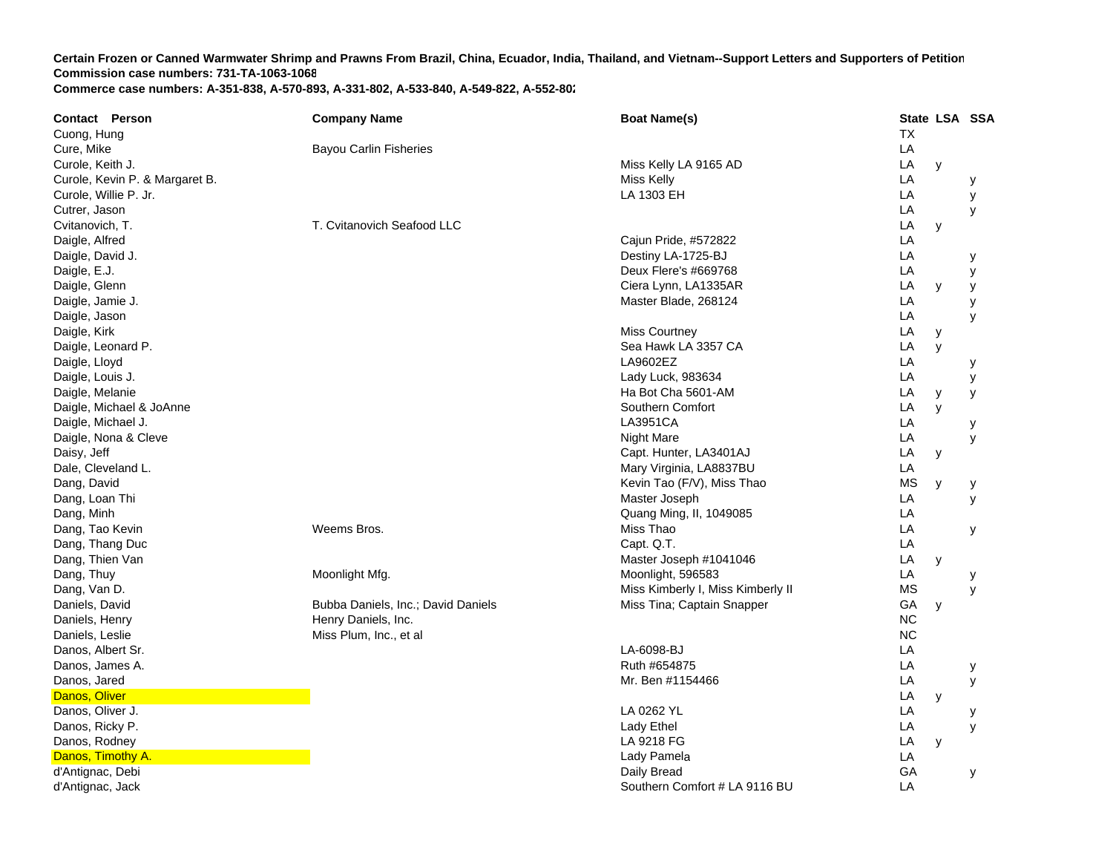| <b>Contact Person</b>          | <b>Company Name</b>                | <b>Boat Name(s)</b>               | State LSA SSA |   |   |
|--------------------------------|------------------------------------|-----------------------------------|---------------|---|---|
| Cuong, Hung                    |                                    |                                   | <b>TX</b>     |   |   |
| Cure, Mike                     | <b>Bayou Carlin Fisheries</b>      |                                   | LA            |   |   |
| Curole, Keith J.               |                                    | Miss Kelly LA 9165 AD             | LA            | y |   |
| Curole, Kevin P. & Margaret B. |                                    | Miss Kelly                        | LA            |   | у |
| Curole, Willie P. Jr.          |                                    | LA 1303 EH                        | LA            |   | У |
| Cutrer, Jason                  |                                    |                                   | LA            |   | y |
| Cvitanovich, T.                | T. Cvitanovich Seafood LLC         |                                   | LA            | y |   |
| Daigle, Alfred                 |                                    | Cajun Pride, #572822              | LA            |   |   |
| Daigle, David J.               |                                    | Destiny LA-1725-BJ                | LA            |   | у |
| Daigle, E.J.                   |                                    | Deux Flere's #669768              | LA            |   | у |
| Daigle, Glenn                  |                                    | Ciera Lynn, LA1335AR              | LA            | y | у |
| Daigle, Jamie J.               |                                    | Master Blade, 268124              | LA            |   | y |
| Daigle, Jason                  |                                    |                                   | LA            |   | y |
| Daigle, Kirk                   |                                    | <b>Miss Courtney</b>              | LA            | у |   |
| Daigle, Leonard P.             |                                    | Sea Hawk LA 3357 CA               | LA            | y |   |
| Daigle, Lloyd                  |                                    | LA9602EZ                          | LA            |   | у |
| Daigle, Louis J.               |                                    | Lady Luck, 983634                 | LA            |   | У |
| Daigle, Melanie                |                                    | Ha Bot Cha 5601-AM                | LA            | y | У |
| Daigle, Michael & JoAnne       |                                    | Southern Comfort                  | LA            | y |   |
| Daigle, Michael J.             |                                    | LA3951CA                          | LA            |   | у |
| Daigle, Nona & Cleve           |                                    | Night Mare                        | LA            |   | У |
| Daisy, Jeff                    |                                    | Capt. Hunter, LA3401AJ            | LA            | У |   |
| Dale, Cleveland L.             |                                    | Mary Virginia, LA8837BU           | LA            |   |   |
| Dang, David                    |                                    | Kevin Tao (F/V), Miss Thao        | МS            | y | у |
| Dang, Loan Thi                 |                                    | Master Joseph                     | LA            |   | y |
| Dang, Minh                     |                                    | Quang Ming, II, 1049085           | LA            |   |   |
| Dang, Tao Kevin                | Weems Bros.                        | Miss Thao                         | LA            |   | у |
| Dang, Thang Duc                |                                    | Capt. Q.T.                        | LA            |   |   |
| Dang, Thien Van                |                                    | Master Joseph #1041046            | LA            | y |   |
| Dang, Thuy                     | Moonlight Mfg.                     | Moonlight, 596583                 | LA            |   | у |
| Dang, Van D.                   |                                    | Miss Kimberly I, Miss Kimberly II | ΜS            |   | y |
| Daniels, David                 | Bubba Daniels, Inc.; David Daniels | Miss Tina; Captain Snapper        | GA            | y |   |
| Daniels, Henry                 | Henry Daniels, Inc.                |                                   | <b>NC</b>     |   |   |
| Daniels, Leslie                | Miss Plum, Inc., et al             |                                   | <b>NC</b>     |   |   |
| Danos, Albert Sr.              |                                    | LA-6098-BJ                        | LA            |   |   |
| Danos, James A.                |                                    | Ruth #654875                      | LA            |   | у |
| Danos, Jared                   |                                    | Mr. Ben #1154466                  | LA            |   | У |
| Danos, Oliver                  |                                    |                                   | LA            | y |   |
| Danos, Oliver J.               |                                    | LA 0262 YL                        | LA            |   | у |
| Danos, Ricky P.                |                                    | <b>Lady Ethel</b>                 | LA            |   | у |
| Danos, Rodney                  |                                    | LA 9218 FG                        | ${\sf LA}$    | y |   |
| Danos, Timothy A.              |                                    | Lady Pamela                       | LA            |   |   |
| d'Antignac, Debi               |                                    | Daily Bread                       | GA            |   | у |
| d'Antignac, Jack               |                                    | Southern Comfort # LA 9116 BU     | LA            |   |   |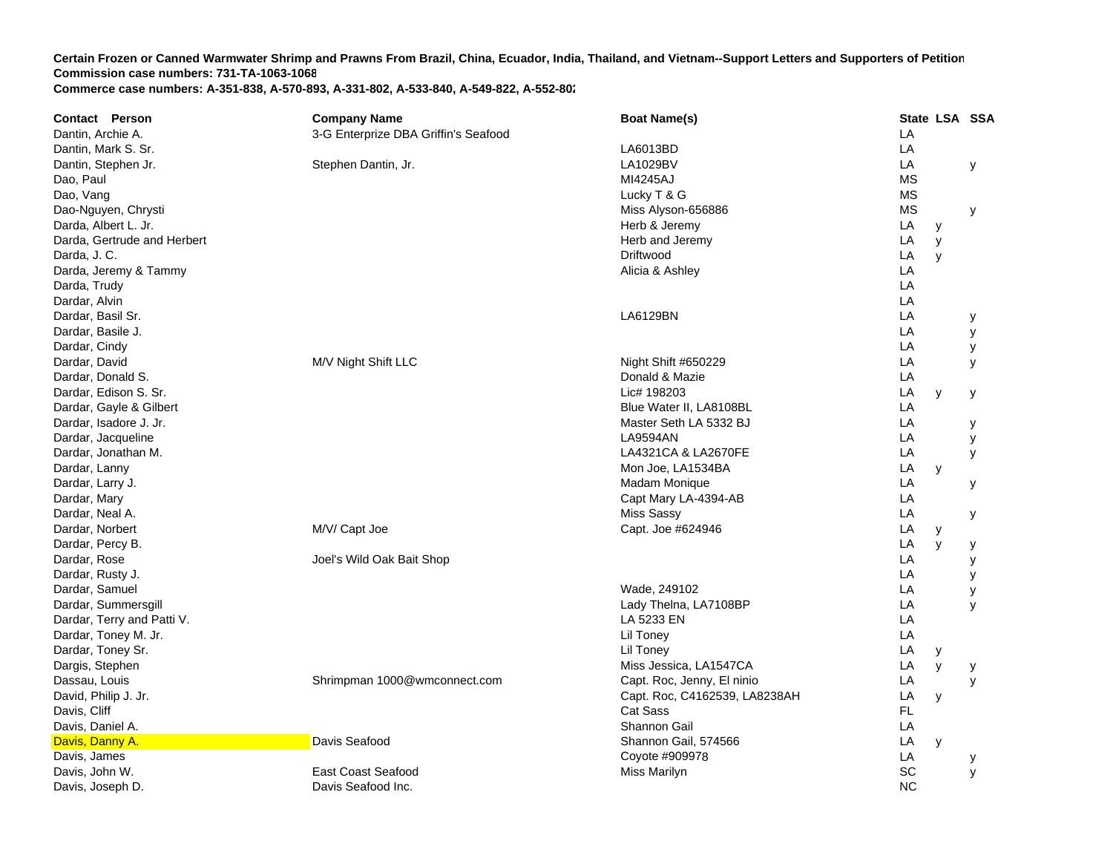| <b>Contact Person</b>       | <b>Company Name</b>                  | <b>Boat Name(s)</b>           |           | State LSA SSA |   |
|-----------------------------|--------------------------------------|-------------------------------|-----------|---------------|---|
| Dantin, Archie A.           | 3-G Enterprize DBA Griffin's Seafood |                               | LA        |               |   |
| Dantin, Mark S. Sr.         |                                      | LA6013BD                      | LA        |               |   |
| Dantin, Stephen Jr.         | Stephen Dantin, Jr.                  | LA1029BV                      | LA        |               | у |
| Dao, Paul                   |                                      | MI4245AJ                      | <b>MS</b> |               |   |
| Dao, Vang                   |                                      | Lucky T & G                   | <b>MS</b> |               |   |
| Dao-Nguyen, Chrysti         |                                      | Miss Alyson-656886            | <b>MS</b> |               | У |
| Darda, Albert L. Jr.        |                                      | Herb & Jeremy                 | LA        | У             |   |
| Darda, Gertrude and Herbert |                                      | Herb and Jeremy               | LA        | y             |   |
| Darda, J. C.                |                                      | Driftwood                     | LA        | y             |   |
| Darda, Jeremy & Tammy       |                                      | Alicia & Ashley               | LA        |               |   |
| Darda, Trudy                |                                      |                               | LA        |               |   |
| Dardar, Alvin               |                                      |                               | LA        |               |   |
| Dardar, Basil Sr.           |                                      | LA6129BN                      | LA        |               | у |
| Dardar, Basile J.           |                                      |                               | LA        |               | у |
| Dardar, Cindy               |                                      |                               | LA        |               | у |
| Dardar, David               | M/V Night Shift LLC                  | Night Shift #650229           | LA        |               | У |
| Dardar, Donald S.           |                                      | Donald & Mazie                | LA        |               |   |
| Dardar, Edison S. Sr.       |                                      | Lic# 198203                   | LA        | y             | у |
| Dardar, Gayle & Gilbert     |                                      | Blue Water II, LA8108BL       | LA        |               |   |
| Dardar, Isadore J. Jr.      |                                      | Master Seth LA 5332 BJ        | LA        |               | у |
| Dardar, Jacqueline          |                                      | <b>LA9594AN</b>               | LA        |               | У |
| Dardar, Jonathan M.         |                                      | LA4321CA & LA2670FE           | LA        |               | у |
| Dardar, Lanny               |                                      | Mon Joe, LA1534BA             | LA        | y             |   |
| Dardar, Larry J.            |                                      | <b>Madam Monique</b>          | LA        |               | у |
| Dardar, Mary                |                                      | Capt Mary LA-4394-AB          | LA        |               |   |
| Dardar, Neal A.             |                                      | <b>Miss Sassy</b>             | LA        |               | у |
| Dardar, Norbert             | M/V/ Capt Joe                        | Capt. Joe #624946             | LA        | y             |   |
| Dardar, Percy B.            |                                      |                               | LA        | y             | У |
| Dardar, Rose                | Joel's Wild Oak Bait Shop            |                               | LA        |               | у |
| Dardar, Rusty J.            |                                      |                               | LA        |               | У |
| Dardar, Samuel              |                                      | Wade, 249102                  | LA        |               | У |
| Dardar, Summersgill         |                                      | Lady Thelna, LA7108BP         | LA        |               | y |
| Dardar, Terry and Patti V.  |                                      | LA 5233 EN                    | LA        |               |   |
| Dardar, Toney M. Jr.        |                                      | Lil Toney                     | LA        |               |   |
| Dardar, Toney Sr.           |                                      | Lil Toney                     | LA        | у             |   |
| Dargis, Stephen             |                                      | Miss Jessica, LA1547CA        | LA        | y             | у |
| Dassau, Louis               | Shrimpman 1000@wmconnect.com         | Capt. Roc, Jenny, El ninio    | LA        |               | y |
| David, Philip J. Jr.        |                                      | Capt. Roc, C4162539, LA8238AH | LA        | У             |   |
| Davis, Cliff                |                                      | Cat Sass                      | FL        |               |   |
| Davis, Daniel A.            |                                      | Shannon Gail                  | LA        |               |   |
| Davis, Danny A.             | Davis Seafood                        | Shannon Gail, 574566          | LA        | y             |   |
| Davis, James                |                                      | Coyote #909978                | LA        |               | у |
| Davis, John W.              | East Coast Seafood                   | Miss Marilyn                  | SC        |               | y |
| Davis, Joseph D.            | Davis Seafood Inc.                   |                               | <b>NC</b> |               |   |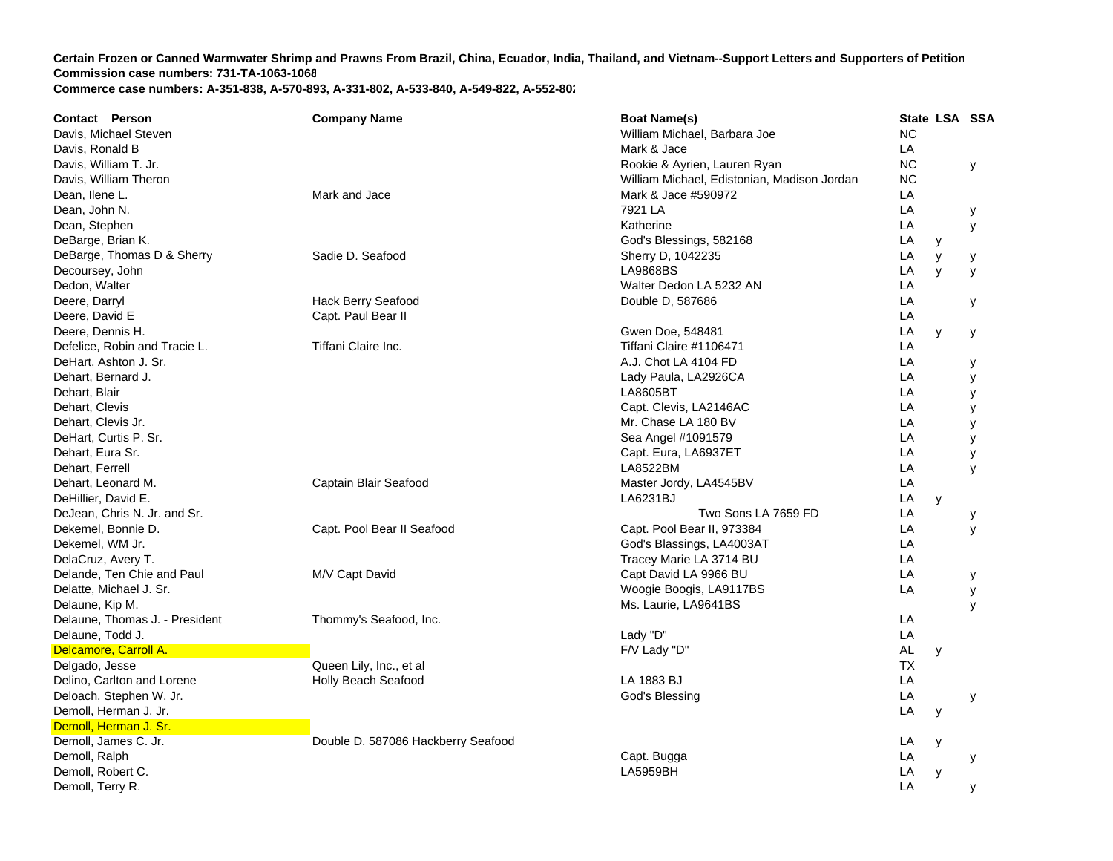| <b>Contact Person</b>          | <b>Company Name</b>                | <b>Boat Name(s)</b>                         |           |   | State LSA SSA |
|--------------------------------|------------------------------------|---------------------------------------------|-----------|---|---------------|
| Davis, Michael Steven          |                                    | William Michael, Barbara Joe                | <b>NC</b> |   |               |
| Davis, Ronald B                |                                    | Mark & Jace                                 | LA        |   |               |
| Davis, William T. Jr.          |                                    | Rookie & Ayrien, Lauren Ryan                | <b>NC</b> |   | У             |
| Davis, William Theron          |                                    | William Michael, Edistonian, Madison Jordan | <b>NC</b> |   |               |
| Dean, Ilene L.                 | Mark and Jace                      | Mark & Jace #590972                         | LA        |   |               |
| Dean, John N.                  |                                    | 7921 LA                                     | LA        |   | У             |
| Dean, Stephen                  |                                    | Katherine                                   | LA        |   | У             |
| DeBarge, Brian K.              |                                    | God's Blessings, 582168                     | LA        | y |               |
| DeBarge, Thomas D & Sherry     | Sadie D. Seafood                   | Sherry D, 1042235                           | LA        | y | у             |
| Decoursey, John                |                                    | <b>LA9868BS</b>                             | LA        | y | y             |
| Dedon, Walter                  |                                    | Walter Dedon LA 5232 AN                     | LA        |   |               |
| Deere, Darryl                  | Hack Berry Seafood                 | Double D, 587686                            | LA        |   | у             |
| Deere, David E                 | Capt. Paul Bear II                 |                                             | LA        |   |               |
| Deere, Dennis H.               |                                    | Gwen Doe, 548481                            | LA        | y | У             |
| Defelice, Robin and Tracie L.  | Tiffani Claire Inc.                | Tiffani Claire #1106471                     | LA        |   |               |
| DeHart, Ashton J. Sr.          |                                    | A.J. Chot LA 4104 FD                        | LA        |   | у             |
| Dehart, Bernard J.             |                                    | Lady Paula, LA2926CA                        | LA        |   | У             |
| Dehart, Blair                  |                                    | LA8605BT                                    | LA        |   | У             |
| Dehart, Clevis                 |                                    | Capt. Clevis, LA2146AC                      | LA        |   | У             |
| Dehart, Clevis Jr.             |                                    | Mr. Chase LA 180 BV                         | LA        |   | y             |
| DeHart, Curtis P. Sr.          |                                    | Sea Angel #1091579                          | LA        |   | У             |
| Dehart, Eura Sr.               |                                    | Capt. Eura, LA6937ET                        | LA        |   | У             |
| Dehart, Ferrell                |                                    | LA8522BM                                    | LA        |   | y             |
| Dehart, Leonard M.             | Captain Blair Seafood              | Master Jordy, LA4545BV                      | LA        |   |               |
| DeHillier, David E.            |                                    | LA6231BJ                                    | LA        | y |               |
| DeJean, Chris N. Jr. and Sr.   |                                    | Two Sons LA 7659 FD                         | LA        |   | у             |
| Dekemel, Bonnie D.             | Capt. Pool Bear II Seafood         | Capt. Pool Bear II, 973384                  | LA        |   | У             |
| Dekemel, WM Jr.                |                                    | God's Blassings, LA4003AT                   | LA        |   |               |
| DelaCruz, Avery T.             |                                    | Tracey Marie LA 3714 BU                     | LA        |   |               |
| Delande, Ten Chie and Paul     | M/V Capt David                     | Capt David LA 9966 BU                       | LA        |   | у             |
| Delatte, Michael J. Sr.        |                                    | Woogie Boogis, LA9117BS                     | LA        |   | У             |
| Delaune, Kip M.                |                                    | Ms. Laurie, LA9641BS                        |           |   | y             |
| Delaune, Thomas J. - President | Thommy's Seafood, Inc.             |                                             | LA        |   |               |
| Delaune, Todd J.               |                                    | Lady "D"                                    | LA        |   |               |
| Delcamore, Carroll A.          |                                    | F/V Lady "D"                                | AL        | y |               |
| Delgado, Jesse                 | Queen Lily, Inc., et al            |                                             | ТX        |   |               |
| Delino, Carlton and Lorene     | Holly Beach Seafood                | LA 1883 BJ                                  | LA        |   |               |
| Deloach, Stephen W. Jr.        |                                    | God's Blessing                              | LA        |   | У             |
| Demoll, Herman J. Jr.          |                                    |                                             | LA        | y |               |
| Demoll, Herman J. Sr.          |                                    |                                             |           |   |               |
| Demoll, James C. Jr.           | Double D. 587086 Hackberry Seafood |                                             | LA        |   |               |
| Demoll, Ralph                  |                                    | Capt. Bugga                                 | LA        | y |               |
| Demoll, Robert C.              |                                    | <b>LA5959BH</b>                             | LA        | y | у             |
| Demoll, Terry R.               |                                    |                                             | LA        |   |               |
|                                |                                    |                                             |           |   |               |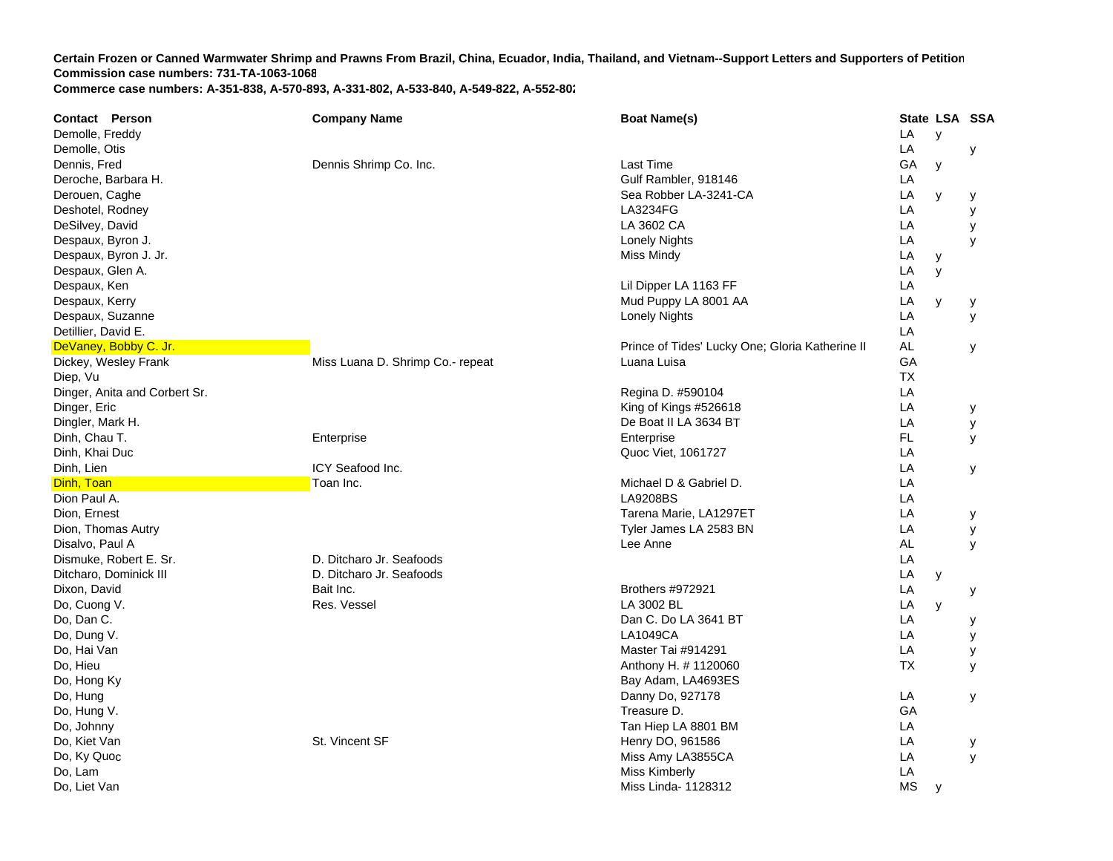| <b>Contact Person</b>         | <b>Company Name</b>              | <b>Boat Name(s)</b>                             |           | State LSA SSA |   |
|-------------------------------|----------------------------------|-------------------------------------------------|-----------|---------------|---|
| Demolle, Freddy               |                                  |                                                 | LA        | y             |   |
| Demolle, Otis                 |                                  |                                                 | LA        |               | у |
| Dennis, Fred                  | Dennis Shrimp Co. Inc.           | Last Time                                       | GA        | y             |   |
| Deroche, Barbara H.           |                                  | Gulf Rambler, 918146                            | LA        |               |   |
| Derouen, Caghe                |                                  | Sea Robber LA-3241-CA                           | LA        | y             | у |
| Deshotel, Rodney              |                                  | LA3234FG                                        | LA        |               | У |
| DeSilvey, David               |                                  | LA 3602 CA                                      | LA        |               | y |
| Despaux, Byron J.             |                                  | <b>Lonely Nights</b>                            | LA        |               | y |
| Despaux, Byron J. Jr.         |                                  | <b>Miss Mindy</b>                               | LA        | у             |   |
| Despaux, Glen A.              |                                  |                                                 | LA        | y             |   |
| Despaux, Ken                  |                                  | Lil Dipper LA 1163 FF                           | LA        |               |   |
| Despaux, Kerry                |                                  | Mud Puppy LA 8001 AA                            | LA        | y             | у |
| Despaux, Suzanne              |                                  | <b>Lonely Nights</b>                            | LA        |               | У |
| Detillier, David E.           |                                  |                                                 | LA        |               |   |
| DeVaney, Bobby C. Jr.         |                                  | Prince of Tides' Lucky One; Gloria Katherine II | <b>AL</b> |               | У |
| Dickey, Wesley Frank          | Miss Luana D. Shrimp Co.- repeat | Luana Luisa                                     | GA        |               |   |
| Diep, Vu                      |                                  |                                                 | <b>TX</b> |               |   |
| Dinger, Anita and Corbert Sr. |                                  | Regina D. #590104                               | LA        |               |   |
| Dinger, Eric                  |                                  | King of Kings #526618                           | LA        |               | У |
| Dingler, Mark H.              |                                  | De Boat II LA 3634 BT                           | LA        |               | y |
| Dinh, Chau T.                 | Enterprise                       | Enterprise                                      | FL.       |               | У |
| Dinh, Khai Duc                |                                  | Quoc Viet, 1061727                              | LA        |               |   |
| Dinh, Lien                    | ICY Seafood Inc.                 |                                                 | LA        |               | У |
| Dinh, Toan                    | Toan Inc.                        | Michael D & Gabriel D.                          | LA        |               |   |
| Dion Paul A.                  |                                  | <b>LA9208BS</b>                                 | LA        |               |   |
| Dion, Ernest                  |                                  | Tarena Marie, LA1297ET                          | LA        |               | у |
| Dion, Thomas Autry            |                                  | Tyler James LA 2583 BN                          | LA        |               | y |
| Disalvo, Paul A               |                                  | Lee Anne                                        | <b>AL</b> |               | y |
| Dismuke, Robert E. Sr.        | D. Ditcharo Jr. Seafoods         |                                                 | LA        |               |   |
| Ditcharo, Dominick III        | D. Ditcharo Jr. Seafoods         |                                                 | LA        | y             |   |
| Dixon, David                  | Bait Inc.                        | Brothers #972921                                | LA        |               | у |
| Do, Cuong V.                  | Res. Vessel                      | LA 3002 BL                                      | LA        | y             |   |
| Do, Dan C.                    |                                  | Dan C. Do LA 3641 BT                            | LA        |               | у |
| Do, Dung V.                   |                                  | <b>LA1049CA</b>                                 | LA        |               | у |
| Do, Hai Van                   |                                  | Master Tai #914291                              | LA        |               | у |
| Do, Hieu                      |                                  | Anthony H. # 1120060                            | TX        |               | У |
| Do, Hong Ky                   |                                  | Bay Adam, LA4693ES                              |           |               |   |
| Do, Hung                      |                                  | Danny Do, 927178                                | LA        |               | у |
| Do, Hung V.                   |                                  | Treasure D.                                     | GA        |               |   |
| Do, Johnny                    |                                  | Tan Hiep LA 8801 BM                             | LA        |               |   |
| Do, Kiet Van                  | St. Vincent SF                   | Henry DO, 961586                                | LA        |               | у |
| Do, Ky Quoc                   |                                  | Miss Amy LA3855CA                               | LA        |               | y |
| Do, Lam                       |                                  | Miss Kimberly                                   | LA        |               |   |
| Do, Liet Van                  |                                  | Miss Linda- 1128312                             | MS        | y             |   |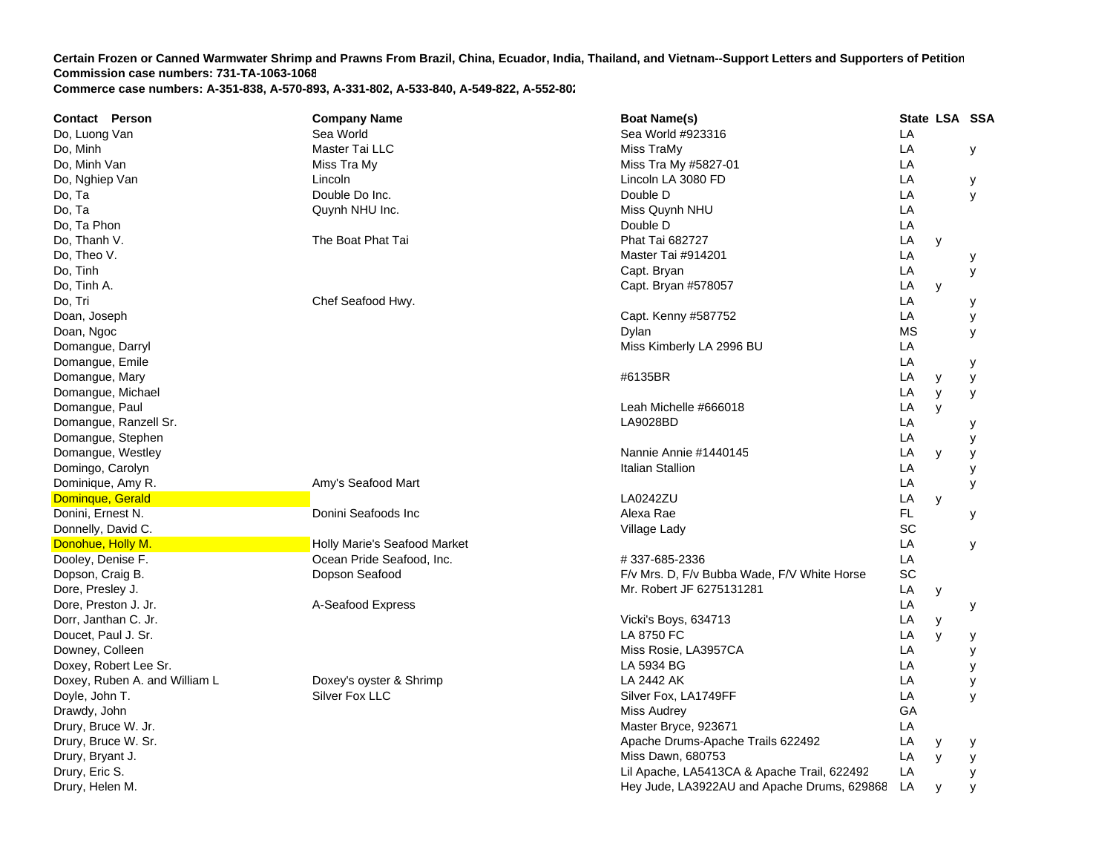| <b>Contact Person</b>         | <b>Company Name</b>          | <b>Boat Name(s)</b>                         |           |   | State LSA SSA |
|-------------------------------|------------------------------|---------------------------------------------|-----------|---|---------------|
| Do, Luong Van                 | Sea World                    | Sea World #923316                           | LA        |   |               |
| Do, Minh                      | Master Tai LLC               | Miss TraMy                                  | LA        |   | у             |
| Do, Minh Van                  | Miss Tra My                  | Miss Tra My #5827-01                        | LA        |   |               |
| Do, Nghiep Van                | Lincoln                      | Lincoln LA 3080 FD                          | LA        |   | у             |
| Do, Ta                        | Double Do Inc.               | Double D                                    | LA        |   | У             |
| Do, Ta                        | Quynh NHU Inc.               | Miss Quynh NHU                              | LA        |   |               |
| Do, Ta Phon                   |                              | Double D                                    | LA        |   |               |
| Do, Thanh V.                  | The Boat Phat Tai            | <b>Phat Tai 682727</b>                      | LA        | y |               |
| Do, Theo V.                   |                              | Master Tai #914201                          | LA        |   | у             |
| Do, Tinh                      |                              | Capt. Bryan                                 | LA        |   | У             |
| Do, Tinh A.                   |                              | Capt. Bryan #578057                         | LA        | y |               |
| Do, Tri                       | Chef Seafood Hwy.            |                                             | LA        |   | у             |
| Doan, Joseph                  |                              | Capt. Kenny #587752                         | LA        |   | у             |
| Doan, Ngoc                    |                              | Dylan                                       | <b>MS</b> |   | y             |
| Domangue, Darryl              |                              | Miss Kimberly LA 2996 BU                    | LA        |   |               |
| Domangue, Emile               |                              |                                             | LA        |   | у             |
| Domangue, Mary                |                              | #6135BR                                     | LA        | У | У             |
| Domangue, Michael             |                              |                                             | LA        | y | У             |
| Domangue, Paul                |                              | Leah Michelle #666018                       | LA        | y |               |
| Domangue, Ranzell Sr.         |                              | LA9028BD                                    | LA        |   | у             |
| Domangue, Stephen             |                              |                                             | LA        |   | у             |
| Domangue, Westley             |                              | Nannie Annie #1440145                       | LA        | y | у             |
| Domingo, Carolyn              |                              | Italian Stallion                            | LA        |   | у             |
| Dominique, Amy R.             | Amy's Seafood Mart           |                                             | LA        |   | У             |
| Dominque, Gerald              |                              | LA0242ZU                                    | LA        | y |               |
| Donini, Ernest N.             | Donini Seafoods Inc          | Alexa Rae                                   | FL.       |   | у             |
| Donnelly, David C.            |                              | Village Lady                                | SC        |   |               |
| Donohue, Holly M.             | Holly Marie's Seafood Market |                                             | LA        |   | У             |
| Dooley, Denise F.             | Ocean Pride Seafood, Inc.    | #337-685-2336                               | LA        |   |               |
| Dopson, Craig B.              | Dopson Seafood               | F/v Mrs. D, F/v Bubba Wade, F/V White Horse | SC        |   |               |
| Dore, Presley J.              |                              | Mr. Robert JF 6275131281                    | LA        | у |               |
| Dore, Preston J. Jr.          | A-Seafood Express            |                                             | LA        |   | У             |
| Dorr, Janthan C. Jr.          |                              | Vicki's Boys, 634713                        | LA        | у |               |
| Doucet, Paul J. Sr.           |                              | LA 8750 FC                                  | LA        | y | у             |
| Downey, Colleen               |                              | Miss Rosie, LA3957CA                        | LA        |   | У             |
| Doxey, Robert Lee Sr.         |                              | LA 5934 BG                                  | LA        |   | У             |
| Doxey, Ruben A. and William L | Doxey's oyster & Shrimp      | LA 2442 AK                                  | LA        |   | у             |
| Doyle, John T.                | Silver Fox LLC               | Silver Fox, LA1749FF                        | LA        |   | y             |
| Drawdy, John                  |                              | <b>Miss Audrey</b>                          | GA        |   |               |
| Drury, Bruce W. Jr.           |                              | Master Bryce, 923671                        | LA        |   |               |
| Drury, Bruce W. Sr.           |                              | Apache Drums-Apache Trails 622492           | LA        | y | у             |
| Drury, Bryant J.              |                              | Miss Dawn, 680753                           | LA        | y | у             |
| Drury, Eric S.                |                              | Lil Apache, LA5413CA & Apache Trail, 622492 | LA        |   | у             |
| Drury, Helen M.               |                              | Hey Jude, LA3922AU and Apache Drums, 629868 | LA        | У | У             |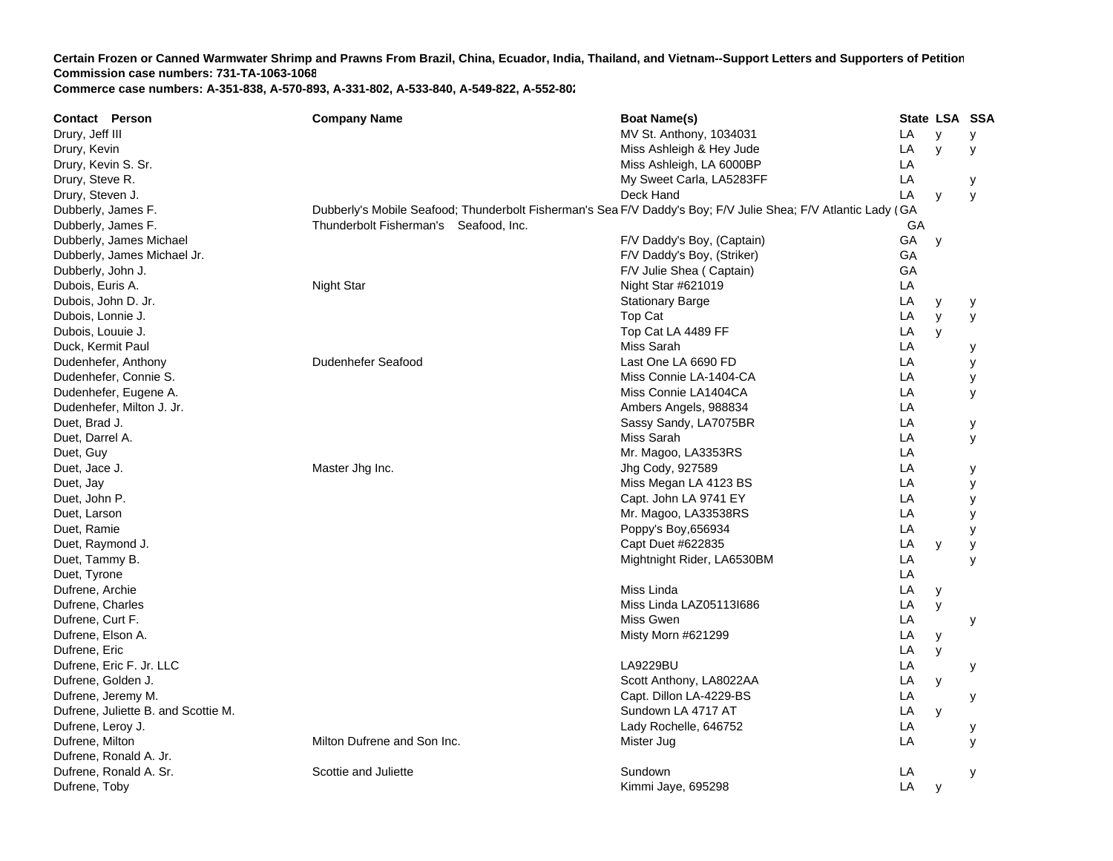**Contact Person Company Name Boat Name(s) State LSA SSA**  Drury, Jeff III No. 1034031 Little States and States and States and States and States and MV St. Anthony, 1034031 **LA**  y y Drury, Kevin Miss Ashleigh & Hey Jude Library, Kevin Miss Ashleigh & Hey Jude Library and Miss Ashleigh & Hey Jude **LA**  y y Drury, Kevin S. Sr. Miss Ashleigh, LA 6000BP ADrury, Steve R. And Charles Carla, LAS283FF Carla, LA5283FF Carla, LAS283FF CARLA y Drury, Steven J. Deck Hand L **LA**  y y Dubberly, James F. Dubberly's Mobile Seafood; Thunderbolt Fisherman's Sea F/V Daddy's Boy; F/V Julie Shea; F/V Atlantic Lady (G ADubberly, James F. Thunderbolt Fisherman's Seafood, Inc. G ADubberly, James Michael **F/V Daddy's Boy, (Captain)**  $F/V$  Daddy's Boy, (Captain) A y Dubberly, James Michael Jr. **Exercise 2018** Control of the Striker Control of the Striker Control of the Striker Control of the Striker Control of the Striker Control of the Striker Control of the Striker Control of the St GA Dubberly, John J. Charles Communication of the Captain School and The Communication of the Captain School and The Captain School and The Captain School and The Captain School and The Captain School and The Communication of **GA** Dubois, Euris A. Night Star Night Star #621019 LA Dubois, John D. Jr. Stationary Barge Library Barge Library Barge Library Barge Library Barge Library Barge Library Barge Library Barge Library Barge Library Barge Library Barge Library Barge Library Barge Library Barge Lib LA y y Dubois, Lonnie J. Top Cat LA y y Dubois, Louuie J. New York Cat LA 4489 FF Contracts and the U.S. Top Cat LA 4489 FF Contracts and the U.S. Top Cat LA 4489 FF Duck, Kermit Paul Miss Sarah Literatur (Miss Sarah Literatur (Miss Sarah Literatur (Miss Sarah Literatur (Miss Sarah Literatur (Miss Sarah Literatur (Miss Sarah Literatur (Miss Sarah Literatur (Miss Sarah Literatur (Miss S **LA**  y Dudenhefer, Anthony **Dudenhefer Seafood** Last One LA 6690 FD A y Dudenhefer, Connie S. Miss Connie LA-1404-CA LA y Dudenhefer, Eugene A. Miss Connie LA1404CA LA y Dudenhefer, Milton J. Jr. Ambers Angels, 988834 LA Duet, Brad J. Sassy Sandy, LA7075B RR LA y Duet, Darrel A. Miss Sarah L **LA**  y Duet, Guy Mr. Magoo, LA3353R SS LA Duet, Jace J. Master Jhg Inc. Jhg Cody, 927589 LA y Duet, Jay 2008 Miss Megan LA 4123 BS A y Duet, John P. Capt. John LA 9741 E Y LA y Duet, Larson Mr. Magoo, LA33538R S LA y Duet, Ramie **Example 2018** LA y Represent to the Poppy's Boy,656934 LA y Poppy's Boy,656934 Duet, Raymond J. Capt Duet #622835 LA y y Duet, Tammy B. Mightnight Rider, LA6530BM L **LA**  y Duet, Tyrone LA Dufrene, Archie and Archie Miss Linda Linda Linda Linda Linda Linda Linda Linda Linda Linda Linda Linda Linda L **LA**  y Dufrene, Charles هادر المستخدم المستخدم المستخدم المستخدم المستخدم المستخدم المستخدم المستخدم المستخدم المستخدم المستخدم المستخدم المستخدم المستخدم المستخدم المستخدم المستخدم المستخدم المستخدم المستخدم المستخدم المستخدم ا Dufrene, Curt F. Miss Gwen L **LA**  y Dufrene, Elson A. Misty Morn #621299 LA y Dufrene, Eric LA y Dufrene, Eric F. Jr. LLC LA9229BU L **LA**  y Dufrene, Golden J. Scott Anthony, LA8022A A LA y Dufrene, Jeremy M. Capt. Dillon LA-4229-BS L **LA**  y Dufrene, Juliette B. and Scottie M. Sundown LA 4717 AT T<sub>a</sub> the contract of the contract of the contract of the contract of the contract of the contract of the contract of the contract of the contract of the contract of the contract of the contract of the contract of the contr LA y Dufrene, Leroy J. Lady Rochelle, 646752 LA y Dufrene, Milton Milton Milton Dufrene and Son Inc. The Mister Jug Little Mister Jug Little Mister Jug Little Mister Jug Little Mister Jug Little Mister Jug Little Mister Jug Little Mister Jug Little Mister Jug Little Miste A y Dufrene, Ronald A. Jr. Dufrene, Ronald A. Sr. Scottie and Juliette Sundown Letter Sundown Sundown Sundown Sundown Sundown Letter Sundown **LA**  y Dufrene, Toby Kimmi Jaye, 695298 LA y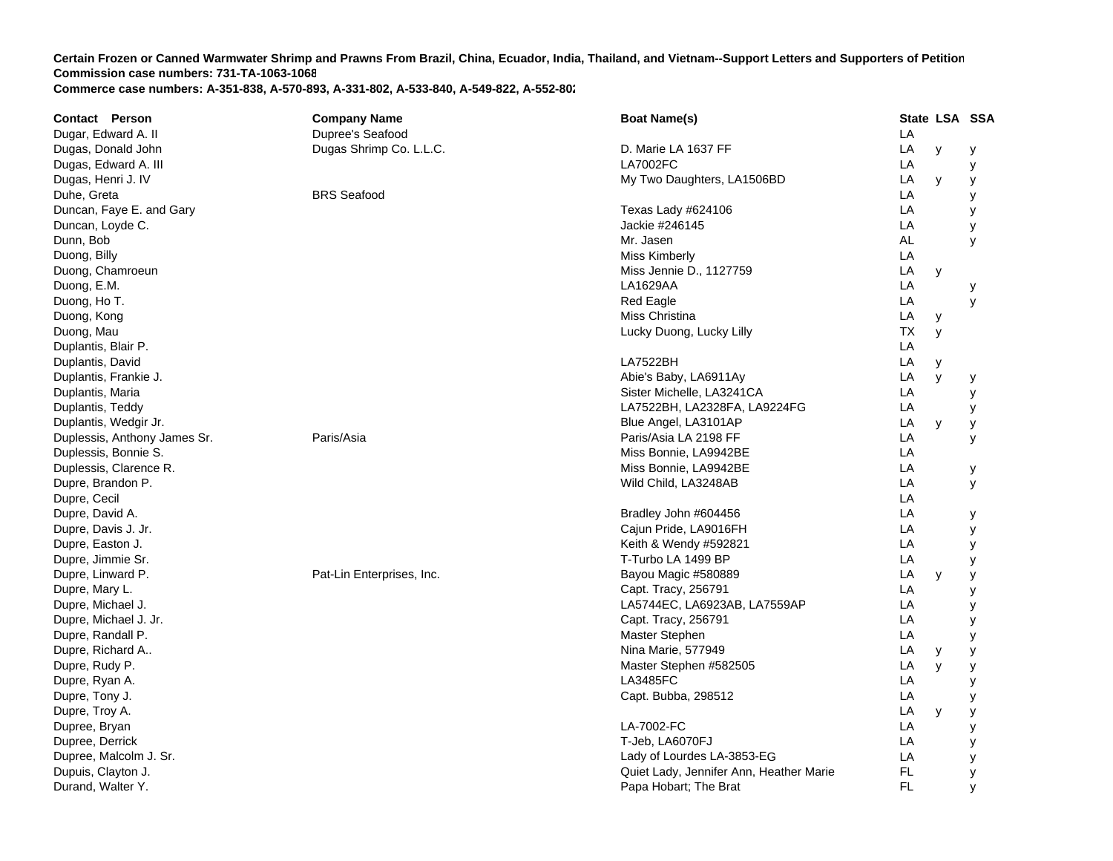| <b>Contact Person</b>        | <b>Company Name</b>       | <b>Boat Name(s)</b>                     |    | State LSA SSA |   |
|------------------------------|---------------------------|-----------------------------------------|----|---------------|---|
| Dugar, Edward A. II          | Dupree's Seafood          |                                         | LA |               |   |
| Dugas, Donald John           | Dugas Shrimp Co. L.L.C.   | D. Marie LA 1637 FF                     | LA | y             | у |
| Dugas, Edward A. III         |                           | <b>LA7002FC</b>                         | LA |               | у |
| Dugas, Henri J. IV           |                           | My Two Daughters, LA1506BD              | LA | y             | у |
| Duhe, Greta                  | <b>BRS</b> Seafood        |                                         | LA |               | у |
| Duncan, Faye E. and Gary     |                           | Texas Lady #624106                      | LA |               | У |
| Duncan, Loyde C.             |                           | Jackie #246145                          | LA |               | у |
| Dunn, Bob                    |                           | Mr. Jasen                               | AL |               | y |
| Duong, Billy                 |                           | Miss Kimberly                           | LA |               |   |
| Duong, Chamroeun             |                           | Miss Jennie D., 1127759                 | LA | y             |   |
| Duong, E.M.                  |                           | LA1629AA                                | LA |               | у |
| Duong, Ho T.                 |                           | Red Eagle                               | LA |               | У |
| Duong, Kong                  |                           | Miss Christina                          | LA | у             |   |
| Duong, Mau                   |                           | Lucky Duong, Lucky Lilly                | ТX | y             |   |
| Duplantis, Blair P.          |                           |                                         | LA |               |   |
| Duplantis, David             |                           | <b>LA7522BH</b>                         | LA | у             |   |
| Duplantis, Frankie J.        |                           | Abie's Baby, LA6911Ay                   | LA | У             | у |
| Duplantis, Maria             |                           | Sister Michelle, LA3241CA               | LA |               | у |
| Duplantis, Teddy             |                           | LA7522BH, LA2328FA, LA9224FG            | LA |               | У |
| Duplantis, Wedgir Jr.        |                           | Blue Angel, LA3101AP                    | LA | y             | у |
| Duplessis, Anthony James Sr. | Paris/Asia                | Paris/Asia LA 2198 FF                   | LA |               | У |
| Duplessis, Bonnie S.         |                           | Miss Bonnie, LA9942BE                   | LA |               |   |
| Duplessis, Clarence R.       |                           | Miss Bonnie, LA9942BE                   | LA |               | у |
| Dupre, Brandon P.            |                           | Wild Child, LA3248AB                    | LA |               | y |
| Dupre, Cecil                 |                           |                                         | LA |               |   |
| Dupre, David A.              |                           | Bradley John #604456                    | LA |               | у |
| Dupre, Davis J. Jr.          |                           | Cajun Pride, LA9016FH                   | LA |               | У |
| Dupre, Easton J.             |                           | Keith & Wendy #592821                   | LA |               | У |
| Dupre, Jimmie Sr.            |                           | T-Turbo LA 1499 BP                      | LA |               | у |
| Dupre, Linward P.            | Pat-Lin Enterprises, Inc. | Bayou Magic #580889                     | LA | y             | у |
| Dupre, Mary L.               |                           | Capt. Tracy, 256791                     | LA |               | у |
| Dupre, Michael J.            |                           | LA5744EC, LA6923AB, LA7559AP            | LA |               | у |
| Dupre, Michael J. Jr.        |                           | Capt. Tracy, 256791                     | LA |               | у |
| Dupre, Randall P.            |                           | Master Stephen                          | LA |               | у |
| Dupre, Richard A             |                           | Nina Marie, 577949                      | LA | у             | у |
| Dupre, Rudy P.               |                           | Master Stephen #582505                  | LA | y             | У |
| Dupre, Ryan A.               |                           | <b>LA3485FC</b>                         | LA |               | У |
| Dupre, Tony J.               |                           | Capt. Bubba, 298512                     | LA |               | у |
| Dupre, Troy A.               |                           |                                         | LA | y             | у |
| Dupree, Bryan                |                           | LA-7002-FC                              | LA |               | у |
| Dupree, Derrick              |                           | T-Jeb, LA6070FJ                         | LA |               | у |
| Dupree, Malcolm J. Sr.       |                           | Lady of Lourdes LA-3853-EG              | LA |               | у |
| Dupuis, Clayton J.           |                           | Quiet Lady, Jennifer Ann, Heather Marie | FL |               | у |
| Durand, Walter Y.            |                           | Papa Hobart; The Brat                   | FL |               | y |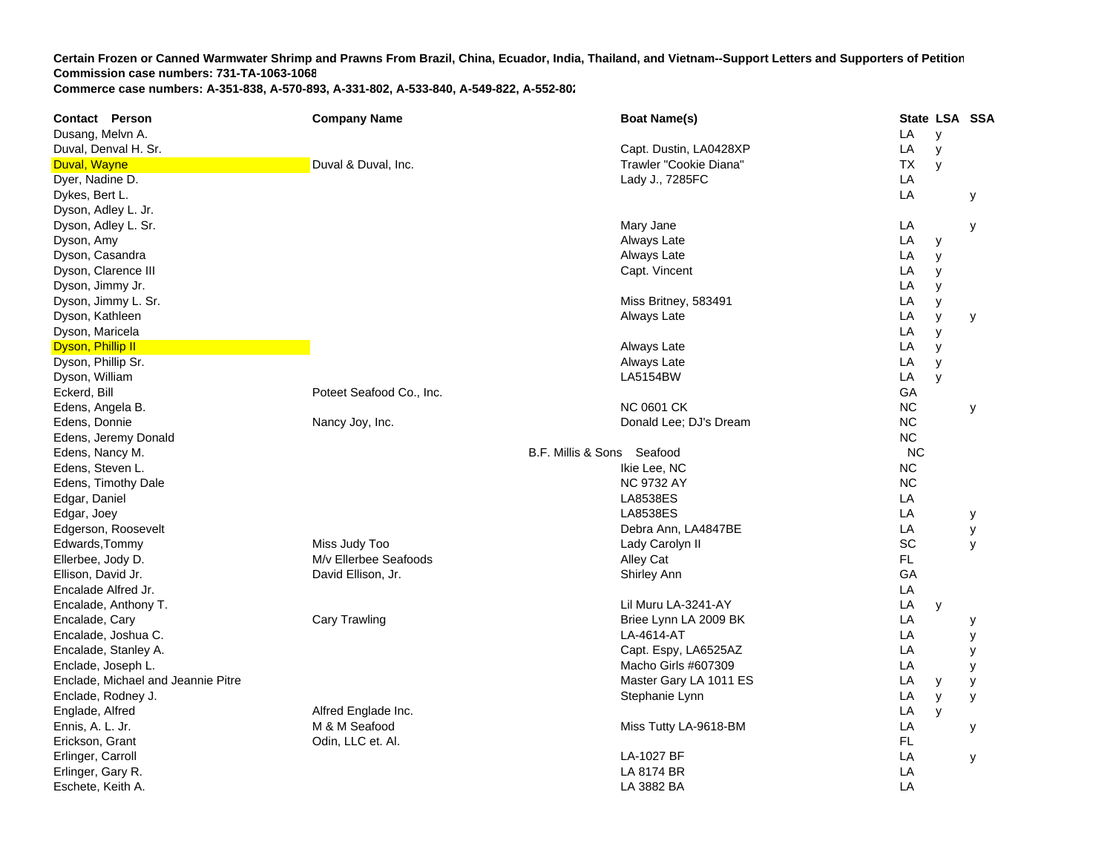| <b>Contact Person</b>              | <b>Company Name</b>      | <b>Boat Name(s)</b>        |           | State LSA SSA |   |
|------------------------------------|--------------------------|----------------------------|-----------|---------------|---|
| Dusang, Melvn A.                   |                          |                            | LA        | y             |   |
| Duval, Denval H. Sr.               |                          | Capt. Dustin, LA0428XP     | LA        | y             |   |
| Duval, Wayne                       | Duval & Duval, Inc.      | Trawler "Cookie Diana"     | <b>TX</b> | y             |   |
| Dyer, Nadine D.                    |                          | Lady J., 7285FC            | LA        |               |   |
| Dykes, Bert L.                     |                          |                            | LA        |               | y |
| Dyson, Adley L. Jr.                |                          |                            |           |               |   |
| Dyson, Adley L. Sr.                |                          | Mary Jane                  | LA        |               | у |
| Dyson, Amy                         |                          | Always Late                | LA        | у             |   |
| Dyson, Casandra                    |                          | Always Late                | LA        | y             |   |
| Dyson, Clarence III                |                          | Capt. Vincent              | LA        | y             |   |
| Dyson, Jimmy Jr.                   |                          |                            | LA        | y             |   |
| Dyson, Jimmy L. Sr.                |                          | Miss Britney, 583491       | LA        | y             |   |
| Dyson, Kathleen                    |                          | Always Late                | LA        | y             | у |
| Dyson, Maricela                    |                          |                            | LA        | y             |   |
| Dyson, Phillip II                  |                          | Always Late                | LA        | y             |   |
| Dyson, Phillip Sr.                 |                          | Always Late                | LA        | У             |   |
| Dyson, William                     |                          | <b>LA5154BW</b>            | LA        | y             |   |
| Eckerd, Bill                       | Poteet Seafood Co., Inc. |                            | GA        |               |   |
| Edens, Angela B.                   |                          | <b>NC 0601 CK</b>          | <b>NC</b> |               | у |
| Edens, Donnie                      | Nancy Joy, Inc.          | Donald Lee; DJ's Dream     | <b>NC</b> |               |   |
| Edens, Jeremy Donald               |                          |                            | NC        |               |   |
| Edens, Nancy M.                    |                          | B.F. Millis & Sons Seafood | <b>NC</b> |               |   |
| Edens, Steven L.                   |                          | Ikie Lee, NC               | NC        |               |   |
| Edens, Timothy Dale                |                          | <b>NC 9732 AY</b>          | <b>NC</b> |               |   |
| Edgar, Daniel                      |                          | <b>LA8538ES</b>            | LA        |               |   |
| Edgar, Joey                        |                          | <b>LA8538ES</b>            | LA        |               | у |
| Edgerson, Roosevelt                |                          | Debra Ann, LA4847BE        | LA        |               | у |
| Edwards, Tommy                     | Miss Judy Too            | Lady Carolyn II            | SC        |               | У |
| Ellerbee, Jody D.                  | M/v Ellerbee Seafoods    | Alley Cat                  | FL.       |               |   |
| Ellison, David Jr.                 | David Ellison, Jr.       | Shirley Ann                | GA        |               |   |
| Encalade Alfred Jr.                |                          |                            | LA        |               |   |
| Encalade, Anthony T.               |                          | Lil Muru LA-3241-AY        | LA        | y             |   |
| Encalade, Cary                     | Cary Trawling            | Briee Lynn LA 2009 BK      | LA        |               | у |
| Encalade, Joshua C.                |                          | LA-4614-AT                 | LA        |               | у |
| Encalade, Stanley A.               |                          | Capt. Espy, LA6525AZ       | LA        |               | у |
| Enclade, Joseph L.                 |                          | Macho Girls #607309        | LA        |               | у |
| Enclade, Michael and Jeannie Pitre |                          | Master Gary LA 1011 ES     | LA        | y             | у |
| Enclade, Rodney J.                 |                          | Stephanie Lynn             | LA        | y             | У |
| Englade, Alfred                    | Alfred Englade Inc.      |                            | LA        | y             |   |
| Ennis, A. L. Jr.                   | M & M Seafood            | Miss Tutty LA-9618-BM      | LA        |               | У |
| Erickson, Grant                    | Odin, LLC et. Al.        |                            | FL        |               |   |
| Erlinger, Carroll                  |                          | LA-1027 BF                 | LA        |               | У |
| Erlinger, Gary R.                  |                          | LA 8174 BR                 | LA        |               |   |
| Eschete, Keith A.                  |                          | LA 3882 BA                 | LA        |               |   |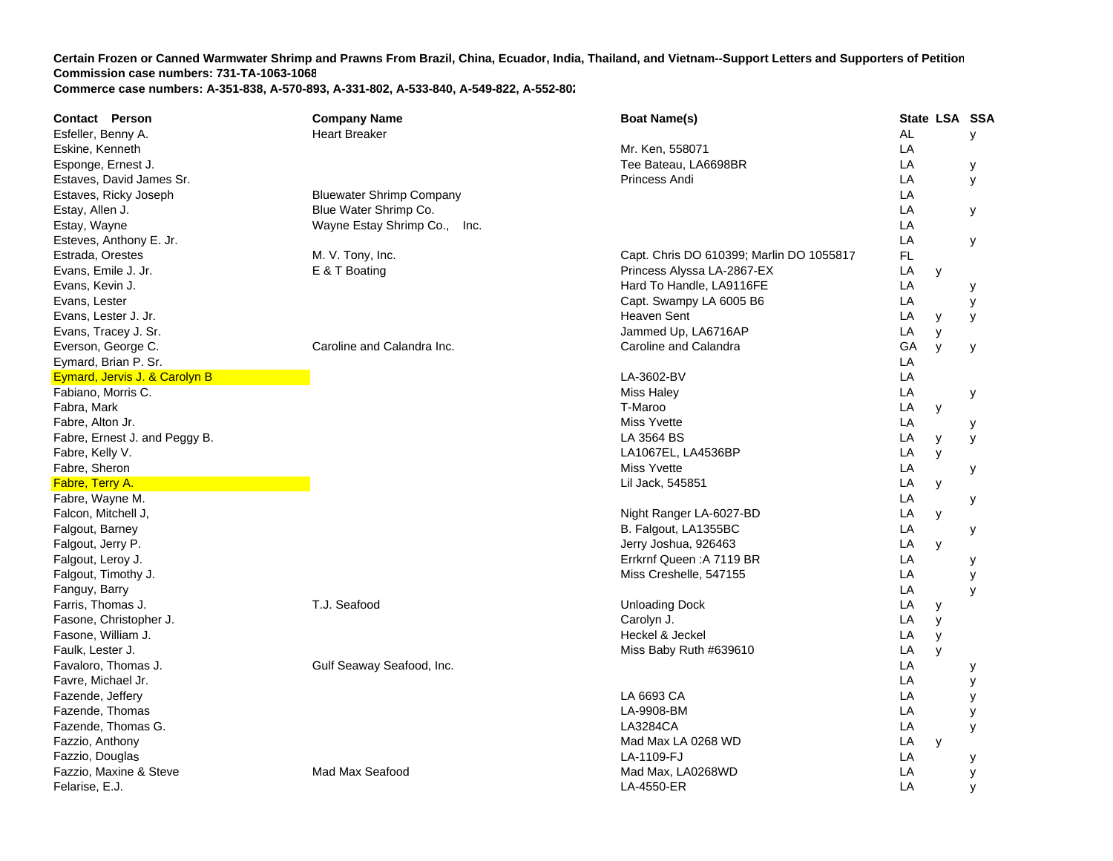| <b>Contact Person</b>         | <b>Company Name</b>             | <b>Boat Name(s)</b>                      |           | State LSA SSA |   |
|-------------------------------|---------------------------------|------------------------------------------|-----------|---------------|---|
| Esfeller, Benny A.            | <b>Heart Breaker</b>            |                                          | <b>AL</b> |               | У |
| Eskine, Kenneth               |                                 | Mr. Ken, 558071                          | LA        |               |   |
| Esponge, Ernest J.            |                                 | Tee Bateau, LA6698BR                     | LA        |               | у |
| Estaves, David James Sr.      |                                 | Princess Andi                            | LA        |               | У |
| Estaves, Ricky Joseph         | <b>Bluewater Shrimp Company</b> |                                          | LA        |               |   |
| Estay, Allen J.               | Blue Water Shrimp Co.           |                                          | LA        |               | у |
| Estay, Wayne                  | Wayne Estay Shrimp Co.,<br>Inc. |                                          | LA        |               |   |
| Esteves, Anthony E. Jr.       |                                 |                                          | LA        |               | у |
| Estrada, Orestes              | M. V. Tony, Inc.                | Capt. Chris DO 610399; Marlin DO 1055817 | FL        |               |   |
| Evans, Emile J. Jr.           | E & T Boating                   | Princess Alyssa LA-2867-EX               | LA        | y             |   |
| Evans, Kevin J.               |                                 | Hard To Handle, LA9116FE                 | LA        |               | у |
| Evans, Lester                 |                                 | Capt. Swampy LA 6005 B6                  | LA        |               | У |
| Evans, Lester J. Jr.          |                                 | <b>Heaven Sent</b>                       | LA        | y             | У |
| Evans, Tracey J. Sr.          |                                 | Jammed Up, LA6716AP                      | LA        | y             |   |
| Everson, George C.            | Caroline and Calandra Inc.      | Caroline and Calandra                    | GA        | y             | У |
| Eymard, Brian P. Sr.          |                                 |                                          | LA        |               |   |
| Eymard, Jervis J. & Carolyn B |                                 | LA-3602-BV                               | LA        |               |   |
| Fabiano, Morris C.            |                                 | <b>Miss Haley</b>                        | LA        |               | у |
| Fabra, Mark                   |                                 | T-Maroo                                  | LA        | y             |   |
| Fabre, Alton Jr.              |                                 | Miss Yvette                              | LA        |               | у |
| Fabre, Ernest J. and Peggy B. |                                 | LA 3564 BS                               | LA        | y             | y |
| Fabre, Kelly V.               |                                 | LA1067EL, LA4536BP                       | LA        | y             |   |
| Fabre, Sheron                 |                                 | <b>Miss Yvette</b>                       | LA        |               | у |
| Fabre, Terry A.               |                                 | Lil Jack, 545851                         | LA        | y             |   |
| Fabre, Wayne M.               |                                 |                                          | LA        |               | у |
| Falcon, Mitchell J,           |                                 | Night Ranger LA-6027-BD                  | LA        | у             |   |
| Falgout, Barney               |                                 | B. Falgout, LA1355BC                     | LA        |               | у |
| Falgout, Jerry P.             |                                 | Jerry Joshua, 926463                     | LA        | y             |   |
| Falgout, Leroy J.             |                                 | Errkrnf Queen: A 7119 BR                 | LA        |               | у |
| Falgout, Timothy J.           |                                 | Miss Creshelle, 547155                   | LA        |               | у |
| Fanguy, Barry                 |                                 |                                          | LA        |               | y |
| Farris, Thomas J.             | T.J. Seafood                    | <b>Unloading Dock</b>                    | LA        | у             |   |
| Fasone, Christopher J.        |                                 | Carolyn J.                               | LA        | y             |   |
| Fasone, William J.            |                                 | Heckel & Jeckel                          | LA        | y             |   |
| Faulk, Lester J.              |                                 | Miss Baby Ruth #639610                   | LA        | y             |   |
| Favaloro, Thomas J.           | Gulf Seaway Seafood, Inc.       |                                          | LA        |               | у |
| Favre, Michael Jr.            |                                 |                                          | LA        |               | у |
| Fazende, Jeffery              |                                 | LA 6693 CA                               | LA        |               | у |
| Fazende, Thomas               |                                 | LA-9908-BM                               | LA        |               | у |
| Fazende, Thomas G.            |                                 | LA3284CA                                 | LA        |               | у |
| Fazzio, Anthony               |                                 | Mad Max LA 0268 WD                       | LA        | У             |   |
| Fazzio, Douglas               |                                 | LA-1109-FJ                               | LA        |               | у |
| Fazzio, Maxine & Steve        | Mad Max Seafood                 | Mad Max, LA0268WD                        | LA        |               | У |
| Felarise, E.J.                |                                 | LA-4550-ER                               | LA        |               |   |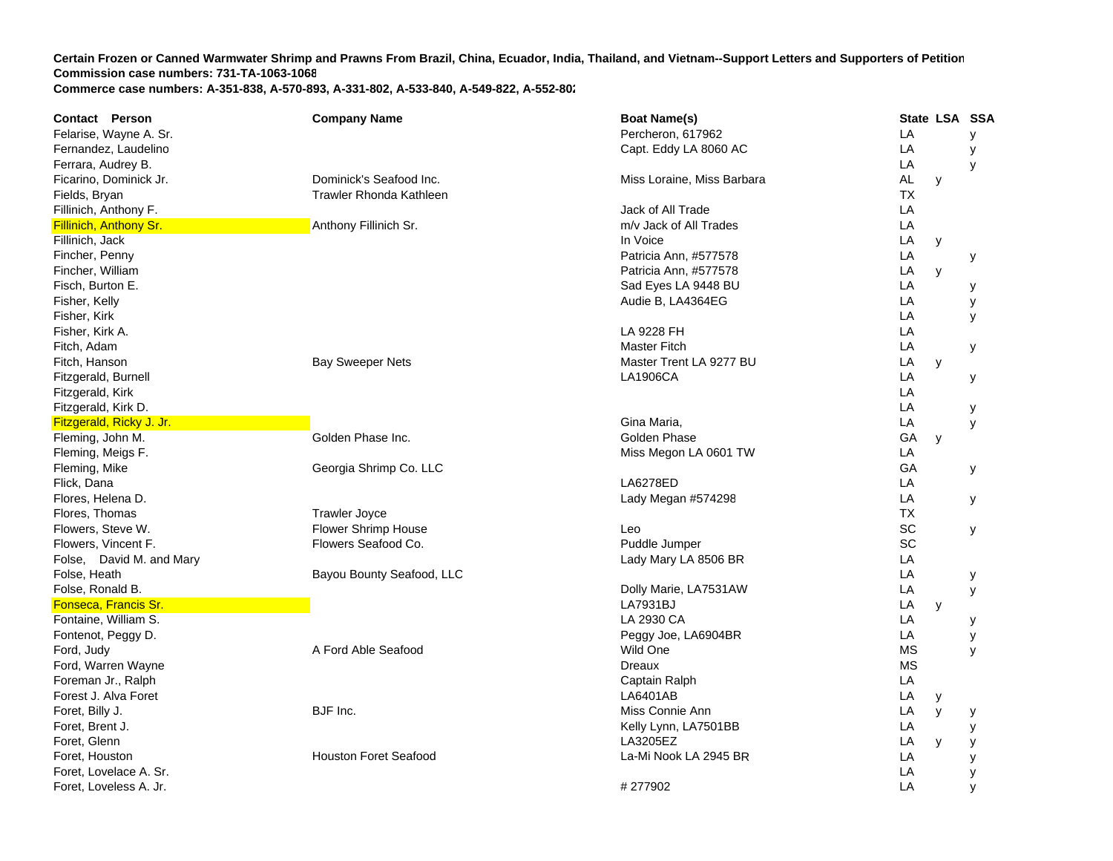| Contact Person           | <b>Company Name</b>          | <b>Boat Name(s)</b>        | State LSA SSA |   |   |
|--------------------------|------------------------------|----------------------------|---------------|---|---|
| Felarise, Wayne A. Sr.   |                              | Percheron, 617962          | LA            |   | У |
| Fernandez, Laudelino     |                              | Capt. Eddy LA 8060 AC      | LA            |   | у |
| Ferrara, Audrey B.       |                              |                            | LA            |   | y |
| Ficarino, Dominick Jr.   | Dominick's Seafood Inc.      | Miss Loraine, Miss Barbara | AL            | У |   |
| Fields, Bryan            | Trawler Rhonda Kathleen      |                            | ТX            |   |   |
| Fillinich, Anthony F.    |                              | Jack of All Trade          | LA            |   |   |
| Fillinich, Anthony Sr.   | Anthony Fillinich Sr.        | m/v Jack of All Trades     | LA            |   |   |
| Fillinich, Jack          |                              | In Voice                   | LA            | у |   |
| Fincher, Penny           |                              | Patricia Ann, #577578      | LA            |   | у |
| Fincher, William         |                              | Patricia Ann, #577578      | LA            | y |   |
| Fisch, Burton E.         |                              | Sad Eyes LA 9448 BU        | LA            |   | у |
| Fisher, Kelly            |                              | Audie B, LA4364EG          | LA            |   | У |
| Fisher, Kirk             |                              |                            | LA            |   | y |
| Fisher, Kirk A.          |                              | LA 9228 FH                 | LA            |   |   |
| Fitch, Adam              |                              | <b>Master Fitch</b>        | LA            |   | у |
| Fitch, Hanson            | <b>Bay Sweeper Nets</b>      | Master Trent LA 9277 BU    | LA            | y |   |
| Fitzgerald, Burnell      |                              | <b>LA1906CA</b>            | LA            |   | у |
| Fitzgerald, Kirk         |                              |                            | LA            |   |   |
| Fitzgerald, Kirk D.      |                              |                            | LA            |   | у |
| Fitzgerald, Ricky J. Jr. |                              | Gina Maria,                | LA            |   | У |
| Fleming, John M.         | Golden Phase Inc.            | Golden Phase               | GA            | y |   |
| Fleming, Meigs F.        |                              | Miss Megon LA 0601 TW      | LA            |   |   |
| Fleming, Mike            | Georgia Shrimp Co. LLC       |                            | GA            |   | У |
| Flick, Dana              |                              | LA6278ED                   | LA            |   |   |
| Flores, Helena D.        |                              | Lady Megan #574298         | LA            |   | У |
| Flores, Thomas           | <b>Trawler Joyce</b>         |                            | <b>TX</b>     |   |   |
| Flowers, Steve W.        | Flower Shrimp House          | Leo                        | SC            |   | у |
| Flowers, Vincent F.      | Flowers Seafood Co.          | Puddle Jumper              | SC            |   |   |
| Folse, David M. and Mary |                              | Lady Mary LA 8506 BR       | LA            |   |   |
| Folse, Heath             | Bayou Bounty Seafood, LLC    |                            | LA            |   | У |
| Folse, Ronald B.         |                              | Dolly Marie, LA7531AW      | LA            |   | У |
| Fonseca, Francis Sr.     |                              | LA7931BJ                   | LA            | y |   |
| Fontaine, William S.     |                              | LA 2930 CA                 | LA            |   | у |
| Fontenot, Peggy D.       |                              | Peggy Joe, LA6904BR        | LA            |   | У |
| Ford, Judy               | A Ford Able Seafood          | Wild One                   | <b>MS</b>     |   | y |
| Ford, Warren Wayne       |                              | <b>Dreaux</b>              | <b>MS</b>     |   |   |
| Foreman Jr., Ralph       |                              | Captain Ralph              | LA            |   |   |
| Forest J. Alva Foret     |                              | LA6401AB                   | LA            | У |   |
| Foret, Billy J.          | BJF Inc.                     | Miss Connie Ann            | LA            | y | у |
| Foret, Brent J.          |                              | Kelly Lynn, LA7501BB       | LA            |   | у |
| Foret, Glenn             |                              | LA3205EZ                   | LA            | y | у |
| Foret, Houston           | <b>Houston Foret Seafood</b> | La-Mi Nook LA 2945 BR      | LA            |   | У |
| Foret, Lovelace A. Sr.   |                              |                            | LA            |   | У |
| Foret, Loveless A. Jr.   |                              | #277902                    | LA            |   |   |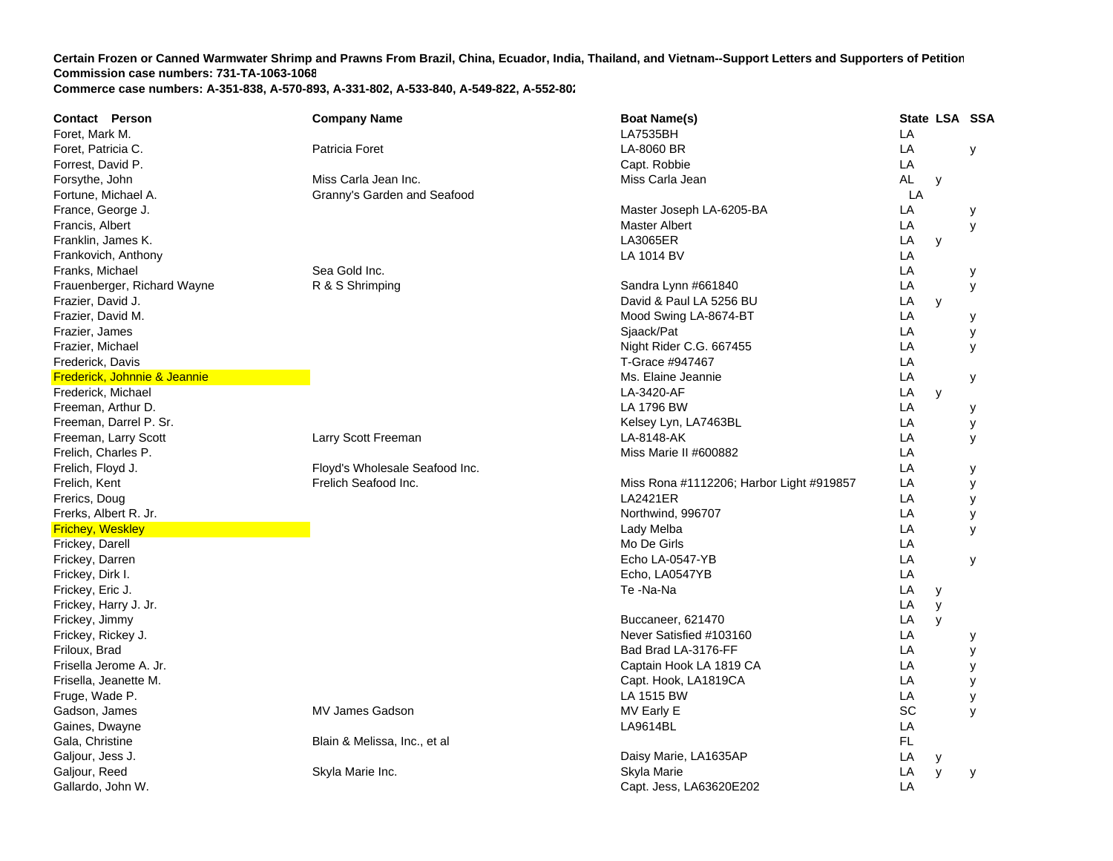| <b>Contact Person</b>        | <b>Company Name</b>            | <b>Boat Name(s)</b>                      |           | State LSA SSA |   |
|------------------------------|--------------------------------|------------------------------------------|-----------|---------------|---|
| Foret, Mark M.               |                                | <b>LA7535BH</b>                          | LA        |               |   |
| Foret, Patricia C.           | Patricia Foret                 | LA-8060 BR                               | LA        |               | У |
| Forrest, David P.            |                                | Capt. Robbie                             | LA        |               |   |
| Forsythe, John               | Miss Carla Jean Inc.           | Miss Carla Jean                          | <b>AL</b> | y             |   |
| Fortune, Michael A.          | Granny's Garden and Seafood    |                                          | LA        |               |   |
| France, George J.            |                                | Master Joseph LA-6205-BA                 | LA        |               | у |
| Francis, Albert              |                                | Master Albert                            | LA        |               | У |
| Franklin, James K.           |                                | <b>LA3065ER</b>                          | LA        | y             |   |
| Frankovich, Anthony          |                                | LA 1014 BV                               | LA        |               |   |
| Franks, Michael              | Sea Gold Inc.                  |                                          | LA        |               | у |
| Frauenberger, Richard Wayne  | R & S Shrimping                | Sandra Lynn #661840                      | LA        |               | У |
| Frazier, David J.            |                                | David & Paul LA 5256 BU                  | LA        | y             |   |
| Frazier, David M.            |                                | Mood Swing LA-8674-BT                    | LA        |               | у |
| Frazier, James               |                                | Sjaack/Pat                               | LA        |               | у |
| Frazier, Michael             |                                | Night Rider C.G. 667455                  | LA        |               | У |
| Frederick, Davis             |                                | T-Grace #947467                          | LA        |               |   |
| Frederick, Johnnie & Jeannie |                                | Ms. Elaine Jeannie                       | LA        |               | у |
| Frederick, Michael           |                                | LA-3420-AF                               | LA        | y             |   |
| Freeman, Arthur D.           |                                | LA 1796 BW                               | LA        |               | у |
| Freeman, Darrel P. Sr.       |                                | Kelsey Lyn, LA7463BL                     | LA        |               | у |
| Freeman, Larry Scott         | Larry Scott Freeman            | LA-8148-AK                               | LA        |               | У |
| Frelich, Charles P.          |                                | Miss Marie II #600882                    | LA        |               |   |
| Frelich, Floyd J.            | Floyd's Wholesale Seafood Inc. |                                          | LA        |               | у |
| Frelich, Kent                | Frelich Seafood Inc.           | Miss Rona #1112206; Harbor Light #919857 | LA        |               | У |
| Frerics, Doug                |                                | <b>LA2421ER</b>                          | LA        |               | у |
| Frerks, Albert R. Jr.        |                                | Northwind, 996707                        | LA        |               | у |
| <b>Frichey, Weskley</b>      |                                | Lady Melba                               | LA        |               | У |
| Frickey, Darell              |                                | Mo De Girls                              | LA        |               |   |
| Frickey, Darren              |                                | Echo LA-0547-YB                          | LA        |               | У |
| Frickey, Dirk I.             |                                | Echo, LA0547YB                           | LA        |               |   |
| Frickey, Eric J.             |                                | Te-Na-Na                                 | LA        | y             |   |
| Frickey, Harry J. Jr.        |                                |                                          | LA        | y             |   |
| Frickey, Jimmy               |                                | Buccaneer, 621470                        | LA        | y             |   |
| Frickey, Rickey J.           |                                | Never Satisfied #103160                  | LA        |               | у |
| Friloux, Brad                |                                | Bad Brad LA-3176-FF                      | LA        |               | у |
| Frisella Jerome A. Jr.       |                                | Captain Hook LA 1819 CA                  | LA        |               | у |
| Frisella, Jeanette M.        |                                | Capt. Hook, LA1819CA                     | LA        |               | У |
| Fruge, Wade P.               |                                | LA 1515 BW                               | LA        |               | У |
| Gadson, James                | <b>MV James Gadson</b>         | MV Early E                               | SC        |               | y |
| Gaines, Dwayne               |                                | LA9614BL                                 | LA        |               |   |
| Gala, Christine              | Blain & Melissa, Inc., et al   |                                          | FL.       |               |   |
| Galjour, Jess J.             |                                | Daisy Marie, LA1635AP                    | LA        | у             |   |
| Galjour, Reed                | Skyla Marie Inc.               | Skyla Marie                              | LA        | y             | y |
| Gallardo, John W.            |                                | Capt. Jess, LA63620E202                  | LA        |               |   |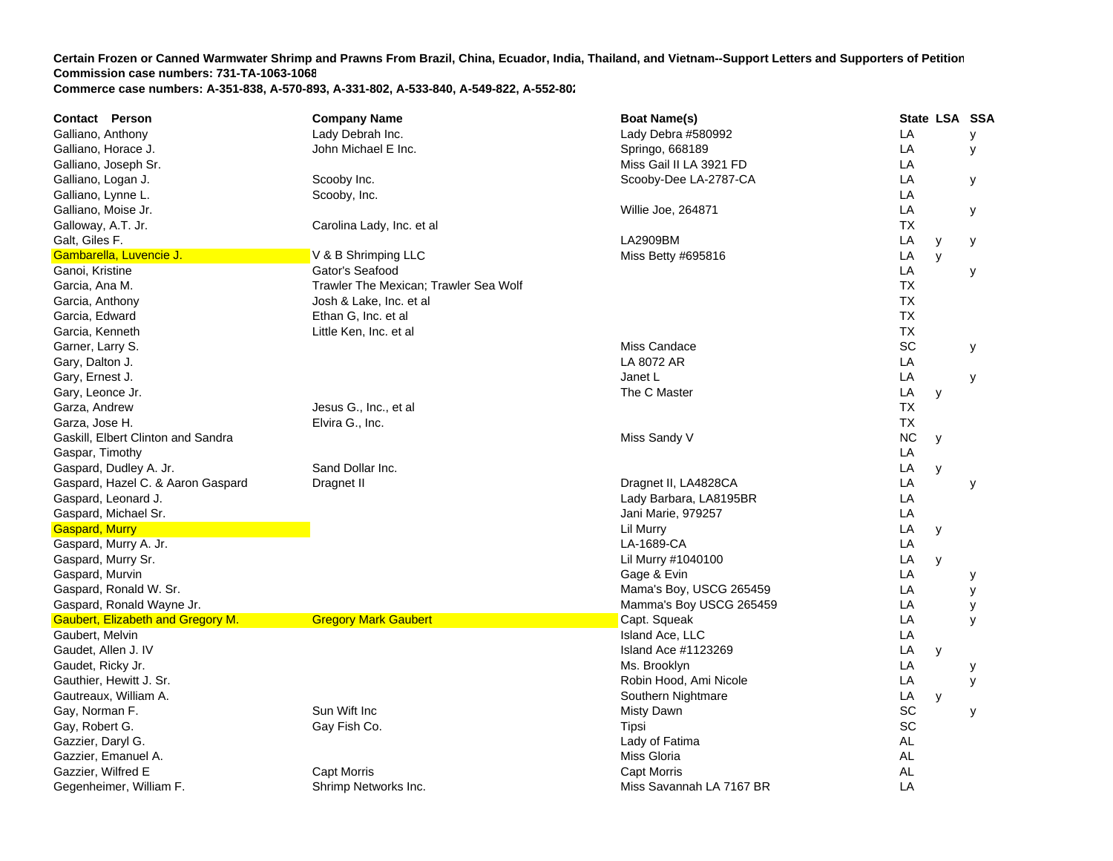| <b>Contact Person</b>                    | <b>Company Name</b>                   | <b>Boat Name(s)</b>      | State LSA SSA  |
|------------------------------------------|---------------------------------------|--------------------------|----------------|
| Galliano, Anthony                        | Lady Debrah Inc.                      | Lady Debra #580992       | LA<br>У        |
| Galliano, Horace J.                      | John Michael E Inc.                   | Springo, 668189          | LA<br>У        |
| Galliano, Joseph Sr.                     |                                       | Miss Gail II LA 3921 FD  | LA             |
| Galliano, Logan J.                       | Scooby Inc.                           | Scooby-Dee LA-2787-CA    | LA<br>У        |
| Galliano, Lynne L.                       | Scooby, Inc.                          |                          | LA             |
| Galliano, Moise Jr.                      |                                       | Willie Joe, 264871       | LA<br>У        |
| Galloway, A.T. Jr.                       | Carolina Lady, Inc. et al             |                          | ТX             |
| Galt, Giles F.                           |                                       | LA2909BM                 | LA<br>У<br>у   |
| Gambarella, Luvencie J.                  | V & B Shrimping LLC                   | Miss Betty #695816       | LA<br>y        |
| Ganoi, Kristine                          | Gator's Seafood                       |                          | LA<br>у        |
| Garcia, Ana M.                           | Trawler The Mexican: Trawler Sea Wolf |                          | <b>TX</b>      |
| Garcia, Anthony                          | Josh & Lake, Inc. et al               |                          | <b>TX</b>      |
| Garcia, Edward                           | Ethan G, Inc. et al                   |                          | <b>TX</b>      |
| Garcia, Kenneth                          | Little Ken, Inc. et al                |                          | <b>TX</b>      |
| Garner, Larry S.                         |                                       | Miss Candace             | SC<br>У        |
| Gary, Dalton J.                          |                                       | LA 8072 AR               | LA             |
| Gary, Ernest J.                          |                                       | Janet L                  | LA<br>у        |
| Gary, Leonce Jr.                         |                                       | The C Master             | LA<br>y        |
| Garza, Andrew                            | Jesus G., Inc., et al                 |                          | <b>TX</b>      |
| Garza, Jose H.                           | Elvira G., Inc.                       |                          | <b>TX</b>      |
| Gaskill, Elbert Clinton and Sandra       |                                       | Miss Sandy V             | <b>NC</b><br>y |
| Gaspar, Timothy                          |                                       |                          | LA             |
| Gaspard, Dudley A. Jr.                   | Sand Dollar Inc.                      |                          | LA<br>y        |
| Gaspard, Hazel C. & Aaron Gaspard        | Dragnet II                            | Dragnet II, LA4828CA     | LA<br>У        |
| Gaspard, Leonard J.                      |                                       | Lady Barbara, LA8195BR   | LA             |
| Gaspard, Michael Sr.                     |                                       | Jani Marie, 979257       | LA             |
| <b>Gaspard, Murry</b>                    |                                       | Lil Murry                | LA<br>y        |
| Gaspard, Murry A. Jr.                    |                                       | LA-1689-CA               | LA             |
| Gaspard, Murry Sr.                       |                                       | Lil Murry #1040100       | LA<br>y        |
| Gaspard, Murvin                          |                                       | Gage & Evin              | LA<br>у        |
| Gaspard, Ronald W. Sr.                   |                                       | Mama's Boy, USCG 265459  | LA<br>У        |
| Gaspard, Ronald Wayne Jr.                |                                       | Mamma's Boy USCG 265459  | LA<br>у        |
| <b>Gaubert, Elizabeth and Gregory M.</b> | <b>Gregory Mark Gaubert</b>           | Capt. Squeak             | LA<br>У        |
| Gaubert, Melvin                          |                                       | Island Ace, LLC          | LA             |
| Gaudet, Allen J. IV                      |                                       | Island Ace #1123269      | LA<br>y        |
| Gaudet, Ricky Jr.                        |                                       | Ms. Brooklyn             | LA<br>у        |
| Gauthier, Hewitt J. Sr.                  |                                       | Robin Hood, Ami Nicole   | LA<br>у        |
| Gautreaux, William A.                    |                                       | Southern Nightmare       | LA<br>y        |
| Gay, Norman F.                           | Sun Wift Inc                          | Misty Dawn               | SC<br>У        |
| Gay, Robert G.                           | Gay Fish Co.                          | Tipsi                    | SC             |
| Gazzier, Daryl G.                        |                                       | Lady of Fatima           | <b>AL</b>      |
| Gazzier, Emanuel A.                      |                                       | Miss Gloria              | AL             |
| Gazzier, Wilfred E                       | Capt Morris                           | <b>Capt Morris</b>       | <b>AL</b>      |
| Gegenheimer, William F.                  | Shrimp Networks Inc.                  | Miss Savannah LA 7167 BR | LA             |
|                                          |                                       |                          |                |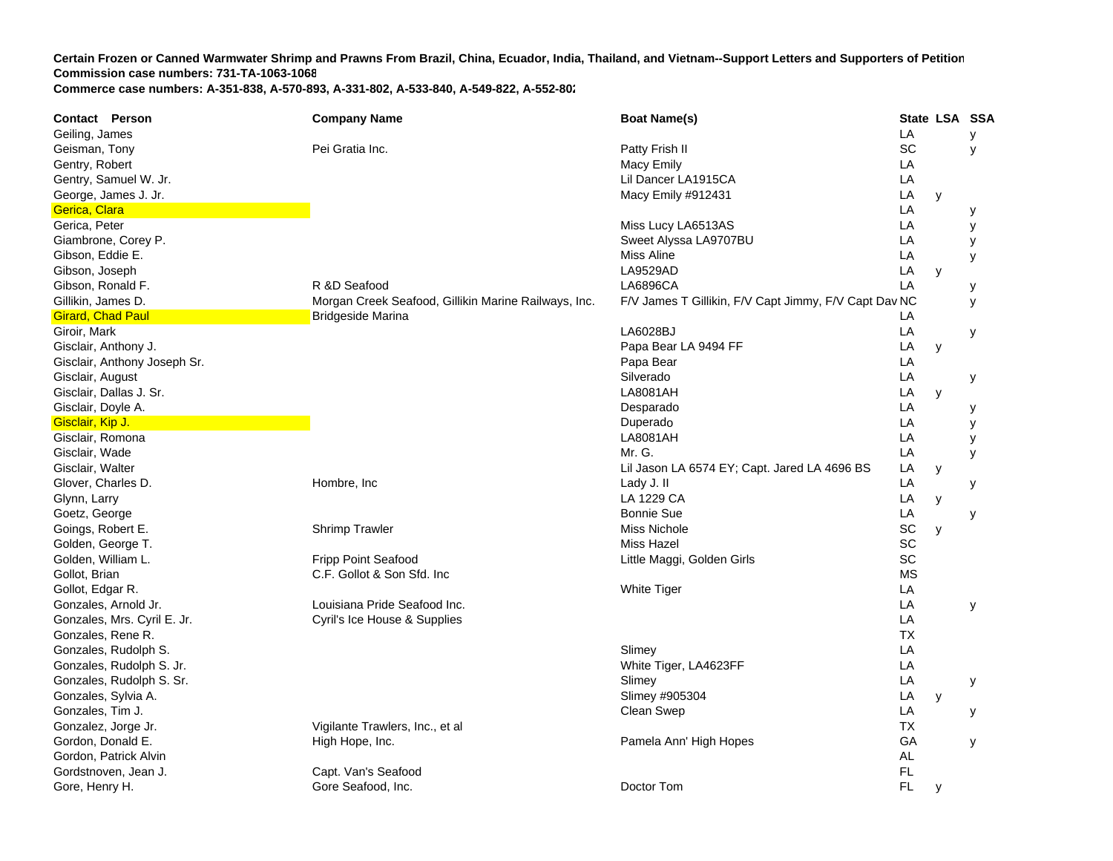**Contact Person Company Name Boat Name(s) State LSA SSA**  Geiling, James LA y Geisman, Tony Pei Gratia Inc. Patty Frish II SC y Gentry, Robert National Communication of the Communication of the Macy Emily National Communication of the LA Gentry, Samuel W. Jr. Lil Dancer LA1915CA LA George, James J. Jr. New York 1988, 2008. The Contract of the Macy Emily #912431 Lines and Macy Emily #912431 Lines and Macy Emily #912431 Lines and Macy Emily #912431 Lines and Macy Emily #912431 Lines and Macy Emily #912 **LA**  y Gerica, Clara **LA y componenta de la componenta de la componenta de la componenta de la componenta de la compo** Gerica, Peter Miss Lucy LA6513AS Lucy LA6513AS Lucy LA6513AS Lucy LA6513AS Lucy LA6513AS **LA**  y Giambrone, Corey P. Sweet Alyssa LA9707BU Cambrone, Corey P. A y Gibson, Eddie E. Miss Aline L **LA**  y Gibson, Joseph LA9529AD L **LA**  y Gibson, Ronald F. R &D Seafood R &D Seafood LA6896CA LA y Gillikin, James D. **Mullician Creek Seafood, Gillikin Marine Railways, Inc.** F/V James T Gillikin, F/V Capt Jimmy, F/V Capt Dav NC y **Girard, Chad Paul Bridgeside Marina Bridgeside Marina LA Bridgeside Marina Bridgeside Marina LA Bridgeside Marin** Giroir, Mark LA6028BJ L **LA**  y Gisclair, Anthony J. Papa Bear LA 9494 FF LA y Gisclair, Anthony Joseph Sr. **Example 20** Control of the Control of the Papa Bear LA Papa Bear LA Control of the Mapa Bear LA Gisclair, August Silverado L **LA**  y Gisclair, Dallas J. Sr. LA8081AH L **LA**  y Gisclair, Doyle A. Desparado L **LA**  y Gisclair, Kip J. Duperado LA y **Gisclair, Romona** LA8081AH LA8081AH LA8081AH LA8081AH LA8081AH LA8081AH LA8081AH LA8081AH LA8081AH LA8081AH LA **LA**  y Gisclair, Wade Looking and the control of the control of the control of the control of the control of the control of the control of the control of the control of the control of the control of the control of the control of **LA**  y Gisclair, Walter Lil Jason LA 6574 EY; Capt. Jared LA 4696 B S LA y Glover, Charles D. Hombre, Inc Lady J. II L **LA**  y Glynn, Larry LA 1229 C LA 1229 CA LA y Goetz, George Bonnie Sue LA y Goings, Robert E. Shrimp Trawler Miss Nichole SC y Golden, George T. Miss Hazel SC Golden, William L. **Example 20 Fripp Point Seafood** Colder Cittle Maggi, Golden Girls Colder Cittle Maggi, Golden Girls SC Gollot, Brian **C.F. Gollot & Son Sfd. Inc** C.F. Gollot & Son Sfd. Inc C.F. Gollot & Son Sfd. Inc C.F. Gollot & Son Sfd. Inc C.F. Gollot **A.C.** C.F. Gollot & Son Sfd. Inc C.F. Gollot **A.C.** C.F. Gollot **A.C. C.C. C.C. C.C.** Gollot, Edgar R. White Tiger L **LA** Gonzales, Arnold Jr. Louisiana Pride Seafood Inc. LA y Gonzales, Mrs. Cyril E. Jr. Cyril's Ice House & Supplies LA Gonzales, Rene R. TXGonzales, Rudolph S. Santa Control of the Control of the Control of the Control of the Control of the Control of the Control of the Control of the Control of the Control of the Control of the Control of the Control of the Gonzales, Rudolph S. Jr. New York 1998, 2008. The State of the White Tiger, LA4623FF LA4623FF LA4623FF LA4623FF **LA** Gonzales, Rudolph S. Sr. Slimey LA y Gonzales, Sylvia A. Slimey #905304 LA y Gonzales, Tim J. Clean Swep L **LA**  y Gonzalez, Jorge Jr. Vigilante Trawlers, Inc., et al TXGordon, Donald E. **Example 20 Formal Anni Hope, Hope, Inc.** Pamela Anni Hopes Gordon, Donald E. GA y Gordon, Patrick Alvin ALC 2006 and ALC 2006 and ALC 2006 and ALC 2006 and ALC 2006 and ALC 2006 and ALC 2006 and ALC 2006 and ALC 2006 and ALC 2006 and ALC 2006 and ALC 2006 and ALC 2006 and ALC 2006 and ALC 2006 and ALC 2 Gordstnoven, Jean J. Capt. Van's Seafood FL Capt. Van's Seafood FL Capt. Van Hulle Seafood FL Capt. Van Hulle Seafood FL Capt. Van Hulle Seafood FL Capt. Van Hulle Seafood FL Capt. Van Hulle Seafood FL Capt. Van Hulle Seaf Gore, Henry H. Gore Seafood, Inc. Doctor Tom FL y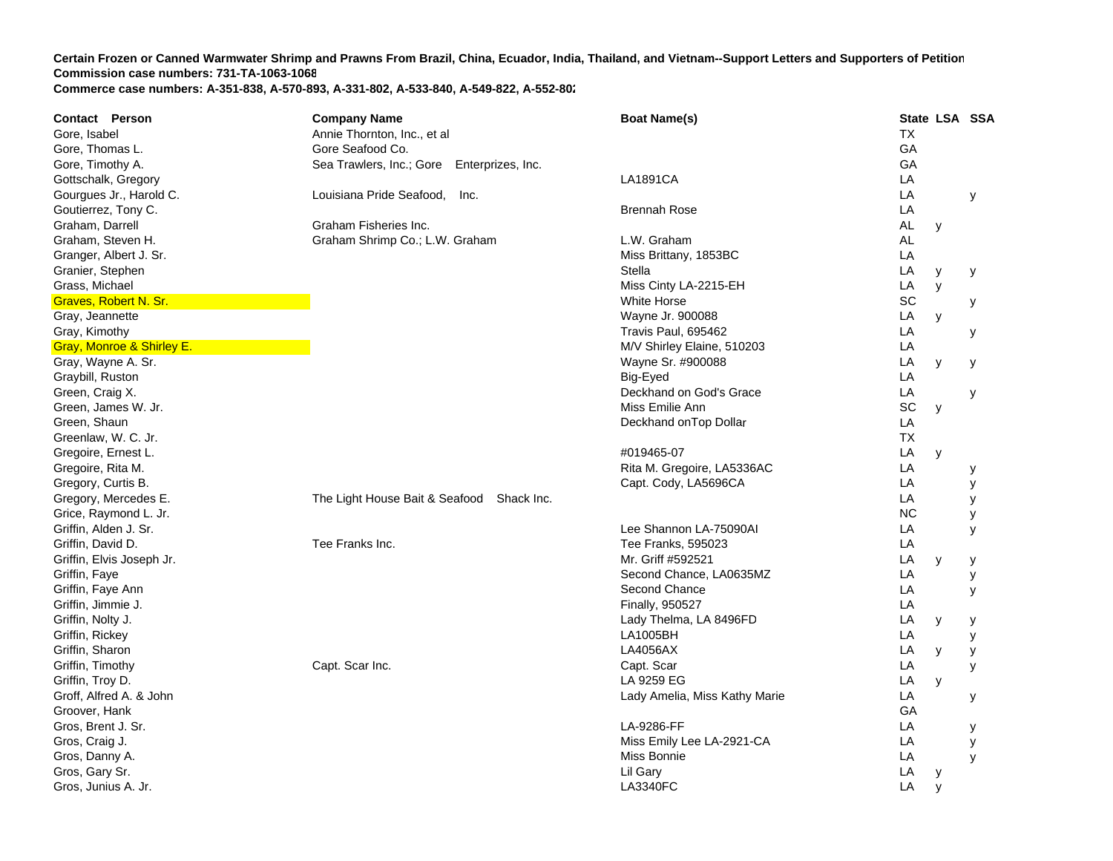| Contact Person            | <b>Company Name</b>                           | <b>Boat Name(s)</b>           | State LSA SSA |   |   |
|---------------------------|-----------------------------------------------|-------------------------------|---------------|---|---|
| Gore, Isabel              | Annie Thornton, Inc., et al                   |                               | <b>TX</b>     |   |   |
| Gore, Thomas L.           | Gore Seafood Co.                              |                               | GA            |   |   |
| Gore, Timothy A.          | Sea Trawlers, Inc.; Gore<br>Enterprizes, Inc. |                               | GA            |   |   |
| Gottschalk, Gregory       |                                               | <b>LA1891CA</b>               | LA            |   |   |
| Gourgues Jr., Harold C.   | Louisiana Pride Seafood,<br>-Inc.             |                               | LA            |   | У |
| Goutierrez, Tony C.       |                                               | <b>Brennah Rose</b>           | LA            |   |   |
| Graham, Darrell           | Graham Fisheries Inc.                         |                               | AL            | y |   |
| Graham, Steven H.         | Graham Shrimp Co.; L.W. Graham                | L.W. Graham                   | <b>AL</b>     |   |   |
| Granger, Albert J. Sr.    |                                               | Miss Brittany, 1853BC         | LA            |   |   |
| Granier, Stephen          |                                               | Stella                        | LA            | у | у |
| Grass, Michael            |                                               | Miss Cinty LA-2215-EH         | LA            | y |   |
| Graves, Robert N. Sr.     |                                               | <b>White Horse</b>            | SC            |   | у |
| Gray, Jeannette           |                                               | Wayne Jr. 900088              | LA            | у |   |
| Gray, Kimothy             |                                               | Travis Paul, 695462           | LA            |   | у |
| Gray, Monroe & Shirley E. |                                               | M/V Shirley Elaine, 510203    | LA            |   |   |
| Gray, Wayne A. Sr.        |                                               | Wayne Sr. #900088             | LA            | y |   |
| Graybill, Ruston          |                                               | Big-Eyed                      | LA            |   | у |
| Green, Craig X.           |                                               | Deckhand on God's Grace       | LA            |   |   |
| Green, James W. Jr.       |                                               | Miss Emilie Ann               | SC            |   | У |
|                           |                                               |                               | LA            | y |   |
| Green, Shaun              |                                               | Deckhand on Top Dollar        |               |   |   |
| Greenlaw, W. C. Jr.       |                                               |                               | <b>TX</b>     |   |   |
| Gregoire, Ernest L.       |                                               | #019465-07                    | LA            | y |   |
| Gregoire, Rita M.         |                                               | Rita M. Gregoire, LA5336AC    | LA            |   | у |
| Gregory, Curtis B.        |                                               | Capt. Cody, LA5696CA          | LA            |   | у |
| Gregory, Mercedes E.      | The Light House Bait & Seafood Shack Inc.     |                               | LA            |   | у |
| Grice, Raymond L. Jr.     |                                               |                               | <b>NC</b>     |   | У |
| Griffin, Alden J. Sr.     |                                               | Lee Shannon LA-75090AI        | LA            |   | y |
| Griffin, David D.         | Tee Franks Inc.                               | Tee Franks, 595023            | LA            |   |   |
| Griffin, Elvis Joseph Jr. |                                               | Mr. Griff #592521             | LA            | y | у |
| Griffin, Faye             |                                               | Second Chance, LA0635MZ       | LA            |   | у |
| Griffin, Faye Ann         |                                               | Second Chance                 | LA            |   | у |
| Griffin, Jimmie J.        |                                               | Finally, 950527               | LA            |   |   |
| Griffin, Nolty J.         |                                               | Lady Thelma, LA 8496FD        | LA            | У | у |
| Griffin, Rickey           |                                               | LA1005BH                      | LA            |   | у |
| Griffin, Sharon           |                                               | LA4056AX                      | LA            | y | У |
| Griffin, Timothy          | Capt. Scar Inc.                               | Capt. Scar                    | LA            |   | у |
| Griffin, Troy D.          |                                               | LA 9259 EG                    | LA            | y |   |
| Groff, Alfred A. & John   |                                               | Lady Amelia, Miss Kathy Marie | LA            |   | у |
| Groover, Hank             |                                               |                               | GA            |   |   |
| Gros, Brent J. Sr.        |                                               | LA-9286-FF                    | LA            |   | у |
| Gros, Craig J.            |                                               | Miss Emily Lee LA-2921-CA     | LA            |   | у |
| Gros, Danny A.            |                                               | Miss Bonnie                   | LA            |   | y |
| Gros, Gary Sr.            |                                               | Lil Gary                      | LA            | У |   |
| Gros, Junius A. Jr.       |                                               | <b>LA3340FC</b>               | LA            | y |   |
|                           |                                               |                               |               |   |   |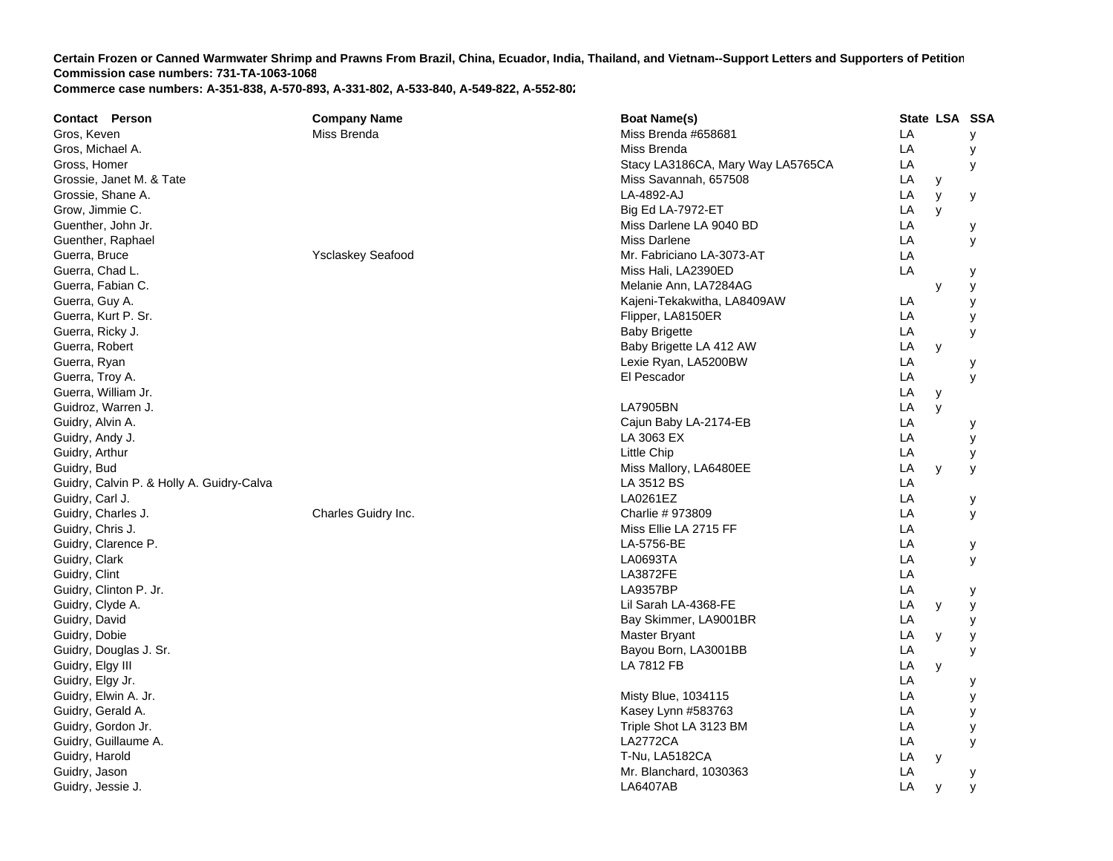| <b>Contact Person</b>                     | <b>Company Name</b>      | <b>Boat Name(s)</b>               |    | State LSA SSA |   |
|-------------------------------------------|--------------------------|-----------------------------------|----|---------------|---|
| Gros, Keven                               | Miss Brenda              | Miss Brenda #658681               | LA |               | y |
| Gros, Michael A.                          |                          | Miss Brenda                       | LA |               | у |
| Gross, Homer                              |                          | Stacy LA3186CA, Mary Way LA5765CA | LA |               | У |
| Grossie, Janet M. & Tate                  |                          | Miss Savannah, 657508             | LA | у             |   |
| Grossie, Shane A.                         |                          | LA-4892-AJ                        | LA | y             | у |
| Grow, Jimmie C.                           |                          | Big Ed LA-7972-ET                 | LA | y             |   |
| Guenther, John Jr.                        |                          | Miss Darlene LA 9040 BD           | LA |               | у |
| Guenther, Raphael                         |                          | <b>Miss Darlene</b>               | LA |               | У |
| Guerra, Bruce                             | <b>Ysclaskey Seafood</b> | Mr. Fabriciano LA-3073-AT         | LA |               |   |
| Guerra, Chad L.                           |                          | Miss Hali, LA2390ED               | LA |               | у |
| Guerra, Fabian C.                         |                          | Melanie Ann, LA7284AG             |    | y             | У |
| Guerra, Guy A.                            |                          | Kajeni-Tekakwitha, LA8409AW       | LA |               | у |
| Guerra, Kurt P. Sr.                       |                          | Flipper, LA8150ER                 | LA |               | у |
| Guerra, Ricky J.                          |                          | <b>Baby Brigette</b>              | LA |               | У |
| Guerra, Robert                            |                          | Baby Brigette LA 412 AW           | LA | y             |   |
| Guerra, Ryan                              |                          | Lexie Ryan, LA5200BW              | LA |               | у |
| Guerra, Troy A.                           |                          | El Pescador                       | LA |               | y |
| Guerra, William Jr.                       |                          |                                   | LA | y             |   |
| Guidroz, Warren J.                        |                          | <b>LA7905BN</b>                   | LA | y             |   |
| Guidry, Alvin A.                          |                          | Cajun Baby LA-2174-EB             | LA |               | у |
| Guidry, Andy J.                           |                          | LA 3063 EX                        | LA |               | У |
| Guidry, Arthur                            |                          | Little Chip                       | LA |               | У |
| Guidry, Bud                               |                          | Miss Mallory, LA6480EE            | LA | y             | У |
| Guidry, Calvin P. & Holly A. Guidry-Calva |                          | LA 3512 BS                        | LA |               |   |
| Guidry, Carl J.                           |                          | LA0261EZ                          | LA |               | у |
| Guidry, Charles J.                        | Charles Guidry Inc.      | Charlie # 973809                  | LA |               | У |
| Guidry, Chris J.                          |                          | Miss Ellie LA 2715 FF             | LA |               |   |
| Guidry, Clarence P.                       |                          | LA-5756-BE                        | LA |               | у |
| Guidry, Clark                             |                          | LA0693TA                          | LA |               | y |
| Guidry, Clint                             |                          | <b>LA3872FE</b>                   | LA |               |   |
| Guidry, Clinton P. Jr.                    |                          | LA9357BP                          | LA |               | у |
| Guidry, Clyde A.                          |                          | Lil Sarah LA-4368-FE              | LA | У             | y |
| Guidry, David                             |                          | Bay Skimmer, LA9001BR             | LA |               | У |
| Guidry, Dobie                             |                          | Master Bryant                     | LA | y             | у |
| Guidry, Douglas J. Sr.                    |                          | Bayou Born, LA3001BB              | LA |               | y |
| Guidry, Elgy III                          |                          | <b>LA 7812 FB</b>                 | LA | y             |   |
| Guidry, Elgy Jr.                          |                          |                                   | LA |               | у |
| Guidry, Elwin A. Jr.                      |                          | Misty Blue, 1034115               | LA |               | у |
| Guidry, Gerald A.                         |                          | Kasey Lynn #583763                | LA |               | У |
| Guidry, Gordon Jr.                        |                          | Triple Shot LA 3123 BM            | LA |               | y |
| Guidry, Guillaume A.                      |                          | <b>LA2772CA</b>                   | LA |               | у |
| Guidry, Harold                            |                          | T-Nu, LA5182CA                    | LA | y             |   |
| Guidry, Jason                             |                          | Mr. Blanchard, 1030363            | LA |               | у |
| Guidry, Jessie J.                         |                          | <b>LA6407AB</b>                   | LA | y             | y |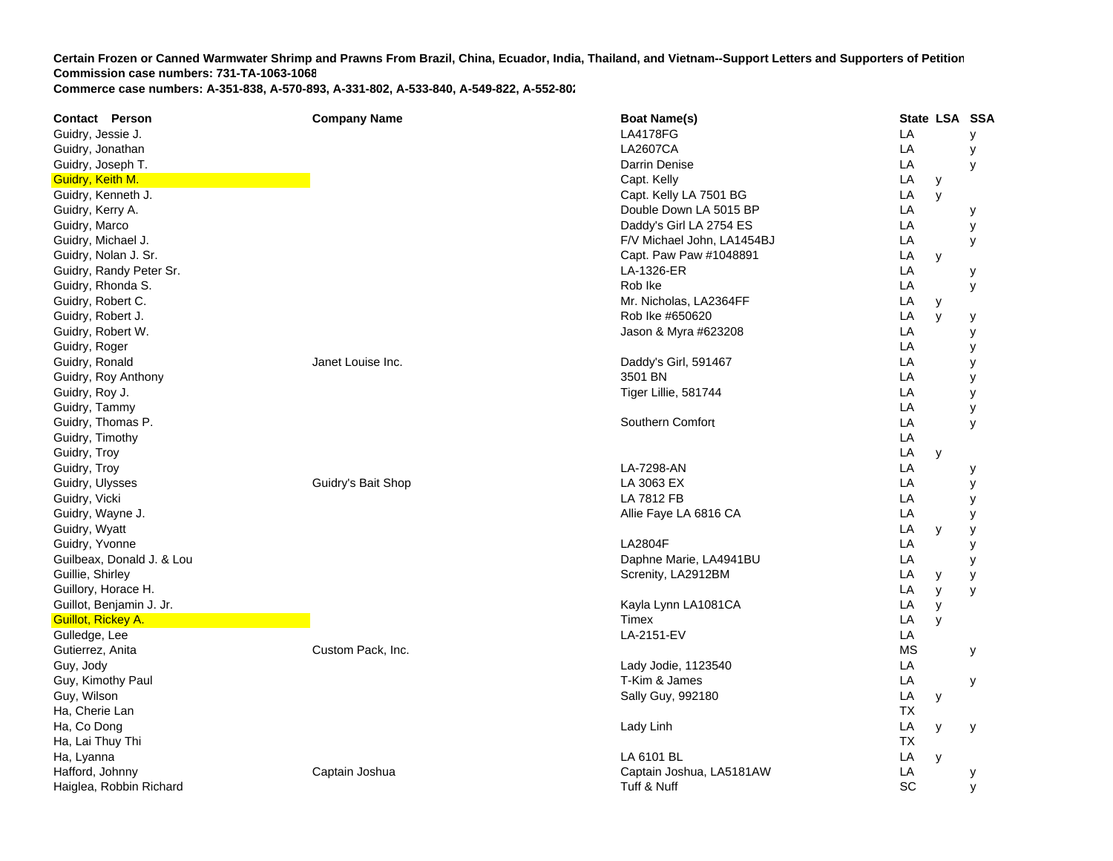**Contact Person Company Name Boat Name(s) State LSA SSA**  Guidry, Jessie J. LA4178FG L **LA**  y Guidry, Jonathan LA2607CA A LA y Guidry, Joseph T. Darrin Denise L **LA**  y Guidry, Keith M. Capt. Kelly LA y Guidry, Kenneth J. Capt. Capt. Kelly LA 7501 BG Later and Capt. Capt. Capt. Capt. Capt. Capt. Capt. Capt. Capt. Capt. Capt. Capt. Capt. Capt. Capt. Capt. Capt. Capt. Capt. Capt. Capt. Capt. Capt. Capt. Capt. Capt. Capt. Ca **LA**  y Guidry, Kerry A. Double Down LA 5015 B P LA y Guidry, Marco **Databased Controllers** Controllers and the United States Controllers Controllers Controllers Controllers Controllers Controllers Controllers Controllers Controllers Controllers Controllers Controllers Contro **LA**  y Guidry, Michael J. **Example 2018** School and The School and The School and The School and The School and The School and The School and The School and The School and The School and The School and The School and The School a **LA**  y Guidry, Nolan J. Sr. Capt. Paw Paw #1048891 Library of Capt. Paw Paw #1048891 Library of Capt. Paw Paw #1048891 **LA**  y Guidry, Randy Peter Sr. LA-1326-ER R LA y Guidry, Rhonda S. Rob Ike L **LA**  y Guidry, Robert C. **Mr. Nicholas, LA2364FF** Letter and Structure and Structure and Mr. Nicholas, LA2364FF Letter and Mr. Nicholas, LA2364FF **LA**  y Guidry, Robert J. Rob Ike #650620 LA y y Guidry, Robert W. Charles Communication of the U.S. Charles Communication of the U.S. Charles Communication of the U.S. Charles Communication of the U.S. Charles Communication of the U.S. Charles Communication of the U.S. Guidry, Roger LA y Guidry, Ronald **Guidren Community Community Community** Janet Louise Inc. Community Community Community Community Community Community Community Community Community Community Community Community Community Community Community A y Guidry, Roy Anthony 3501 BN 2002 12:00 12:00 12:00 12:00 12:00 12:00 13:00 13:00 13:00 13:00 13:00 13:00 13:00 13:00 13:00 13:00 13:00 13:00 13:00 13:00 13:00 13:00 13:00 13:00 13:00 13:00 13:00 13:00 13:00 13:00 13:00 13: **LA**  y Guidry, Roy J. New York 1988, New York 1989, New York 1989, New York 1989, New York 1989, New York 1989, New York 1989, New York 1989, New York 1989, New York 1989, New York 1989, New York 1989, New York 1989, New York 198 **LA**  y Guidry, Tammy LA y Guidry, Thomas P. Southern Comfort LA y Guidry, Timothy LA Guidry, Troy LA y Guidry, Troy LA-7298-AN L **LA**  y Guidry, Ulysses Guidry's Bait Shop LA 3063 EX LA y Guidry, Vicki LA 7812 FB L **LA**  y Guidry, Wayne J. Allie Faye LA 6816 C A LA y Guidry, Wyatt LA y y Guidry, Yvonne LA2804F L **LA**  y Guilbeax, Donald J. & Lou Daphne Marie, LA4941BU LA y Guillie, Shirley Screnity, LA2912BM Cuillie, Shirley Screnity, LA2912BM **LA**  y y Guillory, Horace H. LA y y Guillot, Benjamin J. Jr. Kayla Lynn LA1081CA LA y Guillot, Rickey A. Timex LA y Gulledge, Lee LA-2151-EV V LA Gutierrez, Anita Custom Pack, Inc. MS y Guy, Jody Lady Jodie, 1123540 LA Guy, Kimothy Paul **T-Kim & James Little Act of the Contract of the Contract of T-Contract of T-Kim & James Little Act of T-Kim & James Little Act of the Contract of T-Kim & James Little Act of the Contract of the Contract LA**  y Guy, Wilson **Example 2018** Control of the Sally Guy, 992180 Cuy, Wilson **Sally Guy, 992180** Ha, Cherie Lan TXHa, Co Dong Lady Linh L **LA**  y y Ha, Lai Thuy Thi TXHa, Lyanna LA 6101 BL LA y Hafford, Johnny Captain Joshua Captain Joshua, LA5181A W LA y Haiglea, Robbin Richard Tuff & Nuff SC y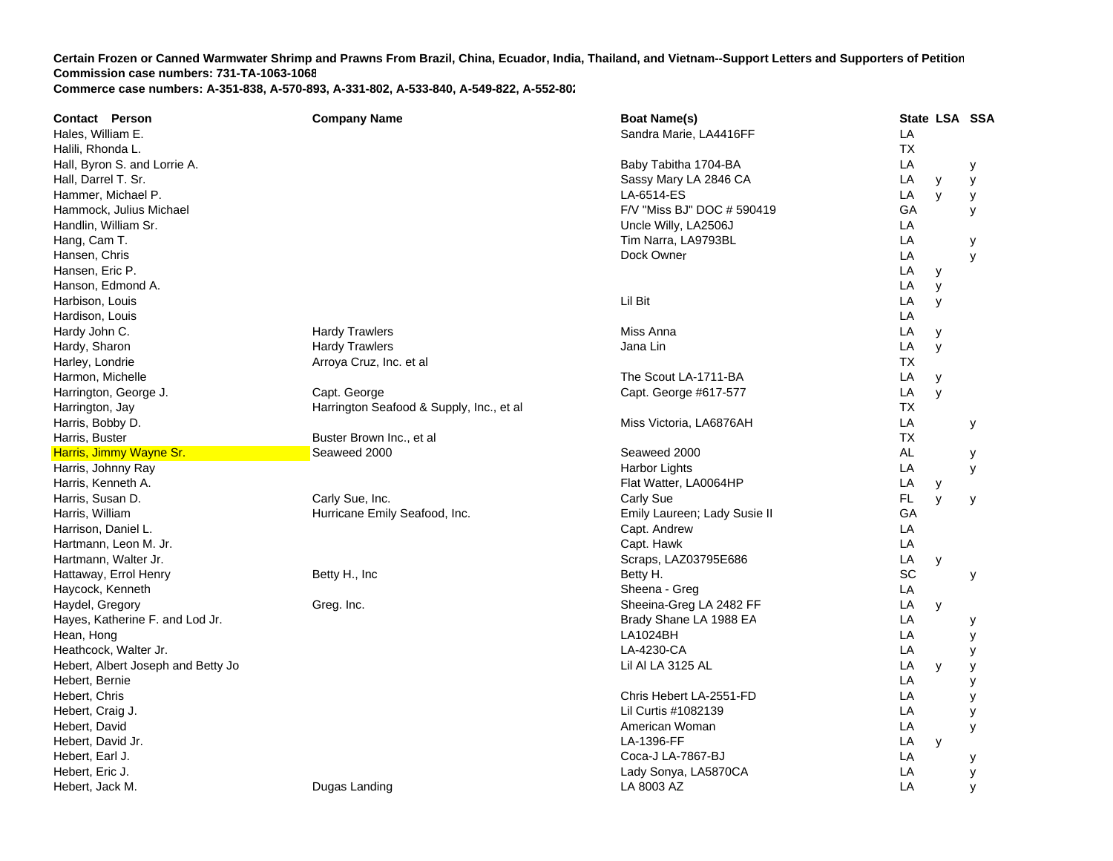| <b>Contact Person</b>              | <b>Company Name</b>                      | <b>Boat Name(s)</b>          | State LSA SSA  |   |
|------------------------------------|------------------------------------------|------------------------------|----------------|---|
| Hales, William E.                  |                                          | Sandra Marie, LA4416FF       | LA             |   |
| Halili, Rhonda L.                  |                                          |                              | <b>TX</b>      |   |
| Hall, Byron S. and Lorrie A.       |                                          | Baby Tabitha 1704-BA         | LA             | у |
| Hall, Darrel T. Sr.                |                                          | Sassy Mary LA 2846 CA        | LA<br>у        | у |
| Hammer, Michael P.                 |                                          | LA-6514-ES                   | LA<br>y        | У |
| Hammock, Julius Michael            |                                          | F/V "Miss BJ" DOC # 590419   | GA             | у |
| Handlin, William Sr.               |                                          | Uncle Willy, LA2506J         | LA             |   |
| Hang, Cam T.                       |                                          | Tim Narra, LA9793BL          | LA             | у |
| Hansen, Chris                      |                                          | Dock Owner                   | LA             | y |
| Hansen, Eric P.                    |                                          |                              | LA<br>y        |   |
| Hanson, Edmond A.                  |                                          |                              | LA<br>y        |   |
| Harbison, Louis                    |                                          | Lil Bit                      | LA<br>y        |   |
| Hardison, Louis                    |                                          |                              | LA             |   |
| Hardy John C.                      | <b>Hardy Trawlers</b>                    | Miss Anna                    | LA<br>y        |   |
| Hardy, Sharon                      | <b>Hardy Trawlers</b>                    | Jana Lin                     | LA<br>y        |   |
| Harley, Londrie                    | Arroya Cruz, Inc. et al                  |                              | ТX             |   |
| Harmon, Michelle                   |                                          | The Scout LA-1711-BA         | LA<br>y        |   |
| Harrington, George J.              | Capt. George                             | Capt. George #617-577        | LA<br>y        |   |
| Harrington, Jay                    | Harrington Seafood & Supply, Inc., et al |                              | <b>TX</b>      |   |
| Harris, Bobby D.                   |                                          | Miss Victoria, LA6876AH      | LA             | у |
| Harris, Buster                     | Buster Brown Inc., et al                 |                              | <b>TX</b>      |   |
| Harris, Jimmy Wayne Sr.            | Seaweed 2000                             | Seaweed 2000                 | AL             | у |
| Harris, Johnny Ray                 |                                          | Harbor Lights                | LA             | y |
| Harris, Kenneth A.                 |                                          | Flat Watter, LA0064HP        | LA<br>y        |   |
| Harris, Susan D.                   | Carly Sue, Inc.                          | Carly Sue                    | <b>FL</b><br>У | У |
| Harris, William                    | Hurricane Emily Seafood, Inc.            | Emily Laureen; Lady Susie II | GA             |   |
| Harrison, Daniel L.                |                                          | Capt. Andrew                 | LA             |   |
| Hartmann, Leon M. Jr.              |                                          | Capt. Hawk                   | LA             |   |
| Hartmann, Walter Jr.               |                                          | Scraps, LAZ03795E686         | LA<br>y        |   |
| Hattaway, Errol Henry              | Betty H., Inc                            | Betty H.                     | SC             | У |
| Haycock, Kenneth                   |                                          | Sheena - Greg                | LA             |   |
| Haydel, Gregory                    | Greg. Inc.                               | Sheeina-Greg LA 2482 FF      | LA<br>y        |   |
| Hayes, Katherine F. and Lod Jr.    |                                          | Brady Shane LA 1988 EA       | LA             | у |
| Hean, Hong                         |                                          | LA1024BH                     | LA             | y |
| Heathcock, Walter Jr.              |                                          | LA-4230-CA                   | LA             | у |
| Hebert, Albert Joseph and Betty Jo |                                          | Lil AI LA 3125 AL            | LA<br>y        | у |
| Hebert, Bernie                     |                                          |                              | LA             | У |
| Hebert, Chris                      |                                          | Chris Hebert LA-2551-FD      | LA             | y |
| Hebert, Craig J.                   |                                          | Lil Curtis #1082139          | LA             | у |
| Hebert, David                      |                                          | American Woman               | LA             | у |
| Hebert, David Jr.                  |                                          | LA-1396-FF                   | LA<br>y        |   |
| Hebert, Earl J.                    |                                          | Coca-J LA-7867-BJ            | LA             | у |
| Hebert, Eric J.                    |                                          | Lady Sonya, LA5870CA         | LA             | У |
| Hebert, Jack M.                    | Dugas Landing                            | LA 8003 AZ                   | LA             | y |
|                                    |                                          |                              |                |   |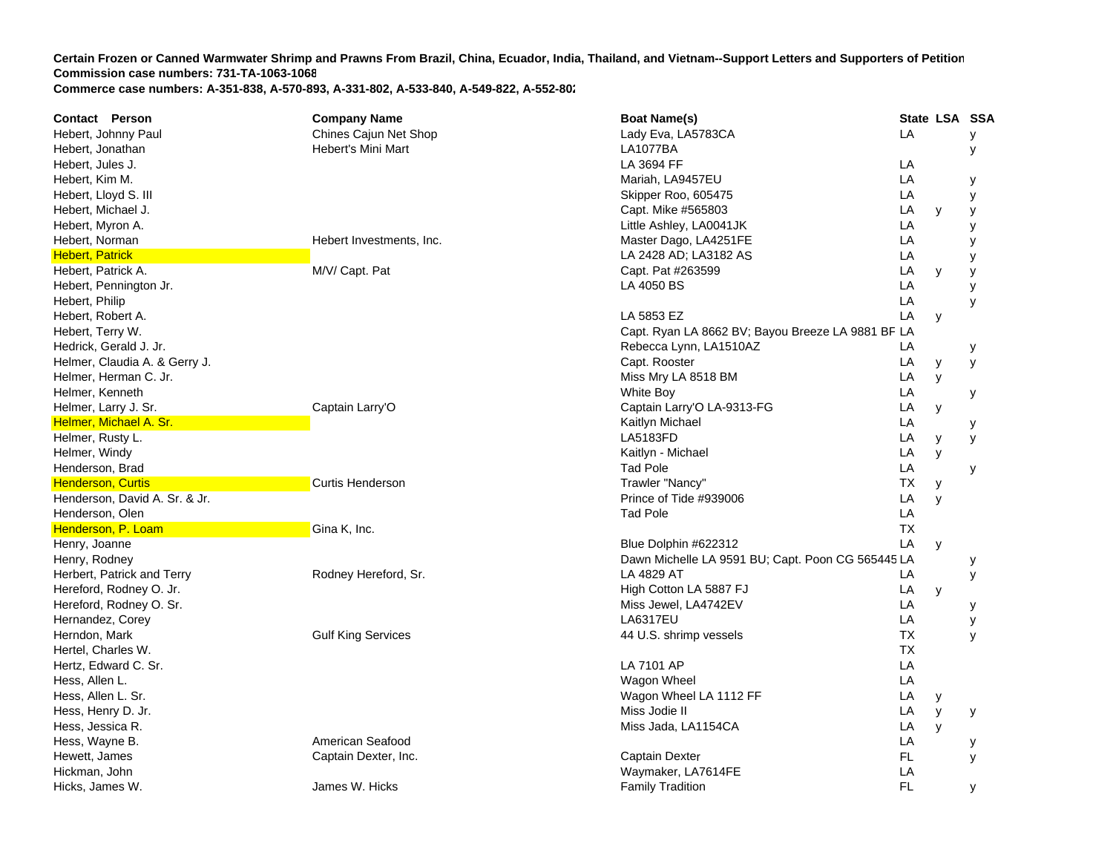| <b>Contact Person</b>         | <b>Company Name</b>       | <b>Boat Name(s)</b>                               |           | State LSA SSA |   |
|-------------------------------|---------------------------|---------------------------------------------------|-----------|---------------|---|
| Hebert, Johnny Paul           | Chines Cajun Net Shop     | Lady Eva, LA5783CA                                | LA        |               | У |
| Hebert, Jonathan              | Hebert's Mini Mart        | <b>LA1077BA</b>                                   |           |               | у |
| Hebert, Jules J.              |                           | LA 3694 FF                                        | LA        |               |   |
| Hebert, Kim M.                |                           | Mariah, LA9457EU                                  | LA        |               | У |
| Hebert, Lloyd S. III          |                           | Skipper Roo, 605475                               | LA        |               | у |
| Hebert, Michael J.            |                           | Capt. Mike #565803                                | LA        | y             | у |
| Hebert, Myron A.              |                           | Little Ashley, LA0041JK                           | LA        |               | У |
| Hebert, Norman                | Hebert Investments, Inc.  | Master Dago, LA4251FE                             | LA        |               | у |
| <b>Hebert, Patrick</b>        |                           | LA 2428 AD; LA3182 AS                             | LA        |               | y |
| Hebert, Patrick A.            | M/V/ Capt. Pat            | Capt. Pat #263599                                 | LA        | y             | у |
| Hebert, Pennington Jr.        |                           | LA 4050 BS                                        | LA        |               | у |
| Hebert, Philip                |                           |                                                   | LA        |               | y |
| Hebert, Robert A.             |                           | LA 5853 EZ                                        | LA        | У             |   |
| Hebert, Terry W.              |                           | Capt. Ryan LA 8662 BV; Bayou Breeze LA 9881 BF LA |           |               |   |
| Hedrick, Gerald J. Jr.        |                           | Rebecca Lynn, LA1510AZ                            | LA        |               | у |
| Helmer, Claudia A. & Gerry J. |                           | Capt. Rooster                                     | LA        | y             | У |
| Helmer, Herman C. Jr.         |                           | Miss Mry LA 8518 BM                               | LA        | y             |   |
| Helmer, Kenneth               |                           | White Boy                                         | LA        |               | у |
| Helmer, Larry J. Sr.          | Captain Larry'O           | Captain Larry'O LA-9313-FG                        | LA        | y             |   |
| Helmer, Michael A. Sr.        |                           | Kaitlyn Michael                                   | LA        |               | у |
| Helmer, Rusty L.              |                           | <b>LA5183FD</b>                                   | LA        | y             | У |
| Helmer, Windy                 |                           | Kaitlyn - Michael                                 | LA        | y             |   |
| Henderson, Brad               |                           | <b>Tad Pole</b>                                   | LA        |               | у |
| <b>Henderson, Curtis</b>      | <b>Curtis Henderson</b>   | Trawler "Nancy"                                   | ТX        | y             |   |
| Henderson, David A. Sr. & Jr. |                           | Prince of Tide #939006                            | LA        | y             |   |
| Henderson, Olen               |                           | <b>Tad Pole</b>                                   | LA        |               |   |
| Henderson, P. Loam            | Gina K, Inc.              |                                                   | <b>TX</b> |               |   |
| Henry, Joanne                 |                           | Blue Dolphin #622312                              | LA        | У             |   |
| Henry, Rodney                 |                           | Dawn Michelle LA 9591 BU; Capt. Poon CG 565445 LA |           |               | у |
| Herbert, Patrick and Terry    | Rodney Hereford, Sr.      | LA 4829 AT                                        | LA        |               | у |
| Hereford, Rodney O. Jr.       |                           | High Cotton LA 5887 FJ                            | LA        | у             |   |
| Hereford, Rodney O. Sr.       |                           | Miss Jewel, LA4742EV                              | LA        |               | у |
| Hernandez, Corey              |                           | <b>LA6317EU</b>                                   | LA        |               | У |
| Herndon, Mark                 | <b>Gulf King Services</b> | 44 U.S. shrimp vessels                            | ТX        |               | y |
| Hertel, Charles W.            |                           |                                                   | <b>TX</b> |               |   |
| Hertz, Edward C. Sr.          |                           | LA 7101 AP                                        | LA        |               |   |
| Hess, Allen L.                |                           | Wagon Wheel                                       | LA        |               |   |
| Hess, Allen L. Sr.            |                           | Wagon Wheel LA 1112 FF                            | LA        | У             |   |
| Hess, Henry D. Jr.            |                           | Miss Jodie II                                     | LA        | y             | у |
| Hess, Jessica R.              |                           | Miss Jada, LA1154CA                               | LA        | y             |   |
| Hess, Wayne B.                | American Seafood          |                                                   | LA        |               | у |
| Hewett, James                 | Captain Dexter, Inc.      | Captain Dexter                                    | FL        |               | У |
| Hickman, John                 |                           | Waymaker, LA7614FE                                | LA        |               |   |
| Hicks, James W.               | James W. Hicks            | <b>Family Tradition</b>                           | <b>FL</b> |               | У |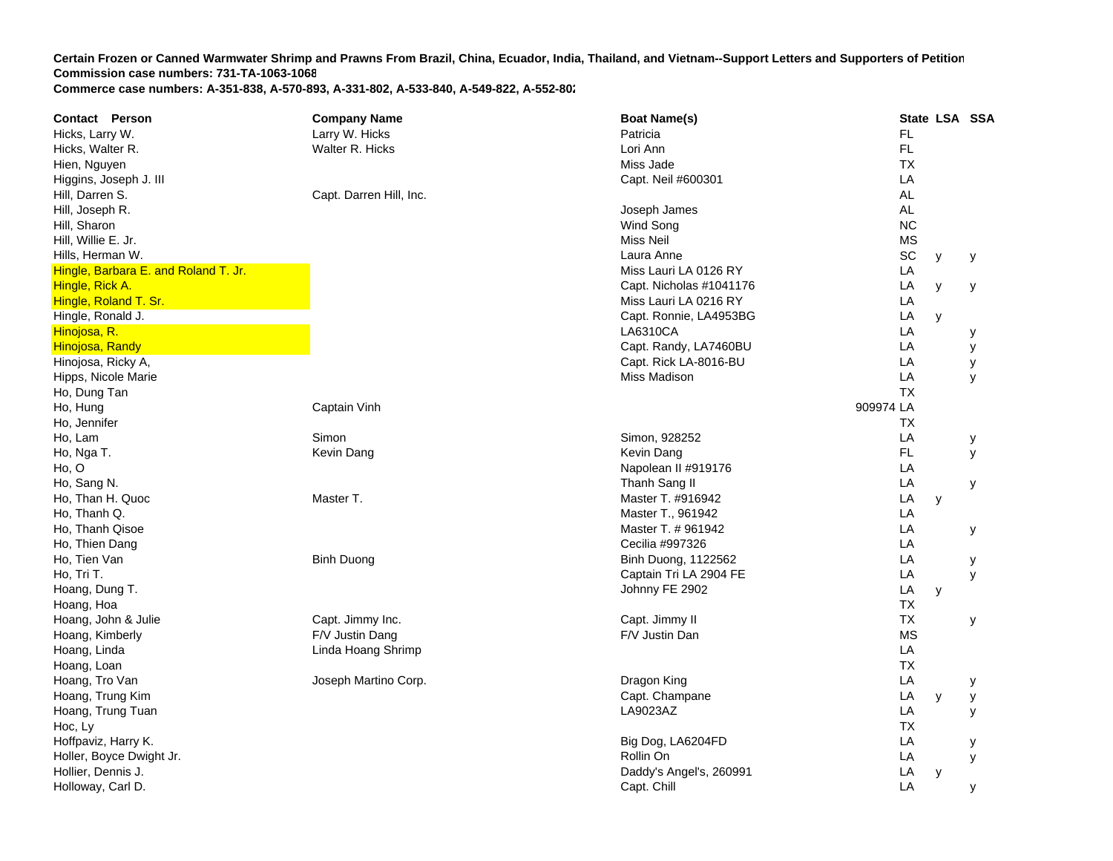| <b>Contact Person</b>                | <b>Company Name</b>     | <b>Boat Name(s)</b>     |           | State LSA SSA |   |
|--------------------------------------|-------------------------|-------------------------|-----------|---------------|---|
| Hicks, Larry W.                      | Larry W. Hicks          | Patricia                | FL.       |               |   |
| Hicks, Walter R.                     | Walter R. Hicks         | Lori Ann                | FL.       |               |   |
| Hien, Nguyen                         |                         | Miss Jade               | <b>TX</b> |               |   |
| Higgins, Joseph J. III               |                         | Capt. Neil #600301      | LA        |               |   |
| Hill, Darren S.                      | Capt. Darren Hill, Inc. |                         | <b>AL</b> |               |   |
| Hill, Joseph R.                      |                         | Joseph James            | <b>AL</b> |               |   |
| Hill, Sharon                         |                         | Wind Song               | <b>NC</b> |               |   |
| Hill, Willie E. Jr.                  |                         | Miss Neil               | <b>MS</b> |               |   |
| Hills, Herman W.                     |                         | Laura Anne              | SC        | y             | У |
| Hingle, Barbara E. and Roland T. Jr. |                         | Miss Lauri LA 0126 RY   | LA        |               |   |
| Hingle, Rick A.                      |                         | Capt. Nicholas #1041176 | LA        | y             | у |
| Hingle, Roland T. Sr.                |                         | Miss Lauri LA 0216 RY   | LA        |               |   |
| Hingle, Ronald J.                    |                         | Capt. Ronnie, LA4953BG  | LA        | y             |   |
| Hinojosa, R.                         |                         | LA6310CA                | LA        |               | у |
| Hinojosa, Randy                      |                         | Capt. Randy, LA7460BU   | LA        |               | У |
| Hinojosa, Ricky A,                   |                         | Capt. Rick LA-8016-BU   | LA        |               | у |
| Hipps, Nicole Marie                  |                         | Miss Madison            | LA        |               | y |
| Ho, Dung Tan                         |                         |                         | <b>TX</b> |               |   |
| Ho, Hung                             | Captain Vinh            |                         | 909974 LA |               |   |
| Ho, Jennifer                         |                         |                         | ТX        |               |   |
| Ho, Lam                              | Simon                   | Simon, 928252           | LA        |               | у |
| Ho, Nga T.                           | Kevin Dang              | Kevin Dang              | <b>FL</b> |               | у |
| Ho, O                                |                         | Napolean II #919176     | LA        |               |   |
| Ho, Sang N.                          |                         | Thanh Sang II           | LA        |               | у |
| Ho, Than H. Quoc                     | Master T.               | Master T. #916942       | LA        | y             |   |
| Ho, Thanh Q.                         |                         | Master T., 961942       | LA        |               |   |
| Ho, Thanh Qisoe                      |                         | Master T. # 961942      | LA        |               | у |
| Ho, Thien Dang                       |                         | Cecilia #997326         | LA        |               |   |
| Ho, Tien Van                         | <b>Binh Duong</b>       | Binh Duong, 1122562     | LA        |               | у |
| Ho, Tri T.                           |                         | Captain Tri LA 2904 FE  | LA        |               | y |
| Hoang, Dung T.                       |                         | Johnny FE 2902          | LA        | y             |   |
| Hoang, Hoa                           |                         |                         | <b>TX</b> |               |   |
| Hoang, John & Julie                  | Capt. Jimmy Inc.        | Capt. Jimmy II          | <b>TX</b> |               | у |
| Hoang, Kimberly                      | F/V Justin Dang         | F/V Justin Dan          | <b>MS</b> |               |   |
| Hoang, Linda                         | Linda Hoang Shrimp      |                         | LA        |               |   |
| Hoang, Loan                          |                         |                         | <b>TX</b> |               |   |
| Hoang, Tro Van                       | Joseph Martino Corp.    | Dragon King             | LA        |               | у |
| Hoang, Trung Kim                     |                         | Capt. Champane          | LA        | y             | у |
| Hoang, Trung Tuan                    |                         | LA9023AZ                | LA        |               | У |
| Hoc, Ly                              |                         |                         | ТX        |               |   |
| Hoffpaviz, Harry K.                  |                         | Big Dog, LA6204FD       | LA        |               | у |
| Holler, Boyce Dwight Jr.             |                         | Rollin On               | LA        |               | У |
| Hollier, Dennis J.                   |                         | Daddy's Angel's, 260991 | LA        | y             |   |
| Holloway, Carl D.                    |                         | Capt. Chill             | LA        |               | у |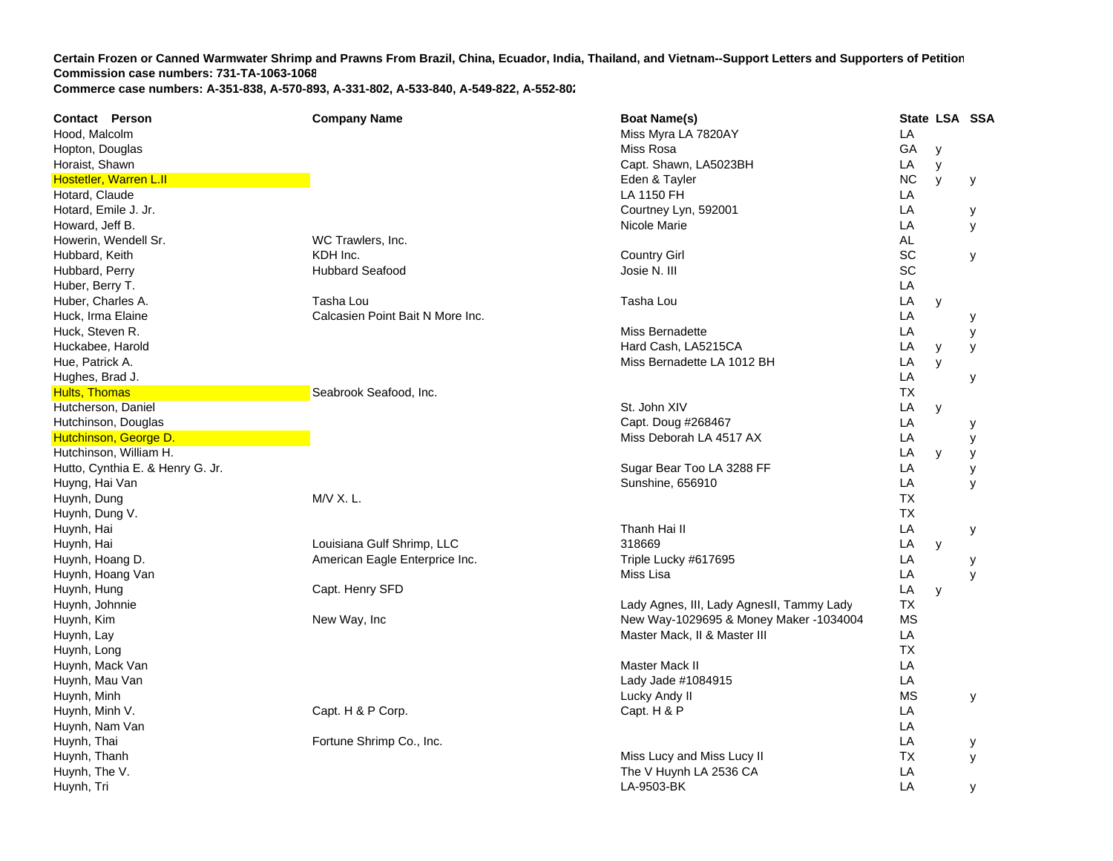| <b>Contact Person</b>            | <b>Company Name</b>              | <b>Boat Name(s)</b>                       |           | State LSA SSA |   |
|----------------------------------|----------------------------------|-------------------------------------------|-----------|---------------|---|
| Hood, Malcolm                    |                                  | Miss Myra LA 7820AY                       | LA        |               |   |
| Hopton, Douglas                  |                                  | Miss Rosa                                 | GA        | y             |   |
| Horaist, Shawn                   |                                  | Capt. Shawn, LA5023BH                     | LA        | y             |   |
| <b>Hostetler, Warren L.II</b>    |                                  | Eden & Tayler                             | <b>NC</b> | y             | у |
| Hotard, Claude                   |                                  | LA 1150 FH                                | LA        |               |   |
| Hotard, Emile J. Jr.             |                                  | Courtney Lyn, 592001                      | LA        |               | у |
| Howard, Jeff B.                  |                                  | Nicole Marie                              | LA        |               | у |
| Howerin, Wendell Sr.             | WC Trawlers, Inc.                |                                           | AL        |               |   |
| Hubbard, Keith                   | KDH Inc.                         | <b>Country Girl</b>                       | SC        |               | У |
| Hubbard, Perry                   | <b>Hubbard Seafood</b>           | Josie N. III                              | SC        |               |   |
| Huber, Berry T.                  |                                  |                                           | LA        |               |   |
| Huber, Charles A.                | Tasha Lou                        | Tasha Lou                                 | LA        | y             |   |
| Huck, Irma Elaine                | Calcasien Point Bait N More Inc. |                                           | LA        |               | у |
| Huck, Steven R.                  |                                  | Miss Bernadette                           | LA        |               | У |
| Huckabee, Harold                 |                                  | Hard Cash, LA5215CA                       | LA        | y             | У |
| Hue, Patrick A.                  |                                  | Miss Bernadette LA 1012 BH                | LA        | y             |   |
| Hughes, Brad J.                  |                                  |                                           | LA        |               | у |
| <b>Hults, Thomas</b>             | Seabrook Seafood, Inc.           |                                           | <b>TX</b> |               |   |
| Hutcherson, Daniel               |                                  | St. John XIV                              | LA        | y             |   |
| Hutchinson, Douglas              |                                  | Capt. Doug #268467                        | LA        |               | у |
| Hutchinson, George D.            |                                  | Miss Deborah LA 4517 AX                   | LA        |               | у |
| Hutchinson, William H.           |                                  |                                           | LA        | y             | у |
| Hutto, Cynthia E. & Henry G. Jr. |                                  | Sugar Bear Too LA 3288 FF                 | LA        |               | У |
| Huyng, Hai Van                   |                                  | Sunshine, 656910                          | LA        |               | y |
| Huynh, Dung                      | $M/V$ X. L.                      |                                           | <b>TX</b> |               |   |
| Huynh, Dung V.                   |                                  |                                           | <b>TX</b> |               |   |
| Huynh, Hai                       |                                  | Thanh Hai II                              | LA        |               | у |
| Huynh, Hai                       | Louisiana Gulf Shrimp, LLC       | 318669                                    | LA        | y             |   |
| Huynh, Hoang D.                  | American Eagle Enterprice Inc.   | Triple Lucky #617695                      | LA        |               | у |
| Huynh, Hoang Van                 |                                  | Miss Lisa                                 | LA        |               | y |
| Huynh, Hung                      | Capt. Henry SFD                  |                                           | LA        | y             |   |
| Huynh, Johnnie                   |                                  | Lady Agnes, III, Lady AgnesII, Tammy Lady | TX        |               |   |
| Huynh, Kim                       | New Way, Inc                     | New Way-1029695 & Money Maker -1034004    | <b>MS</b> |               |   |
| Huynh, Lay                       |                                  | Master Mack, II & Master III              | LA        |               |   |
| Huynh, Long                      |                                  |                                           | <b>TX</b> |               |   |
| Huynh, Mack Van                  |                                  | Master Mack II                            | LA        |               |   |
| Huynh, Mau Van                   |                                  | Lady Jade #1084915                        | LA        |               |   |
| Huynh, Minh                      |                                  | Lucky Andy II                             | <b>MS</b> |               | у |
| Huynh, Minh V.                   | Capt. H & P Corp.                | Capt. H & P                               | LA        |               |   |
| Huynh, Nam Van                   |                                  |                                           | LA        |               |   |
| Huynh, Thai                      | Fortune Shrimp Co., Inc.         |                                           | LA        |               | у |
| Huynh, Thanh                     |                                  | Miss Lucy and Miss Lucy II                | <b>TX</b> |               | У |
| Huynh, The V.                    |                                  | The V Huynh LA 2536 CA                    | LA        |               |   |
| Huynh, Tri                       |                                  | LA-9503-BK                                | LA        |               | у |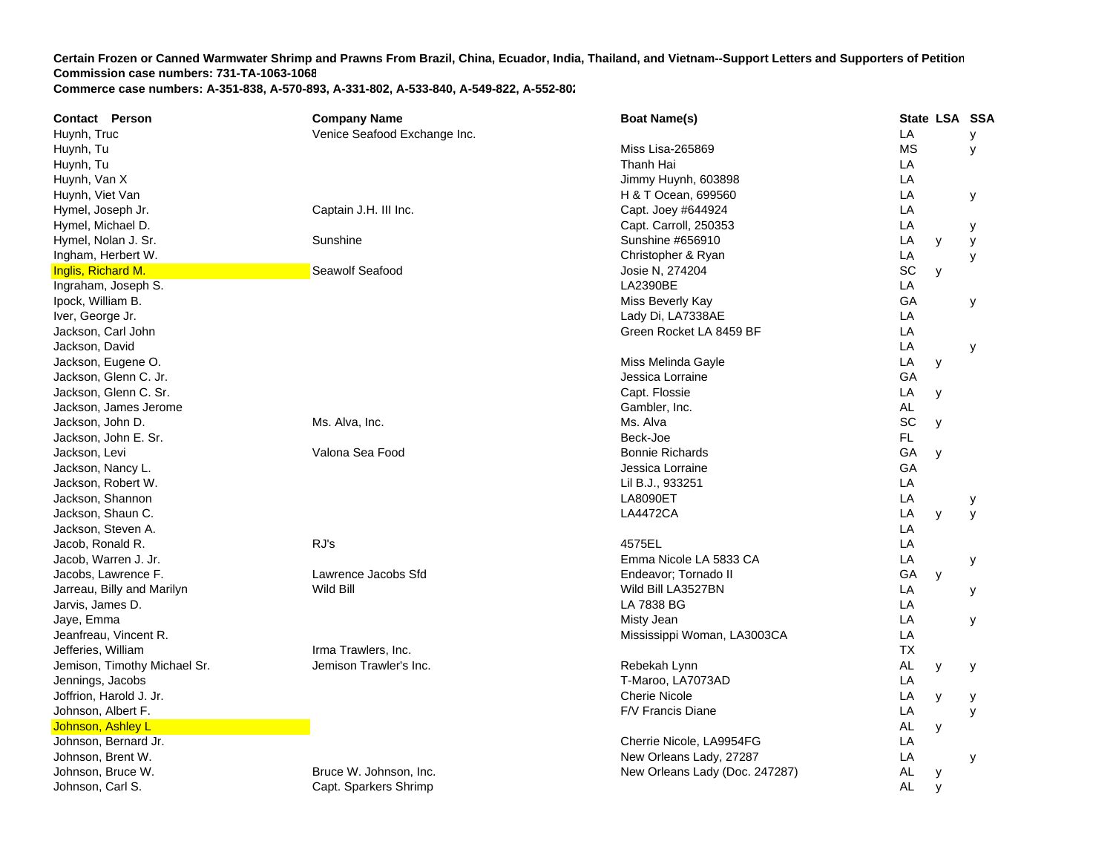| <b>Contact Person</b>        | <b>Company Name</b>          | <b>Boat Name(s)</b>            | State LSA SSA  |   |
|------------------------------|------------------------------|--------------------------------|----------------|---|
| Huynh, Truc                  | Venice Seafood Exchange Inc. |                                | LA             | У |
| Huynh, Tu                    |                              | Miss Lisa-265869               | <b>MS</b>      | У |
| Huynh, Tu                    |                              | Thanh Hai                      | LA             |   |
| Huynh, Van X                 |                              | Jimmy Huynh, 603898            | LA             |   |
| Huynh, Viet Van              |                              | H & T Ocean, 699560            | LA             | У |
| Hymel, Joseph Jr.            | Captain J.H. III Inc.        | Capt. Joey #644924             | LA             |   |
| Hymel, Michael D.            |                              | Capt. Carroll, 250353          | LA             | у |
| Hymel, Nolan J. Sr.          | Sunshine                     | Sunshine #656910               | LA<br>y        | y |
| Ingham, Herbert W.           |                              | Christopher & Ryan             | LA             | у |
| Inglis, Richard M.           | Seawolf Seafood              | Josie N, 274204                | SC<br>y        |   |
| Ingraham, Joseph S.          |                              | LA2390BE                       | LA             |   |
| Ipock, William B.            |                              | Miss Beverly Kay               | GA             | У |
| Iver, George Jr.             |                              | Lady Di, LA7338AE              | LA             |   |
| Jackson, Carl John           |                              | Green Rocket LA 8459 BF        | LA             |   |
| Jackson, David               |                              |                                | LA             | У |
| Jackson, Eugene O.           |                              | Miss Melinda Gayle             | LA<br>У        |   |
| Jackson, Glenn C. Jr.        |                              | Jessica Lorraine               | GA             |   |
| Jackson, Glenn C. Sr.        |                              | Capt. Flossie                  | LA<br>y        |   |
| Jackson, James Jerome        |                              | Gambler, Inc.                  | <b>AL</b>      |   |
| Jackson, John D.             | Ms. Alva, Inc.               | Ms. Alva                       | SC<br>y        |   |
| Jackson, John E. Sr.         |                              | Beck-Joe                       | FL             |   |
| Jackson, Levi                | Valona Sea Food              | <b>Bonnie Richards</b>         | GA<br>y        |   |
| Jackson, Nancy L.            |                              | Jessica Lorraine               | GA             |   |
| Jackson, Robert W.           |                              | Lil B.J., 933251               | LA             |   |
| Jackson, Shannon             |                              | <b>LA8090ET</b>                | LA             | у |
| Jackson, Shaun C.            |                              | <b>LA4472CA</b>                | LA<br>y        | У |
| Jackson, Steven A.           |                              |                                | LA             |   |
| Jacob, Ronald R.             | RJ's                         | 4575EL                         | LA             |   |
| Jacob, Warren J. Jr.         |                              | Emma Nicole LA 5833 CA         | LA             | у |
| Jacobs, Lawrence F.          | Lawrence Jacobs Sfd          | Endeavor: Tornado II           | GA<br>y        |   |
| Jarreau, Billy and Marilyn   | Wild Bill                    | Wild Bill LA3527BN             | LA             | У |
| Jarvis, James D.             |                              | LA 7838 BG                     | LA             |   |
| Jaye, Emma                   |                              | Misty Jean                     | LA             | У |
| Jeanfreau, Vincent R.        |                              | Mississippi Woman, LA3003CA    | LA             |   |
| Jefferies, William           | Irma Trawlers, Inc.          |                                | <b>TX</b>      |   |
| Jemison, Timothy Michael Sr. | Jemison Trawler's Inc.       | Rebekah Lynn                   | <b>AL</b><br>у | у |
| Jennings, Jacobs             |                              | T-Maroo, LA7073AD              | LA             |   |
| Joffrion, Harold J. Jr.      |                              | <b>Cherie Nicole</b>           | LA<br>y        | у |
| Johnson, Albert F.           |                              | F/V Francis Diane              | LA             | У |
| Johnson, Ashley L            |                              |                                | AL<br>y        |   |
| Johnson, Bernard Jr.         |                              | Cherrie Nicole, LA9954FG       | LA             |   |
| Johnson, Brent W.            |                              | New Orleans Lady, 27287        | LA             | У |
| Johnson, Bruce W.            | Bruce W. Johnson, Inc.       | New Orleans Lady (Doc. 247287) | AL<br>у        |   |
| Johnson, Carl S.             | Capt. Sparkers Shrimp        |                                | <b>AL</b><br>y |   |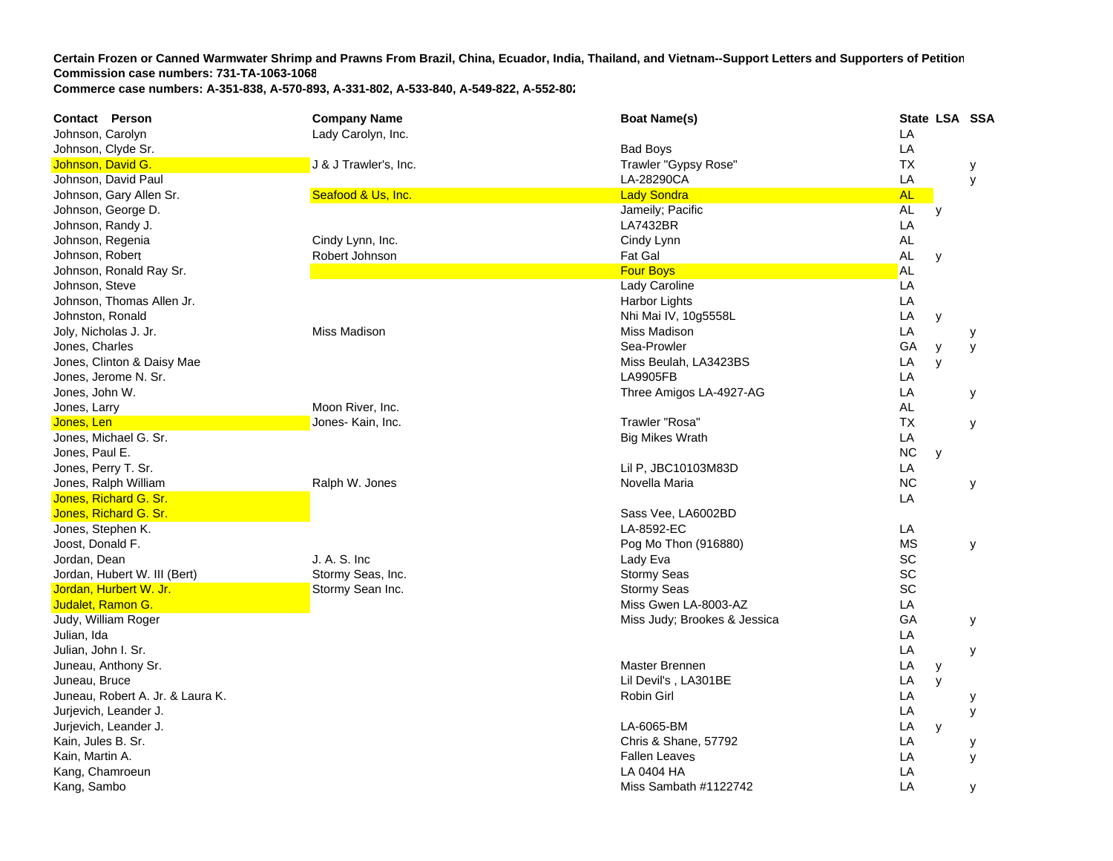**Contact Person Company Name Boat Name(s) State LSA SSA**  Johnson, Carolyn Lady Carolyn, Inc. LA Johnson, Clyde Sr. Bad Boys Looking and South American Studies and South American Studies and South American Studies and South American Studies and South American Studies and South American Studies and South American Studi **LA** Johnson, David G. New York Controllers and Dublin Johnson, David G. J. Holmes J. B. J. B. Andrew Trawler "Gypsy Rose" **TX**  y Johnson, David Paul LA-28290CA LA y Johnson, Gary Allen Sr. Seafood & Us, Inc. Lady Sondra AL Johnson, George D. Jameily; Pacific AL y Johnson, Randy J. LA7432BR R<sub>a</sub>nda and the contract of the contract of the contract of the contract of the contract of the contract of the contract of the contract of the contract of the contract of the contract of the contract of the contract of th Johnson, Regenia Cindy Lynn, Inc. Cindy Lynn AL Johnson, Robert Robert Johnson Fat Gal AL y Johnson, Ronald Ray Sr. Four Boys AL Johnson, Steve Lady Caroline LA Johnson, Thomas Allen Jr. New York 1998 and the United States of the United States and Harbor Lights Lights Lights Lights Lights Lights Lights Lights Lights Lights Lights Lights Lights Lights Lights Lights Lights Lights Li **LA** Johnston, Ronald **Example 2018** LA y Nhi Mai IV, 10g5558L LA y Joly, Nicholas J. Jr. Nicholas J. Jr. Miss Madison Miss Madison Changes and Miss Madison Miss Madison **LA**  y Jones, Charles Sea-Prowler George Sea-Prowler George Sea-Prowler George Sea-Prowler George Sea-Prowler George Sea **GA**  y y Jones, Clinton & Daisy Mae **Miss Beulah, LA3423BS** Clinton & Daisy Mac A y Jones, Jerome N. Sr. LA9905FB L **LA** Jones, John W. Three Amigos LA-4927-AG L **LA**  y Jones, Larry Moon River, Inc. AL **Jones, Len Jones- Allen Jones- Kain, Inc. The Communist Communist Communist Communist Communist Communist Communist Communist Communist Communist Communist Communist Communist Communist Communist Communist Communist Commu** X y Jones, Michael G. Sr. Big Mikes Wrath L **LA** Jones, Paul E. NC y Jones, Perry T. Sr. Lil P, JBC10103M83D L **LA** Jones, Ralph William Ralph W. Jones Novella Maria NC y Jones, Richard G. Sr. LA Jones, Richard G. Sr. Sass Vee, LA6002BD Jones, Stephen K. LA-8592-EC L LA Joost, Donald F. North Month of the Superior Control of the Pog Mo Thon (916880) MS y yields the MS y yields when the MS yields are the MS yields of the MS yields and the MS yields and the MS yields and the MS yields are t Jordan, Dean J. A. S. Inc Lady Eva SC Jordan, Hubert W. III (Bert) **Stormy Seas, Inc.** Stormy Seas, Inc. Stormy Seas SC Jordan, Hurbert W. Jr. Stormy Stormy Sean Inc. Stormy Sear SC School Stormy Seas SC SC SC SC SC SC SC SC SC SC Judalet, Ramon G. Miss Gwen LA-8003-A Z LAJudy, William Roger **Miss Judy; Brookes & Jessica** Guide And The Miss Judy; Brookes & Jessica Guide And The Miss Judy; Brookes & Jessica Guide And The Miss Judy; Brookes & Jessica Guide And The Miss Judy; Brookes & Jessica GA y Julian, Ida LA Julian, John I. Sr. LA y Juneau, Anthony Sr. Master Brennen Library and The Control of the Master Brennen Library and Master Brennen Library and The Control of the Master Brennen Library and The Control of the Master Brennen Library and Master Bre **LA**  y Juneau, Bruce Lil Devil's , LA301BE L LA y Juneau, Robert A. Jr. & Laura K. Robin Girl Laura K. Robin Girl Laura K. Robin Girl Laura K. Robin Girl Laura K. **LA**  y Jurjevich, Leander J. LA y Jurjevich, Leander J. LA-6065-BM L A y Kain, Jules B. Sr. Chris & Shane, 57792 L **LA**  y Kain, Martin A. Fallen Leaves LA y Kang, Chamroeun I A 0404 HA LA Kang, Sambo Miss Sambath #1122742 LA y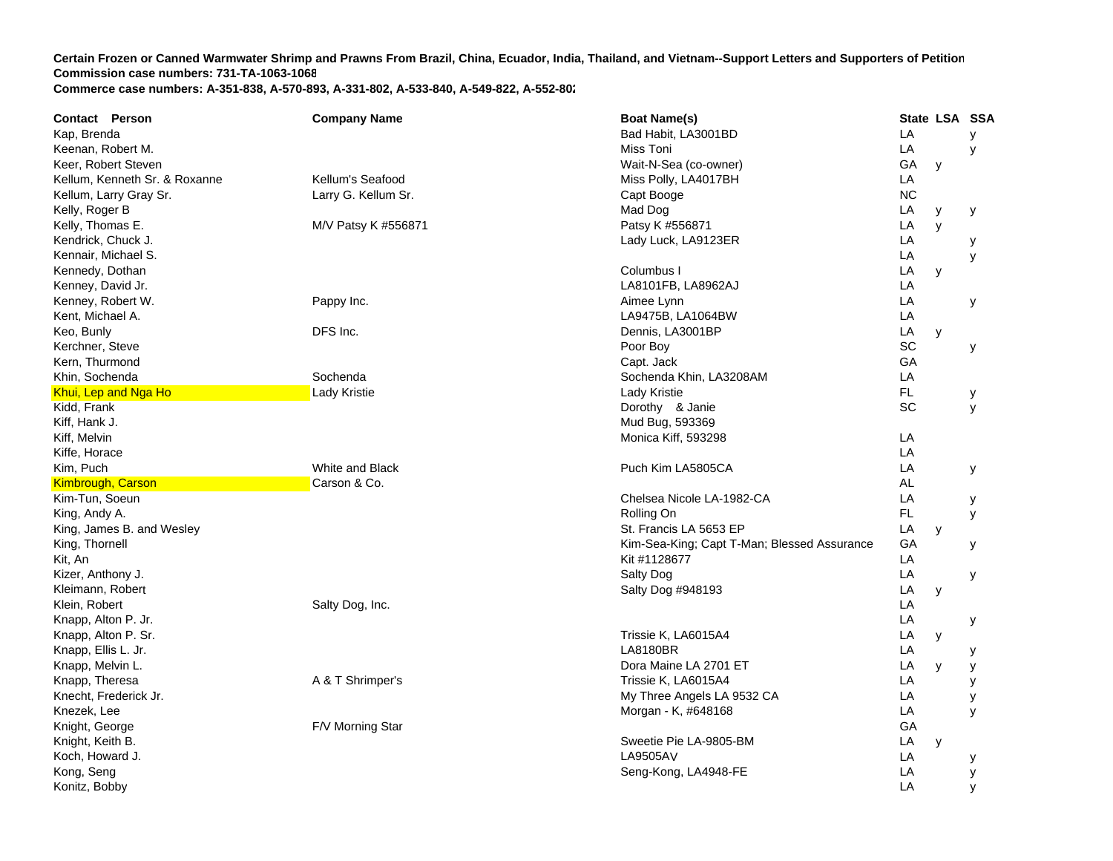| Kap, Brenda<br>Bad Habit, LA3001BD<br>LA<br>LA<br>Miss Toni<br>Keenan, Robert M.<br>GA<br>Keer, Robert Steven<br>Wait-N-Sea (co-owner)<br>y<br>Kellum's Seafood<br>Miss Polly, LA4017BH<br>LA<br>Kellum, Kenneth Sr. & Roxanne<br>Kellum, Larry Gray Sr.<br>Larry G. Kellum Sr.<br><b>NC</b><br>Capt Booge<br>Kelly, Roger B<br>Mad Dog<br>LA<br>y<br>у | y<br>y<br>у<br>y |
|---------------------------------------------------------------------------------------------------------------------------------------------------------------------------------------------------------------------------------------------------------------------------------------------------------------------------------------------------------|------------------|
|                                                                                                                                                                                                                                                                                                                                                         |                  |
|                                                                                                                                                                                                                                                                                                                                                         |                  |
|                                                                                                                                                                                                                                                                                                                                                         |                  |
|                                                                                                                                                                                                                                                                                                                                                         |                  |
|                                                                                                                                                                                                                                                                                                                                                         |                  |
|                                                                                                                                                                                                                                                                                                                                                         |                  |
| Kelly, Thomas E.<br>Patsy K #556871<br>LA<br>M/V Patsy K #556871<br>y                                                                                                                                                                                                                                                                                   |                  |
| Kendrick, Chuck J.<br>LA<br>Lady Luck, LA9123ER                                                                                                                                                                                                                                                                                                         |                  |
| Kennair, Michael S.<br>LA                                                                                                                                                                                                                                                                                                                               |                  |
| Kennedy, Dothan<br>Columbus I<br>LA<br>y                                                                                                                                                                                                                                                                                                                |                  |
| Kenney, David Jr.<br>LA8101FB, LA8962AJ<br>LA                                                                                                                                                                                                                                                                                                           |                  |
| LA<br>Kenney, Robert W.<br>Pappy Inc.<br>Aimee Lynn                                                                                                                                                                                                                                                                                                     | у                |
| Kent. Michael A.<br>LA<br>LA9475B, LA1064BW                                                                                                                                                                                                                                                                                                             |                  |
| Keo, Bunly<br>DFS Inc.<br>LA<br>Dennis, LA3001BP<br>y                                                                                                                                                                                                                                                                                                   |                  |
| SC<br>Kerchner, Steve<br>Poor Boy                                                                                                                                                                                                                                                                                                                       | у                |
| Kern, Thurmond<br>GA<br>Capt. Jack                                                                                                                                                                                                                                                                                                                      |                  |
| LA<br>Khin, Sochenda<br>Sochenda<br>Sochenda Khin, LA3208AM                                                                                                                                                                                                                                                                                             |                  |
| FL<br>Khui, Lep and Nga Ho<br>Lady Kristie<br>Lady Kristie<br>у                                                                                                                                                                                                                                                                                         |                  |
| SC<br>Kidd, Frank<br>Dorothy & Janie                                                                                                                                                                                                                                                                                                                    | y                |
| Kiff, Hank J.<br>Mud Bug, 593369                                                                                                                                                                                                                                                                                                                        |                  |
| LA<br>Kiff, Melvin<br>Monica Kiff, 593298                                                                                                                                                                                                                                                                                                               |                  |
| LA<br>Kiffe, Horace                                                                                                                                                                                                                                                                                                                                     |                  |
| Kim, Puch<br>White and Black<br>Puch Kim LA5805CA<br>LA                                                                                                                                                                                                                                                                                                 | у                |
| Carson & Co.<br>AL<br><b>Kimbrough, Carson</b>                                                                                                                                                                                                                                                                                                          |                  |
| Kim-Tun, Soeun<br>LA<br>Chelsea Nicole LA-1982-CA<br>у                                                                                                                                                                                                                                                                                                  |                  |
| Rolling On<br>FL.<br>King, Andy A.                                                                                                                                                                                                                                                                                                                      | y                |
| LA<br>King, James B. and Wesley<br>St. Francis LA 5653 EP<br>y                                                                                                                                                                                                                                                                                          |                  |
| GA<br>King, Thornell<br>Kim-Sea-King; Capt T-Man; Blessed Assurance                                                                                                                                                                                                                                                                                     | у                |
| LA<br>Kit #1128677<br>Kit, An                                                                                                                                                                                                                                                                                                                           |                  |
| Kizer, Anthony J.<br>Salty Dog<br>LA                                                                                                                                                                                                                                                                                                                    | У                |
| Kleimann, Robert<br>LA<br>Salty Dog #948193<br>y                                                                                                                                                                                                                                                                                                        |                  |
| Klein, Robert<br>Salty Dog, Inc.<br>LA                                                                                                                                                                                                                                                                                                                  |                  |
| Knapp, Alton P. Jr.<br>LA<br>y                                                                                                                                                                                                                                                                                                                          |                  |
| Knapp, Alton P. Sr.<br>Trissie K, LA6015A4<br>LA<br>y                                                                                                                                                                                                                                                                                                   |                  |
| <b>LA8180BR</b><br>Knapp, Ellis L. Jr.<br>LA<br>у                                                                                                                                                                                                                                                                                                       |                  |
| Knapp, Melvin L.<br>Dora Maine LA 2701 ET<br>LA<br>y<br>у                                                                                                                                                                                                                                                                                               |                  |
| Knapp, Theresa<br>A & T Shrimper's<br>Trissie K, LA6015A4<br>LA                                                                                                                                                                                                                                                                                         | у                |
| Knecht, Frederick Jr.<br>My Three Angels LA 9532 CA<br>LA                                                                                                                                                                                                                                                                                               | у                |
| LA<br>Knezek, Lee<br>Morgan - K, #648168                                                                                                                                                                                                                                                                                                                | y                |
| F/V Morning Star<br>GA<br>Knight, George                                                                                                                                                                                                                                                                                                                |                  |
| Knight, Keith B.<br>Sweetie Pie LA-9805-BM<br>LA<br>y                                                                                                                                                                                                                                                                                                   |                  |
| <b>LA9505AV</b><br>Koch, Howard J.<br>LA                                                                                                                                                                                                                                                                                                                | у                |
| Kong, Seng<br>Seng-Kong, LA4948-FE<br>LA                                                                                                                                                                                                                                                                                                                | y                |
| LA<br>Konitz, Bobby                                                                                                                                                                                                                                                                                                                                     | у                |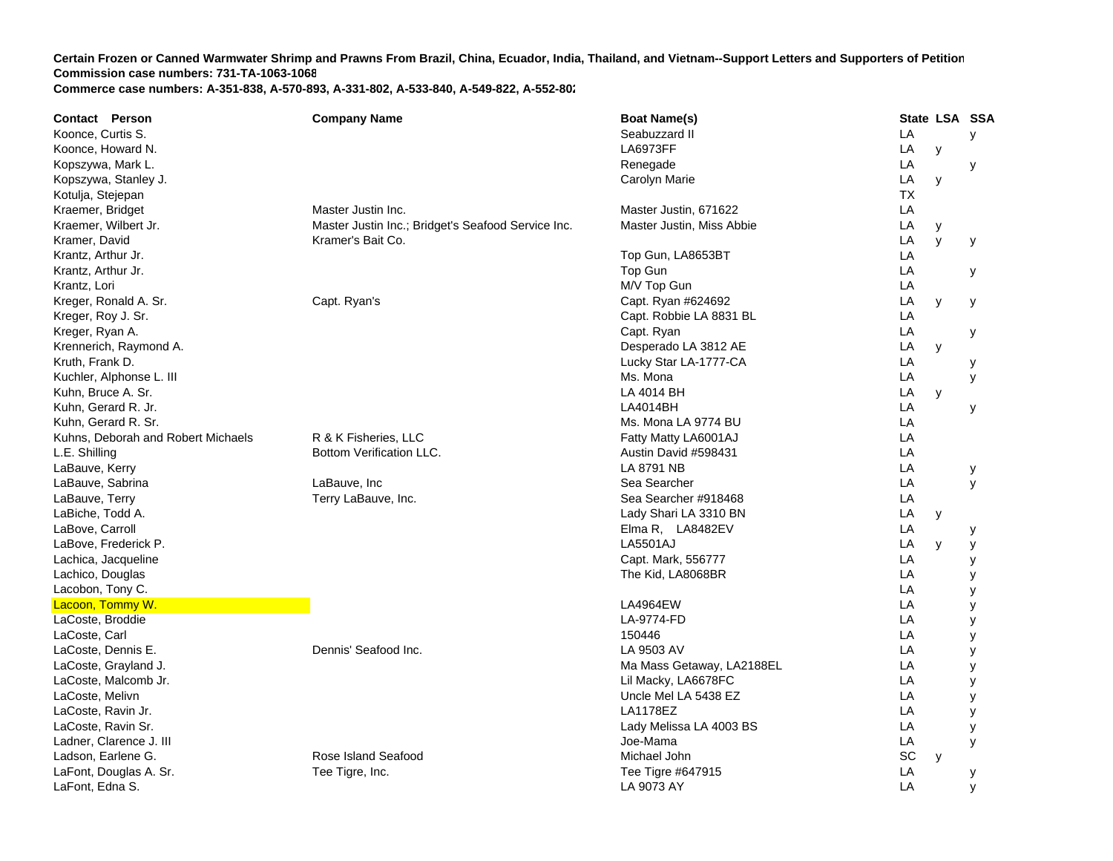**Contact Person Company Name Boat Name(s) State LSA SSA**  Koonce, Curtis S. Seabuzzard II Land Land Seabuzzard II Land Seabuzzard II Land Seabuzzard II Land Seabuzzard I **LA**  y Koonce, Howard N. LA6973FF LA y Kopszywa, Mark L. Renegade LA y Kopszywa, Stanley J. Carolyn Marie Land and Carolyn Marie Land and Land and Land and Land and Land and Land and Land and Land and Land and Land and Land and Land and Land and Land and Land and Land and Land and Land and La **LA**  y Kotulja, Stejepan TXKraemer, Bridget Naster Master Justin Inc. Naster Justin, 671622 AKraemer, Wilbert Jr. Master Justin Inc.; Bridget's Seafood Service Inc. Master Justin, Miss Abbie Lustin, Miss Abbie LA y Kramer, David Kramer's Bait Co. LA y y Krantz, Arthur Jr. Top Gun, LA8653B TT<sub>a</sub> the contract of the contract of the contract of the contract of the contract of the contract of the contract of the contract of the contract of the contract of the contract of the contract of the contract of the contr Krantz, Arthur Jr. Top Gun L **LA**  y Krantz, Lori M/V Top Gun L **LA** Kreger, Ronald A. Sr. Capt. Ryan's Capt. Ryan #624692 LA y y Kreger, Roy J. Sr. Capt. Capt. Robbie LA 8831 BL Capt. Robbie LA 8831 BL Capt. Robbie LA 8831 BL Kreger, Ryan A. Capt. Capt. And the control of the capt. And the capt. Capt. Ryan Capt. Ryan Land and Land and L **LA**  y Krennerich, Raymond A. Channel A. Desperado LA 3812 AE LA y Kruth, Frank D. Lucky Star LA-1777-C A LA y Kuchler, Alphonse L. III Ms. Mona Laterature Communication and the Communication of the Communication of the Ms. Mona **LA**  y Kuhn, Bruce A. Sr. LA 4014 BH L **LA**  y Kuhn, Gerard R. Jr. LA4014BH L **LA**  y Kuhn, Gerard R. Sr. Matter and St. Matter and St. Mona LA 9774 BU Later and St. Mona LA 9774 BU Later and St. Mona LA 9774 BU Later and St. Mona LA 9774 BU Later and St. Mona LA 9774 BU Later and St. Mona LA 9774 BU Later AKuhns, Deborah and Robert Michaels **R & K Fisheries, LLC** Fatty Matty LA6001AJ LA6001AJ **LA** L.E. Shilling **Bottom Verification LLC.** Austin David #598431 L.E. Shilling and the Second Bottom Verification LLC. **LA** LaBauve, Kerry LA 8791 NB L A y LaBauve, Sabrina LaBauve, Inc Sea Searcher LA y LaBauve, Terry Terry LaBauve, Inc. The Sea Searcher #918468 LA LaBiche, Todd A. Lady Shari LA 3310 BN L **LA**  y LaBove, Carroll Elma R, LA8482E V LA y LaBove, Frederick P. LA5501AJ L **LA**  y y Lachica, Jacqueline Capt. Capt. Mark, 556777 Lachica, Jacqueline Capt. Mark, 556777 **LA**  y Lachico, Douglas The Kid, LA8068B RR LA y Lacobon, Tony C. LA y Lacoon, Tommy W. LA4964EW L **LA**  y LaCoste, Broddie LA-9774-FD L A y LaCoste, Carl 150446 L A y LaCoste, Dennis E. **Dennis** E. **Dennis'** Seafood Inc. LA 9503 AV LA y LaCoste, Grayland J. **Case Controller and Controller Controller and Controller Controller and Controller and Controller Accoster Accoster Accoster Accoster Accoster Accoster Accoster Accoster Accoster Accoster Accoster Acc** LaCoste, Malcomb Jr. Lil Macky, LA6678FC L **LA**  y LaCoste, Melivn Uncle Mel LA 5438 E ZZ LA LA y LaCoste, Ravin Jr. I A1178F7 Z LA LA y LaCoste, Ravin Sr. Lady Melissa LA 4003 B SS LA y Ladner, Clarence J. III **Secure 2020** Clarence of the Clarence of the Clarence of the Clarence of the Clarence of the Clarence of the Clarence of the Clarence of the Clarence of the Clarence of the Clarence of the Clarence **LA**  y Ladson, Earlene G. The Communication of the Rose Island Seafood Communication of Michael John SC y LaFont, Douglas A. Sr. Tee Tigre, Inc. Tee Tigre #647915 LA y

LA 9073 AY

LA y

LaFont, Edna S.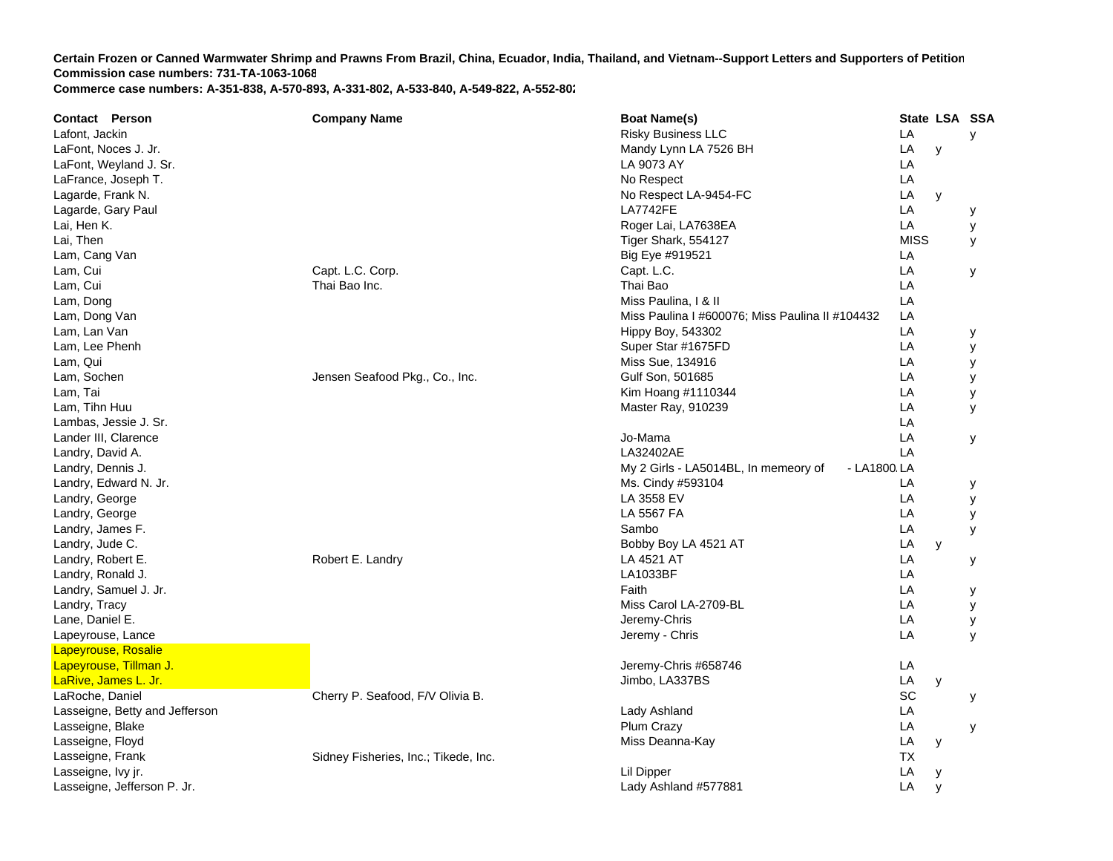| <b>Contact Person</b>          | <b>Company Name</b>                  | <b>Boat Name(s)</b>                                 |             | State LSA SSA |   |
|--------------------------------|--------------------------------------|-----------------------------------------------------|-------------|---------------|---|
| Lafont, Jackin                 |                                      | <b>Risky Business LLC</b>                           | LA          |               | y |
| LaFont, Noces J. Jr.           |                                      | Mandy Lynn LA 7526 BH                               | LA          | y             |   |
| LaFont, Weyland J. Sr.         |                                      | LA 9073 AY                                          | LA          |               |   |
| LaFrance, Joseph T.            |                                      | No Respect                                          | LA          |               |   |
| Lagarde, Frank N.              |                                      | No Respect LA-9454-FC                               | LA          | y             |   |
| Lagarde, Gary Paul             |                                      | <b>LA7742FE</b>                                     | LA          |               | у |
| Lai, Hen K.                    |                                      | Roger Lai, LA7638EA                                 | LA          |               | У |
| Lai, Then                      |                                      | Tiger Shark, 554127                                 | <b>MISS</b> |               | У |
| Lam, Cang Van                  |                                      | Big Eye #919521                                     | LA          |               |   |
| Lam, Cui                       | Capt. L.C. Corp.                     | Capt. L.C.                                          | LA          |               | У |
| Lam, Cui                       | Thai Bao Inc.                        | Thai Bao                                            | LA          |               |   |
| Lam, Dong                      |                                      | Miss Paulina, I & II                                | LA          |               |   |
| Lam, Dong Van                  |                                      | Miss Paulina I #600076; Miss Paulina II #104432     | LA          |               |   |
| Lam, Lan Van                   |                                      | <b>Hippy Boy, 543302</b>                            | LA          |               | у |
| Lam, Lee Phenh                 |                                      | Super Star #1675FD                                  | LA          |               | у |
| Lam, Qui                       |                                      | Miss Sue, 134916                                    | LA          |               | у |
| Lam, Sochen                    | Jensen Seafood Pkg., Co., Inc.       | Gulf Son, 501685                                    | LA          |               | у |
| Lam, Tai                       |                                      | Kim Hoang #1110344                                  | LA          |               | у |
| Lam, Tihn Huu                  |                                      | Master Ray, 910239                                  | LA          |               | У |
| Lambas, Jessie J. Sr.          |                                      |                                                     | LA          |               |   |
| Lander III, Clarence           |                                      | Jo-Mama                                             | LA          |               | У |
| Landry, David A.               |                                      | LA32402AE                                           | LA          |               |   |
| Landry, Dennis J.              |                                      | My 2 Girls - LA5014BL, In memeory of<br>- LA1800 LA |             |               |   |
| Landry, Edward N. Jr.          |                                      | Ms. Cindy #593104                                   | LA          |               | У |
| Landry, George                 |                                      | LA 3558 EV                                          | LA          |               | у |
| Landry, George                 |                                      | LA 5567 FA                                          | LA          |               | у |
| Landry, James F.               |                                      | Sambo                                               | LA          |               | У |
| Landry, Jude C.                |                                      | Bobby Boy LA 4521 AT                                | LA          | y             |   |
| Landry, Robert E.              | Robert E. Landry                     | LA 4521 AT                                          | LA          |               | у |
| Landry, Ronald J.              |                                      | LA1033BF                                            | LA          |               |   |
| Landry, Samuel J. Jr.          |                                      | Faith                                               | LA          |               | У |
| Landry, Tracy                  |                                      | Miss Carol LA-2709-BL                               | LA          |               | у |
| Lane, Daniel E.                |                                      | Jeremy-Chris                                        | LA          |               | у |
| Lapeyrouse, Lance              |                                      | Jeremy - Chris                                      | LA          |               | y |
| <b>Lapeyrouse, Rosalie</b>     |                                      |                                                     |             |               |   |
| Lapeyrouse, Tillman J.         |                                      | Jeremy-Chris #658746                                | LA          |               |   |
| LaRive, James L. Jr.           |                                      | Jimbo, LA337BS                                      | LA          | y             |   |
| LaRoche, Daniel                | Cherry P. Seafood, F/V Olivia B.     |                                                     | SC          |               | у |
| Lasseigne, Betty and Jefferson |                                      | Lady Ashland                                        | LA          |               |   |
| Lasseigne, Blake               |                                      | Plum Crazy                                          | LA          |               | у |
| Lasseigne, Floyd               |                                      | Miss Deanna-Kay                                     | LA          | У             |   |
| Lasseigne, Frank               | Sidney Fisheries, Inc.; Tikede, Inc. |                                                     | ТX          |               |   |
| Lasseigne, Ivy jr.             |                                      | Lil Dipper                                          | LA          | y             |   |
| Lasseigne, Jefferson P. Jr.    |                                      | Lady Ashland #577881                                | LA          | V             |   |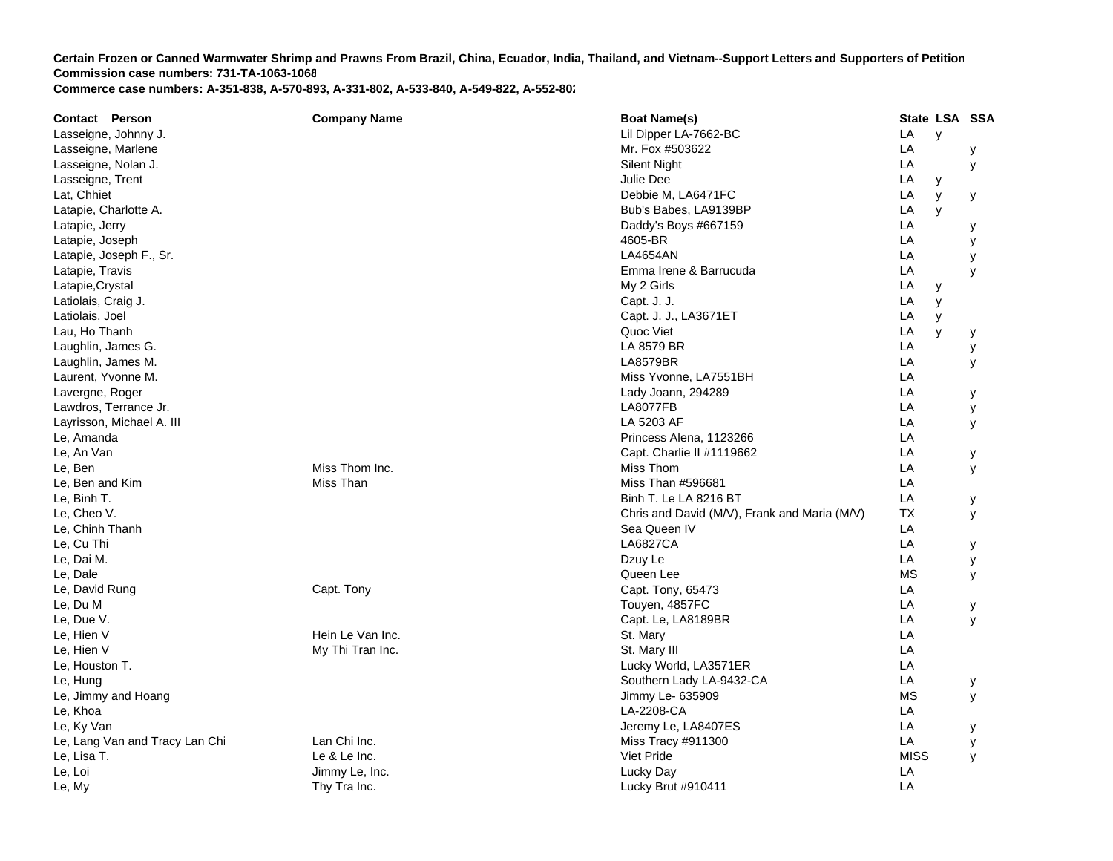| <b>Contact Person</b>          | <b>Company Name</b> | <b>Boat Name(s)</b>                          |             | State LSA SSA |   |
|--------------------------------|---------------------|----------------------------------------------|-------------|---------------|---|
| Lasseigne, Johnny J.           |                     | Lil Dipper LA-7662-BC                        | LA          | y             |   |
| Lasseigne, Marlene             |                     | Mr. Fox #503622                              | LA          |               | у |
| Lasseigne, Nolan J.            |                     | <b>Silent Night</b>                          | LA          |               | У |
| Lasseigne, Trent               |                     | Julie Dee                                    | LA          | У             |   |
| Lat, Chhiet                    |                     | Debbie M, LA6471FC                           | LA          | y             | у |
| Latapie, Charlotte A.          |                     | Bub's Babes, LA9139BP                        | LA          | y             |   |
| Latapie, Jerry                 |                     | Daddy's Boys #667159                         | LA          |               | у |
| Latapie, Joseph                |                     | 4605-BR                                      | LA          |               | У |
| Latapie, Joseph F., Sr.        |                     | <b>LA4654AN</b>                              | LA          |               | у |
| Latapie, Travis                |                     | Emma Irene & Barrucuda                       | LA          |               | y |
| Latapie, Crystal               |                     | My 2 Girls                                   | LA          | y             |   |
| Latiolais, Craig J.            |                     | Capt. J. J.                                  | LA          | y             |   |
| Latiolais, Joel                |                     | Capt. J. J., LA3671ET                        | LA          | у             |   |
| Lau, Ho Thanh                  |                     | Quoc Viet                                    | LA          | y             | у |
| Laughlin, James G.             |                     | LA 8579 BR                                   | LA          |               | у |
| Laughlin, James M.             |                     | <b>LA8579BR</b>                              | LA          |               | У |
| Laurent, Yvonne M.             |                     | Miss Yvonne, LA7551BH                        | LA          |               |   |
| Lavergne, Roger                |                     | Lady Joann, 294289                           | LA          |               | У |
| Lawdros, Terrance Jr.          |                     | <b>LA8077FB</b>                              | LA          |               | у |
| Layrisson, Michael A. III      |                     | LA 5203 AF                                   | LA          |               | У |
| Le, Amanda                     |                     | Princess Alena, 1123266                      | LA          |               |   |
| Le, An Van                     |                     | Capt. Charlie II #1119662                    | LA          |               | у |
| Le, Ben                        | Miss Thom Inc.      | Miss Thom                                    | LA          |               | У |
| Le, Ben and Kim                | Miss Than           | Miss Than #596681                            | LA          |               |   |
| Le, Binh T.                    |                     | Binh T. Le LA 8216 BT                        | LA          |               | у |
| Le, Cheo V.                    |                     | Chris and David (M/V), Frank and Maria (M/V) | <b>TX</b>   |               | У |
| Le, Chinh Thanh                |                     | Sea Queen IV                                 | LA          |               |   |
| Le, Cu Thi                     |                     | <b>LA6827CA</b>                              | LA          |               | у |
| Le, Dai M.                     |                     | Dzuy Le                                      | LA          |               | у |
| Le, Dale                       |                     | Queen Lee                                    | <b>MS</b>   |               | у |
| Le, David Rung                 | Capt. Tony          | Capt. Tony, 65473                            | LA          |               |   |
| Le, Du M                       |                     | Touyen, 4857FC                               | LA          |               | у |
| Le, Due V.                     |                     | Capt. Le, LA8189BR                           | LA          |               | У |
| Le, Hien V                     | Hein Le Van Inc.    | St. Mary                                     | LA          |               |   |
| Le, Hien V                     | My Thi Tran Inc.    | St. Mary III                                 | LA          |               |   |
| Le, Houston T.                 |                     | Lucky World, LA3571ER                        | LA          |               |   |
| Le, Hung                       |                     | Southern Lady LA-9432-CA                     | LA          |               | У |
| Le, Jimmy and Hoang            |                     | Jimmy Le- 635909                             | <b>MS</b>   |               | у |
| Le, Khoa                       |                     | LA-2208-CA                                   | LA          |               |   |
| Le, Ky Van                     |                     | Jeremy Le, LA8407ES                          | LA          |               | У |
| Le, Lang Van and Tracy Lan Chi | Lan Chi Inc.        | Miss Tracy #911300                           | LA          |               | у |
| Le, Lisa T.                    | Le & Le Inc.        | Viet Pride                                   | <b>MISS</b> |               | y |
| Le, Loi                        | Jimmy Le, Inc.      | Lucky Day                                    | LA          |               |   |
| Le, My                         | Thy Tra Inc.        | Lucky Brut #910411                           | LA          |               |   |
|                                |                     |                                              |             |               |   |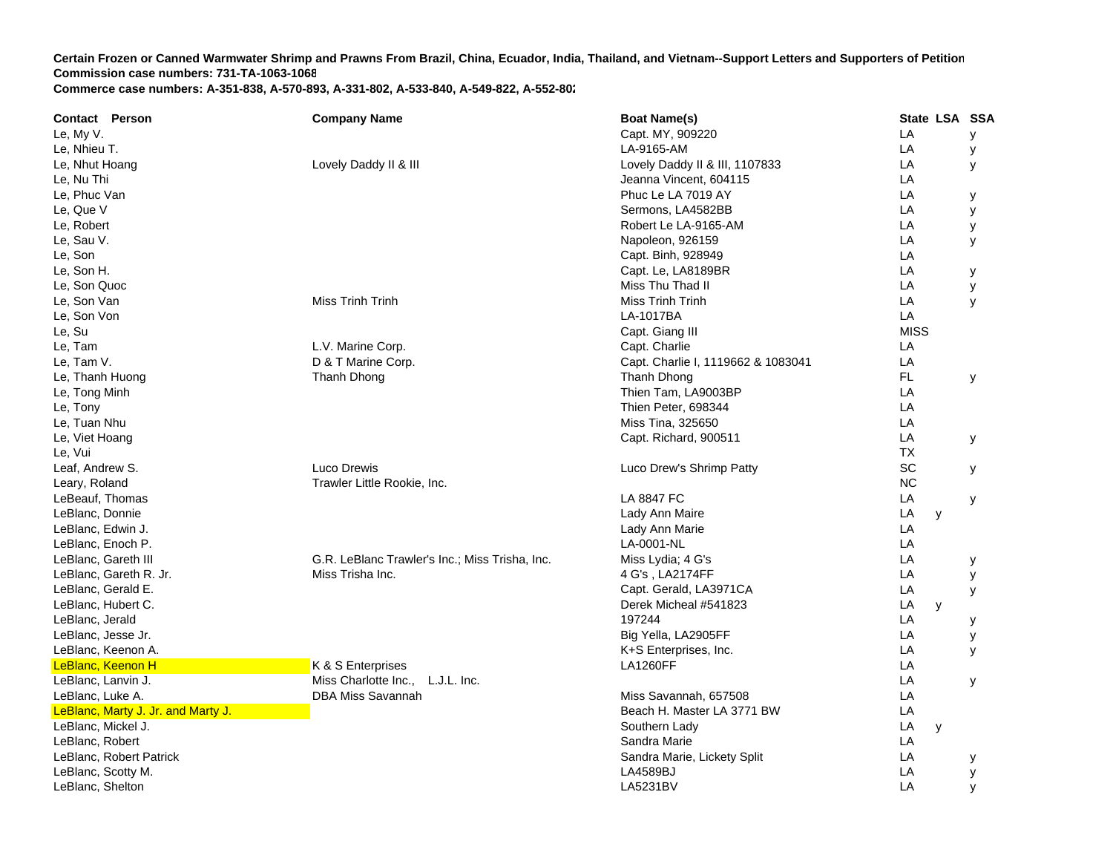| <b>Contact Person</b> |                                    | <b>Company Name</b>                            | <b>Boat Name(s)</b>                | State LSA SSA |   |
|-----------------------|------------------------------------|------------------------------------------------|------------------------------------|---------------|---|
| Le, My V.             |                                    |                                                | Capt. MY, 909220                   | LA            | у |
| Le, Nhieu T.          |                                    |                                                | LA-9165-AM                         | LA            | у |
| Le, Nhut Hoang        |                                    | Lovely Daddy II & III                          | Lovely Daddy II & III, 1107833     | LA            | У |
| Le, Nu Thi            |                                    |                                                | Jeanna Vincent, 604115             | LA            |   |
| Le, Phuc Van          |                                    |                                                | Phuc Le LA 7019 AY                 | LA            | у |
| Le, Que V             |                                    |                                                | Sermons, LA4582BB                  | LA            | У |
| Le, Robert            |                                    |                                                | Robert Le LA-9165-AM               | LA            | у |
| Le, Sau V.            |                                    |                                                | Napoleon, 926159                   | LA            | У |
| Le, Son               |                                    |                                                | Capt. Binh, 928949                 | LA            |   |
| Le, Son H.            |                                    |                                                | Capt. Le, LA8189BR                 | LA            | у |
| Le, Son Quoc          |                                    |                                                | Miss Thu Thad II                   | LA            | У |
| Le, Son Van           |                                    | Miss Trinh Trinh                               | Miss Trinh Trinh                   | LA            | y |
| Le, Son Von           |                                    |                                                | LA-1017BA                          | LA            |   |
| Le, Su                |                                    |                                                | Capt. Giang III                    | <b>MISS</b>   |   |
| Le, Tam               |                                    | L.V. Marine Corp.                              | Capt. Charlie                      | LA            |   |
| Le, Tam V.            |                                    | D & T Marine Corp.                             | Capt. Charlie I, 1119662 & 1083041 | LA            |   |
| Le, Thanh Huong       |                                    | Thanh Dhong                                    | Thanh Dhong                        | <b>FL</b>     | У |
| Le, Tong Minh         |                                    |                                                | Thien Tam, LA9003BP                | LA            |   |
| Le, Tony              |                                    |                                                | Thien Peter, 698344                | LA            |   |
| Le, Tuan Nhu          |                                    |                                                | Miss Tina, 325650                  | LA            |   |
| Le, Viet Hoang        |                                    |                                                | Capt. Richard, 900511              | LA            | У |
| Le, Vui               |                                    |                                                |                                    | ТX            |   |
| Leaf, Andrew S.       |                                    | Luco Drewis                                    | Luco Drew's Shrimp Patty           | SC            | у |
| Leary, Roland         |                                    | Trawler Little Rookie, Inc.                    |                                    | <b>NC</b>     |   |
| LeBeauf, Thomas       |                                    |                                                | <b>LA 8847 FC</b>                  | LA            | У |
| LeBlanc, Donnie       |                                    |                                                | Lady Ann Maire                     | LA<br>y       |   |
| LeBlanc, Edwin J.     |                                    |                                                | Lady Ann Marie                     | LA            |   |
| LeBlanc, Enoch P.     |                                    |                                                | LA-0001-NL                         | LA            |   |
| LeBlanc, Gareth III   |                                    | G.R. LeBlanc Trawler's Inc.; Miss Trisha, Inc. | Miss Lydia; 4 G's                  | LA            | у |
|                       | LeBlanc, Gareth R. Jr.             | Miss Trisha Inc.                               | 4 G's, LA2174FF                    | LA            | у |
| LeBlanc, Gerald E.    |                                    |                                                | Capt. Gerald, LA3971CA             | LA            | У |
| LeBlanc, Hubert C.    |                                    |                                                | Derek Micheal #541823              | LA<br>y       |   |
| LeBlanc, Jerald       |                                    |                                                | 197244                             | LA            | у |
| LeBlanc, Jesse Jr.    |                                    |                                                | Big Yella, LA2905FF                | LA            | y |
| LeBlanc, Keenon A.    |                                    |                                                | K+S Enterprises, Inc.              | LA            | y |
| LeBlanc, Keenon H     |                                    | K & S Enterprises                              | <b>LA1260FF</b>                    | LA            |   |
| LeBlanc, Lanvin J.    |                                    | Miss Charlotte Inc., L.J.L. Inc.               |                                    | LA            | У |
| LeBlanc, Luke A.      |                                    | <b>DBA Miss Savannah</b>                       | Miss Savannah, 657508              | LA            |   |
|                       | LeBlanc, Marty J. Jr. and Marty J. |                                                | Beach H. Master LA 3771 BW         | LA            |   |
| LeBlanc, Mickel J.    |                                    |                                                | Southern Lady                      | LA<br>y       |   |
| LeBlanc, Robert       |                                    |                                                | Sandra Marie                       | LA            |   |
|                       | LeBlanc, Robert Patrick            |                                                | Sandra Marie, Lickety Split        | LA            | у |
| LeBlanc, Scotty M.    |                                    |                                                | LA4589BJ                           | LA            | у |
| LeBlanc, Shelton      |                                    |                                                | <b>LA5231BV</b>                    | LA            | y |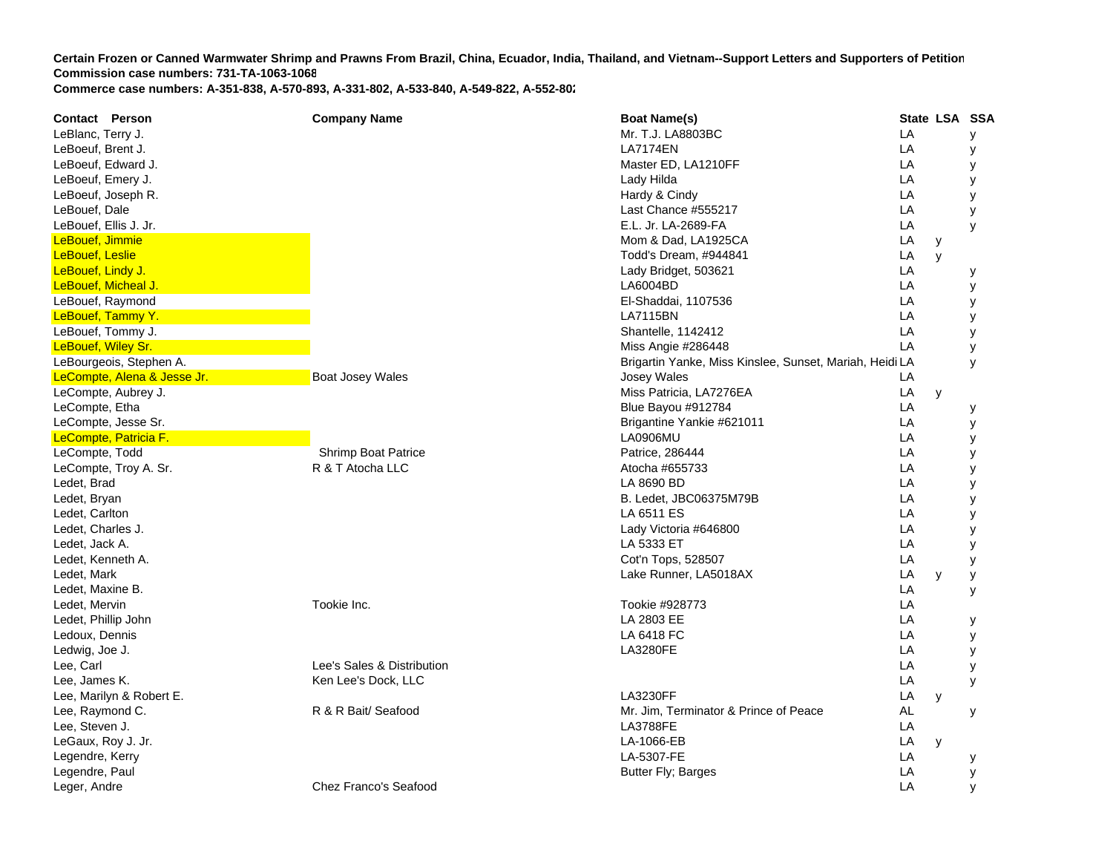**Contact Person Company Name Boat Name(s) State LSA SSA**  LeBlanc, Terry J. Mr. T.J. LA8803BC L **LA**  y LeBoeuf, Brent J. LA7174EN L **LA**  y LeBoeuf, Edward J. Master ED, LA1210FF LA y LeBoeuf, Emery J. Lady Hilda L **LA**  y LeBoeuf, Joseph R. New York Changes and the U.S. Changes of the Hardy & Cindy Cindy Changes and the U.S. Changes of the U.S. And the U.S. of the U.S. Changes are the U.S. Changes of the U.S. Changes and the U.S. Changes ar LeBouef, Dale **LeBouef, Dale** Last Chance #555217 Last Chance #555217 LA y LeBouef, Ellis J. Jr. E.L. Jr. LA-2689-FA A LA y LeBouef, Jimmie Mom & Dad, LA1925C A LA y LeBouef, Leslie Todd's Dream, #944841 L **LA**  y LeBouef, Lindy J. Lady Bridget, 503621 L **LA**  y LeBouef, Micheal J. LA6004BD L **LA**  y LeBouef, Raymond El-Shaddai, 1107536 LA y LeBouef, Tammy Y. LA7115BN L A y LeBouef, Tommy J. Shantelle, 1142412 LA y LeBouef, Wiley Sr. Miss Angie #286448 LA y LeBourgeois, Stephen A. Brigartin Yanke, Miss Kinslee, Sunset, Mariah, Heidi L A y LeCompte, Alena & Jesse Jr. **Boat Josey Wales** Boat Josey Wales Josey Wales Josey Wales Lecture 2014 **LA** LeCompte, Aubrey J. Miss Patricia, LA7276EA LA y LeCompte, Etha **La Comptete Etha** Blue Bayou #912784 LA y LeCompte, Jesse Sr. Brigantine Yankie #621011 L **LA**  y LeCompte, Patricia F. LA0906MU L A y LeCompte, Todd **Shrimp Boat Patrice Patrice Patrice**, 286444 Patrice, 286444 **LA**  y LeCompte, Troy A. Sr. Channel Comptete R & T Atocha LLC and Atocha #655733 LA y Ledet, Brad LA 8690 BD L A y Ledet, Bryan B. Ledet, JBC06375M79 BB LA y Ledet, Carlton LA 6511 ES L A y Ledet, Charles J. Lady Victoria #646800 LA y Ledet, Jack A. LA 5333 ET T<sub>a</sub> the contract of the contract of the contract of the contract of the contract of the contract of the contract of the contract of the contract of the contract of the contract of the contract of the contract of the contr LA y Ledet, Kenneth A. Cot'n Tops, 528507 LA y Ledet, Mark Lake Runner, LA5018A X LA y y Ledet, Maxine B. LA y Ledet, Mervin Tookie Inc. Tookie #928773 LA Ledet, Phillip John LA 2803 EE L A y Ledoux, Dennis LA 6418 FC C LA y Ledwig, Joe J. LA3280FE L A y Lee, Carl **Lee Carl Contract Contract Contract Contract Contract Contract Contract Contract Contract Contract Contract Contract Contract Contract Contract Contract Contract Contract Contract Contract Contract Contract Cont** Lee, James K. Ken Lee's Dock, LLC LA y Lee, Marilyn & Robert E. LA3230FF LA y Lee, Raymond C. **Example 2** Alexander C. R & R Bait/ Seafood Mr. Jim, Terminator & Prince of Peace AL y Lee, Steven J. LA3788FE L **LA** LeGaux, Roy J. Jr. LA-1066-EB L A y Legendre, Kerry LA-5307-FE L **LA**  y Legendre, Paul Butter Fly; Barges Legendre, Paul Butter Fly; Barges Legendre, Paul Butter Fly; Barges Legendre, Paul Butter Fly; Barges Legendre, Paul Butter Fly; Barges Legendre, Paul Butter Fly; Barges Legendre, Paul But A y Leger, Andre Chez Franco's Seafood LA y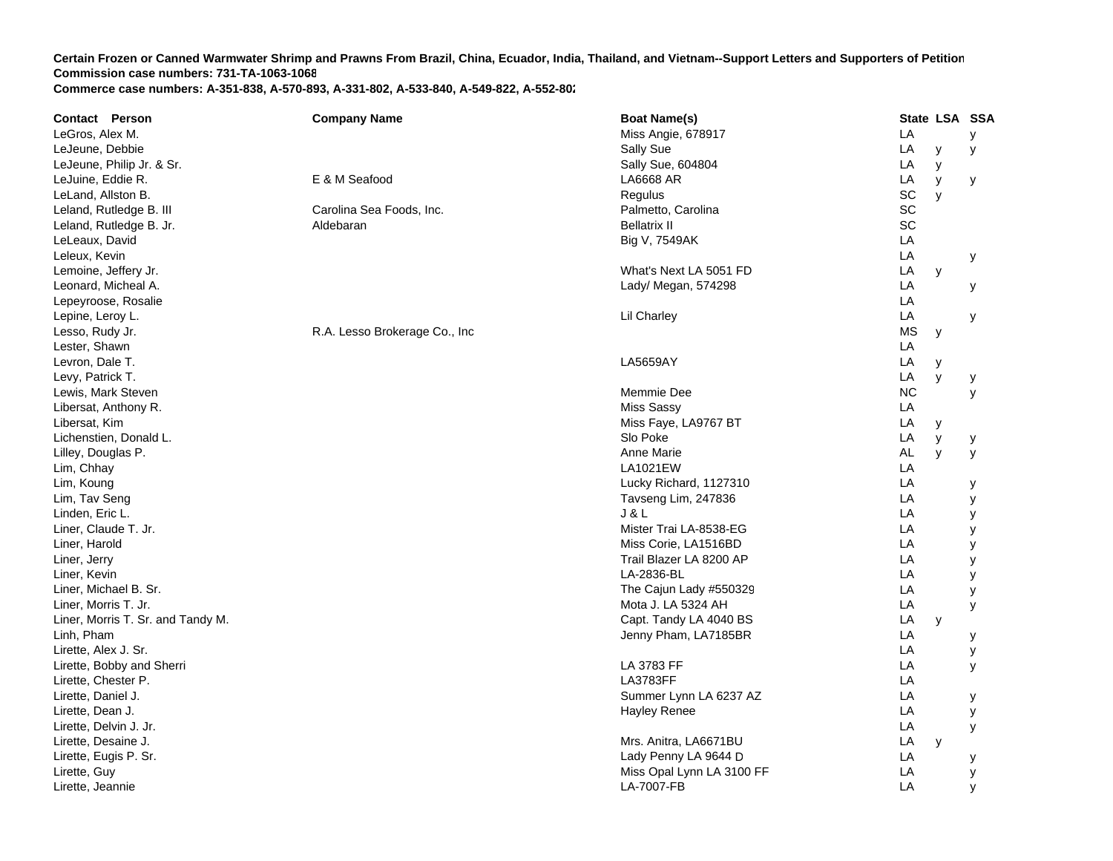| <b>Contact Person</b>             | <b>Company Name</b>           | <b>Boat Name(s)</b>       | State LSA SSA  |  |
|-----------------------------------|-------------------------------|---------------------------|----------------|--|
| LeGros, Alex M.                   |                               | Miss Angie, 678917        | LA<br>У        |  |
| LeJeune, Debbie                   |                               | Sally Sue                 | LA<br>y<br>У   |  |
| LeJeune, Philip Jr. & Sr.         |                               | Sally Sue, 604804         | LA<br>y        |  |
| LeJuine, Eddie R.                 | E & M Seafood                 | LA6668 AR                 | LA<br>У<br>у   |  |
| LeLand, Allston B.                |                               | Regulus                   | SC<br>y        |  |
| Leland, Rutledge B. III           | Carolina Sea Foods, Inc.      | Palmetto, Carolina        | SC             |  |
| Leland, Rutledge B. Jr.           | Aldebaran                     | <b>Bellatrix II</b>       | SC             |  |
| LeLeaux, David                    |                               | Big V, 7549AK             | LA             |  |
| Leleux, Kevin                     |                               |                           | LA<br>у        |  |
| Lemoine, Jeffery Jr.              |                               | What's Next LA 5051 FD    | LA<br>y        |  |
| Leonard, Micheal A.               |                               | Lady/ Megan, 574298       | LA<br>у        |  |
| Lepeyroose, Rosalie               |                               |                           | LA             |  |
| Lepine, Leroy L.                  |                               | <b>Lil Charley</b>        | LA<br>у        |  |
| Lesso, Rudy Jr.                   | R.A. Lesso Brokerage Co., Inc |                           | MS<br>y        |  |
| Lester, Shawn                     |                               |                           | LA             |  |
| Levron, Dale T.                   |                               | LA5659AY                  | LA<br>у        |  |
| Levy, Patrick T.                  |                               |                           | LA<br>y<br>у   |  |
| Lewis, Mark Steven                |                               | Memmie Dee                | <b>NC</b><br>У |  |
| Libersat, Anthony R.              |                               | <b>Miss Sassy</b>         | LA             |  |
| Libersat, Kim                     |                               | Miss Faye, LA9767 BT      | LA<br>У        |  |
| Lichenstien, Donald L.            |                               | Slo Poke                  | LA<br>y<br>у   |  |
| Lilley, Douglas P.                |                               | Anne Marie                | AL<br>y<br>У   |  |
| Lim, Chhay                        |                               | <b>LA1021EW</b>           | LA             |  |
| Lim, Koung                        |                               | Lucky Richard, 1127310    | LA<br>у        |  |
| Lim, Tav Seng                     |                               | Tavseng Lim, 247836       | LA<br>у        |  |
| Linden, Eric L.                   |                               | <b>J &amp; L</b>          | LA<br>у        |  |
| Liner, Claude T. Jr.              |                               | Mister Trai LA-8538-EG    | LA<br>у        |  |
| Liner, Harold                     |                               | Miss Corie, LA1516BD      | LA<br>у        |  |
| Liner, Jerry                      |                               | Trail Blazer LA 8200 AP   | LA<br>у        |  |
| Liner, Kevin                      |                               | LA-2836-BL                | LA<br>у        |  |
| Liner, Michael B. Sr.             |                               | The Cajun Lady #550329    | LA<br>у        |  |
| Liner, Morris T. Jr.              |                               | Mota J. LA 5324 AH        | LA<br>У        |  |
| Liner, Morris T. Sr. and Tandy M. |                               | Capt. Tandy LA 4040 BS    | LA<br>y        |  |
| Linh, Pham                        |                               | Jenny Pham, LA7185BR      | LA<br>у        |  |
| Lirette, Alex J. Sr.              |                               |                           | LA<br>у        |  |
| Lirette, Bobby and Sherri         |                               | LA 3783 FF                | LA<br>y        |  |
| Lirette, Chester P.               |                               | <b>LA3783FF</b>           | LA             |  |
| Lirette, Daniel J.                |                               | Summer Lynn LA 6237 AZ    | LA<br>у        |  |
| Lirette, Dean J.                  |                               | <b>Hayley Renee</b>       | LA<br>у        |  |
| Lirette, Delvin J. Jr.            |                               |                           | LA<br>у        |  |
| Lirette, Desaine J.               |                               | Mrs. Anitra, LA6671BU     | LA<br>y        |  |
| Lirette, Eugis P. Sr.             |                               | Lady Penny LA 9644 D      | LA<br>у        |  |
| Lirette, Guy                      |                               | Miss Opal Lynn LA 3100 FF | LA<br>У        |  |
| Lirette, Jeannie                  |                               | LA-7007-FB                | LA<br>y        |  |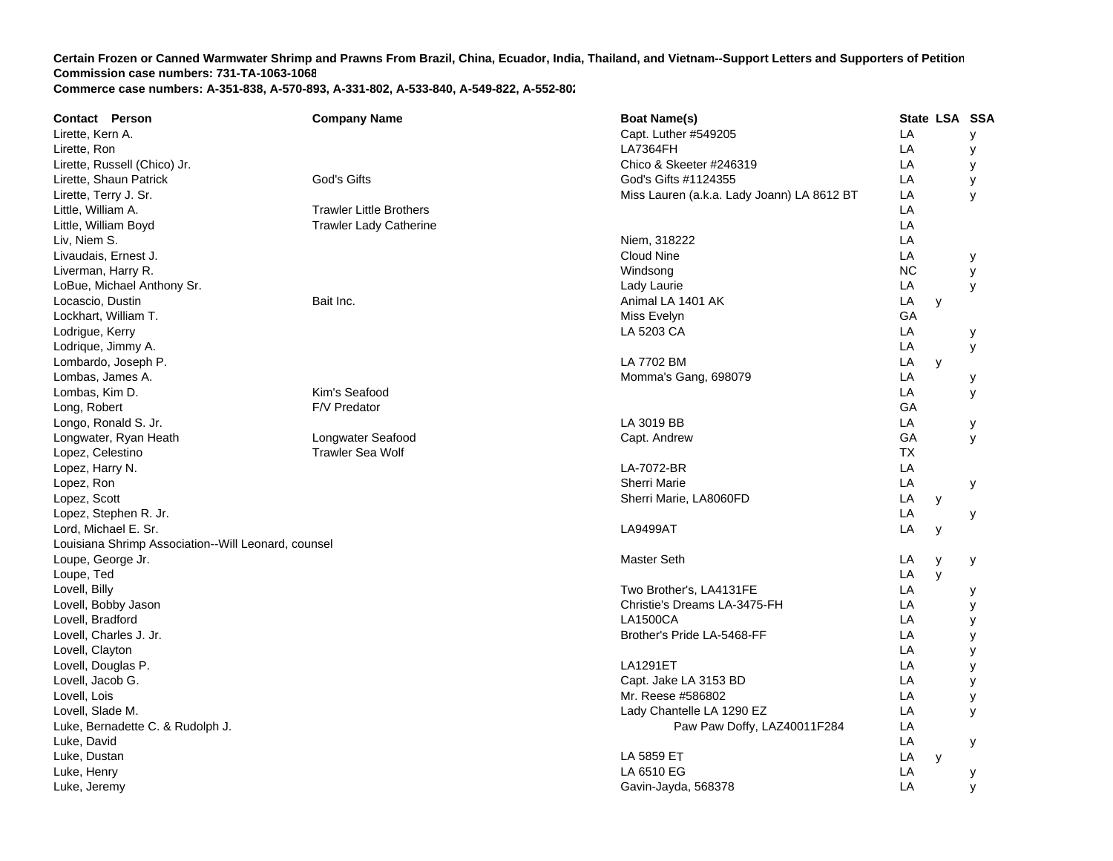| <b>Contact Person</b>                               | <b>Company Name</b>            | <b>Boat Name(s)</b>                        |           | State LSA SSA |   |
|-----------------------------------------------------|--------------------------------|--------------------------------------------|-----------|---------------|---|
| Lirette, Kern A.                                    |                                | Capt. Luther #549205                       | LA        |               | У |
| Lirette, Ron                                        |                                | <b>LA7364FH</b>                            | LA        |               | У |
| Lirette, Russell (Chico) Jr.                        |                                | Chico & Skeeter #246319                    | LA        |               | У |
| Lirette, Shaun Patrick                              | God's Gifts                    | God's Gifts #1124355                       | LA        |               | У |
| Lirette, Terry J. Sr.                               |                                | Miss Lauren (a.k.a. Lady Joann) LA 8612 BT | LA        |               | y |
| Little, William A.                                  | <b>Trawler Little Brothers</b> |                                            | LA        |               |   |
| Little, William Boyd                                | <b>Trawler Lady Catherine</b>  |                                            | LA        |               |   |
| Liv, Niem S.                                        |                                | Niem, 318222                               | LA        |               |   |
| Livaudais, Ernest J.                                |                                | <b>Cloud Nine</b>                          | LA        |               | у |
| Liverman, Harry R.                                  |                                | Windsong                                   | <b>NC</b> |               | y |
| LoBue, Michael Anthony Sr.                          |                                | Lady Laurie                                | LA        |               | y |
| Locascio, Dustin                                    | Bait Inc.                      | Animal LA 1401 AK                          | LA        | y             |   |
| Lockhart, William T.                                |                                | Miss Evelyn                                | GA        |               |   |
| Lodrigue, Kerry                                     |                                | LA 5203 CA                                 | LA        |               | у |
| Lodrique, Jimmy A.                                  |                                |                                            | LA        |               | У |
| Lombardo, Joseph P.                                 |                                | LA 7702 BM                                 | LA        | y             |   |
| Lombas, James A.                                    |                                | Momma's Gang, 698079                       | LA        |               | у |
| Lombas, Kim D.                                      | Kim's Seafood                  |                                            | LA        |               | y |
| Long, Robert                                        | F/V Predator                   |                                            | GA        |               |   |
| Longo, Ronald S. Jr.                                |                                | LA 3019 BB                                 | LA        |               | у |
| Longwater, Ryan Heath                               | Longwater Seafood              | Capt. Andrew                               | GA        |               | y |
| Lopez, Celestino                                    | <b>Trawler Sea Wolf</b>        |                                            | <b>TX</b> |               |   |
| Lopez, Harry N.                                     |                                | LA-7072-BR                                 | LA        |               |   |
| Lopez, Ron                                          |                                | <b>Sherri Marie</b>                        | LA        |               | y |
| Lopez, Scott                                        |                                | Sherri Marie, LA8060FD                     | LA        | y             |   |
| Lopez, Stephen R. Jr.                               |                                |                                            | LA        |               | у |
| Lord, Michael E. Sr.                                |                                | <b>LA9499AT</b>                            | LA        | у             |   |
| Louisiana Shrimp Association--Will Leonard, counsel |                                |                                            |           |               |   |
| Loupe, George Jr.                                   |                                | <b>Master Seth</b>                         | LA        | y             | у |
| Loupe, Ted                                          |                                |                                            | LA        | $\mathsf{V}$  |   |
| Lovell, Billy                                       |                                | Two Brother's, LA4131FE                    | LA        |               | у |
| Lovell, Bobby Jason                                 |                                | Christie's Dreams LA-3475-FH               | LA        |               | у |
| Lovell, Bradford                                    |                                | <b>LA1500CA</b>                            | LA        |               | у |
| Lovell, Charles J. Jr.                              |                                | Brother's Pride LA-5468-FF                 | LA        |               | у |
| Lovell, Clayton                                     |                                |                                            | LA        |               | y |
| Lovell, Douglas P.                                  |                                | <b>LA1291ET</b>                            | LA        |               | У |
| Lovell, Jacob G.                                    |                                | Capt. Jake LA 3153 BD                      | LA        |               | У |
| Lovell, Lois                                        |                                | Mr. Reese #586802                          | LA        |               | у |
| Lovell, Slade M.                                    |                                | Lady Chantelle LA 1290 EZ                  | LA        |               | У |
| Luke, Bernadette C. & Rudolph J.                    |                                | Paw Paw Doffy, LAZ40011F284                | LA        |               |   |
| Luke, David                                         |                                |                                            | LA        |               | у |
| Luke, Dustan                                        |                                | LA 5859 ET                                 | LA        | y             |   |
| Luke, Henry                                         |                                | LA 6510 EG                                 | LA        |               | у |
| Luke, Jeremy                                        |                                | Gavin-Jayda, 568378                        | LA        |               | y |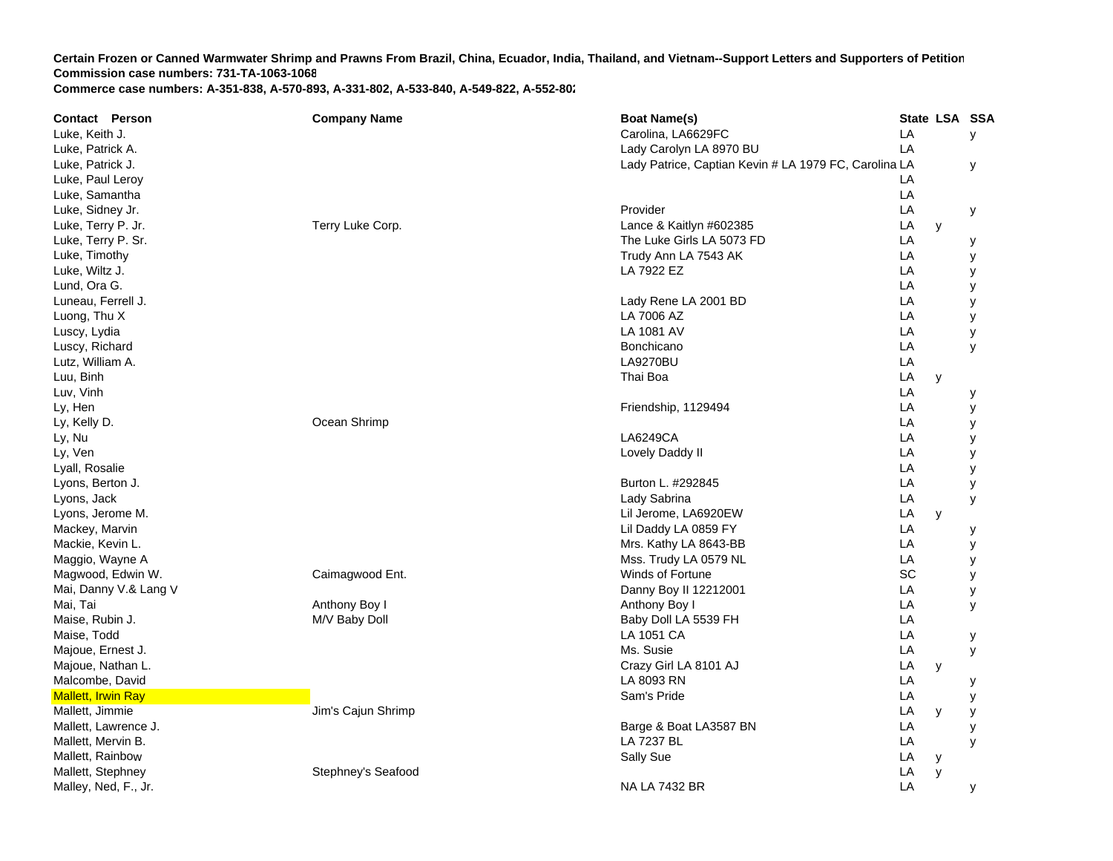| <b>Contact Person</b>     | <b>Company Name</b> | <b>Boat Name(s)</b>                                   | State LSA SSA |  |
|---------------------------|---------------------|-------------------------------------------------------|---------------|--|
| Luke, Keith J.            |                     | Carolina, LA6629FC                                    | LA<br>У       |  |
| Luke, Patrick A.          |                     | Lady Carolyn LA 8970 BU                               | LA            |  |
| Luke, Patrick J.          |                     | Lady Patrice, Captian Kevin # LA 1979 FC, Carolina LA | у             |  |
| Luke, Paul Leroy          |                     |                                                       | LA            |  |
| Luke, Samantha            |                     |                                                       | LA            |  |
| Luke, Sidney Jr.          |                     | Provider                                              | LA<br>у       |  |
| Luke, Terry P. Jr.        | Terry Luke Corp.    | Lance & Kaitlyn #602385                               | LA<br>y       |  |
| Luke, Terry P. Sr.        |                     | The Luke Girls LA 5073 FD                             | LA<br>у       |  |
| Luke, Timothy             |                     | Trudy Ann LA 7543 AK                                  | LA<br>у       |  |
| Luke, Wiltz J.            |                     | LA 7922 EZ                                            | LA<br>у       |  |
| Lund, Ora G.              |                     |                                                       | LA<br>у       |  |
| Luneau, Ferrell J.        |                     | Lady Rene LA 2001 BD                                  | LA<br>у       |  |
| Luong, Thu X              |                     | LA 7006 AZ                                            | LA<br>у       |  |
| Luscy, Lydia              |                     | LA 1081 AV                                            | LA<br>у       |  |
| Luscy, Richard            |                     | Bonchicano                                            | LA<br>y       |  |
| Lutz, William A.          |                     | <b>LA9270BU</b>                                       | LA            |  |
| Luu, Binh                 |                     | Thai Boa                                              | LA<br>y       |  |
| Luv, Vinh                 |                     |                                                       | LA<br>у       |  |
| Ly, Hen                   |                     | Friendship, 1129494                                   | LA<br>у       |  |
| Ly, Kelly D.              | Ocean Shrimp        |                                                       | LA<br>у       |  |
| Ly, Nu                    |                     | LA6249CA                                              | LA<br>у       |  |
| Ly, Ven                   |                     | Lovely Daddy II                                       | LA<br>у       |  |
| Lyall, Rosalie            |                     |                                                       | LA<br>у       |  |
| Lyons, Berton J.          |                     | Burton L. #292845                                     | LA<br>У       |  |
| Lyons, Jack               |                     | Lady Sabrina                                          | LA<br>У       |  |
| Lyons, Jerome M.          |                     | Lil Jerome, LA6920EW                                  | LA<br>y       |  |
| Mackey, Marvin            |                     | Lil Daddy LA 0859 FY                                  | LA<br>у       |  |
| Mackie, Kevin L.          |                     | Mrs. Kathy LA 8643-BB                                 | LA<br>у       |  |
| Maggio, Wayne A           |                     | Mss. Trudy LA 0579 NL                                 | LA<br>у       |  |
| Magwood, Edwin W.         | Caimagwood Ent.     | Winds of Fortune                                      | SC<br>У       |  |
| Mai, Danny V.& Lang V     |                     | Danny Boy II 12212001                                 | LA<br>у       |  |
| Mai, Tai                  | Anthony Boy I       | Anthony Boy I                                         | LA<br>у       |  |
| Maise, Rubin J.           | M/V Baby Doll       | Baby Doll LA 5539 FH                                  | LA            |  |
| Maise, Todd               |                     | LA 1051 CA                                            | LA<br>у       |  |
| Majoue, Ernest J.         |                     | Ms. Susie                                             | LA<br>у       |  |
| Majoue, Nathan L.         |                     | Crazy Girl LA 8101 AJ                                 | LA<br>y       |  |
| Malcombe, David           |                     | LA 8093 RN                                            | LA<br>у       |  |
| <b>Mallett, Irwin Ray</b> |                     | Sam's Pride                                           | LA<br>у       |  |
| Mallett, Jimmie           | Jim's Cajun Shrimp  |                                                       | LA<br>y<br>у  |  |
| Mallett, Lawrence J.      |                     | Barge & Boat LA3587 BN                                | LA<br>у       |  |
| Mallett, Mervin B.        |                     | LA 7237 BL                                            | LA<br>У       |  |
| Mallett, Rainbow          |                     | Sally Sue                                             | LA<br>y       |  |
| Mallett, Stephney         | Stephney's Seafood  |                                                       | LA<br>y       |  |
| Malley, Ned, F., Jr.      |                     | <b>NA LA 7432 BR</b>                                  | LA<br>у       |  |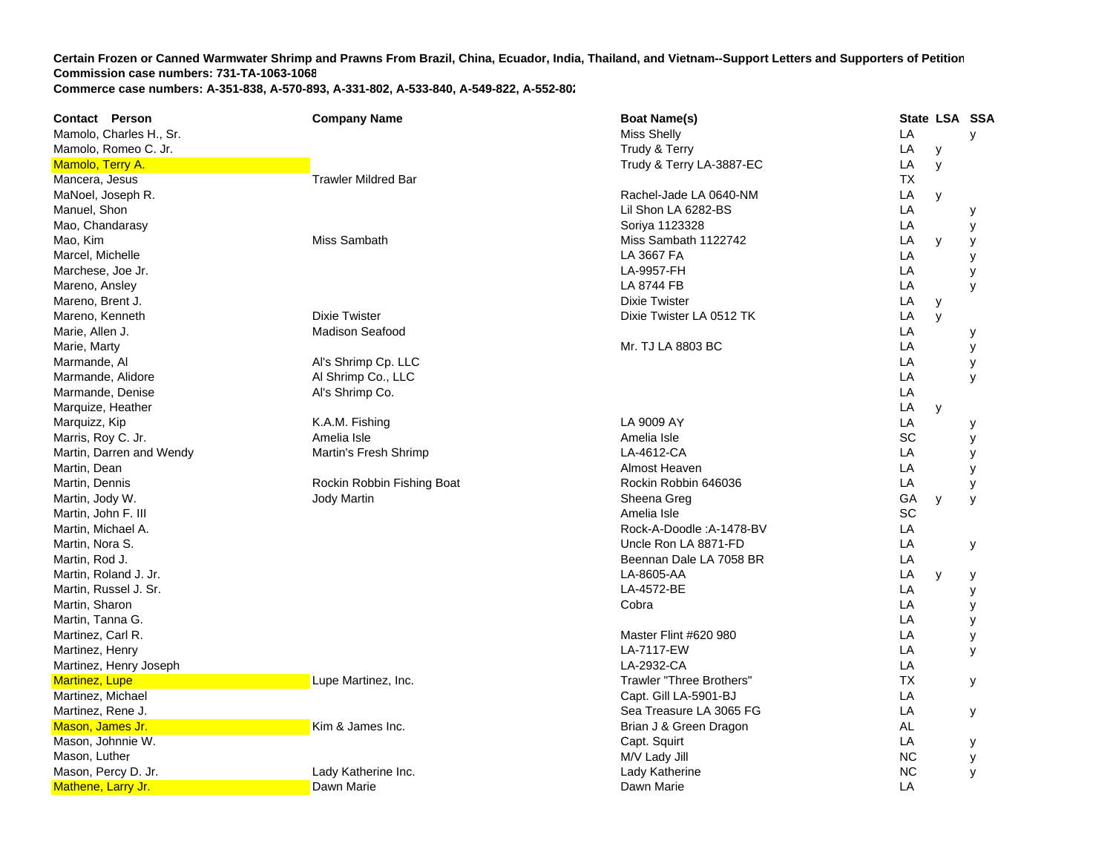| <b>Contact Person</b>    | <b>Company Name</b>        | <b>Boat Name(s)</b>      | State LSA SSA |   |   |
|--------------------------|----------------------------|--------------------------|---------------|---|---|
| Mamolo, Charles H., Sr.  |                            | <b>Miss Shelly</b>       | LA            |   | y |
| Mamolo, Romeo C. Jr.     |                            | Trudy & Terry            | LA            | у |   |
| Mamolo, Terry A.         |                            | Trudy & Terry LA-3887-EC | LA            | y |   |
| Mancera, Jesus           | <b>Trawler Mildred Bar</b> |                          | ТX            |   |   |
| MaNoel, Joseph R.        |                            | Rachel-Jade LA 0640-NM   | LA            | y |   |
| Manuel, Shon             |                            | Lil Shon LA 6282-BS      | LA            |   | у |
| Mao, Chandarasy          |                            | Soriya 1123328           | LA            |   | у |
| Mao, Kim                 | Miss Sambath               | Miss Sambath 1122742     | LA            | y | у |
| Marcel, Michelle         |                            | LA 3667 FA               | LA            |   | у |
| Marchese, Joe Jr.        |                            | LA-9957-FH               | LA            |   | у |
| Mareno, Ansley           |                            | LA 8744 FB               | LA            |   | У |
| Mareno, Brent J.         |                            | <b>Dixie Twister</b>     | LA            | y |   |
| Mareno, Kenneth          | <b>Dixie Twister</b>       | Dixie Twister LA 0512 TK | LA            | y |   |
| Marie, Allen J.          | <b>Madison Seafood</b>     |                          | LA            |   | у |
| Marie, Marty             |                            | Mr. TJ LA 8803 BC        | LA            |   | У |
| Marmande, Al             | Al's Shrimp Cp. LLC        |                          | LA            |   | у |
| Marmande, Alidore        | Al Shrimp Co., LLC         |                          | LA            |   | y |
| Marmande, Denise         | Al's Shrimp Co.            |                          | LA            |   |   |
| Marquize, Heather        |                            |                          | LA            | y |   |
| Marquizz, Kip            | K.A.M. Fishing             | LA 9009 AY               | LA            |   | у |
| Marris, Roy C. Jr.       | Amelia Isle                | Amelia Isle              | SC            |   | У |
| Martin, Darren and Wendy | Martin's Fresh Shrimp      | LA-4612-CA               | LA            |   | у |
| Martin, Dean             |                            | Almost Heaven            | LA            |   | y |
| Martin, Dennis           | Rockin Robbin Fishing Boat | Rockin Robbin 646036     | LA            |   | у |
| Martin, Jody W.          | <b>Jody Martin</b>         | Sheena Greg              | GA            | y | y |
| Martin, John F. III      |                            | Amelia Isle              | SC            |   |   |
| Martin, Michael A.       |                            | Rock-A-Doodle: A-1478-BV | LA            |   |   |
| Martin, Nora S.          |                            | Uncle Ron LA 8871-FD     | LA            |   | У |
| Martin, Rod J.           |                            | Beennan Dale LA 7058 BR  | LA            |   |   |
| Martin, Roland J. Jr.    |                            | LA-8605-AA               | LA            | y | у |
| Martin, Russel J. Sr.    |                            | LA-4572-BE               | LA            |   | у |
| Martin, Sharon           |                            | Cobra                    | LA            |   | у |
| Martin, Tanna G.         |                            |                          | LA            |   | У |
| Martinez, Carl R.        |                            | Master Flint #620 980    | LA            |   | у |
| Martinez, Henry          |                            | LA-7117-EW               | LA            |   | y |
| Martinez, Henry Joseph   |                            | LA-2932-CA               | LA            |   |   |
| <b>Martinez, Lupe</b>    | Lupe Martinez, Inc.        | Trawler "Three Brothers" | <b>TX</b>     |   | У |
| Martinez, Michael        |                            | Capt. Gill LA-5901-BJ    | LA            |   |   |
| Martinez, Rene J.        |                            | Sea Treasure LA 3065 FG  | LA            |   | у |
| Mason, James Jr.         | Kim & James Inc.           | Brian J & Green Dragon   | AL            |   |   |
| Mason, Johnnie W.        |                            | Capt. Squirt             | LA            |   | у |
| Mason, Luther            |                            | M/V Lady Jill            | <b>NC</b>     |   | у |
| Mason, Percy D. Jr.      | Lady Katherine Inc.        | Lady Katherine           | <b>NC</b>     |   | y |
| Mathene, Larry Jr.       | Dawn Marie                 | Dawn Marie               | LA            |   |   |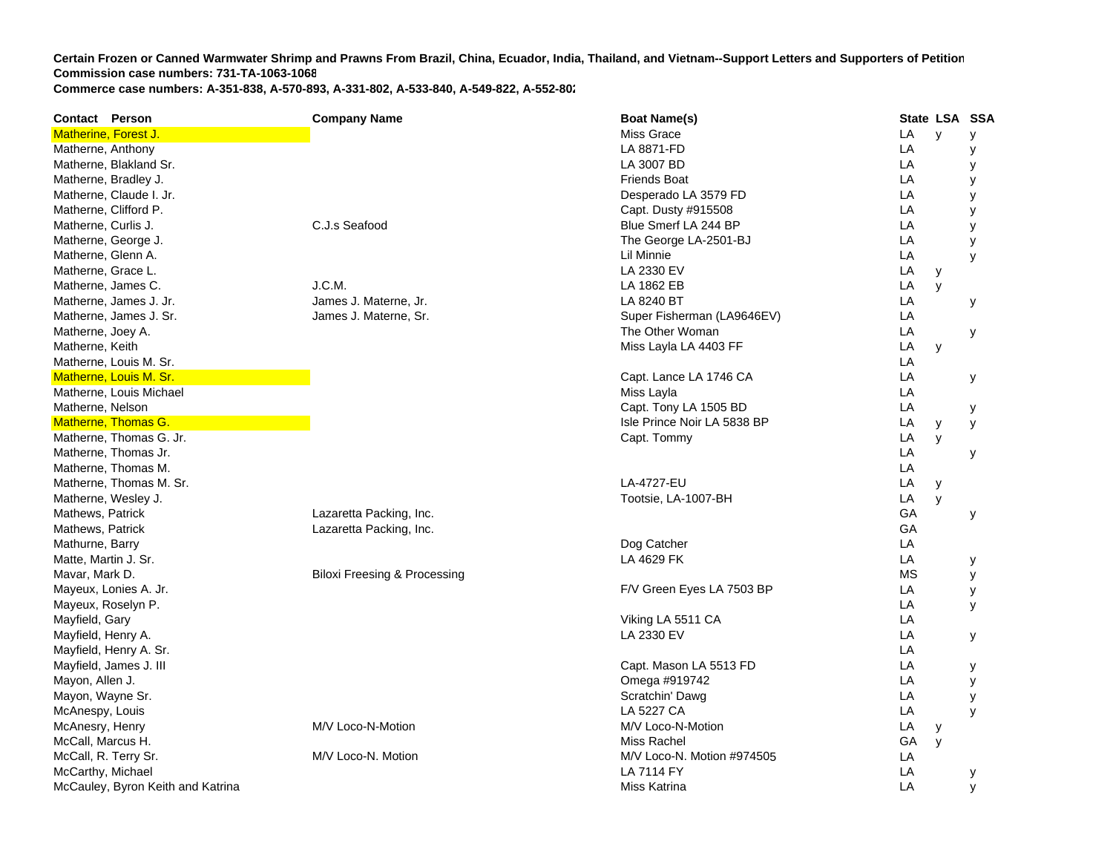| <b>Contact Person</b>             | <b>Company Name</b>                     | <b>Boat Name(s)</b>         | State LSA SSA |              |   |
|-----------------------------------|-----------------------------------------|-----------------------------|---------------|--------------|---|
| Matherine, Forest J.              |                                         | Miss Grace                  | LA            | $\mathsf{v}$ | У |
| Matherne, Anthony                 |                                         | LA 8871-FD                  | LA            |              | У |
| Matherne, Blakland Sr.            |                                         | LA 3007 BD                  | LA            |              | у |
| Matherne, Bradley J.              |                                         | <b>Friends Boat</b>         | LA            |              | У |
| Matherne, Claude I. Jr.           |                                         | Desperado LA 3579 FD        | LA            |              | у |
| Matherne, Clifford P.             |                                         | Capt. Dusty #915508         | LA            |              | У |
| Matherne, Curlis J.               | C.J.s Seafood                           | Blue Smerf LA 244 BP        | LA            |              | y |
| Matherne, George J.               |                                         | The George LA-2501-BJ       | LA            |              | y |
| Matherne, Glenn A.                |                                         | Lil Minnie                  | LA            |              | У |
| Matherne, Grace L.                |                                         | LA 2330 EV                  | LA            | у            |   |
| Matherne, James C.                | J.C.M.                                  | LA 1862 EB                  | LA            | y            |   |
| Matherne, James J. Jr.            | James J. Materne, Jr.                   | LA 8240 BT                  | LA            |              | у |
| Matherne, James J. Sr.            | James J. Materne, Sr.                   | Super Fisherman (LA9646EV)  | LA            |              |   |
| Matherne, Joey A.                 |                                         | The Other Woman             | LA            |              | У |
| Matherne, Keith                   |                                         | Miss Layla LA 4403 FF       | LA            | y            |   |
| Matherne, Louis M. Sr.            |                                         |                             | LA            |              |   |
| Matherne, Louis M. Sr.            |                                         | Capt. Lance LA 1746 CA      | LA            |              | у |
| Matherne, Louis Michael           |                                         | Miss Layla                  | LA            |              |   |
| Matherne, Nelson                  |                                         | Capt. Tony LA 1505 BD       | LA            |              | у |
| Matherne, Thomas G.               |                                         | Isle Prince Noir LA 5838 BP | LA            | У            | y |
| Matherne, Thomas G. Jr.           |                                         | Capt. Tommy                 | LA            | y            |   |
| Matherne, Thomas Jr.              |                                         |                             | LA            |              | у |
| Matherne, Thomas M.               |                                         |                             | LA            |              |   |
| Matherne, Thomas M. Sr.           |                                         | LA-4727-EU                  | LA            | y            |   |
| Matherne, Wesley J.               |                                         | Tootsie, LA-1007-BH         | LA            | y            |   |
| Mathews, Patrick                  | Lazaretta Packing, Inc.                 |                             | GA            |              | у |
| Mathews, Patrick                  | Lazaretta Packing, Inc.                 |                             | GA            |              |   |
| Mathurne, Barry                   |                                         | Dog Catcher                 | LA            |              |   |
| Matte, Martin J. Sr.              |                                         | LA 4629 FK                  | LA            |              | у |
| Mavar, Mark D.                    | <b>Biloxi Freesing &amp; Processing</b> |                             | <b>MS</b>     |              | у |
| Mayeux, Lonies A. Jr.             |                                         | F/V Green Eyes LA 7503 BP   | LA            |              | у |
| Mayeux, Roselyn P.                |                                         |                             | LA            |              | У |
| Mayfield, Gary                    |                                         | Viking LA 5511 CA           | LA            |              |   |
| Mayfield, Henry A.                |                                         | LA 2330 EV                  | LA            |              | У |
| Mayfield, Henry A. Sr.            |                                         |                             | LA            |              |   |
| Mayfield, James J. III            |                                         | Capt. Mason LA 5513 FD      | LA            |              | у |
| Mayon, Allen J.                   |                                         | Omega #919742               | LA            |              | У |
| Mayon, Wayne Sr.                  |                                         | Scratchin' Dawg             | LA            |              | у |
| McAnespy, Louis                   |                                         | <b>LA 5227 CA</b>           | LA            |              | y |
| McAnesry, Henry                   | M/V Loco-N-Motion                       | M/V Loco-N-Motion           | LA            | у            |   |
| McCall, Marcus H.                 |                                         | Miss Rachel                 | GA            | y            |   |
| McCall, R. Terry Sr.              | M/V Loco-N. Motion                      | M/V Loco-N. Motion #974505  | LA            |              |   |
| McCarthy, Michael                 |                                         | <b>LA 7114 FY</b>           | LA            |              | у |
| McCauley, Byron Keith and Katrina |                                         | Miss Katrina                | LA            |              | y |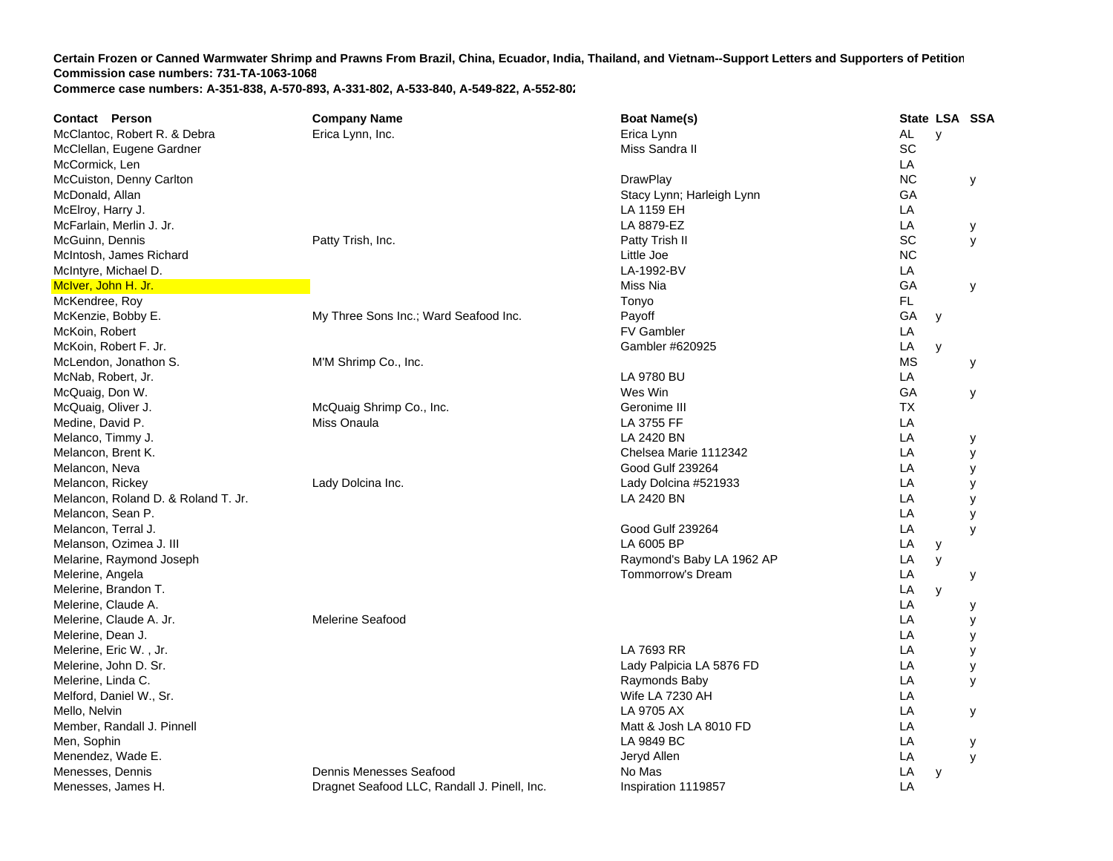| <b>Contact Person</b>               | <b>Company Name</b>                          | <b>Boat Name(s)</b>       |           | State LSA SSA |   |
|-------------------------------------|----------------------------------------------|---------------------------|-----------|---------------|---|
| McClantoc, Robert R. & Debra        | Erica Lynn, Inc.                             | Erica Lynn                | AL        | $\mathsf{y}$  |   |
| McClellan, Eugene Gardner           |                                              | Miss Sandra II            | SC        |               |   |
| McCormick, Len                      |                                              |                           | LA        |               |   |
| McCuiston, Denny Carlton            |                                              | <b>DrawPlay</b>           | <b>NC</b> |               | y |
| McDonald, Allan                     |                                              | Stacy Lynn; Harleigh Lynn | GA        |               |   |
| McElroy, Harry J.                   |                                              | LA 1159 EH                | LA        |               |   |
| McFarlain, Merlin J. Jr.            |                                              | LA 8879-EZ                | LA        |               | У |
| McGuinn, Dennis                     | Patty Trish, Inc.                            | Patty Trish II            | SC        |               | У |
| McIntosh, James Richard             |                                              | Little Joe                | <b>NC</b> |               |   |
| McIntyre, Michael D.                |                                              | LA-1992-BV                | LA        |               |   |
| McIver, John H. Jr.                 |                                              | Miss Nia                  | GA        |               | y |
| McKendree, Roy                      |                                              | Tonyo                     | FL        |               |   |
| McKenzie, Bobby E.                  | My Three Sons Inc.; Ward Seafood Inc.        | Payoff                    | GA        | y             |   |
| McKoin, Robert                      |                                              | <b>FV Gambler</b>         | LA        |               |   |
| McKoin, Robert F. Jr.               |                                              | Gambler #620925           | LA        | y             |   |
| McLendon, Jonathon S.               | M'M Shrimp Co., Inc.                         |                           | <b>MS</b> |               | У |
| McNab, Robert, Jr.                  |                                              | LA 9780 BU                | LA        |               |   |
| McQuaig, Don W.                     |                                              | Wes Win                   | GA        |               | у |
| McQuaig, Oliver J.                  | McQuaig Shrimp Co., Inc.                     | Geronime III              | <b>TX</b> |               |   |
| Medine, David P.                    | Miss Onaula                                  | LA 3755 FF                | LA        |               |   |
| Melanco, Timmy J.                   |                                              | LA 2420 BN                | LA        |               | У |
| Melancon, Brent K.                  |                                              | Chelsea Marie 1112342     | LA        |               | У |
| Melancon, Neva                      |                                              | Good Gulf 239264          | LA        |               | У |
| Melancon, Rickey                    | Lady Dolcina Inc.                            | Lady Dolcina #521933      | LA        |               | У |
| Melancon, Roland D. & Roland T. Jr. |                                              | LA 2420 BN                | LA        |               | У |
| Melancon, Sean P.                   |                                              |                           | LA        |               | У |
| Melancon, Terral J.                 |                                              | Good Gulf 239264          | LA        |               | y |
| Melanson, Ozimea J. III             |                                              | LA 6005 BP                | LA        | У             |   |
| Melarine, Raymond Joseph            |                                              | Raymond's Baby LA 1962 AP | LA        | y             |   |
| Melerine, Angela                    |                                              | Tommorrow's Dream         | LA        |               | у |
| Melerine, Brandon T.                |                                              |                           | LA        | y             |   |
| Melerine, Claude A.                 |                                              |                           | LA        |               | у |
| Melerine, Claude A. Jr.             | <b>Melerine Seafood</b>                      |                           | LA        |               | у |
| Melerine, Dean J.                   |                                              |                           | LA        |               | У |
| Melerine, Eric W., Jr.              |                                              | LA 7693 RR                | LA        |               | у |
| Melerine, John D. Sr.               |                                              | Lady Palpicia LA 5876 FD  | LA        |               | у |
| Melerine, Linda C.                  |                                              | Raymonds Baby             | LA        |               | у |
| Melford, Daniel W., Sr.             |                                              | Wife LA 7230 AH           | LA        |               |   |
| Mello, Nelvin                       |                                              | LA 9705 AX                | LA        |               | У |
| Member, Randall J. Pinnell          |                                              | Matt & Josh LA 8010 FD    | LA        |               |   |
| Men, Sophin                         |                                              | LA 9849 BC                | LA        |               | у |
| Menendez, Wade E.                   |                                              | Jeryd Allen               | LA        |               | y |
| Menesses, Dennis                    | Dennis Menesses Seafood                      | No Mas                    | LA        | У             |   |
| Menesses, James H.                  | Dragnet Seafood LLC, Randall J. Pinell, Inc. | Inspiration 1119857       | LA        |               |   |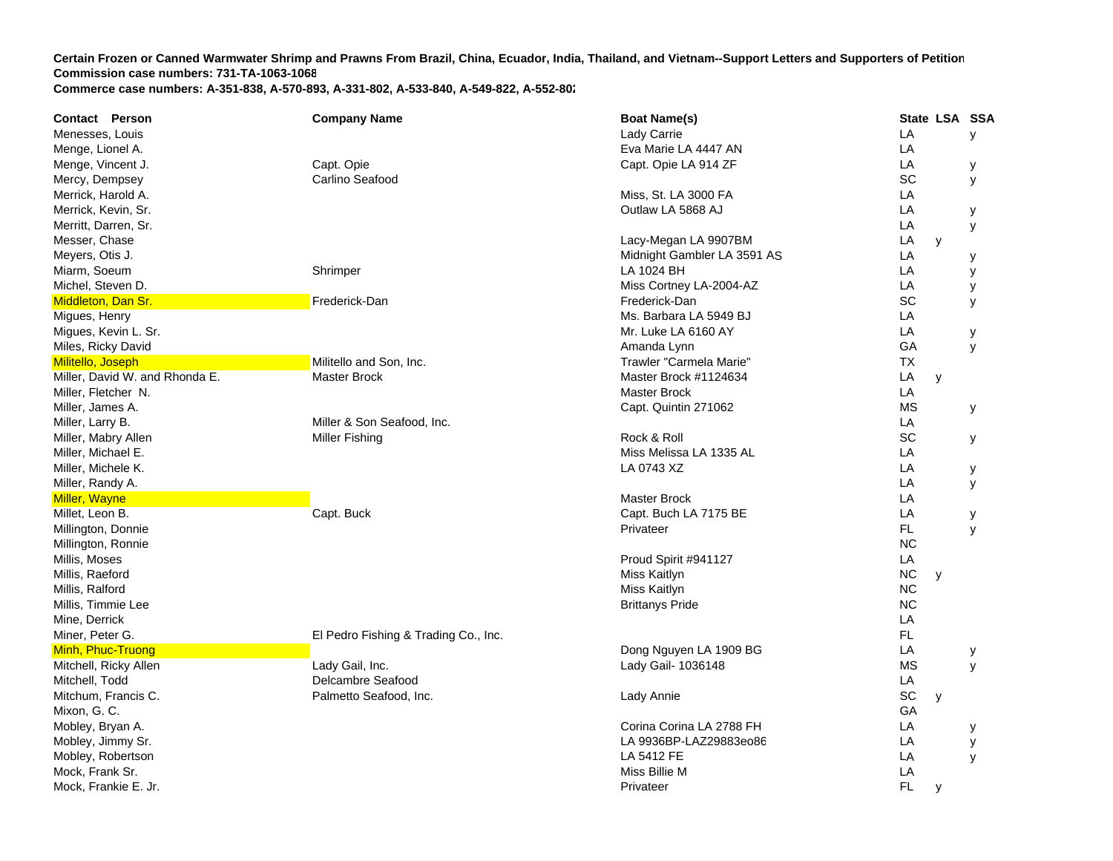| <b>Contact Person</b>          | <b>Company Name</b>                  | <b>Boat Name(s)</b>         |           | State LSA SSA |   |
|--------------------------------|--------------------------------------|-----------------------------|-----------|---------------|---|
| Menesses, Louis                |                                      | Lady Carrie                 | LA        |               | У |
| Menge, Lionel A.               |                                      | Eva Marie LA 4447 AN        | LA        |               |   |
| Menge, Vincent J.              | Capt. Opie                           | Capt. Opie LA 914 ZF        | LA        |               | у |
| Mercy, Dempsey                 | Carlino Seafood                      |                             | SC        |               | У |
| Merrick, Harold A.             |                                      | Miss, St. LA 3000 FA        | LA        |               |   |
| Merrick, Kevin, Sr.            |                                      | Outlaw LA 5868 AJ           | LA        |               | у |
| Merritt, Darren, Sr.           |                                      |                             | LA        |               | у |
| Messer, Chase                  |                                      | Lacy-Megan LA 9907BM        | LA        | y             |   |
| Meyers, Otis J.                |                                      | Midnight Gambler LA 3591 AS | LA        |               | у |
| Miarm, Soeum                   | Shrimper                             | LA 1024 BH                  | LA        |               | у |
| Michel, Steven D.              |                                      | Miss Cortney LA-2004-AZ     | LA        |               | у |
| Middleton, Dan Sr.             | Frederick-Dan                        | Frederick-Dan               | SC        |               | y |
| Migues, Henry                  |                                      | Ms. Barbara LA 5949 BJ      | LA        |               |   |
| Migues, Kevin L. Sr.           |                                      | Mr. Luke LA 6160 AY         | LA        |               | у |
| Miles, Ricky David             |                                      | Amanda Lynn                 | GA        |               | y |
| Militello, Joseph              | Militello and Son, Inc.              | Trawler "Carmela Marie"     | <b>TX</b> |               |   |
| Miller, David W. and Rhonda E. | <b>Master Brock</b>                  | Master Brock #1124634       | LA        | y             |   |
| Miller, Fletcher N.            |                                      | Master Brock                | LA        |               |   |
| Miller, James A.               |                                      | Capt. Quintin 271062        | ΜS        |               | у |
| Miller, Larry B.               | Miller & Son Seafood, Inc.           |                             | LA        |               |   |
| Miller, Mabry Allen            | <b>Miller Fishing</b>                | Rock & Roll                 | SC        |               | у |
| Miller, Michael E.             |                                      | Miss Melissa LA 1335 AL     | LA        |               |   |
| Miller, Michele K.             |                                      | LA 0743 XZ                  | LA        |               | у |
| Miller, Randy A.               |                                      |                             | LA        |               | У |
| <b>Miller, Wayne</b>           |                                      | Master Brock                | LA        |               |   |
| Millet, Leon B.                | Capt. Buck                           | Capt. Buch LA 7175 BE       | LA        |               | у |
| Millington, Donnie             |                                      | Privateer                   | FL        |               | y |
| Millington, Ronnie             |                                      |                             | <b>NC</b> |               |   |
| Millis, Moses                  |                                      | Proud Spirit #941127        | LA        |               |   |
| Millis, Raeford                |                                      | Miss Kaitlyn                | <b>NC</b> | У             |   |
| Millis, Ralford                |                                      | Miss Kaitlyn                | <b>NC</b> |               |   |
| Millis, Timmie Lee             |                                      | <b>Brittanys Pride</b>      | <b>NC</b> |               |   |
| Mine, Derrick                  |                                      |                             | LA        |               |   |
| Miner, Peter G.                | El Pedro Fishing & Trading Co., Inc. |                             | FL.       |               |   |
| Minh, Phuc-Truong              |                                      | Dong Nguyen LA 1909 BG      | LA        |               | у |
| Mitchell, Ricky Allen          | Lady Gail, Inc.                      | Lady Gail- 1036148          | <b>MS</b> |               | y |
| Mitchell, Todd                 | Delcambre Seafood                    |                             | LA        |               |   |
| Mitchum, Francis C.            | Palmetto Seafood, Inc.               | Lady Annie                  | SC        | y             |   |
| Mixon, G. C.                   |                                      |                             | GA        |               |   |
| Mobley, Bryan A.               |                                      | Corina Corina LA 2788 FH    | LA        |               | у |
| Mobley, Jimmy Sr.              |                                      | LA 9936BP-LAZ29883eo86      | LA        |               | у |
| Mobley, Robertson              |                                      | LA 5412 FE                  | LA        |               | y |
| Mock, Frank Sr.                |                                      | Miss Billie M               | LA        |               |   |
| Mock, Frankie E. Jr.           |                                      | Privateer                   | FL        | y             |   |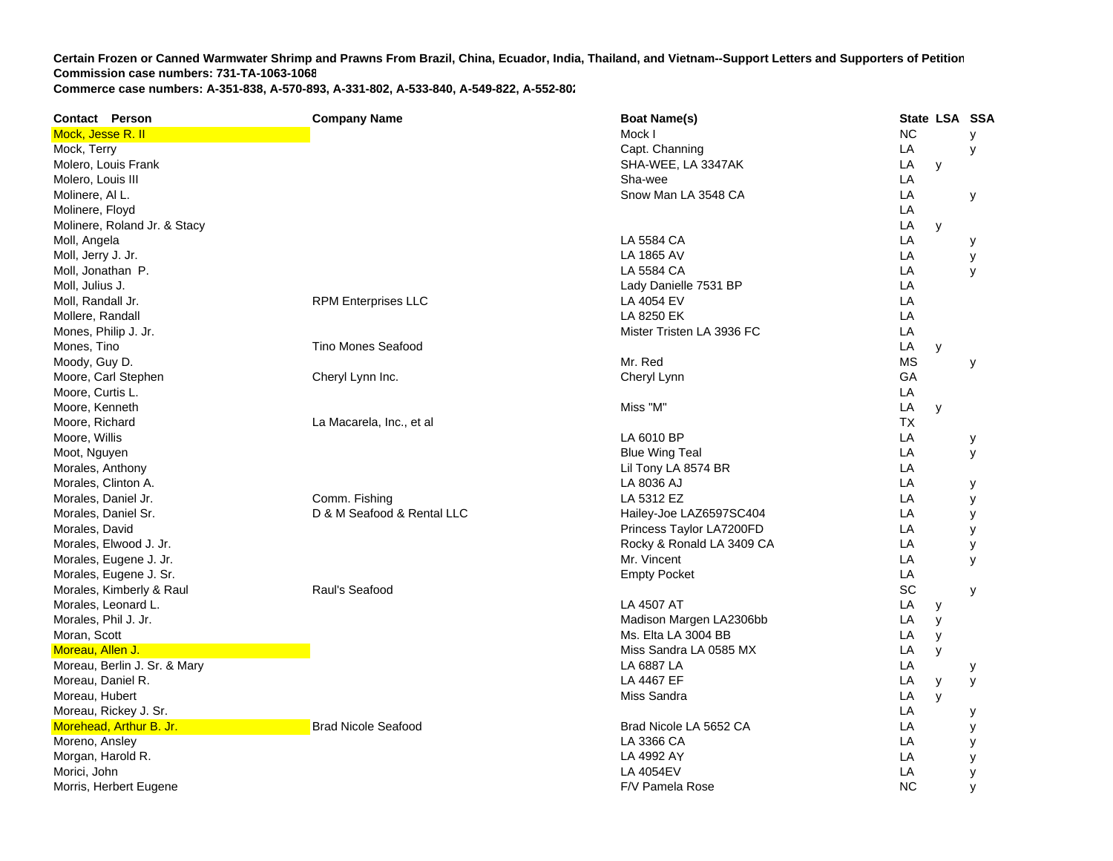| <b>Contact Person</b>        | <b>Company Name</b>        | <b>Boat Name(s)</b>       | State LSA SSA |   |   |
|------------------------------|----------------------------|---------------------------|---------------|---|---|
| Mock, Jesse R. II            |                            | Mock I                    | <b>NC</b>     |   | У |
| Mock, Terry                  |                            | Capt. Channing            | LA            |   | у |
| Molero, Louis Frank          |                            | SHA-WEE, LA 3347AK        | LA            | y |   |
| Molero, Louis III            |                            | Sha-wee                   | LA            |   |   |
| Molinere, AI L.              |                            | Snow Man LA 3548 CA       | LA            |   | у |
| Molinere, Floyd              |                            |                           | LA            |   |   |
| Molinere, Roland Jr. & Stacy |                            |                           | LA            | y |   |
| Moll, Angela                 |                            | LA 5584 CA                | LA            |   | у |
| Moll, Jerry J. Jr.           |                            | LA 1865 AV                | LA            |   | у |
| Moll, Jonathan P.            |                            | LA 5584 CA                | LA            |   | У |
| Moll, Julius J.              |                            | Lady Danielle 7531 BP     | LA            |   |   |
| Moll, Randall Jr.            | <b>RPM Enterprises LLC</b> | LA 4054 EV                | LA            |   |   |
| Mollere, Randall             |                            | LA 8250 EK                | LA            |   |   |
| Mones, Philip J. Jr.         |                            | Mister Tristen LA 3936 FC | LA            |   |   |
| Mones, Tino                  | Tino Mones Seafood         |                           | LA            | y |   |
| Moody, Guy D.                |                            | Mr. Red                   | <b>MS</b>     |   | У |
| Moore, Carl Stephen          | Cheryl Lynn Inc.           | Cheryl Lynn               | GA            |   |   |
| Moore, Curtis L.             |                            |                           | LA            |   |   |
| Moore, Kenneth               |                            | Miss "M"                  | LA            | y |   |
| Moore, Richard               | La Macarela, Inc., et al   |                           | <b>TX</b>     |   |   |
| Moore, Willis                |                            | LA 6010 BP                | LA            |   | у |
| Moot, Nguyen                 |                            | <b>Blue Wing Teal</b>     | LA            |   | У |
| Morales, Anthony             |                            | Lil Tony LA 8574 BR       | LA            |   |   |
| Morales, Clinton A.          |                            | LA 8036 AJ                | LA            |   | у |
| Morales, Daniel Jr.          | Comm. Fishing              | LA 5312 EZ                | LA            |   | У |
| Morales, Daniel Sr.          | D & M Seafood & Rental LLC | Hailey-Joe LAZ6597SC404   | LA            |   | y |
| Morales, David               |                            | Princess Taylor LA7200FD  | LA            |   | у |
| Morales, Elwood J. Jr.       |                            | Rocky & Ronald LA 3409 CA | LA            |   | у |
| Morales, Eugene J. Jr.       |                            | Mr. Vincent               | LA            |   | y |
| Morales, Eugene J. Sr.       |                            | <b>Empty Pocket</b>       | LA            |   |   |
| Morales, Kimberly & Raul     | Raul's Seafood             |                           | SC            |   | У |
| Morales, Leonard L.          |                            | LA 4507 AT                | LA            | у |   |
| Morales, Phil J. Jr.         |                            | Madison Margen LA2306bb   | LA            | y |   |
| Moran, Scott                 |                            | Ms. Elta LA 3004 BB       | LA            | y |   |
| Moreau, Allen J.             |                            | Miss Sandra LA 0585 MX    | LA            | у |   |
| Moreau, Berlin J. Sr. & Mary |                            | LA 6887 LA                | LA            |   | у |
| Moreau, Daniel R.            |                            | LA 4467 EF                | LA            | y | у |
| Moreau, Hubert               |                            | Miss Sandra               | LA            | y |   |
| Moreau, Rickey J. Sr.        |                            |                           | LA            |   | у |
| Morehead, Arthur B. Jr.      | <b>Brad Nicole Seafood</b> | Brad Nicole LA 5652 CA    | LA            |   | у |
| Moreno, Ansley               |                            | LA 3366 CA                | LA            |   | у |
| Morgan, Harold R.            |                            | LA 4992 AY                | LA            |   | у |
| Morici, John                 |                            | <b>LA 4054EV</b>          | LA            |   | У |
| Morris, Herbert Eugene       |                            | F/V Pamela Rose           | <b>NC</b>     |   | y |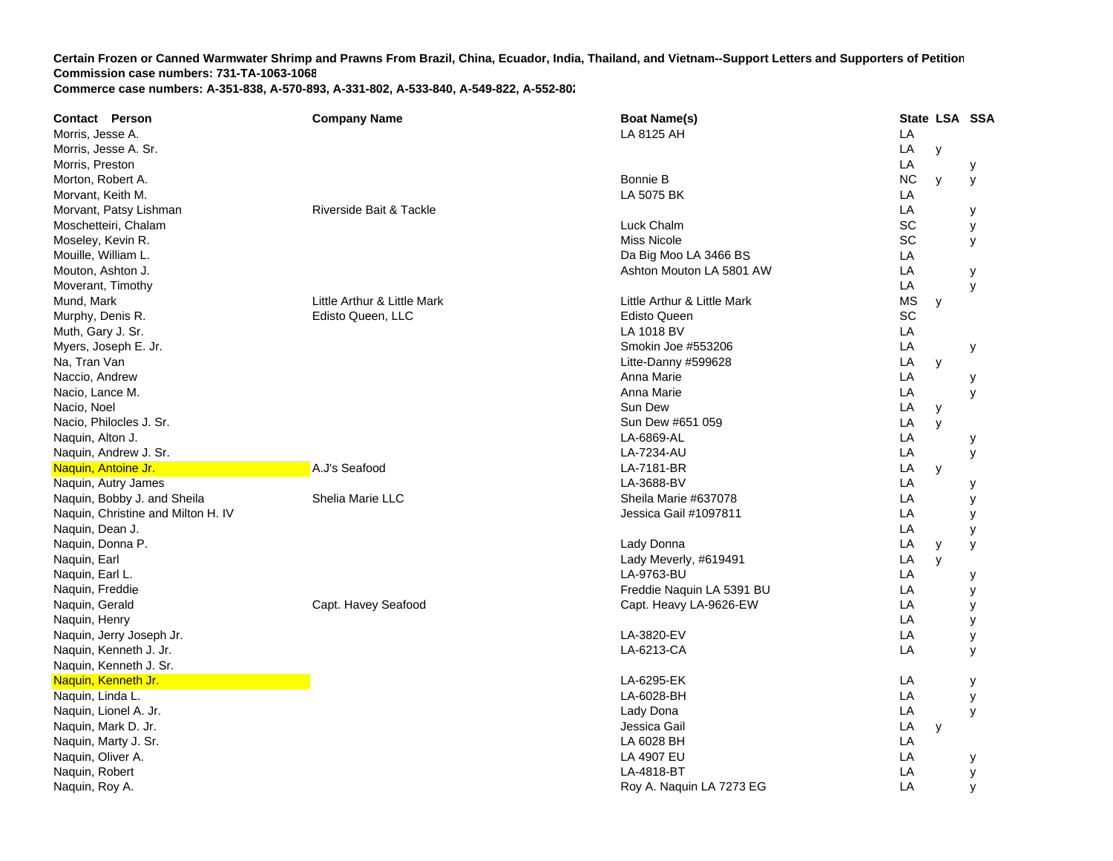**Contact Person Company Name Boat Name(s) State LSA SSA**  Morris, Jesse A. LA 8125 AH L **LA** Morris, Jesse A. Sr. LA y Morris, Preston LA y Morton, Robert A. Bonnie B NC y y Morvant, Keith M. LA 5075 BK K LA Morvant, Patsy Lishman and Communications of Riverside Bait & Tackle La Communications and Communications of LA y Moschetteiri, Chalam SC y Moseley, Kevin R. Miss Nicole SC y Mouille, William L. Da Big Moo LA 3466 B SS LA Mouton, Ashton J. Ashton Mouton LA 5801 A W LA y Moverant, Timothy LA y Mund, Mark **Nark Communist Communist Communist Communist Communist Communist Communist Communist Communist Communist Communist Communist Communist Communist Communist Communist Communist Communist Communist Communist Commu** Murphy, Denis R. Edisto Queen, LL C Edisto Queen SC Muth, Gary J. Sr. LA 1018 BV V LA Myers, Joseph E. Jr. Smokin Joe #553206 LA y Na, Tran Van Litte-Danny #599628 LA y Naccio, Andrew Anna Marie L **LA**  y Nacio, Lance M. Anna Marie L **LA**  y Nacio, Noel Sun De Sun De Sun De Sun De Sun De Sun De Sun De Sun De Sun De Sun De Sun Dew LA y Nacio, Philocles J. Sr. Sun Dew #651 059 LA y Naquin, Alton J. LA-6869-AL LA y Naquin, Andrew J. Sr. LA-7234-AU L **LA**  y Naquin, Antoine Jr. A.J's Seafood LA-7181-BR R LA y Naquin, Autry James LA-3688-BV LA y Naquin, Bobby J. and Sheila Sheila Shelia Marie LLC Sheila Marie #637078 Sheila Marie #637078 LA y Naquin, Christine and Milton H. I VJessica Gail #1097811 A y Naquin, Dean J. LA y Naquin, Donna P. Lady Donna LA y y Naquin, Earl Lady Meverly, #619491 L **LA**  y Naquin, Earl L. LA-9763-BU L **LA**  y Naquin, Freddie Freddie Naquin LA 5391 B U LA y Naquin, Gerald Capt. Havey Seafood Capt. Heavy LA-9626-E W LA y Naquin, Henry LA y Naquin, Jerry Joseph Jr. LA-3820-EV LA y Naquin, Kenneth J. Jr. LA-6213-CA LA y Naquin, Kenneth J. Sr. Naquin, Kenneth Jr. LA-6295-EK LA y Naquin, Linda L. LA-6028-BH L **LA**  y Naquin, Lionel A. Jr. Lady Dona L **LA**  y Naquin, Mark D. Jr. **Natural Library of Contract Contract Contract Contract Contract Contract Contract Contract Contract Contract Contract Contract Contract Contract Contract Contract Contract Contract Contract Contract Co** A y Naquin, Marty J. Sr. LA 6028 BH L **LA** Naquin, Oliver A. LA 4907 EU L **LA**  y Naquin, Robert LA-4818-BT T<sub>a</sub> the contract of the contract of the contract of the contract of the contract of the contract of the contract of the contract of the contract of the contract of the contract of the contract of the contract of the contr LA y Naquin, Roy A. Roy A. Naquin LA 7273 E GLA y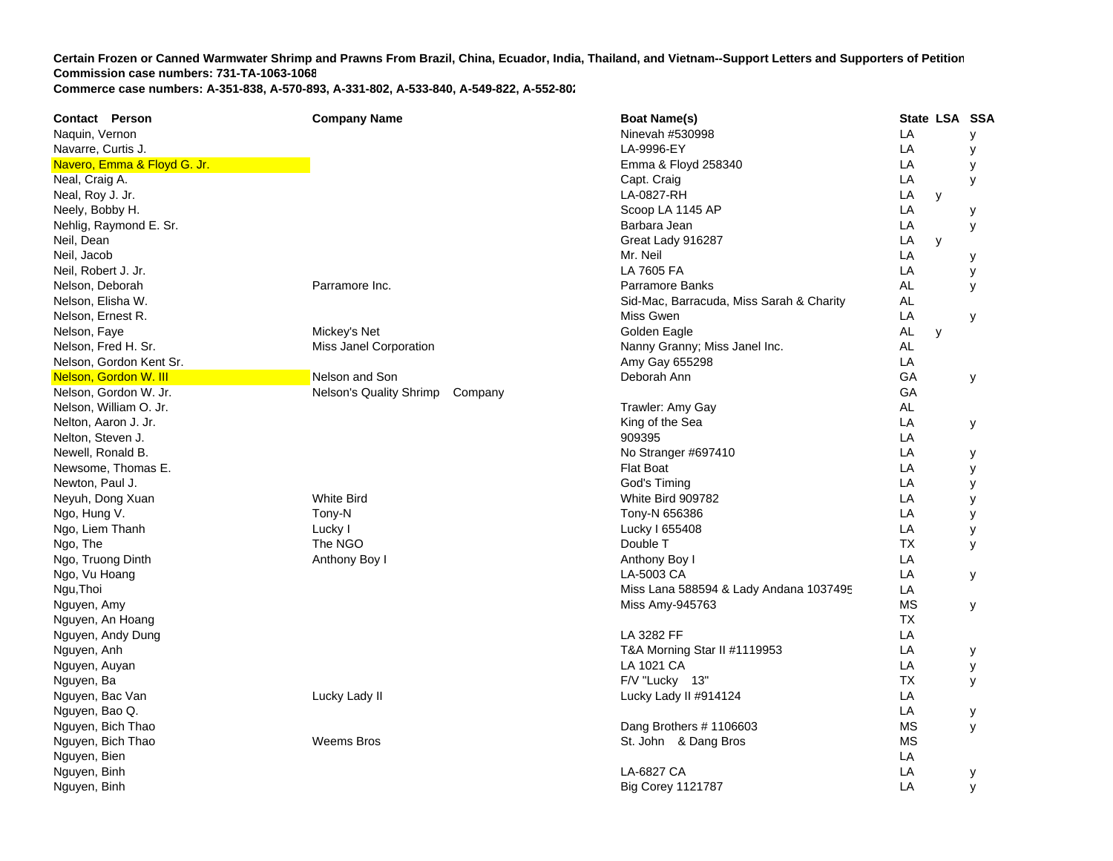| <b>Contact Person</b>       | <b>Company Name</b>                | <b>Boat Name(s)</b>                      |           | State LSA SSA |   |
|-----------------------------|------------------------------------|------------------------------------------|-----------|---------------|---|
| Naquin, Vernon              |                                    | Ninevah #530998                          | LA        |               | У |
| Navarre, Curtis J.          |                                    | LA-9996-EY                               | LA        |               | у |
| Navero, Emma & Floyd G. Jr. |                                    | Emma & Floyd 258340                      | LA        |               | у |
| Neal, Craig A.              |                                    | Capt. Craig                              | LA        |               | У |
| Neal, Roy J. Jr.            |                                    | LA-0827-RH                               | LA        | y             |   |
| Neely, Bobby H.             |                                    | Scoop LA 1145 AP                         | LA        |               | у |
| Nehlig, Raymond E. Sr.      |                                    | Barbara Jean                             | LA        |               | у |
| Neil, Dean                  |                                    | Great Lady 916287                        | LA        | y             |   |
| Neil, Jacob                 |                                    | Mr. Neil                                 | LA        |               | у |
| Neil, Robert J. Jr.         |                                    | LA 7605 FA                               | LA        |               | у |
| Nelson, Deborah             | Parramore Inc.                     | Parramore Banks                          | AL        |               | y |
| Nelson, Elisha W.           |                                    | Sid-Mac, Barracuda, Miss Sarah & Charity | <b>AL</b> |               |   |
| Nelson, Ernest R.           |                                    | Miss Gwen                                | LA        |               | У |
| Nelson, Faye                | Mickey's Net                       | Golden Eagle                             | <b>AL</b> | y             |   |
| Nelson, Fred H. Sr.         | Miss Janel Corporation             | Nanny Granny; Miss Janel Inc.            | <b>AL</b> |               |   |
| Nelson, Gordon Kent Sr.     |                                    | Amy Gay 655298                           | LA        |               |   |
| Nelson, Gordon W. III       | Nelson and Son                     | Deborah Ann                              | GA        |               | у |
| Nelson, Gordon W. Jr.       | Nelson's Quality Shrimp<br>Company |                                          | GA        |               |   |
| Nelson, William O. Jr.      |                                    | Trawler: Amy Gay                         | AL        |               |   |
| Nelton, Aaron J. Jr.        |                                    | King of the Sea                          | LA        |               | У |
| Nelton, Steven J.           |                                    | 909395                                   | LA        |               |   |
| Newell, Ronald B.           |                                    | No Stranger #697410                      | LA        |               | у |
| Newsome, Thomas E.          |                                    | <b>Flat Boat</b>                         | LA        |               | у |
| Newton, Paul J.             |                                    | God's Timing                             | LA        |               | у |
| Neyuh, Dong Xuan            | <b>White Bird</b>                  | White Bird 909782                        | LA        |               | у |
| Ngo, Hung V.                | Tony-N                             | Tony-N 656386                            | LA        |               | у |
| Ngo, Liem Thanh             | Lucky I                            | Lucky I 655408                           | LA        |               | У |
| Ngo, The                    | The NGO                            | Double T                                 | <b>TX</b> |               | У |
| Ngo, Truong Dinth           | Anthony Boy I                      | Anthony Boy I                            | LA        |               |   |
| Ngo, Vu Hoang               |                                    | LA-5003 CA                               | LA        |               | У |
| Ngu, Thoi                   |                                    | Miss Lana 588594 & Lady Andana 1037495   | LA        |               |   |
| Nguyen, Amy                 |                                    | Miss Amy-945763                          | <b>MS</b> |               | у |
| Nguyen, An Hoang            |                                    |                                          | <b>TX</b> |               |   |
| Nguyen, Andy Dung           |                                    | LA 3282 FF                               | LA        |               |   |
| Nguyen, Anh                 |                                    | T&A Morning Star II #1119953             | LA        |               | у |
| Nguyen, Auyan               |                                    | LA 1021 CA                               | LA        |               | y |
| Nguyen, Ba                  |                                    | F/V "Lucky 13"                           | <b>TX</b> |               | y |
| Nguyen, Bac Van             | Lucky Lady II                      | Lucky Lady II #914124                    | LA        |               |   |
| Nguyen, Bao Q.              |                                    |                                          | LA        |               | у |
| Nguyen, Bich Thao           |                                    | Dang Brothers #1106603                   | <b>MS</b> |               | У |
| Nguyen, Bich Thao           | <b>Weems Bros</b>                  | St. John & Dang Bros                     | <b>MS</b> |               |   |
| Nguyen, Bien                |                                    |                                          | LA        |               |   |
| Nguyen, Binh                |                                    | LA-6827 CA                               | LA        |               | У |
| Nguyen, Binh                |                                    | <b>Big Corey 1121787</b>                 | LA        |               | У |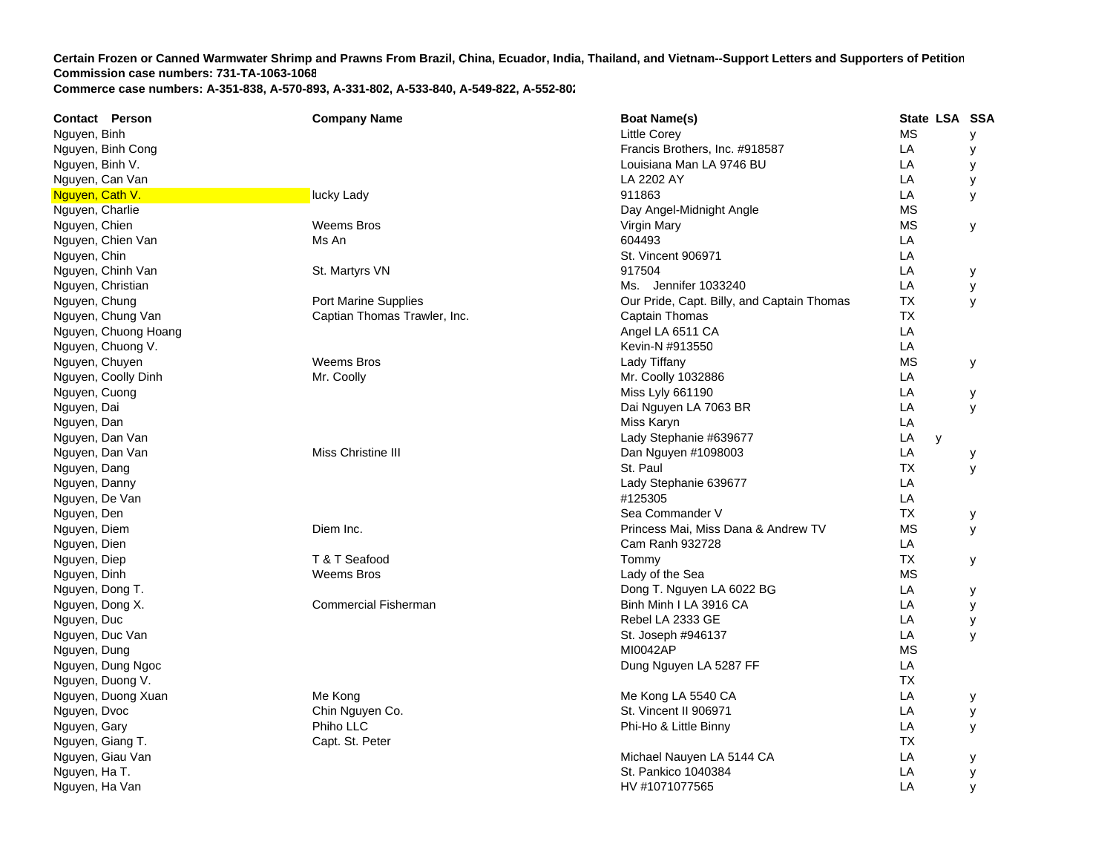**Contact Person Company Name Boat Name(s) State LSA SSA**  Nguyen, Binh and MS you are the controller of the controller of the corey and the corey and the corey are the core of the core of the core of the core of the core of the core of the core of the core of the core of the core Nguyen, Binh Cong **Francis Brothers, Inc. #918587** Local Exempe of Prancis Brothers, Inc. #918587 LA y Nguyen, Binh V. Louisiana Man LA 9746 BU L A y Nguyen, Can Van LA 2202 AY LA y Nguyen, Cath V. lucky Lady 911863 lucky Lady 911863 lucky let a lucky Lady 911863 lucky lucky lady lucky Lady 1 **LA**  y Nguyen, Charlie **Natural Angle Midnight Angle** MS Natural Angle Day Angel-Midnight Angle MS Nguyen, Chien Weems Bros Virgin Mary MS y Nguyen, Chien Van Maria Van Maria Music Mis An Maria Van Maria Van Maria Van Maria Van Maria Van Maria Van Mari ANguyen, Chin St. Vincent 906971 L **LA** Nguyen, Chinh Van St. Martyrs VN St. Martyrs VN 917504 **LA**  y Nguyen, Christian Ms. Jennifer 1033240 **LA**  y Nguyen, Chung **Port Marine Supplies** Port Marine Supplies **Port Access Contains Access Containe** Chung Port Marine Supplies **The Captain Thomas Thomas Thomas** Thomas Thomas Thomas Thomas Thomas Thomas Thomas Thomas Thomas **TX**  y Nguyen, Chung Van Captian Thomas Trawler, Inc. Captain Thomas Trawler, Inc. Captain Thomas Trawler, Inc. Captain Thomas Trawler, Inc. Captain Thomas Trawler, Inc. Captain Thomas Trawler, Inc. Captain Thomas Trawler, Inc. C TX Nguyen, Chuong Hoang Angel LA 6511 CA LA Nguyen, Chuong V. Kevin-N #913550 LA Nguyen, Chuyen Weems Bros Lady Tiffany MS y Nguyen, Coolly Dinh **Mr. Coolly Mr. Coolly Coolly Coolly Cool**ly Mr. Coolly 1032886 LA Nguyen, Cuong **Miss Lyly 661190** Lyly 661190 **LA**  y Nguyen, Dai Dai Nguyen LA 7063 B R LA y Nguyen, Dan Miss Karyn Lawren a tha a tha ann an t-aith ann an t-aith ann an Miss Karyn Lawren a t-aith an Lawren L **LA** Nguyen, Dan Van Lady Stephanie #639677 LA y Nguyen, Dan Van Man Miss Christine III Dan Nguyen #1098003 LA y Nguyen, Dang St. Paul Theory of the St. Paul Theory of the St. Paul Theory of the St. Paul Theory of the St. Paul T TX y Nguyen, Danny Lady Stephanie 639677 LA Nguyen, De Van #125305 de La De La De La De La De La De La De La De La De La De La De La De La De La De La De Nguyen, Den Sea Commander (Sea Commander ) and Sea Commander (Sea Commander ) and Sea Commander (Sea Commander Sea Commander V TX y Nguyen, Diem Diem Inc. Princess Mai, Miss Dana & Andrew T V MS y Nguyen, Dien Cam Ranh 932728 LA Nguyen, Diep T & T Seafood Tommy T **TX**  y Nguyen, Dinh Weems Bros Lady of the Sea MS Nguyen, Dong T. Dong T. Nguyen LA 6022 B G LA y Nguyen, Dong X. Commercial Fisherman Binguyen, Dong X. Binh Minh I LA 3916 CA LA y Nguyen, Duc Rebel LA 2333 GE LA y Nguyen, Duc Van St. Joseph #946137 LA LA y Nguyen, Dung MI0042AP MS Nguyen, Dung Ngoc **Nguyen LA 5287 FF** LA 5287 FF LA 5287 FF LA 5287 FF LA 5287 FF LA 5287 FF LA 5287 FF LA 5287 FF LA 5287 FF LA 5287 FF LA 5287 FF LA 5287 FF LA 5287 FF LA 5287 FF LA 5287 FF LA 5287 FF LA 5287 FF LA 5287 Nguyen, Duong V. TXNguyen, Duong Xuan Me Kong LA 5540 CMB Me Kong LA 5540 CMB Me Kong LA 5540 CMB Me Kong LA 5540 CMB Me Kong LA 5540 CMB Me Kong LA 5540 CMB Me Kong LA 5540 CMB Me Kong LA 5540 CMB Me Kong LA 5540 CMB Me Kong LA 5540 CMB Me Me Kong LA 5540 CA LA y Nguyen, Dvoc Chin Nguyen Co. St. Vincent II 906971 L A y Nguyen, Gary **Philo LLC** Phiho LLC Phi-Ho & Little Binny **Phi-Ho Business Communist Communist Communist Communist Communist Communist Communist Communist Communist Communist Communist Communist Communist Communist Communis** Nguyen, Giang T. Capt. St. Peter T TX Nguyen, Giau Van Michael Nauyen LA 5144 C A LA y Nguyen, Ha T. St. Pankico 1040384 L Ay

Nguyen, Ha Van Hull and Holland and Holland and Holland and HV #1071077565 later and HV #1071077565 later and H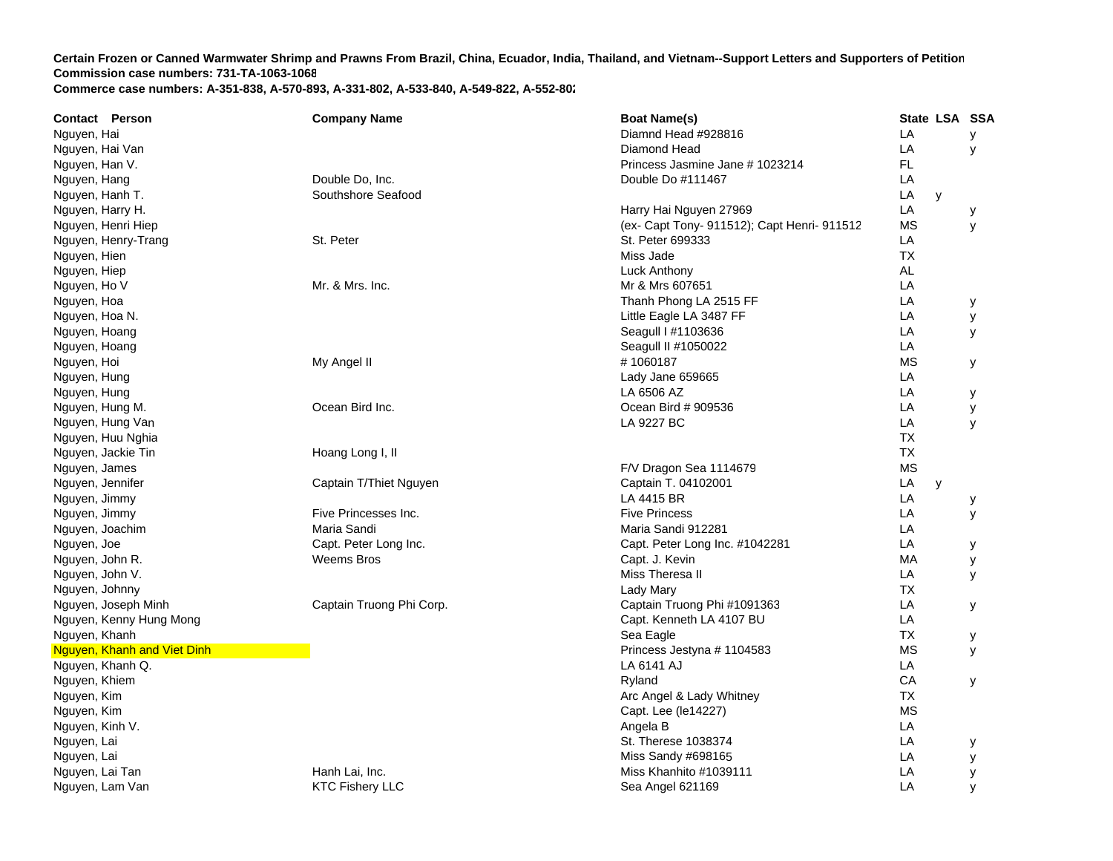| <b>Contact Person</b>       | <b>Company Name</b>      | <b>Boat Name(s)</b>                         | State LSA SSA |   |   |
|-----------------------------|--------------------------|---------------------------------------------|---------------|---|---|
| Nguyen, Hai                 |                          | Diamnd Head #928816                         | LA            |   | y |
| Nguyen, Hai Van             |                          | Diamond Head                                | LA            |   | y |
| Nguyen, Han V.              |                          | Princess Jasmine Jane # 1023214             | FL.           |   |   |
| Nguyen, Hang                | Double Do, Inc.          | Double Do #111467                           | LA            |   |   |
| Nguyen, Hanh T.             | Southshore Seafood       |                                             | LA            | y |   |
| Nguyen, Harry H.            |                          | Harry Hai Nguyen 27969                      | LA            |   | у |
| Nguyen, Henri Hiep          |                          | (ex- Capt Tony- 911512); Capt Henri- 911512 | ΜS            |   | y |
| Nguyen, Henry-Trang         | St. Peter                | St. Peter 699333                            | LA            |   |   |
| Nguyen, Hien                |                          | Miss Jade                                   | <b>TX</b>     |   |   |
| Nguyen, Hiep                |                          | Luck Anthony                                | AL            |   |   |
| Nguyen, Ho V                | Mr. & Mrs. Inc.          | Mr & Mrs 607651                             | LA            |   |   |
| Nguyen, Hoa                 |                          | Thanh Phong LA 2515 FF                      | LA            |   | у |
| Nguyen, Hoa N.              |                          | Little Eagle LA 3487 FF                     | LA            |   | у |
| Nguyen, Hoang               |                          | Seagull   #1103636                          | LA            |   | У |
| Nguyen, Hoang               |                          | Seagull II #1050022                         | LA            |   |   |
| Nguyen, Hoi                 | My Angel II              | #1060187                                    | <b>MS</b>     |   | У |
| Nguyen, Hung                |                          | Lady Jane 659665                            | LA            |   |   |
| Nguyen, Hung                |                          | LA 6506 AZ                                  | LA            |   | у |
| Nguyen, Hung M.             | Ocean Bird Inc.          | Ocean Bird # 909536                         | LA            |   | у |
| Nguyen, Hung Van            |                          | LA 9227 BC                                  | LA            |   | y |
| Nguyen, Huu Nghia           |                          |                                             | <b>TX</b>     |   |   |
| Nguyen, Jackie Tin          | Hoang Long I, II         |                                             | <b>TX</b>     |   |   |
| Nguyen, James               |                          | F/V Dragon Sea 1114679                      | <b>MS</b>     |   |   |
| Nguyen, Jennifer            | Captain T/Thiet Nguyen   | Captain T. 04102001                         | LA            | y |   |
| Nguyen, Jimmy               |                          | LA 4415 BR                                  | LA            |   | у |
| Nguyen, Jimmy               | Five Princesses Inc.     | <b>Five Princess</b>                        | LA            |   | у |
| Nguyen, Joachim             | Maria Sandi              | Maria Sandi 912281                          | LA            |   |   |
| Nguyen, Joe                 | Capt. Peter Long Inc.    | Capt. Peter Long Inc. #1042281              | LA            |   | у |
| Nguyen, John R.             | Weems Bros               | Capt. J. Kevin                              | MA            |   | у |
| Nguyen, John V.             |                          | Miss Theresa II                             | LA            |   | у |
| Nguyen, Johnny              |                          | Lady Mary                                   | <b>TX</b>     |   |   |
| Nguyen, Joseph Minh         | Captain Truong Phi Corp. | Captain Truong Phi #1091363                 | LA            |   | У |
| Nguyen, Kenny Hung Mong     |                          | Capt. Kenneth LA 4107 BU                    | LA            |   |   |
| Nguyen, Khanh               |                          | Sea Eagle                                   | <b>TX</b>     |   | у |
| Nguyen, Khanh and Viet Dinh |                          | Princess Jestyna # 1104583                  | <b>MS</b>     |   | У |
| Nguyen, Khanh Q.            |                          | LA 6141 AJ                                  | LA            |   |   |
| Nguyen, Khiem               |                          | Ryland                                      | CA            |   | У |
| Nguyen, Kim                 |                          | Arc Angel & Lady Whitney                    | <b>TX</b>     |   |   |
| Nguyen, Kim                 |                          | Capt. Lee (le14227)                         | <b>MS</b>     |   |   |
| Nguyen, Kinh V.             |                          | Angela B                                    | LA            |   |   |
| Nguyen, Lai                 |                          | St. Therese 1038374                         | LA            |   | У |
| Nguyen, Lai                 |                          | Miss Sandy #698165                          | LA            |   | у |
| Nguyen, Lai Tan             | Hanh Lai, Inc.           | Miss Khanhito #1039111                      | LA            |   | у |
| Nguyen, Lam Van             | <b>KTC Fishery LLC</b>   | Sea Angel 621169                            | LA            |   | У |
|                             |                          |                                             |               |   |   |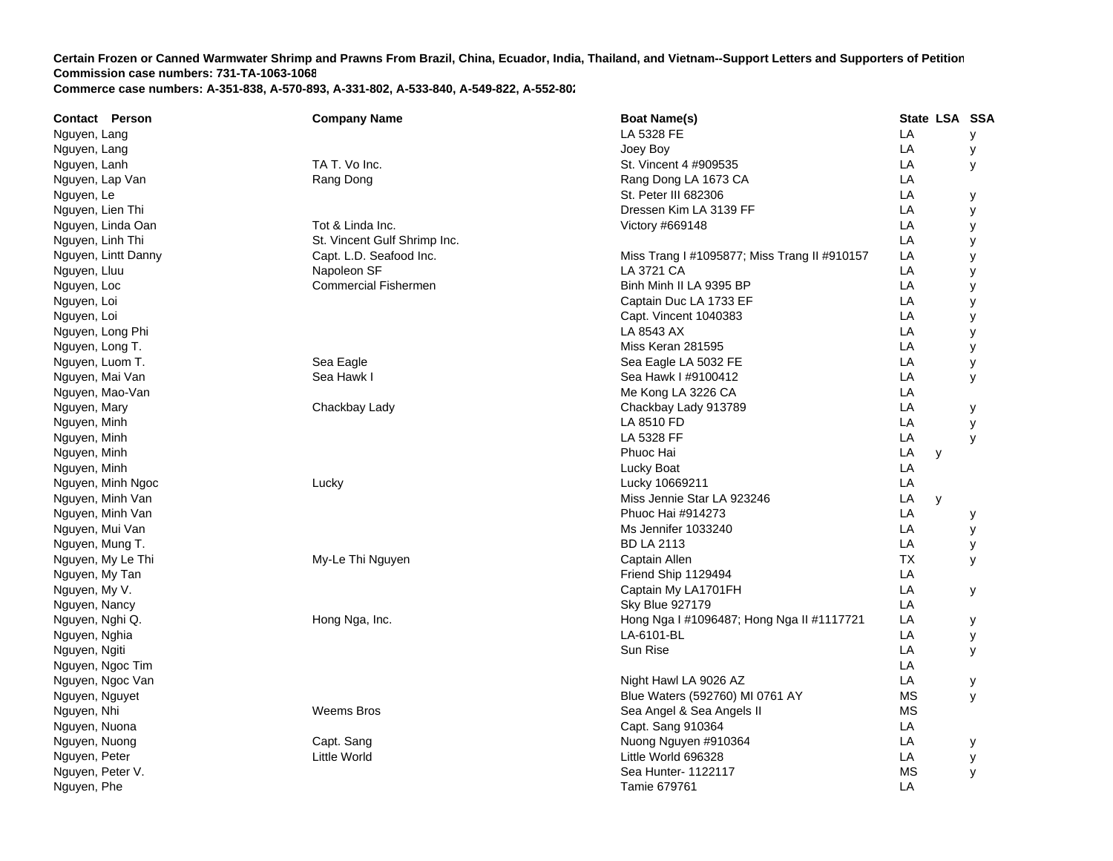| <b>Contact Person</b> | <b>Company Name</b>          | <b>Boat Name(s)</b>                          | State LSA SSA |   |
|-----------------------|------------------------------|----------------------------------------------|---------------|---|
| Nguyen, Lang          |                              | LA 5328 FE                                   | LA            | У |
| Nguyen, Lang          |                              | Joey Boy                                     | LA            | у |
| Nguyen, Lanh          | TA T. Vo Inc.                | St. Vincent 4 #909535                        | LA            | У |
| Nguyen, Lap Van       | Rang Dong                    | Rang Dong LA 1673 CA                         | LA            |   |
| Nguyen, Le            |                              | St. Peter III 682306                         | LA            | у |
| Nguyen, Lien Thi      |                              | Dressen Kim LA 3139 FF                       | LA            | У |
| Nguyen, Linda Oan     | Tot & Linda Inc.             | Victory #669148                              | LA            | У |
| Nguyen, Linh Thi      | St. Vincent Gulf Shrimp Inc. |                                              | LA            | y |
| Nguyen, Lintt Danny   | Capt. L.D. Seafood Inc.      | Miss Trang I #1095877; Miss Trang II #910157 | LA            | у |
| Nguyen, Lluu          | Napoleon SF                  | LA 3721 CA                                   | LA            | у |
| Nguyen, Loc           | <b>Commercial Fishermen</b>  | Binh Minh II LA 9395 BP                      | LA            | у |
| Nguyen, Loi           |                              | Captain Duc LA 1733 EF                       | LA            | у |
| Nguyen, Loi           |                              | Capt. Vincent 1040383                        | LA            | у |
| Nguyen, Long Phi      |                              | LA 8543 AX                                   | LA            | y |
| Nguyen, Long T.       |                              | Miss Keran 281595                            | LA            | У |
| Nguyen, Luom T.       | Sea Eagle                    | Sea Eagle LA 5032 FE                         | LA            | у |
| Nguyen, Mai Van       | Sea Hawk I                   | Sea Hawk I #9100412                          | LA            | y |
| Nguyen, Mao-Van       |                              | Me Kong LA 3226 CA                           | LA            |   |
| Nguyen, Mary          | Chackbay Lady                | Chackbay Lady 913789                         | LA            | у |
| Nguyen, Minh          |                              | LA 8510 FD                                   | LA            | y |
| Nguyen, Minh          |                              | LA 5328 FF                                   | LA            | y |
| Nguyen, Minh          |                              | Phuoc Hai                                    | LA<br>y       |   |
| Nguyen, Minh          |                              | Lucky Boat                                   | LA            |   |
| Nguyen, Minh Ngoc     | Lucky                        | Lucky 10669211                               | LA            |   |
| Nguyen, Minh Van      |                              | Miss Jennie Star LA 923246                   | LA<br>y       |   |
| Nguyen, Minh Van      |                              | Phuoc Hai #914273                            | LA            | у |
| Nguyen, Mui Van       |                              | Ms Jennifer 1033240                          | LA            | у |
| Nguyen, Mung T.       |                              | <b>BD LA 2113</b>                            | LA            | у |
| Nguyen, My Le Thi     | My-Le Thi Nguyen             | Captain Allen                                | <b>TX</b>     | У |
| Nguyen, My Tan        |                              | Friend Ship 1129494                          | LA            |   |
| Nguyen, My V.         |                              | Captain My LA1701FH                          | LA            | У |
| Nguyen, Nancy         |                              | <b>Sky Blue 927179</b>                       | LA            |   |
| Nguyen, Nghi Q.       | Hong Nga, Inc.               | Hong Nga I #1096487; Hong Nga II #1117721    | LA            | у |
| Nguyen, Nghia         |                              | LA-6101-BL                                   | LA            | У |
| Nguyen, Ngiti         |                              | Sun Rise                                     | LA            | y |
| Nguyen, Ngoc Tim      |                              |                                              | LA            |   |
| Nguyen, Ngoc Van      |                              | Night Hawl LA 9026 AZ                        | LA            | у |
| Nguyen, Nguyet        |                              | Blue Waters (592760) MI 0761 AY              | <b>MS</b>     | У |
| Nguyen, Nhi           | <b>Weems Bros</b>            | Sea Angel & Sea Angels II                    | <b>MS</b>     |   |
| Nguyen, Nuona         |                              | Capt. Sang 910364                            | LA            |   |
| Nguyen, Nuong         | Capt. Sang                   | Nuong Nguyen #910364                         | LA            | у |
| Nguyen, Peter         | Little World                 | Little World 696328                          | LA            | у |
| Nguyen, Peter V.      |                              | Sea Hunter- 1122117                          | MS            | y |
| Nguyen, Phe           |                              | Tamie 679761                                 | LA            |   |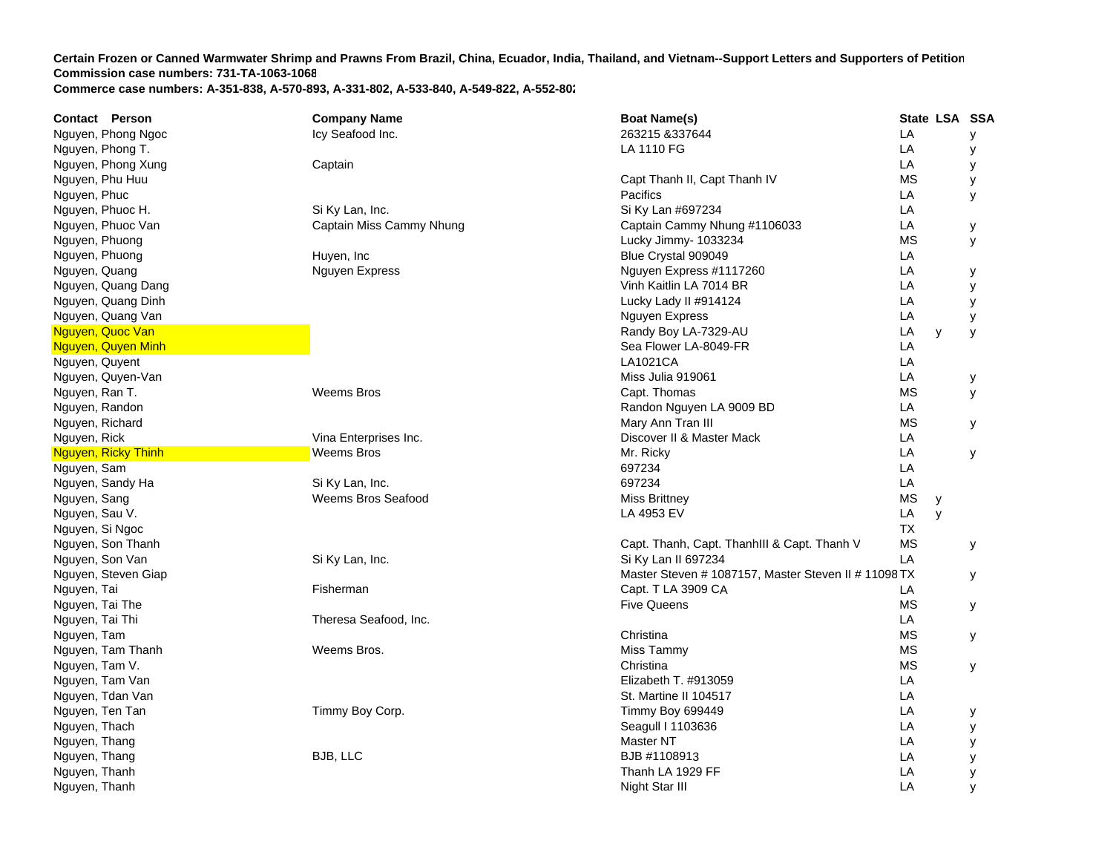| <b>Contact Person</b> | <b>Company Name</b>      | <b>Boat Name(s)</b>                                  |           | State LSA SSA |   |
|-----------------------|--------------------------|------------------------------------------------------|-----------|---------------|---|
| Nguyen, Phong Ngoc    | Icy Seafood Inc.         | 263215 & 337644                                      | LA        |               | у |
| Nguyen, Phong T.      |                          | LA 1110 FG                                           | LA        |               | У |
| Nguyen, Phong Xung    | Captain                  |                                                      | LA        |               | У |
| Nguyen, Phu Huu       |                          | Capt Thanh II, Capt Thanh IV                         | <b>MS</b> |               | У |
| Nguyen, Phuc          |                          | Pacifics                                             | LA        |               | y |
| Nguyen, Phuoc H.      | Si Ky Lan, Inc.          | Si Ky Lan #697234                                    | LA        |               |   |
| Nguyen, Phuoc Van     | Captain Miss Cammy Nhung | Captain Cammy Nhung #1106033                         | LA        |               | У |
| Nguyen, Phuong        |                          | Lucky Jimmy- 1033234                                 | <b>MS</b> |               | У |
| Nguyen, Phuong        | Huyen, Inc               | Blue Crystal 909049                                  | LA        |               |   |
| Nguyen, Quang         | Nguyen Express           | Nguyen Express #1117260                              | LA        |               | у |
| Nguyen, Quang Dang    |                          | Vinh Kaitlin LA 7014 BR                              | LA        |               | У |
| Nguyen, Quang Dinh    |                          | Lucky Lady II #914124                                | LA        |               | у |
| Nguyen, Quang Van     |                          | Nguyen Express                                       | LA        |               | У |
| Nguyen, Quoc Van      |                          | Randy Boy LA-7329-AU                                 | LA        | y             | У |
| Nguyen, Quyen Minh    |                          | Sea Flower LA-8049-FR                                | LA        |               |   |
| Nguyen, Quyent        |                          | LA1021CA                                             | LA        |               |   |
| Nguyen, Quyen-Van     |                          | Miss Julia 919061                                    | LA        |               | у |
| Nguyen, Ran T.        | Weems Bros               | Capt. Thomas                                         | <b>MS</b> |               | У |
| Nguyen, Randon        |                          | Randon Nguyen LA 9009 BD                             | LA        |               |   |
| Nguyen, Richard       |                          | Mary Ann Tran III                                    | <b>MS</b> |               | У |
| Nguyen, Rick          | Vina Enterprises Inc.    | Discover II & Master Mack                            | LA        |               |   |
| Nguyen, Ricky Thinh   | <b>Weems Bros</b>        | Mr. Ricky                                            | LA        |               | У |
| Nguyen, Sam           |                          | 697234                                               | LA        |               |   |
| Nguyen, Sandy Ha      | Si Ky Lan, Inc.          | 697234                                               | LA        |               |   |
| Nguyen, Sang          | Weems Bros Seafood       | <b>Miss Brittney</b>                                 | <b>MS</b> | у             |   |
| Nguyen, Sau V.        |                          | LA 4953 EV                                           | LA        | y             |   |
| Nguyen, Si Ngoc       |                          |                                                      | TX.       |               |   |
| Nguyen, Son Thanh     |                          | Capt. Thanh, Capt. ThanhIII & Capt. Thanh V          | <b>MS</b> |               | У |
| Nguyen, Son Van       | Si Ky Lan, Inc.          | Si Ky Lan II 697234                                  | LA        |               |   |
| Nguyen, Steven Giap   |                          | Master Steven # 1087157, Master Steven II # 11098 TX |           |               | У |
| Nguyen, Tai           | Fisherman                | Capt. T LA 3909 CA                                   | LA        |               |   |
| Nguyen, Tai The       |                          | <b>Five Queens</b>                                   | <b>MS</b> |               | У |
| Nguyen, Tai Thi       | Theresa Seafood, Inc.    |                                                      | LA        |               |   |
| Nguyen, Tam           |                          | Christina                                            | <b>MS</b> |               | У |
| Nguyen, Tam Thanh     | Weems Bros.              | Miss Tammy                                           | <b>MS</b> |               |   |
| Nguyen, Tam V.        |                          | Christina                                            | <b>MS</b> |               | У |
| Nguyen, Tam Van       |                          | Elizabeth T. #913059                                 | LA        |               |   |
| Nguyen, Tdan Van      |                          | St. Martine II 104517                                | LA        |               |   |
| Nguyen, Ten Tan       | Timmy Boy Corp.          | Timmy Boy 699449                                     | LA        |               | у |
| Nguyen, Thach         |                          | Seagull I 1103636                                    | LA        |               | у |
| Nguyen, Thang         |                          | Master NT                                            | LA        |               | у |
| Nguyen, Thang         | BJB, LLC                 | BJB #1108913                                         | LA        |               | у |
| Nguyen, Thanh         |                          | Thanh LA 1929 FF                                     | LA        |               | у |
| Nguyen, Thanh         |                          | Night Star III                                       | LA        |               | y |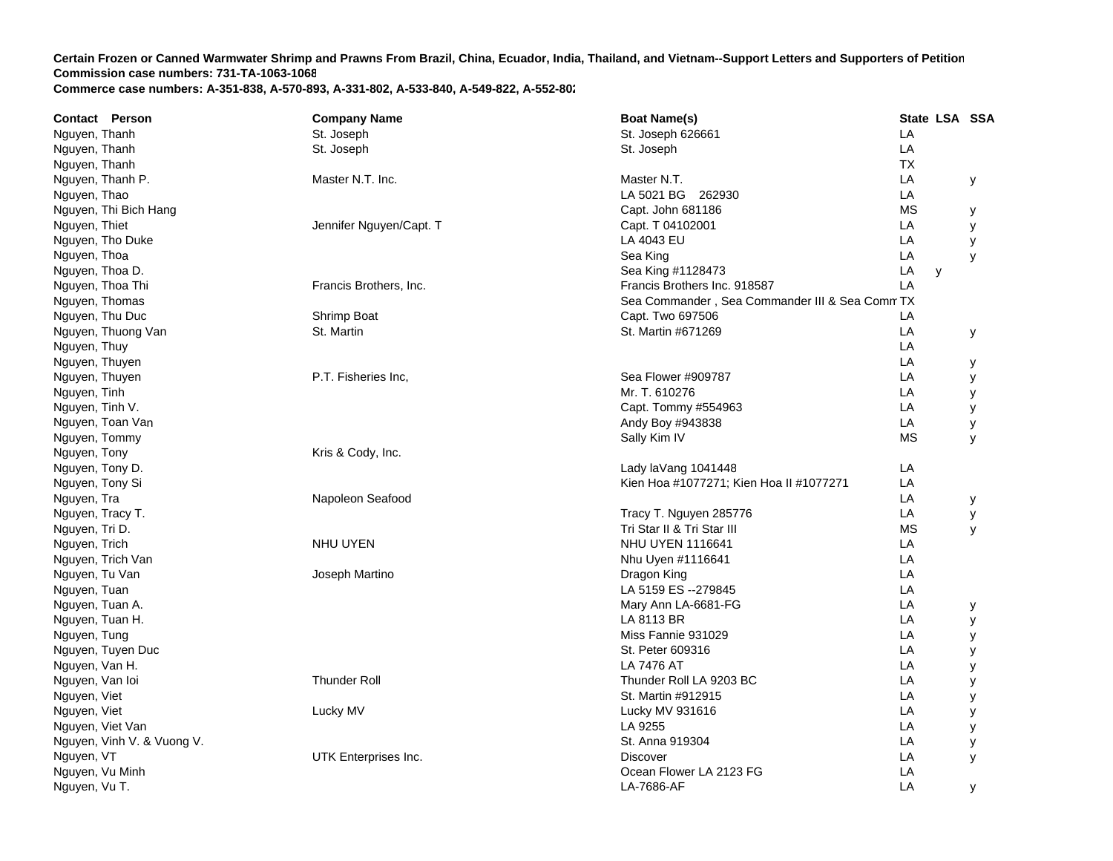| <b>Boat Name(s)</b><br><b>Contact Person</b><br><b>Company Name</b>        |           |   | State LSA SSA |
|----------------------------------------------------------------------------|-----------|---|---------------|
| Nguyen, Thanh<br>St. Joseph<br>St. Joseph 626661                           | LA        |   |               |
| St. Joseph<br>St. Joseph<br>Nguyen, Thanh                                  | LA        |   |               |
| Nguyen, Thanh                                                              | <b>TX</b> |   |               |
| Nguyen, Thanh P.<br>Master N.T. Inc.<br>Master N.T.                        | LA        |   | У             |
| LA 5021 BG 262930<br>Nguyen, Thao                                          | LA        |   |               |
| Nguyen, Thi Bich Hang<br>Capt. John 681186                                 | <b>MS</b> |   | у             |
| Jennifer Nguyen/Capt. T<br>Capt. T 04102001<br>Nguyen, Thiet               | LA        |   | у             |
| LA 4043 EU<br>Nguyen, Tho Duke                                             | LA        |   | у             |
| Sea King<br>Nguyen, Thoa                                                   | LA        |   | y             |
| Nguyen, Thoa D.<br>Sea King #1128473                                       | LA        | y |               |
| Nguyen, Thoa Thi<br>Francis Brothers, Inc.<br>Francis Brothers Inc. 918587 | LA        |   |               |
| Nguyen, Thomas<br>Sea Commander, Sea Commander III & Sea Comm TX           |           |   |               |
| Nguyen, Thu Duc<br>Capt. Two 697506<br>Shrimp Boat                         | LA        |   |               |
| Nguyen, Thuong Van<br>St. Martin<br>St. Martin #671269                     | LA        |   | у             |
| Nguyen, Thuy                                                               | LA        |   |               |
| Nguyen, Thuyen                                                             | LA        |   | у             |
| Nguyen, Thuyen<br>P.T. Fisheries Inc.<br>Sea Flower #909787                | LA        |   | у             |
| Mr. T. 610276<br>Nguyen, Tinh                                              | LA        |   | у             |
| Nguyen, Tinh V.<br>Capt. Tommy #554963                                     | LA        |   | у             |
| Nguyen, Toan Van<br>Andy Boy #943838                                       | LA        |   | у             |
| Nguyen, Tommy<br>Sally Kim IV                                              | <b>MS</b> |   | y             |
| Nguyen, Tony<br>Kris & Cody, Inc.                                          |           |   |               |
| Nguyen, Tony D.<br>Lady laVang 1041448                                     | LA        |   |               |
| Kien Hoa #1077271; Kien Hoa II #1077271<br>Nguyen, Tony Si                 | LA        |   |               |
| Nguyen, Tra<br>Napoleon Seafood                                            | LA        |   | У             |
| Tracy T. Nguyen 285776<br>Nguyen, Tracy T.                                 | LA        |   | у             |
| Tri Star II & Tri Star III<br>Nguyen, Tri D.                               | <b>MS</b> |   | y             |
| NHU UYEN 1116641<br>Nguyen, Trich<br><b>NHU UYEN</b>                       | LA        |   |               |
| Nguyen, Trich Van<br>Nhu Uyen #1116641                                     | LA        |   |               |
| Nguyen, Tu Van<br>Joseph Martino<br>Dragon King                            | LA        |   |               |
| LA 5159 ES --279845<br>Nguyen, Tuan                                        | LA        |   |               |
| Nguyen, Tuan A.<br>Mary Ann LA-6681-FG                                     | LA        |   | у             |
| Nguyen, Tuan H.<br>LA 8113 BR                                              | LA        |   | У             |
| Nguyen, Tung<br>Miss Fannie 931029                                         | LA        |   | у             |
| Nguyen, Tuyen Duc<br>St. Peter 609316                                      | LA        |   | у             |
| LA 7476 AT<br>Nguyen, Van H.                                               | LA        |   | у             |
| Nguyen, Van loi<br><b>Thunder Roll</b><br>Thunder Roll LA 9203 BC          | LA        |   | У             |
| Nguyen, Viet<br>St. Martin #912915                                         | LA        |   | У             |
| Nguyen, Viet<br>Lucky MV<br>Lucky MV 931616                                | LA        |   | У             |
| LA 9255<br>Nguyen, Viet Van                                                | LA        |   | у             |
| Nguyen, Vinh V. & Vuong V.<br>St. Anna 919304                              | LA        |   | у             |
| Nguyen, VT<br>UTK Enterprises Inc.<br><b>Discover</b>                      | LA        |   | У             |
| Ocean Flower LA 2123 FG<br>Nguyen, Vu Minh                                 | LA        |   |               |
| Nguyen, Vu T.<br>LA-7686-AF                                                | LA        |   | у             |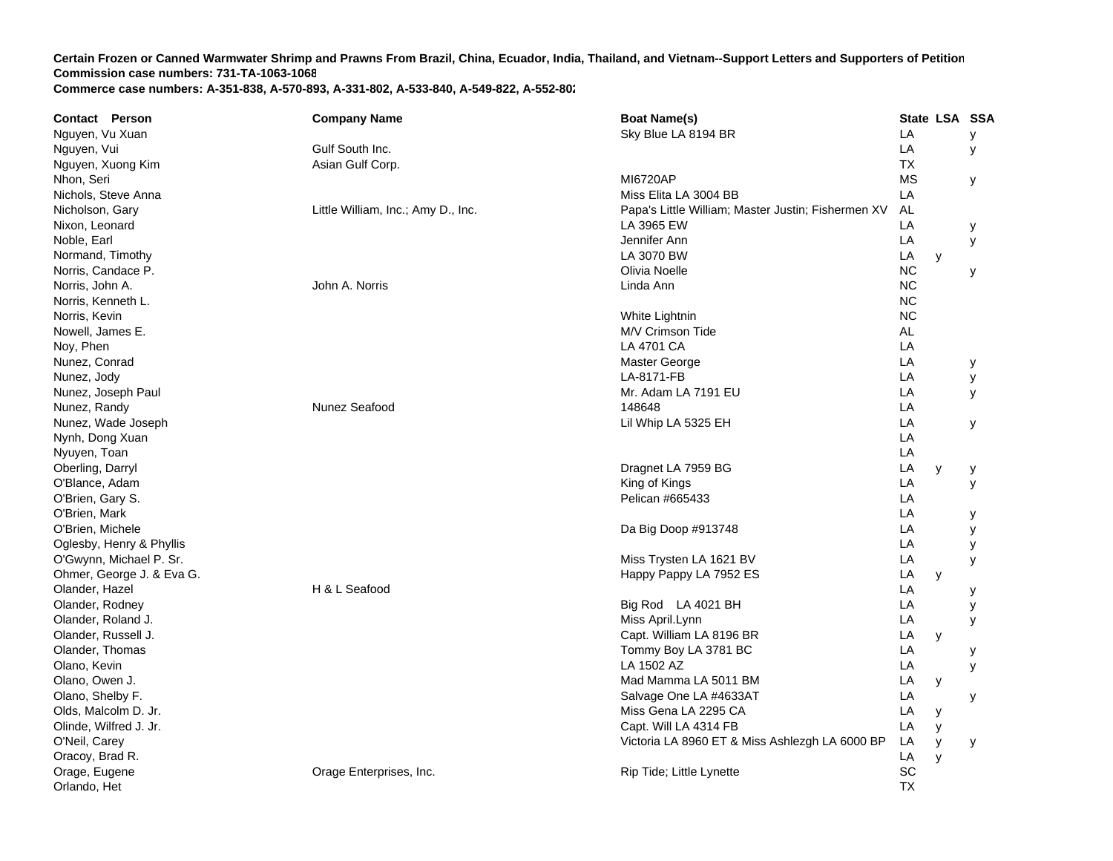| <b>Contact Person</b>     | <b>Company Name</b>                | <b>Boat Name(s)</b>                                |           | State LSA SSA |   |
|---------------------------|------------------------------------|----------------------------------------------------|-----------|---------------|---|
| Nguyen, Vu Xuan           |                                    | Sky Blue LA 8194 BR                                | LA        |               | У |
| Nguyen, Vui               | Gulf South Inc.                    |                                                    | LA        |               | у |
| Nguyen, Xuong Kim         | Asian Gulf Corp.                   |                                                    | <b>TX</b> |               |   |
| Nhon, Seri                |                                    | <b>MI6720AP</b>                                    | <b>MS</b> |               | у |
| Nichols, Steve Anna       |                                    | Miss Elita LA 3004 BB                              | LA        |               |   |
| Nicholson, Gary           | Little William, Inc.; Amy D., Inc. | Papa's Little William; Master Justin; Fishermen XV | AL        |               |   |
| Nixon, Leonard            |                                    | LA 3965 EW                                         | LA        |               | у |
| Noble, Earl               |                                    | Jennifer Ann                                       | LA        |               | У |
| Normand, Timothy          |                                    | LA 3070 BW                                         | LA        | y             |   |
| Norris, Candace P.        |                                    | Olivia Noelle                                      | <b>NC</b> |               | У |
| Norris, John A.           | John A. Norris                     | Linda Ann                                          | <b>NC</b> |               |   |
| Norris, Kenneth L.        |                                    |                                                    | <b>NC</b> |               |   |
| Norris, Kevin             |                                    | White Lightnin                                     | <b>NC</b> |               |   |
| Nowell, James E.          |                                    | M/V Crimson Tide                                   | <b>AL</b> |               |   |
| Noy, Phen                 |                                    | <b>LA 4701 CA</b>                                  | LA        |               |   |
| Nunez, Conrad             |                                    | Master George                                      | LA        |               | у |
| Nunez, Jody               |                                    | LA-8171-FB                                         | LA        |               | у |
| Nunez, Joseph Paul        |                                    | Mr. Adam LA 7191 EU                                | LA        |               | У |
| Nunez, Randy              | Nunez Seafood                      | 148648                                             | LA        |               |   |
| Nunez, Wade Joseph        |                                    | Lil Whip LA 5325 EH                                | LA        |               | У |
| Nynh, Dong Xuan           |                                    |                                                    | LA        |               |   |
| Nyuyen, Toan              |                                    |                                                    | LA        |               |   |
| Oberling, Darryl          |                                    | Dragnet LA 7959 BG                                 | LA        | y             | у |
| O'Blance, Adam            |                                    | King of Kings                                      | LA        |               | y |
| O'Brien, Gary S.          |                                    | Pelican #665433                                    | LA        |               |   |
| O'Brien, Mark             |                                    |                                                    | LA        |               | у |
| O'Brien, Michele          |                                    | Da Big Doop #913748                                | LA        |               | У |
| Oglesby, Henry & Phyllis  |                                    |                                                    | LA        |               | y |
| O'Gwynn, Michael P. Sr.   |                                    | Miss Trysten LA 1621 BV                            | LA        |               | y |
| Ohmer, George J. & Eva G. |                                    | Happy Pappy LA 7952 ES                             | LA        | y             |   |
| Olander, Hazel            | H & L Seafood                      |                                                    | LA        |               | у |
| Olander, Rodney           |                                    | Big Rod LA 4021 BH                                 | LA        |               | у |
| Olander, Roland J.        |                                    | Miss April.Lynn                                    | LA        |               | У |
| Olander, Russell J.       |                                    | Capt. William LA 8196 BR                           | LA        | y             |   |
| Olander, Thomas           |                                    | Tommy Boy LA 3781 BC                               | LA        |               | у |
| Olano, Kevin              |                                    | LA 1502 AZ                                         | LA        |               | y |
| Olano, Owen J.            |                                    | Mad Mamma LA 5011 BM                               | LA        | y             |   |
| Olano, Shelby F.          |                                    | Salvage One LA #4633AT                             | LA        |               | у |
| Olds, Malcolm D. Jr.      |                                    | Miss Gena LA 2295 CA                               | LA        | У             |   |
| Olinde, Wilfred J. Jr.    |                                    | Capt. Will LA 4314 FB                              | LA        | y             |   |
| O'Neil, Carey             |                                    | Victoria LA 8960 ET & Miss Ashlezgh LA 6000 BP     | LA        | y             | У |
| Oracoy, Brad R.           |                                    |                                                    | LA        | y             |   |
| Orage, Eugene             | Orage Enterprises, Inc.            | Rip Tide; Little Lynette                           | SC        |               |   |
| Orlando, Het              |                                    |                                                    | <b>TX</b> |               |   |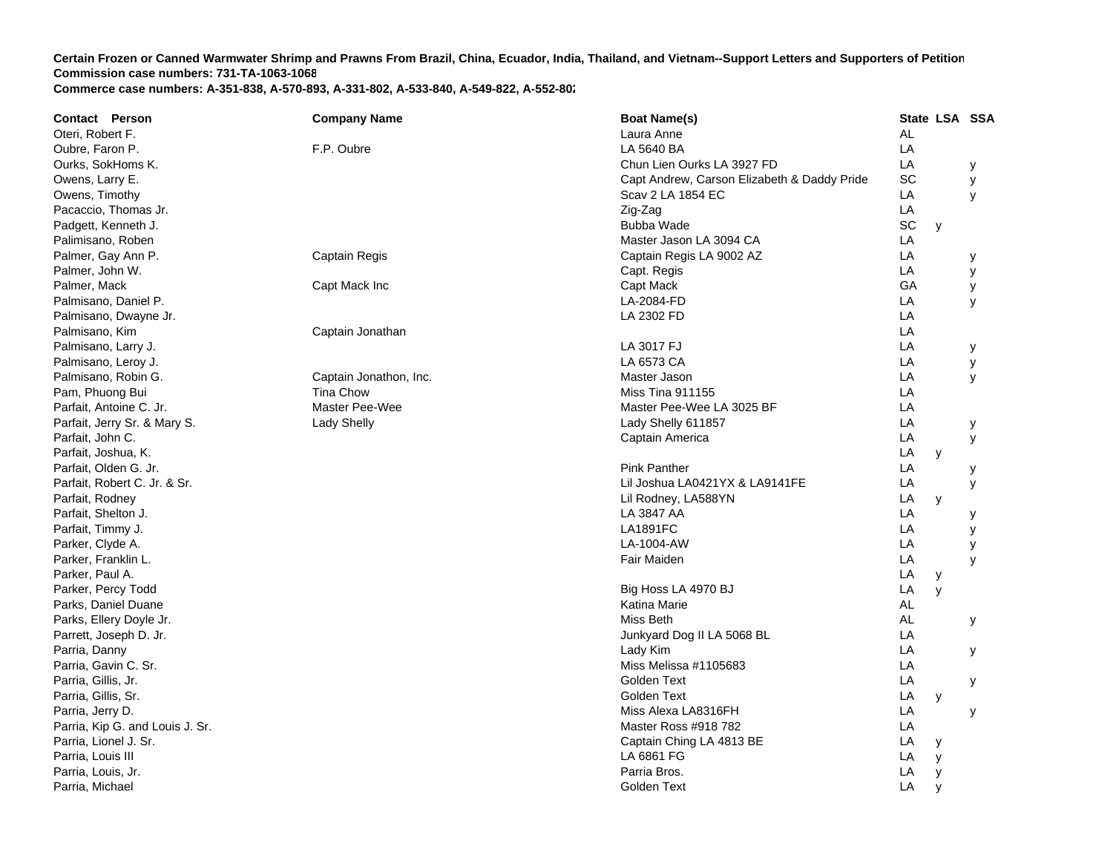| <b>Contact Person</b>           | <b>Company Name</b>    | <b>Boat Name(s)</b>                         |           |              | State LSA SSA |
|---------------------------------|------------------------|---------------------------------------------|-----------|--------------|---------------|
| Oteri, Robert F.                |                        | Laura Anne                                  | <b>AL</b> |              |               |
| Oubre, Faron P.                 | F.P. Oubre             | LA 5640 BA                                  | LA        |              |               |
| Ourks, SokHoms K.               |                        | Chun Lien Ourks LA 3927 FD                  | LA        |              | У             |
| Owens, Larry E.                 |                        | Capt Andrew, Carson Elizabeth & Daddy Pride | SC        |              | у             |
| Owens, Timothy                  |                        | Scav 2 LA 1854 EC                           | LA        |              | y             |
| Pacaccio, Thomas Jr.            |                        | Zig-Zag                                     | LA        |              |               |
| Padgett, Kenneth J.             |                        | Bubba Wade                                  | SC        | y            |               |
| Palimisano, Roben               |                        | Master Jason LA 3094 CA                     | LA        |              |               |
| Palmer, Gay Ann P.              | Captain Regis          | Captain Regis LA 9002 AZ                    | LA        |              | у             |
| Palmer, John W.                 |                        | Capt. Regis                                 | LA        |              | у             |
| Palmer, Mack                    | Capt Mack Inc          | Capt Mack                                   | GA        |              | У             |
| Palmisano, Daniel P.            |                        | LA-2084-FD                                  | LA        |              | У             |
| Palmisano, Dwayne Jr.           |                        | LA 2302 FD                                  | LA        |              |               |
| Palmisano, Kim                  | Captain Jonathan       |                                             | LA        |              |               |
| Palmisano, Larry J.             |                        | LA 3017 FJ                                  | LA        |              | у             |
| Palmisano, Leroy J.             |                        | LA 6573 CA                                  | LA        |              | у             |
| Palmisano, Robin G.             | Captain Jonathon, Inc. | Master Jason                                | LA        |              | y             |
| Pam, Phuong Bui                 | <b>Tina Chow</b>       | <b>Miss Tina 911155</b>                     | LA        |              |               |
| Parfait, Antoine C. Jr.         | Master Pee-Wee         | Master Pee-Wee LA 3025 BF                   | LA        |              |               |
| Parfait, Jerry Sr. & Mary S.    | Lady Shelly            | Lady Shelly 611857                          | LA        |              | у             |
| Parfait, John C.                |                        | Captain America                             | LA        |              | У             |
| Parfait, Joshua, K.             |                        |                                             | LA        | y            |               |
| Parfait, Olden G. Jr.           |                        | <b>Pink Panther</b>                         | LA        |              | у             |
| Parfait, Robert C. Jr. & Sr.    |                        | Lil Joshua LA0421YX & LA9141FE              | LA        |              | У             |
| Parfait, Rodney                 |                        | Lil Rodney, LA588YN                         | LA        | y            |               |
| Parfait, Shelton J.             |                        | LA 3847 AA                                  | LA        |              | у             |
| Parfait, Timmy J.               |                        | <b>LA1891FC</b>                             | LA        |              | У             |
| Parker, Clyde A.                |                        | LA-1004-AW                                  | LA        |              | у             |
| Parker, Franklin L.             |                        | Fair Maiden                                 | LA        |              | y             |
| Parker, Paul A.                 |                        |                                             | LA        | y            |               |
| Parker, Percy Todd              |                        | Big Hoss LA 4970 BJ                         | LA        | y            |               |
| Parks, Daniel Duane             |                        | Katina Marie                                | AL        |              |               |
| Parks, Ellery Doyle Jr.         |                        | Miss Beth                                   | AL        |              | у             |
| Parrett, Joseph D. Jr.          |                        | Junkyard Dog II LA 5068 BL                  | LA        |              |               |
| Parria, Danny                   |                        | Lady Kim                                    | LA        |              | у             |
| Parria, Gavin C. Sr.            |                        | Miss Melissa #1105683                       | LA        |              |               |
| Parria, Gillis, Jr.             |                        | Golden Text                                 | LA        |              | у             |
| Parria, Gillis, Sr.             |                        | Golden Text                                 | LA        | y            |               |
| Parria, Jerry D.                |                        | Miss Alexa LA8316FH                         | LA        |              | у             |
| Parria, Kip G. and Louis J. Sr. |                        | Master Ross #918 782                        | LA        |              |               |
| Parria, Lionel J. Sr.           |                        | Captain Ching LA 4813 BE                    | LA        | У            |               |
| Parria, Louis III               |                        | LA 6861 FG                                  | LA        | y            |               |
| Parria, Louis, Jr.              |                        | Parria Bros.                                | LA        | y            |               |
| Parria, Michael                 |                        | <b>Golden Text</b>                          | LA        | $\mathsf{V}$ |               |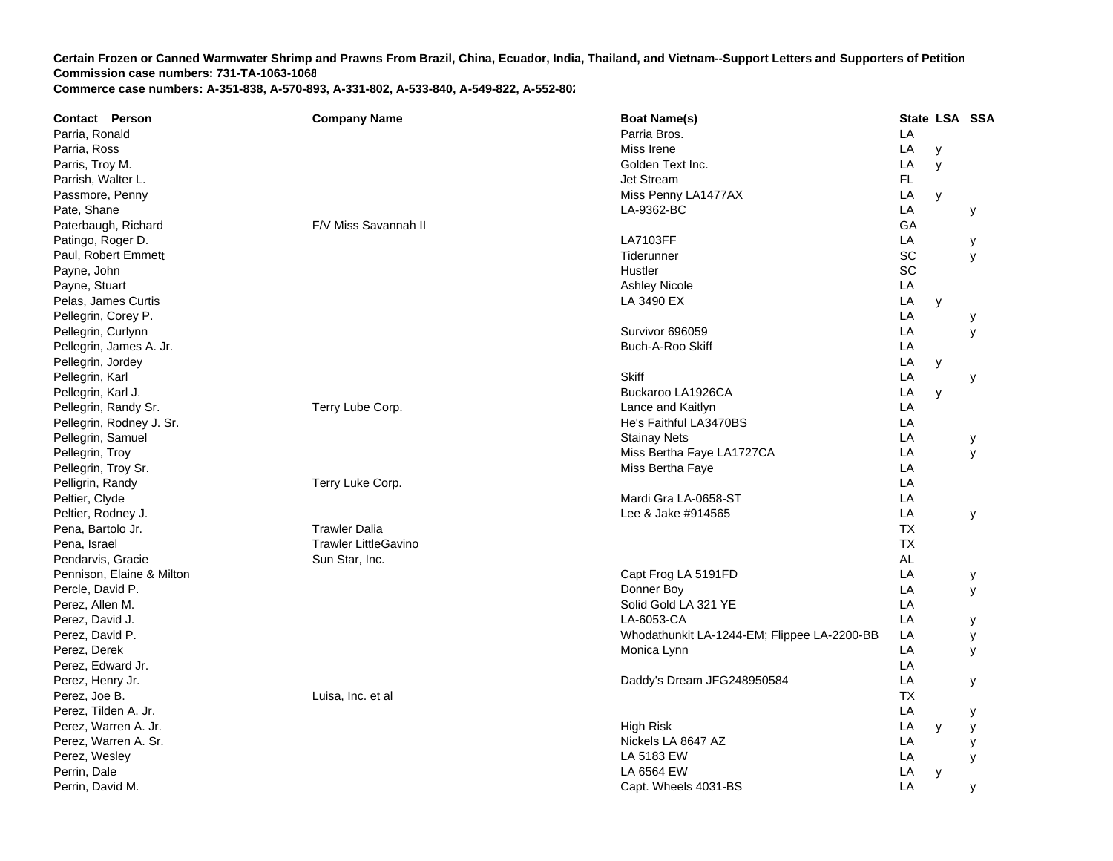| <b>Contact Person</b> |                           | <b>Company Name</b>         | <b>Boat Name(s)</b>                         |           |   | State LSA SSA |
|-----------------------|---------------------------|-----------------------------|---------------------------------------------|-----------|---|---------------|
| Parria, Ronald        |                           |                             | Parria Bros.                                | LA        |   |               |
| Parria, Ross          |                           |                             | Miss Irene                                  | LA        | y |               |
| Parris, Troy M.       |                           |                             | Golden Text Inc.                            | LA        | y |               |
| Parrish, Walter L.    |                           |                             | Jet Stream                                  | <b>FL</b> |   |               |
| Passmore, Penny       |                           |                             | Miss Penny LA1477AX                         | LA        | y |               |
| Pate, Shane           |                           |                             | LA-9362-BC                                  | LA        |   | у             |
|                       | Paterbaugh, Richard       | F/V Miss Savannah II        |                                             | GA        |   |               |
| Patingo, Roger D.     |                           |                             | <b>LA7103FF</b>                             | LA        |   | у             |
|                       | Paul, Robert Emmett       |                             | Tiderunner                                  | SC        |   | У             |
| Payne, John           |                           |                             | Hustler                                     | SC        |   |               |
| Payne, Stuart         |                           |                             | Ashley Nicole                               | LA        |   |               |
|                       | Pelas, James Curtis       |                             | LA 3490 EX                                  | LA        | y |               |
| Pellegrin, Corey P.   |                           |                             |                                             | LA        |   | у             |
| Pellegrin, Curlynn    |                           |                             | Survivor 696059                             | LA        |   | y             |
|                       | Pellegrin, James A. Jr.   |                             | Buch-A-Roo Skiff                            | LA        |   |               |
| Pellegrin, Jordey     |                           |                             |                                             | LA        | y |               |
| Pellegrin, Karl       |                           |                             | <b>Skiff</b>                                | LA        |   | У             |
| Pellegrin, Karl J.    |                           |                             | Buckaroo LA1926CA                           | LA        | y |               |
|                       | Pellegrin, Randy Sr.      | Terry Lube Corp.            | Lance and Kaitlyn                           | LA        |   |               |
|                       | Pellegrin, Rodney J. Sr.  |                             | He's Faithful LA3470BS                      | LA        |   |               |
| Pellegrin, Samuel     |                           |                             | <b>Stainay Nets</b>                         | LA        |   | у             |
| Pellegrin, Troy       |                           |                             | Miss Bertha Faye LA1727CA                   | LA        |   | y             |
| Pellegrin, Troy Sr.   |                           |                             | Miss Bertha Faye                            | LA        |   |               |
| Pelligrin, Randy      |                           | Terry Luke Corp.            |                                             | LA        |   |               |
| Peltier, Clyde        |                           |                             | Mardi Gra LA-0658-ST                        | LA        |   |               |
| Peltier, Rodney J.    |                           |                             | Lee & Jake #914565                          | LA        |   | У             |
| Pena, Bartolo Jr.     |                           | <b>Trawler Dalia</b>        |                                             | <b>TX</b> |   |               |
| Pena, Israel          |                           | <b>Trawler LittleGavino</b> |                                             | <b>TX</b> |   |               |
| Pendarvis, Gracie     |                           | Sun Star, Inc.              |                                             | AL        |   |               |
|                       | Pennison, Elaine & Milton |                             | Capt Frog LA 5191FD                         | LA        |   | у             |
| Percle, David P.      |                           |                             | Donner Boy                                  | LA        |   | У             |
| Perez, Allen M.       |                           |                             | Solid Gold LA 321 YE                        | LA        |   |               |
| Perez, David J.       |                           |                             | LA-6053-CA                                  | LA        |   | у             |
| Perez, David P.       |                           |                             | Whodathunkit LA-1244-EM; Flippee LA-2200-BB | LA        |   | у             |
| Perez, Derek          |                           |                             | Monica Lynn                                 | LA        |   | y             |
| Perez, Edward Jr.     |                           |                             |                                             | LA        |   |               |
| Perez, Henry Jr.      |                           |                             | Daddy's Dream JFG248950584                  | LA        |   | У             |
| Perez, Joe B.         |                           | Luisa, Inc. et al           |                                             | <b>TX</b> |   |               |
| Perez, Tilden A. Jr.  |                           |                             |                                             | LA        |   | у             |
|                       | Perez, Warren A. Jr.      |                             | High Risk                                   | LA        | y | у             |
|                       | Perez, Warren A. Sr.      |                             | Nickels LA 8647 AZ                          | LA        |   | у             |
| Perez, Wesley         |                           |                             | LA 5183 EW                                  | LA        |   | y             |
| Perrin, Dale          |                           |                             | LA 6564 EW                                  | LA        | y |               |
| Perrin, David M.      |                           |                             | Capt. Wheels 4031-BS                        | LA        |   |               |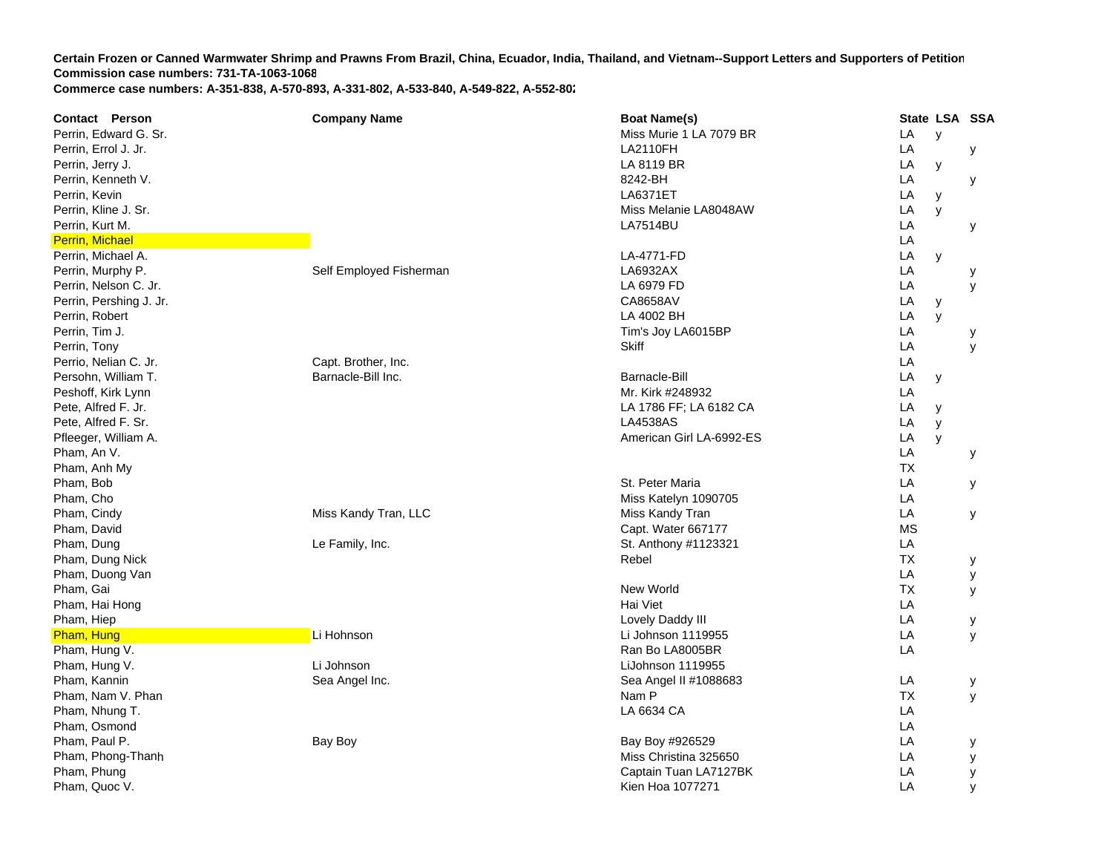| Contact Person          | <b>Company Name</b>     | <b>Boat Name(s)</b>      | State LSA SSA  |
|-------------------------|-------------------------|--------------------------|----------------|
| Perrin, Edward G. Sr.   |                         | Miss Murie 1 LA 7079 BR  | LA<br>y        |
| Perrin, Errol J. Jr.    |                         | <b>LA2110FH</b>          | LA<br>у        |
| Perrin, Jerry J.        |                         | LA 8119 BR               | LA<br>у        |
| Perrin, Kenneth V.      |                         | 8242-BH                  | LA<br>у        |
| Perrin, Kevin           |                         | <b>LA6371ET</b>          | LA<br>y        |
| Perrin, Kline J. Sr.    |                         | Miss Melanie LA8048AW    | LA<br>y        |
| Perrin, Kurt M.         |                         | <b>LA7514BU</b>          | LA<br>у        |
| <b>Perrin, Michael</b>  |                         |                          | LA             |
| Perrin, Michael A.      |                         | LA-4771-FD               | LA<br>у        |
| Perrin, Murphy P.       | Self Employed Fisherman | LA6932AX                 | LA<br>у        |
| Perrin, Nelson C. Jr.   |                         | LA 6979 FD               | LA<br>y        |
| Perrin, Pershing J. Jr. |                         | CA8658AV                 | LA<br>y        |
| Perrin, Robert          |                         | LA 4002 BH               | LA<br>y        |
| Perrin, Tim J.          |                         | Tim's Joy LA6015BP       | LA<br>у        |
| Perrin, Tony            |                         | <b>Skiff</b>             | LA<br>y        |
| Perrio, Nelian C. Jr.   | Capt. Brother, Inc.     |                          | LA             |
| Persohn, William T.     | Barnacle-Bill Inc.      | <b>Barnacle-Bill</b>     | LA<br>y        |
| Peshoff, Kirk Lynn      |                         | Mr. Kirk #248932         | LA             |
| Pete, Alfred F. Jr.     |                         | LA 1786 FF; LA 6182 CA   | LA<br>y        |
| Pete, Alfred F. Sr.     |                         | <b>LA4538AS</b>          | LA<br>y        |
| Pfleeger, William A.    |                         | American Girl LA-6992-ES | LA<br>y        |
| Pham, An V.             |                         |                          | LA<br>у        |
| Pham, Anh My            |                         |                          | <b>TX</b>      |
| Pham, Bob               |                         | St. Peter Maria          | LA<br>у        |
| Pham, Cho               |                         | Miss Katelyn 1090705     | LA             |
| Pham, Cindy             | Miss Kandy Tran, LLC    | Miss Kandy Tran          | LA<br>у        |
| Pham, David             |                         | Capt. Water 667177       | <b>MS</b>      |
| Pham, Dung              | Le Family, Inc.         | St. Anthony #1123321     | LA             |
| Pham, Dung Nick         |                         | Rebel                    | <b>TX</b><br>У |
| Pham, Duong Van         |                         |                          | LA<br>у        |
| Pham, Gai               |                         | New World                | <b>TX</b><br>У |
| Pham, Hai Hong          |                         | Hai Viet                 | LA             |
| Pham, Hiep              |                         | Lovely Daddy III         | LA<br>у        |
| Pham, Hung              | Li Hohnson              | Li Johnson 1119955       | LA<br>У        |
| Pham, Hung V.           |                         | Ran Bo LA8005BR          | LA             |
| Pham, Hung V.           | Li Johnson              | LiJohnson 1119955        |                |
| Pham, Kannin            | Sea Angel Inc.          | Sea Angel II #1088683    | LA<br>У        |
| Pham, Nam V. Phan       |                         | Nam P                    | <b>TX</b><br>У |
| Pham, Nhung T.          |                         | LA 6634 CA               | LA             |
| Pham, Osmond            |                         |                          | LA             |
| Pham, Paul P.           | Bay Boy                 | Bay Boy #926529          | LA<br>у        |
| Pham, Phong-Thanh       |                         | Miss Christina 325650    | LA<br>у        |
| Pham, Phung             |                         | Captain Tuan LA7127BK    | LA<br>у        |
| Pham, Quoc V.           |                         | Kien Hoa 1077271         | LA<br>y        |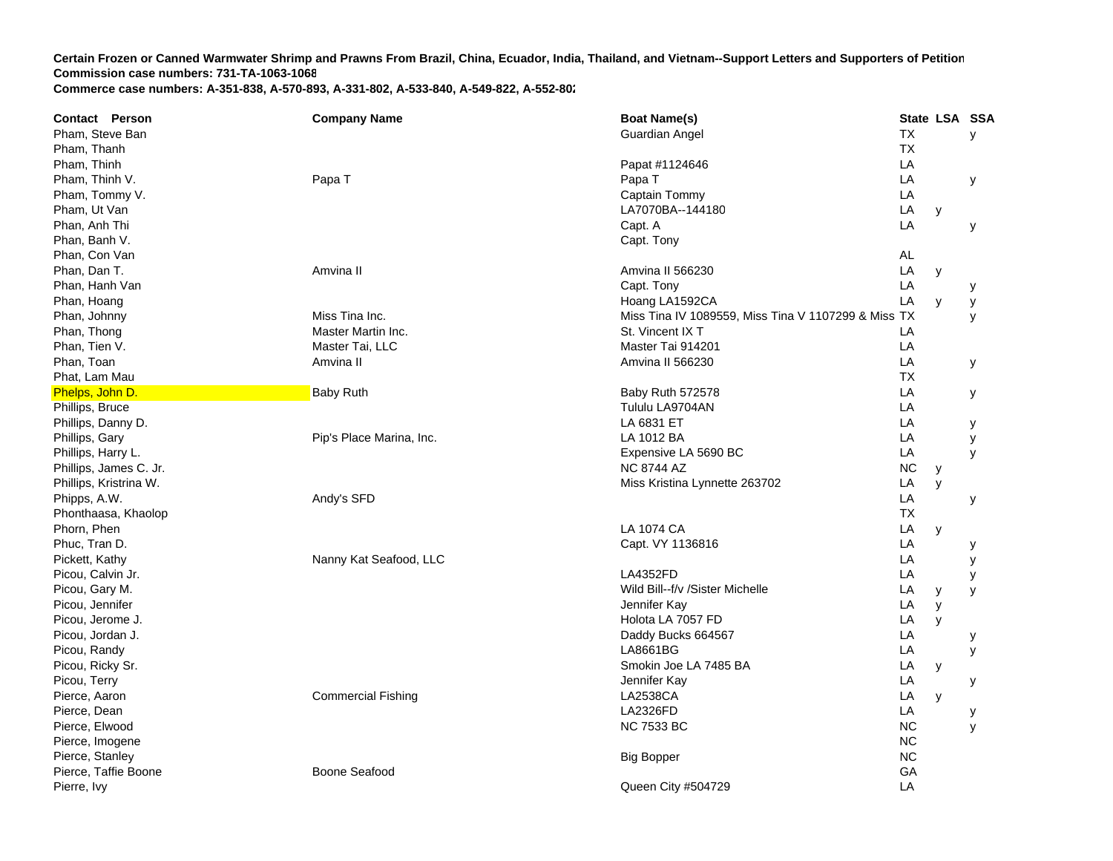**Contact Person Company Name Boat Name(s) State LSA SSA**  Pham, Steve Ban Guardian Angel T **TX**  y Pham, Thanh TXPham, Thinh Papat #1124646 LA Pham, Thinh V. Papa T Papa Papa T T<sub>a</sub> the contract of the contract of the contract of the contract of the contract of the contract of the contract of the contract of the contract of the contract of the contract of the contract of the contract of the contr LA y Pham, Tommy V. Captain Tommy LA Pham, Ut Van LA7070BA--144180 LA y Phan, Anh Thi Capt. A A LA y Phan, Banh V. Capt. Tony Phan, Con Van AL Phan, Dan T. Amvina II Amvina II 566230 LA y Phan, Hanh Van Captal Captaire (1999), the control of the control of the captaire of the control of the control of the control of the control of the control of the control of the control of the control of the control of th **LA**  y Phan, Hoang LA1592CA (Partners) and the control of the control of the control of the control of the control of LA y y Phan, Johnny Miss Tina Inc. Miss Tina IV 1089559, Miss Tina V 1107299 & Miss TX y Phan, Thong Master Martin Inc. St. Vincent IX T L **LA** Phan, Tien V. Naster Tai, LLC Channel Master Tai, LLC Channel Master Tai 914201 Letter Tai 914201 **LA** Phan, Toan Amvina II Amvina II 566230 LA y Phat, Lam Mau TXPhelps, John D. Baby Ruth Baby Ruth 572578 LA y Phillips, Bruce Tululu LA9704AN L **LA** Phillips, Danny D. LA 6831 ET T<sub>a</sub> the contract of the contract of the contract of the contract of the contract of the contract of the contract of the contract of the contract of the contract of the contract of the contract of the contract of the contr LA y Phillips, Gary Phillips, Gary Pip's Place Marina, Inc. LA 1012 BA LA y Phillips, Harry L. Expensive LA 5690 B CC LA y Phillips, James C. Jr. **NC 8744 AZ** Z NC y Phillips, Kristrina W. Miss Kristina Lynnette 263702 **LA**  y Phipps, A.W. Andy's SFD LA y Phonthaasa, Khaolop TX Phorn, Phen LA 1074 C **LA 1074 CA**  LA y Phuc, Tran D. Capt. VY 1136816 LA y Pickett, Kathy Nanny Kat Seafood, LLC C LA y Picou, Calvin Jr. LA4352FD L A y Picou, Gary M. North Charles and School and School and School and School and School and School and School and Michelle Library Midl Bill--f/v /Sister Michelle **LA**  y y Picou, Jennifer Natural Annual Accounts and the Second Accounts of the Second Accounts of the Second Accounts of the Second Accounts of the Second Accounts of the Second Accounts of the Second Accounts of the Second Accoun Picou, Jerome J. Holota LA 7057 F D LA y Picou, Jordan J. Daddy Bucks 664567 LA y Picou, Randy LA8661BG L **LA**  y Picou, Ricky Sr. Smokin Joe LA 7485 B A LA y Picou, Terry Jennifer Kay LA y Pierce, Aaron Commercial Fishing **LA2538CA**  LA y Pierce, Dean LA2326FD L **LA**  y Pierce, Elwood NC 7533 BC NC y Pierce, Imogene NC in the second second second second second second second second second second second second second second second second second second second second second second second second second second second second Pierce, Stanley Big Bopper NC Pierce, Taffie Boone **Boone** Boone Seafood GAPierre, Ivy Queen City #504729 LA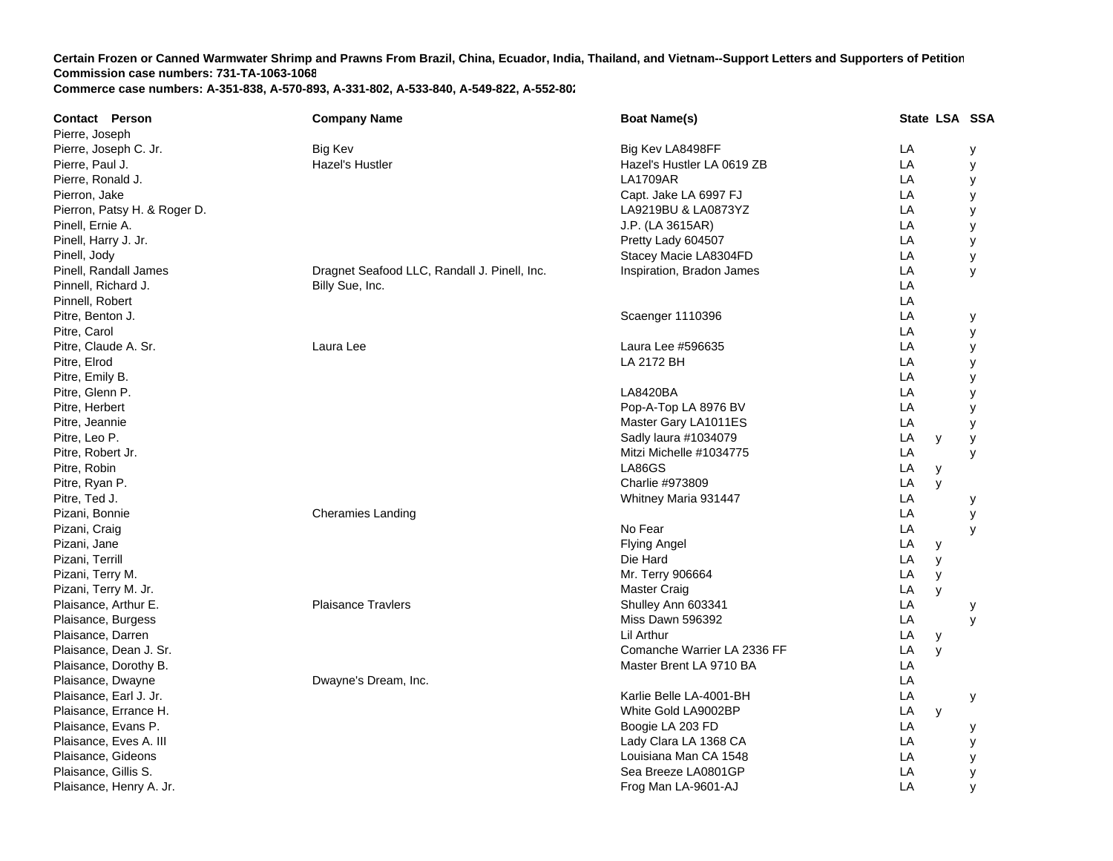| <b>Contact Person</b>        | <b>Company Name</b>                          | <b>Boat Name(s)</b>         | State LSA SSA |   |
|------------------------------|----------------------------------------------|-----------------------------|---------------|---|
| Pierre, Joseph               |                                              |                             |               |   |
| Pierre, Joseph C. Jr.        | <b>Big Kev</b>                               | Big Kev LA8498FF            | LA            | у |
| Pierre, Paul J.              | <b>Hazel's Hustler</b>                       | Hazel's Hustler LA 0619 ZB  | LA            | у |
| Pierre, Ronald J.            |                                              | <b>LA1709AR</b>             | LA            | у |
| Pierron, Jake                |                                              | Capt. Jake LA 6997 FJ       | LA            | у |
| Pierron, Patsy H. & Roger D. |                                              | LA9219BU & LA0873YZ         | LA            | у |
| Pinell, Ernie A.             |                                              | J.P. (LA 3615AR)            | LA            | у |
| Pinell, Harry J. Jr.         |                                              | Pretty Lady 604507          | LA            | У |
| Pinell, Jody                 |                                              | Stacey Macie LA8304FD       | LA            | у |
| Pinell, Randall James        | Dragnet Seafood LLC, Randall J. Pinell, Inc. | Inspiration, Bradon James   | LA            | y |
| Pinnell, Richard J.          | Billy Sue, Inc.                              |                             | LA            |   |
| Pinnell, Robert              |                                              |                             | LA            |   |
| Pitre, Benton J.             |                                              | Scaenger 1110396            | LA            | у |
| Pitre, Carol                 |                                              |                             | LA            | у |
| Pitre, Claude A. Sr.         | Laura Lee                                    | Laura Lee #596635           | LA            | у |
| Pitre, Elrod                 |                                              | LA 2172 BH                  | LA            | у |
| Pitre, Emily B.              |                                              |                             | LA            | У |
| Pitre, Glenn P.              |                                              | <b>LA8420BA</b>             | LA            | y |
| Pitre, Herbert               |                                              | Pop-A-Top LA 8976 BV        | LA            | у |
| Pitre, Jeannie               |                                              | Master Gary LA1011ES        | LA            | у |
| Pitre, Leo P.                |                                              | Sadly laura #1034079        | LA<br>у       | у |
| Pitre, Robert Jr.            |                                              | Mitzi Michelle #1034775     | LA            | у |
| Pitre, Robin                 |                                              | LA86GS                      | LA<br>у       |   |
| Pitre, Ryan P.               |                                              | Charlie #973809             | LA<br>y       |   |
| Pitre, Ted J.                |                                              | Whitney Maria 931447        | LA            | у |
| Pizani, Bonnie               | Cheramies Landing                            |                             | LA            | У |
| Pizani, Craig                |                                              | No Fear                     | LA            | y |
| Pizani, Jane                 |                                              | <b>Flying Angel</b>         | LA<br>y       |   |
| Pizani, Terrill              |                                              | Die Hard                    | LA<br>y       |   |
| Pizani, Terry M.             |                                              | Mr. Terry 906664            | LA<br>y       |   |
| Pizani, Terry M. Jr.         |                                              | <b>Master Craig</b>         | LA<br>y       |   |
| Plaisance, Arthur E.         | <b>Plaisance Travlers</b>                    | Shulley Ann 603341          | LA            | у |
| Plaisance, Burgess           |                                              | Miss Dawn 596392            | LA            | У |
| Plaisance, Darren            |                                              | Lil Arthur                  | LA<br>у       |   |
| Plaisance, Dean J. Sr.       |                                              | Comanche Warrier LA 2336 FF | LA<br>y       |   |
| Plaisance, Dorothy B.        |                                              | Master Brent LA 9710 BA     | LA            |   |
| Plaisance, Dwayne            | Dwayne's Dream, Inc.                         |                             | LA            |   |
| Plaisance, Earl J. Jr.       |                                              | Karlie Belle LA-4001-BH     | LA            | у |
| Plaisance, Errance H.        |                                              | White Gold LA9002BP         | LA<br>y       |   |
| Plaisance, Evans P.          |                                              | Boogie LA 203 FD            | LA            | у |
| Plaisance, Eves A. III       |                                              | Lady Clara LA 1368 CA       | LA            | у |
| Plaisance, Gideons           |                                              | Louisiana Man CA 1548       | LA            | у |
| Plaisance, Gillis S.         |                                              | Sea Breeze LA0801GP         | LA            | у |
| Plaisance, Henry A. Jr.      |                                              | Frog Man LA-9601-AJ         | LA            | y |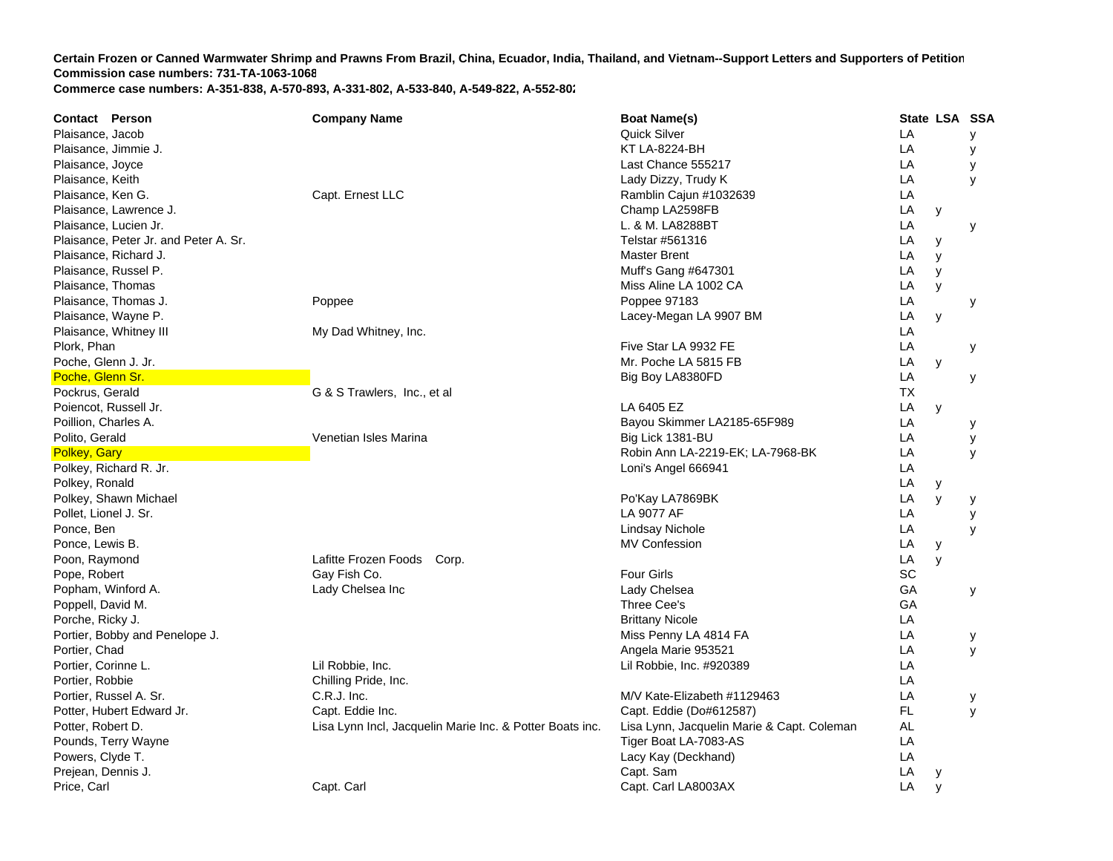| Contact Person                        | <b>Company Name</b>                                      | <b>Boat Name(s)</b>                        | State LSA SSA |   |   |
|---------------------------------------|----------------------------------------------------------|--------------------------------------------|---------------|---|---|
| Plaisance, Jacob                      |                                                          | <b>Quick Silver</b>                        | LA            |   | У |
| Plaisance, Jimmie J.                  |                                                          | <b>KT LA-8224-BH</b>                       | LA            |   | У |
| Plaisance, Joyce                      |                                                          | Last Chance 555217                         | LA            |   | у |
| Plaisance, Keith                      |                                                          | Lady Dizzy, Trudy K                        | LA            |   | y |
| Plaisance, Ken G.                     | Capt. Ernest LLC                                         | Ramblin Cajun #1032639                     | LA            |   |   |
| Plaisance, Lawrence J.                |                                                          | Champ LA2598FB                             | LA            | y |   |
| Plaisance, Lucien Jr.                 |                                                          | L. & M. LA8288BT                           | LA            |   | у |
| Plaisance, Peter Jr. and Peter A. Sr. |                                                          | Telstar #561316                            | LA            | У |   |
| Plaisance, Richard J.                 |                                                          | <b>Master Brent</b>                        | LA            | y |   |
| Plaisance, Russel P.                  |                                                          | Muff's Gang #647301                        | LA            | y |   |
| Plaisance, Thomas                     |                                                          | Miss Aline LA 1002 CA                      | LA            | y |   |
| Plaisance, Thomas J.                  | Poppee                                                   | Poppee 97183                               | LA            |   | y |
| Plaisance, Wayne P.                   |                                                          | Lacey-Megan LA 9907 BM                     | LA            | y |   |
| Plaisance, Whitney III                | My Dad Whitney, Inc.                                     |                                            | LA            |   |   |
| Plork, Phan                           |                                                          | Five Star LA 9932 FE                       | LA            |   | у |
| Poche, Glenn J. Jr.                   |                                                          | Mr. Poche LA 5815 FB                       | LA            | y |   |
| Poche, Glenn Sr.                      |                                                          | Big Boy LA8380FD                           | LA            |   | y |
| Pockrus, Gerald                       | G & S Trawlers, Inc., et al                              |                                            | <b>TX</b>     |   |   |
| Poiencot, Russell Jr.                 |                                                          | LA 6405 EZ                                 | LA            | y |   |
| Poillion, Charles A.                  |                                                          | Bayou Skimmer LA2185-65F989                | LA            |   | у |
| Polito, Gerald                        | Venetian Isles Marina                                    | Big Lick 1381-BU                           | LA            |   | у |
| Polkey, Gary                          |                                                          | Robin Ann LA-2219-EK; LA-7968-BK           | LA            |   | y |
| Polkey, Richard R. Jr.                |                                                          | Loni's Angel 666941                        | LA            |   |   |
| Polkey, Ronald                        |                                                          |                                            | LA            | y |   |
| Polkey, Shawn Michael                 |                                                          | Po'Kay LA7869BK                            | LA            | y | у |
| Pollet, Lionel J. Sr.                 |                                                          | LA 9077 AF                                 | LA            |   | у |
| Ponce, Ben                            |                                                          | Lindsay Nichole                            | LA            |   | y |
| Ponce, Lewis B.                       |                                                          | <b>MV Confession</b>                       | LA            | y |   |
| Poon, Raymond                         | Lafitte Frozen Foods<br>Corp.                            |                                            | LA            | y |   |
| Pope, Robert                          | Gay Fish Co.                                             | <b>Four Girls</b>                          | SC            |   |   |
| Popham, Winford A.                    | Lady Chelsea Inc                                         | Lady Chelsea                               | GA            |   | у |
| Poppell, David M.                     |                                                          | Three Cee's                                | GA            |   |   |
| Porche, Ricky J.                      |                                                          | <b>Brittany Nicole</b>                     | LA            |   |   |
| Portier, Bobby and Penelope J.        |                                                          | Miss Penny LA 4814 FA                      | LA            |   | у |
| Portier, Chad                         |                                                          | Angela Marie 953521                        | LA            |   | У |
| Portier, Corinne L.                   | Lil Robbie, Inc.                                         | Lil Robbie, Inc. #920389                   | LA            |   |   |
| Portier, Robbie                       | Chilling Pride, Inc.                                     |                                            | LA            |   |   |
| Portier, Russel A. Sr.                | C.R.J. Inc.                                              | M/V Kate-Elizabeth #1129463                | LA            |   | у |
| Potter, Hubert Edward Jr.             | Capt. Eddie Inc.                                         | Capt. Eddie (Do#612587)                    | FL.           |   | y |
| Potter, Robert D.                     | Lisa Lynn Incl, Jacquelin Marie Inc. & Potter Boats inc. | Lisa Lynn, Jacquelin Marie & Capt. Coleman | AL            |   |   |
| Pounds, Terry Wayne                   |                                                          | Tiger Boat LA-7083-AS                      | LA            |   |   |
| Powers, Clyde T.                      |                                                          | Lacy Kay (Deckhand)                        | LA            |   |   |
| Prejean, Dennis J.                    |                                                          | Capt. Sam                                  | LA            | y |   |
| Price, Carl                           | Capt. Carl                                               | Capt. Carl LA8003AX                        | LA            | V |   |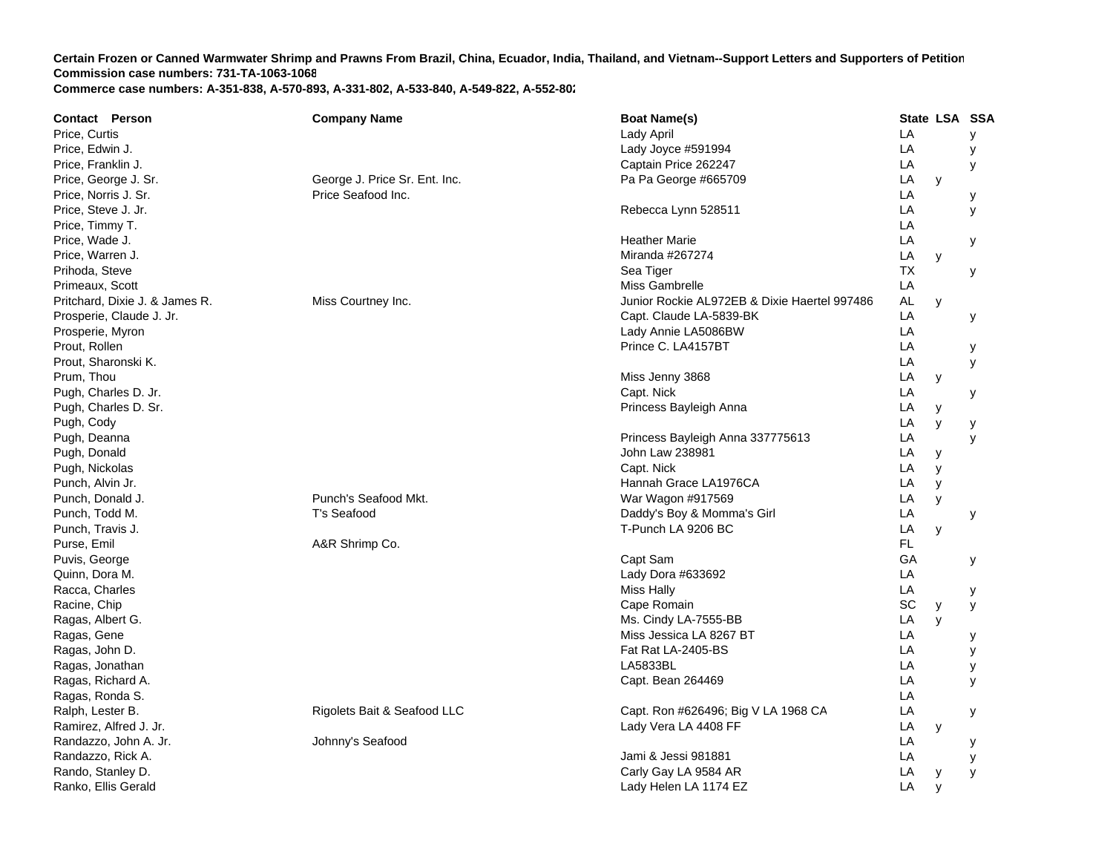| Price, Curtis<br>Lady April<br>LA<br>LA<br>Price, Edwin J.<br>Lady Joyce #591994<br>LA<br>Price, Franklin J.<br>Captain Price 262247<br>Price, George J. Sr.<br>Pa Pa George #665709<br>LA<br>George J. Price Sr. Ent. Inc.<br>y<br>Price, Norris J. Sr.<br>Price Seafood Inc.<br>LA | у<br>у<br>У<br>у<br>у<br>у |
|--------------------------------------------------------------------------------------------------------------------------------------------------------------------------------------------------------------------------------------------------------------------------------------|----------------------------|
|                                                                                                                                                                                                                                                                                      |                            |
|                                                                                                                                                                                                                                                                                      |                            |
|                                                                                                                                                                                                                                                                                      |                            |
|                                                                                                                                                                                                                                                                                      |                            |
|                                                                                                                                                                                                                                                                                      |                            |
| Price, Steve J. Jr.<br>Rebecca Lynn 528511<br>LA                                                                                                                                                                                                                                     |                            |
| Price, Timmy T.<br>LA                                                                                                                                                                                                                                                                |                            |
| LA<br>Price, Wade J.<br><b>Heather Marie</b>                                                                                                                                                                                                                                         |                            |
| Miranda #267274<br>LA<br>Price, Warren J.<br>y                                                                                                                                                                                                                                       |                            |
| Prihoda, Steve<br>Sea Tiger<br>ТX                                                                                                                                                                                                                                                    | y                          |
| LA<br>Primeaux, Scott<br>Miss Gambrelle                                                                                                                                                                                                                                              |                            |
| Pritchard, Dixie J. & James R.<br>Miss Courtney Inc.<br>Junior Rockie AL972EB & Dixie Haertel 997486<br>AL<br>y                                                                                                                                                                      |                            |
| LA<br>Prosperie, Claude J. Jr.<br>Capt. Claude LA-5839-BK                                                                                                                                                                                                                            | у                          |
| Lady Annie LA5086BW<br>LA<br>Prosperie, Myron                                                                                                                                                                                                                                        |                            |
| Prout, Rollen<br>Prince C. LA4157BT<br>LA                                                                                                                                                                                                                                            | у                          |
| LA<br>Prout, Sharonski K.                                                                                                                                                                                                                                                            | y                          |
| Prum, Thou<br>LA<br>Miss Jenny 3868<br>y                                                                                                                                                                                                                                             |                            |
| Capt. Nick<br>Pugh, Charles D. Jr.<br>LA                                                                                                                                                                                                                                             | у                          |
| Princess Bayleigh Anna<br>Pugh, Charles D. Sr.<br>LA<br>У                                                                                                                                                                                                                            |                            |
| Pugh, Cody<br>LA<br>y                                                                                                                                                                                                                                                                | у                          |
| Princess Bayleigh Anna 337775613<br>Pugh, Deanna<br>LA                                                                                                                                                                                                                               | y                          |
| John Law 238981<br>Pugh, Donald<br>LA<br>у                                                                                                                                                                                                                                           |                            |
| Capt. Nick<br>LA<br>Pugh, Nickolas<br>y                                                                                                                                                                                                                                              |                            |
| Hannah Grace LA1976CA<br>LA<br>Punch, Alvin Jr.<br>y                                                                                                                                                                                                                                 |                            |
| Punch's Seafood Mkt.<br>Punch, Donald J.<br>War Wagon #917569<br>LA<br>y                                                                                                                                                                                                             |                            |
| T's Seafood<br>Daddy's Boy & Momma's Girl<br>LA<br>Punch, Todd M.                                                                                                                                                                                                                    | у                          |
| T-Punch LA 9206 BC<br>LA<br>Punch, Travis J.<br>y                                                                                                                                                                                                                                    |                            |
| FL<br>A&R Shrimp Co.<br>Purse, Emil                                                                                                                                                                                                                                                  |                            |
| GA<br>Puvis, George<br>Capt Sam                                                                                                                                                                                                                                                      | у                          |
| Quinn, Dora M.<br>Lady Dora #633692<br>LA                                                                                                                                                                                                                                            |                            |
| LA<br>Racca, Charles<br>Miss Hally                                                                                                                                                                                                                                                   | у                          |
| SC<br>Racine, Chip<br>Cape Romain<br>y                                                                                                                                                                                                                                               | У                          |
| Ragas, Albert G.<br>Ms. Cindy LA-7555-BB<br>LA<br>y                                                                                                                                                                                                                                  |                            |
| Ragas, Gene<br>Miss Jessica LA 8267 BT<br>LA                                                                                                                                                                                                                                         | у                          |
| Ragas, John D.<br>Fat Rat LA-2405-BS<br>LA                                                                                                                                                                                                                                           | У                          |
| LA5833BL<br>LA<br>Ragas, Jonathan                                                                                                                                                                                                                                                    | У                          |
| LA<br>Capt. Bean 264469<br>Ragas, Richard A.                                                                                                                                                                                                                                         | y                          |
| LA<br>Ragas, Ronda S.                                                                                                                                                                                                                                                                |                            |
| Ralph, Lester B.<br>Rigolets Bait & Seafood LLC<br>Capt. Ron #626496; Big V LA 1968 CA<br>LA                                                                                                                                                                                         | у                          |
| Lady Vera LA 4408 FF<br>Ramirez, Alfred J. Jr.<br>LA<br>y                                                                                                                                                                                                                            |                            |
| Johnny's Seafood<br>LA<br>Randazzo, John A. Jr.                                                                                                                                                                                                                                      | у                          |
| Jami & Jessi 981881<br>LA<br>Randazzo, Rick A.                                                                                                                                                                                                                                       | у                          |
| Rando, Stanley D.<br>Carly Gay LA 9584 AR<br>LA<br>у                                                                                                                                                                                                                                 | У                          |
| Ranko, Ellis Gerald<br>Lady Helen LA 1174 EZ<br>LA<br>y                                                                                                                                                                                                                              |                            |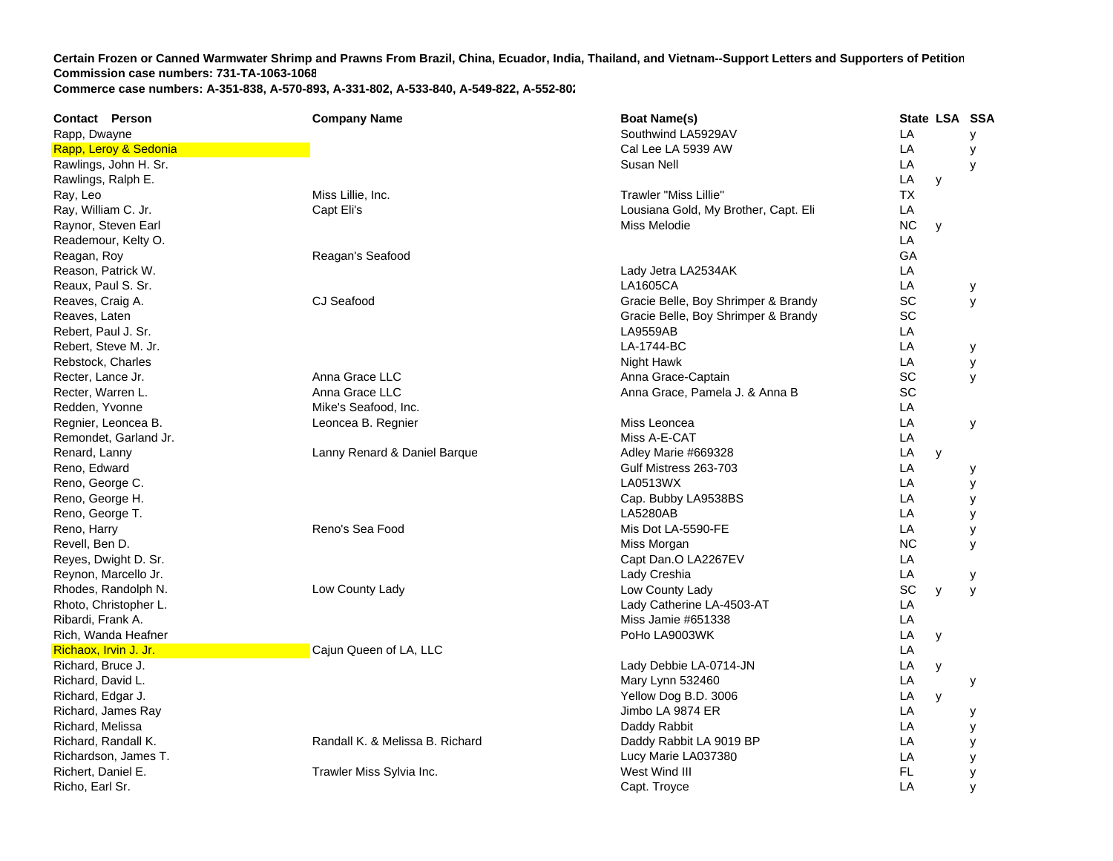| <b>Contact Person</b> | <b>Company Name</b>             | <b>Boat Name(s)</b>                  |           | State LSA SSA |   |
|-----------------------|---------------------------------|--------------------------------------|-----------|---------------|---|
| Rapp, Dwayne          |                                 | Southwind LA5929AV                   | LA        |               | У |
| Rapp, Leroy & Sedonia |                                 | Cal Lee LA 5939 AW                   | LA        |               | У |
| Rawlings, John H. Sr. |                                 | Susan Nell                           | LA        |               | y |
| Rawlings, Ralph E.    |                                 |                                      | LA        | y             |   |
| Ray, Leo              | Miss Lillie, Inc.               | <b>Trawler "Miss Lillie"</b>         | <b>TX</b> |               |   |
| Ray, William C. Jr.   | Capt Eli's                      | Lousiana Gold, My Brother, Capt. Eli | LA        |               |   |
| Raynor, Steven Earl   |                                 | Miss Melodie                         | <b>NC</b> | y             |   |
| Reademour, Kelty O.   |                                 |                                      | LA        |               |   |
| Reagan, Roy           | Reagan's Seafood                |                                      | GA        |               |   |
| Reason, Patrick W.    |                                 | Lady Jetra LA2534AK                  | LA        |               |   |
| Reaux, Paul S. Sr.    |                                 | LA1605CA                             | LA        |               | У |
| Reaves, Craig A.      | CJ Seafood                      | Gracie Belle, Boy Shrimper & Brandy  | SC        |               | y |
| Reaves, Laten         |                                 | Gracie Belle, Boy Shrimper & Brandy  | SC        |               |   |
| Rebert, Paul J. Sr.   |                                 | <b>LA9559AB</b>                      | LA        |               |   |
| Rebert, Steve M. Jr.  |                                 | LA-1744-BC                           | LA        |               | у |
| Rebstock, Charles     |                                 | Night Hawk                           | LA        |               | у |
| Recter, Lance Jr.     | Anna Grace LLC                  | Anna Grace-Captain                   | SC        |               | У |
| Recter, Warren L.     | Anna Grace LLC                  | Anna Grace, Pamela J. & Anna B       | SC        |               |   |
| Redden, Yvonne        | Mike's Seafood, Inc.            |                                      | LA        |               |   |
| Regnier, Leoncea B.   | Leoncea B. Regnier              | Miss Leoncea                         | LA        |               | У |
| Remondet, Garland Jr. |                                 | Miss A-E-CAT                         | LA        |               |   |
| Renard, Lanny         | Lanny Renard & Daniel Barque    | Adley Marie #669328                  | LA        | y             |   |
| Reno, Edward          |                                 | Gulf Mistress 263-703                | LA        |               | у |
| Reno, George C.       |                                 | LA0513WX                             | LA        |               | у |
| Reno, George H.       |                                 | Cap. Bubby LA9538BS                  | LA        |               | у |
| Reno, George T.       |                                 | LA5280AB                             | LA        |               | у |
| Reno, Harry           | Reno's Sea Food                 | Mis Dot LA-5590-FE                   | LA        |               | у |
| Revell, Ben D.        |                                 | Miss Morgan                          | <b>NC</b> |               | y |
| Reyes, Dwight D. Sr.  |                                 | Capt Dan.O LA2267EV                  | LA        |               |   |
| Reynon, Marcello Jr.  |                                 | Lady Creshia                         | LA        |               | у |
| Rhodes, Randolph N.   | Low County Lady                 | Low County Lady                      | SC        | y             | y |
| Rhoto, Christopher L. |                                 | Lady Catherine LA-4503-AT            | LA        |               |   |
| Ribardi, Frank A.     |                                 | Miss Jamie #651338                   | LA        |               |   |
| Rich, Wanda Heafner   |                                 | PoHo LA9003WK                        | LA        | У             |   |
| Richaox, Irvin J. Jr. | Cajun Queen of LA, LLC          |                                      | LA        |               |   |
| Richard, Bruce J.     |                                 | Lady Debbie LA-0714-JN               | LA        | у             |   |
| Richard, David L.     |                                 | Mary Lynn 532460                     | LA        |               | у |
| Richard, Edgar J.     |                                 | Yellow Dog B.D. 3006                 | LA        | y             |   |
| Richard, James Ray    |                                 | Jimbo LA 9874 ER                     | LA        |               | у |
| Richard, Melissa      |                                 | Daddy Rabbit                         | LA        |               | У |
| Richard, Randall K.   | Randall K. & Melissa B. Richard | Daddy Rabbit LA 9019 BP              | LA        |               | у |
| Richardson, James T.  |                                 | Lucy Marie LA037380                  | LA        |               | у |
| Richert, Daniel E.    | Trawler Miss Sylvia Inc.        | West Wind III                        | FL.       |               | у |
| Richo, Earl Sr.       |                                 | Capt. Troyce                         | LA        |               | y |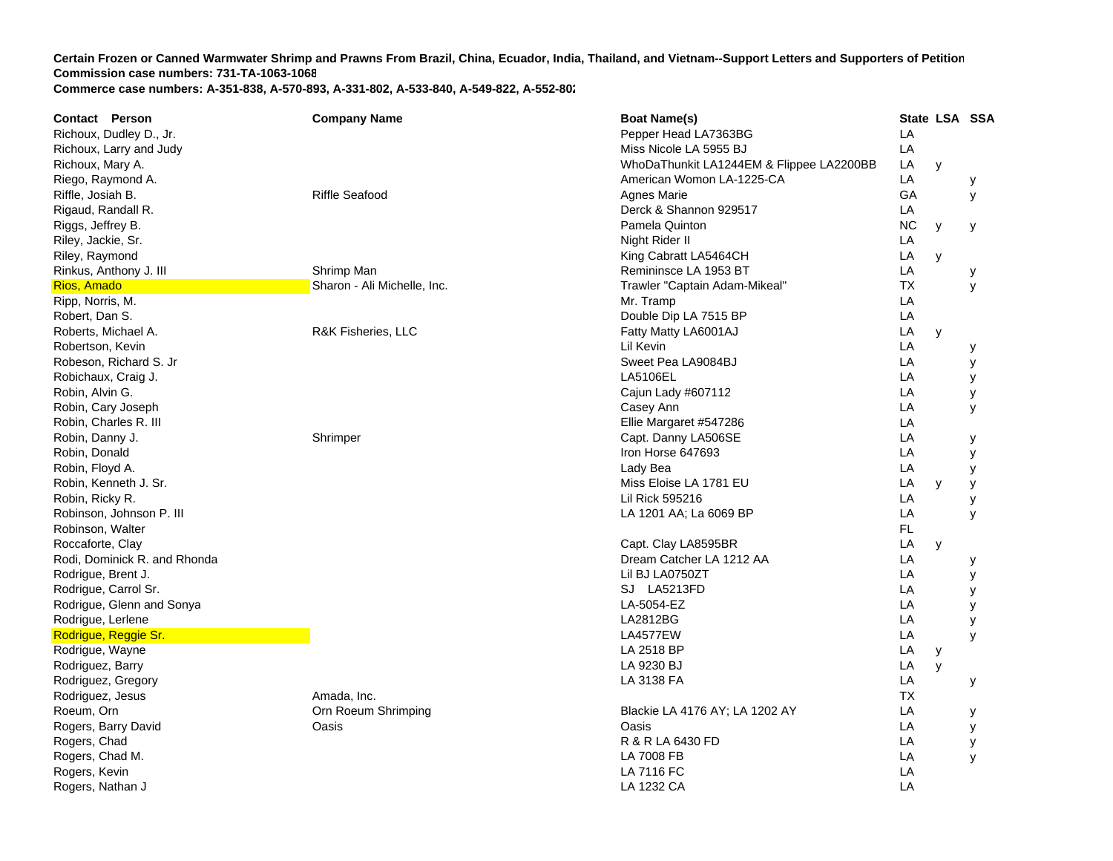| <b>Contact Person</b>        | <b>Company Name</b>           | <b>Boat Name(s)</b>                      |           |              | State LSA SSA |
|------------------------------|-------------------------------|------------------------------------------|-----------|--------------|---------------|
| Richoux, Dudley D., Jr.      |                               | Pepper Head LA7363BG                     | LA        |              |               |
| Richoux, Larry and Judy      |                               | Miss Nicole LA 5955 BJ                   | LA        |              |               |
| Richoux, Mary A.             |                               | WhoDaThunkit LA1244EM & Flippee LA2200BB | LA        | y            |               |
| Riego, Raymond A.            |                               | American Womon LA-1225-CA                | LA        |              | у             |
| Riffle, Josiah B.            | <b>Riffle Seafood</b>         | <b>Agnes Marie</b>                       | GA        |              | y             |
| Rigaud, Randall R.           |                               | Derck & Shannon 929517                   | LA        |              |               |
| Riggs, Jeffrey B.            |                               | Pamela Quinton                           | <b>NC</b> | y            | у             |
| Riley, Jackie, Sr.           |                               | Night Rider II                           | LA        |              |               |
| Riley, Raymond               |                               | King Cabratt LA5464CH                    | LA        | y            |               |
| Rinkus, Anthony J. III       | Shrimp Man                    | Remininsce LA 1953 BT                    | LA        |              | у             |
| Rios, Amado                  | Sharon - Ali Michelle, Inc.   | Trawler "Captain Adam-Mikeal"            | ТX        |              | y             |
| Ripp, Norris, M.             |                               | Mr. Tramp                                | LA        |              |               |
| Robert, Dan S.               |                               | Double Dip LA 7515 BP                    | LA        |              |               |
| Roberts, Michael A.          | <b>R&amp;K Fisheries, LLC</b> | Fatty Matty LA6001AJ                     | LA        | y            |               |
| Robertson, Kevin             |                               | Lil Kevin                                | LA        |              | у             |
| Robeson, Richard S. Jr       |                               | Sweet Pea LA9084BJ                       | LA        |              | у             |
| Robichaux, Craig J.          |                               | <b>LA5106EL</b>                          | LA        |              | У             |
| Robin, Alvin G.              |                               | Cajun Lady #607112                       | LA        |              | у             |
| Robin, Cary Joseph           |                               | Casey Ann                                | LA        |              | У             |
| Robin, Charles R. III        |                               | Ellie Margaret #547286                   | LA        |              |               |
| Robin, Danny J.              | Shrimper                      | Capt. Danny LA506SE                      | LA        |              | у             |
| Robin, Donald                |                               | Iron Horse 647693                        | LA        |              | y             |
| Robin, Floyd A.              |                               | Lady Bea                                 | LA        |              | y             |
| Robin, Kenneth J. Sr.        |                               | Miss Eloise LA 1781 EU                   | LA        | y            | y             |
| Robin, Ricky R.              |                               | Lil Rick 595216                          | LA        |              | У             |
| Robinson, Johnson P. III     |                               | LA 1201 AA; La 6069 BP                   | LA        |              | У             |
| Robinson, Walter             |                               |                                          | <b>FL</b> |              |               |
| Roccaforte, Clay             |                               | Capt. Clay LA8595BR                      | LA        | y            |               |
| Rodi, Dominick R. and Rhonda |                               | Dream Catcher LA 1212 AA                 | LA        |              | у             |
| Rodrigue, Brent J.           |                               | Lil BJ LA0750ZT                          | LA        |              | у             |
| Rodrigue, Carrol Sr.         |                               | SJ LA5213FD                              | LA        |              | у             |
| Rodrigue, Glenn and Sonya    |                               | LA-5054-EZ                               | LA        |              | У             |
| Rodrigue, Lerlene            |                               | LA2812BG                                 | LA        |              | у             |
| Rodrigue, Reggie Sr.         |                               | <b>LA4577EW</b>                          | LA        |              | y             |
| Rodrigue, Wayne              |                               | LA 2518 BP                               | LA        | y            |               |
| Rodriguez, Barry             |                               | LA 9230 BJ                               | LA        | $\mathsf{V}$ |               |
| Rodriguez, Gregory           |                               | LA 3138 FA                               | LA        |              | у             |
| Rodriguez, Jesus             | Amada, Inc.                   |                                          | <b>TX</b> |              |               |
| Roeum, Orn                   | Orn Roeum Shrimping           | Blackie LA 4176 AY; LA 1202 AY           | LA        |              | у             |
| Rogers, Barry David          | Oasis                         | Oasis                                    | LA        |              | У             |
| Rogers, Chad                 |                               | R & R LA 6430 FD                         | LA        |              | у             |
| Rogers, Chad M.              |                               | LA 7008 FB                               | LA        |              | y             |
| Rogers, Kevin                |                               | LA 7116 FC                               | LA        |              |               |
| Rogers, Nathan J             |                               | LA 1232 CA                               | LA        |              |               |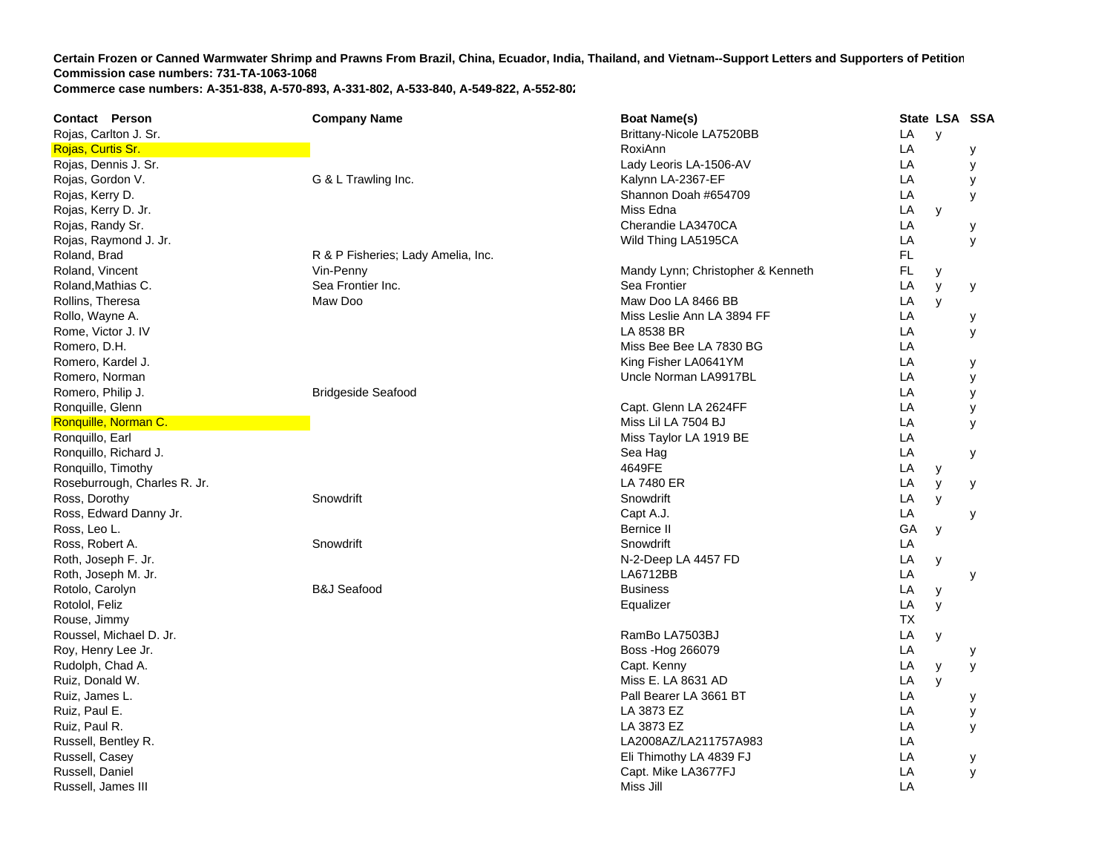| <b>Contact Person</b>        | <b>Company Name</b>                | <b>Boat Name(s)</b>               | State LSA SSA |              |   |
|------------------------------|------------------------------------|-----------------------------------|---------------|--------------|---|
| Rojas, Carlton J. Sr.        |                                    | Brittany-Nicole LA7520BB          | LA            | $\mathsf{y}$ |   |
| Rojas, Curtis Sr.            |                                    | RoxiAnn                           | LA            |              | у |
| Rojas, Dennis J. Sr.         |                                    | Lady Leoris LA-1506-AV            | LA            |              | у |
| Rojas, Gordon V.             | G & L Trawling Inc.                | Kalynn LA-2367-EF                 | LA            |              | у |
| Rojas, Kerry D.              |                                    | Shannon Doah #654709              | LA            |              | у |
| Rojas, Kerry D. Jr.          |                                    | Miss Edna                         | LA            | y            |   |
| Rojas, Randy Sr.             |                                    | Cherandie LA3470CA                | LA            |              | у |
| Rojas, Raymond J. Jr.        |                                    | Wild Thing LA5195CA               | LA            |              | У |
| Roland, Brad                 | R & P Fisheries; Lady Amelia, Inc. |                                   | FL.           |              |   |
| Roland, Vincent              | Vin-Penny                          | Mandy Lynn; Christopher & Kenneth | FL.           | y            |   |
| Roland, Mathias C.           | Sea Frontier Inc.                  | Sea Frontier                      | LA            | y            | у |
| Rollins, Theresa             | Maw Doo                            | Maw Doo LA 8466 BB                | LA            | y            |   |
| Rollo, Wayne A.              |                                    | Miss Leslie Ann LA 3894 FF        | LA            |              | у |
| Rome, Victor J. IV           |                                    | LA 8538 BR                        | LA            |              | У |
| Romero, D.H.                 |                                    | Miss Bee Bee LA 7830 BG           | LA            |              |   |
| Romero, Kardel J.            |                                    | King Fisher LA0641YM              | LA            |              | у |
| Romero, Norman               |                                    | Uncle Norman LA9917BL             | LA            |              | у |
| Romero, Philip J.            | <b>Bridgeside Seafood</b>          |                                   | LA            |              | У |
| Ronquille, Glenn             |                                    | Capt. Glenn LA 2624FF             | LA            |              | У |
| Ronquille, Norman C.         |                                    | Miss Lil LA 7504 BJ               | LA            |              | У |
| Ronquillo, Earl              |                                    | Miss Taylor LA 1919 BE            | LA            |              |   |
| Ronquillo, Richard J.        |                                    | Sea Hag                           | LA            |              | у |
| Ronquillo, Timothy           |                                    | 4649FE                            | LA            | у            |   |
| Roseburrough, Charles R. Jr. |                                    | LA 7480 ER                        | LA            | y            | у |
| Ross, Dorothy                | Snowdrift                          | Snowdrift                         | LA            | y            |   |
| Ross, Edward Danny Jr.       |                                    | Capt A.J.                         | LA            |              | у |
| Ross, Leo L.                 |                                    | Bernice II                        | GA            | y            |   |
| Ross, Robert A.              | Snowdrift                          | Snowdrift                         | LA            |              |   |
| Roth, Joseph F. Jr.          |                                    | N-2-Deep LA 4457 FD               | LA            | y            |   |
| Roth, Joseph M. Jr.          |                                    | LA6712BB                          | LA            |              | у |
| Rotolo, Carolyn              | <b>B&amp;J Seafood</b>             | <b>Business</b>                   | LA            | У            |   |
| Rotolol, Feliz               |                                    | Equalizer                         | LA            | y            |   |
| Rouse, Jimmy                 |                                    |                                   | <b>TX</b>     |              |   |
| Roussel, Michael D. Jr.      |                                    | RamBo LA7503BJ                    | LA            | У            |   |
| Roy, Henry Lee Jr.           |                                    | Boss - Hog 266079                 | LA            |              | у |
| Rudolph, Chad A.             |                                    | Capt. Kenny                       | LA            | y            | У |
| Ruiz, Donald W.              |                                    | Miss E. LA 8631 AD                | LA            | y            |   |
| Ruiz, James L.               |                                    | Pall Bearer LA 3661 BT            | LA            |              | у |
| Ruiz, Paul E.                |                                    | LA 3873 EZ                        | LA            |              | у |
| Ruiz, Paul R.                |                                    | LA 3873 EZ                        | LA            |              | У |
| Russell, Bentley R.          |                                    | LA2008AZ/LA211757A983             | LA            |              |   |
| Russell, Casey               |                                    | Eli Thimothy LA 4839 FJ           | LA            |              | у |
| Russell, Daniel              |                                    | Capt. Mike LA3677FJ               | LA            |              | y |
| Russell, James III           |                                    | Miss Jill                         | LA            |              |   |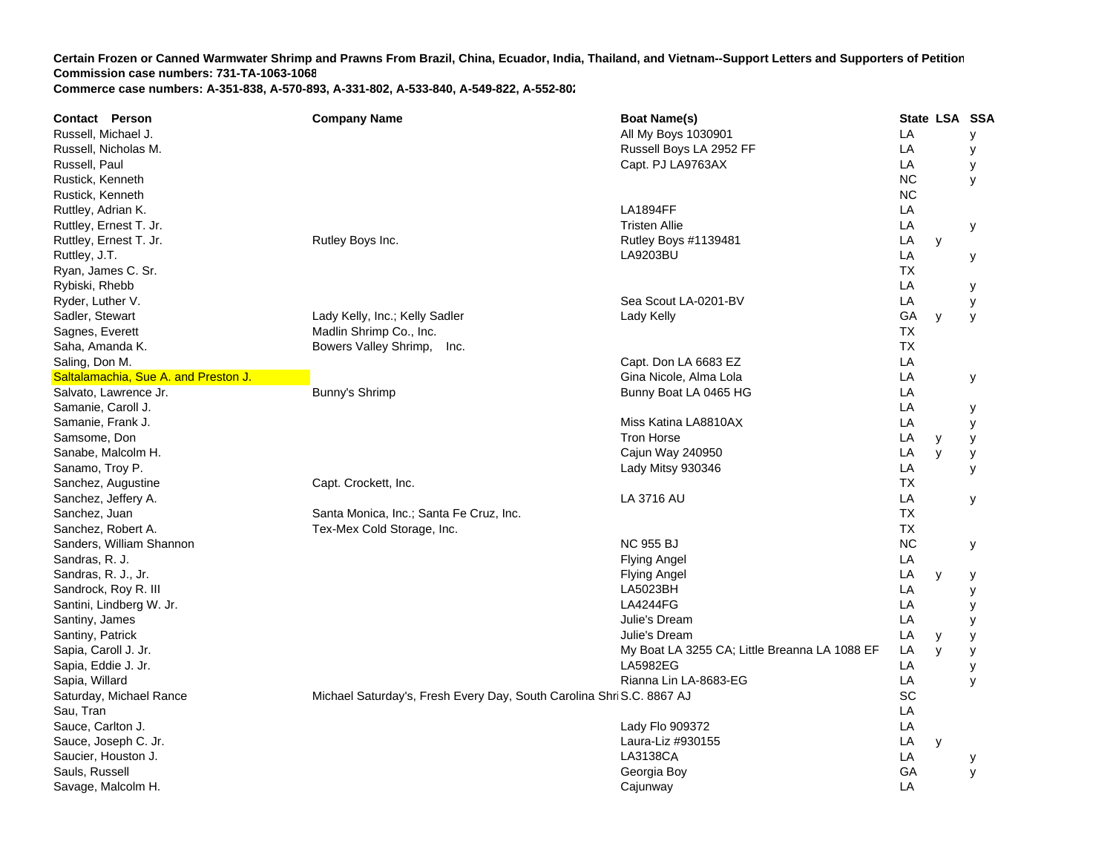| <b>Contact Person</b>                | <b>Company Name</b>                                                   | <b>Boat Name(s)</b>                           | State LSA SSA |   |   |
|--------------------------------------|-----------------------------------------------------------------------|-----------------------------------------------|---------------|---|---|
| Russell, Michael J.                  |                                                                       | All My Boys 1030901                           | LA            |   | У |
| Russell, Nicholas M.                 |                                                                       | Russell Boys LA 2952 FF                       | LA            |   | у |
| Russell, Paul                        |                                                                       | Capt. PJ LA9763AX                             | LA            |   | у |
| Rustick, Kenneth                     |                                                                       |                                               | <b>NC</b>     |   | y |
| Rustick, Kenneth                     |                                                                       |                                               | <b>NC</b>     |   |   |
| Ruttley, Adrian K.                   |                                                                       | <b>LA1894FF</b>                               | LA            |   |   |
| Ruttley, Ernest T. Jr.               |                                                                       | <b>Tristen Allie</b>                          | LA            |   | у |
| Ruttley, Ernest T. Jr.               | Rutley Boys Inc.                                                      | Rutley Boys #1139481                          | LA            | y |   |
| Ruttley, J.T.                        |                                                                       | LA9203BU                                      | LA            |   | у |
| Ryan, James C. Sr.                   |                                                                       |                                               | <b>TX</b>     |   |   |
| Rybiski, Rhebb                       |                                                                       |                                               | LA            |   | у |
| Ryder, Luther V.                     |                                                                       | Sea Scout LA-0201-BV                          | LA            |   | y |
| Sadler, Stewart                      | Lady Kelly, Inc.; Kelly Sadler                                        | Lady Kelly                                    | GA            | y | y |
| Sagnes, Everett                      | Madlin Shrimp Co., Inc.                                               |                                               | ТX            |   |   |
| Saha, Amanda K.                      | Bowers Valley Shrimp,<br>Inc.                                         |                                               | <b>TX</b>     |   |   |
| Saling, Don M.                       |                                                                       | Capt. Don LA 6683 EZ                          | LA            |   |   |
| Saltalamachia, Sue A. and Preston J. |                                                                       | Gina Nicole, Alma Lola                        | LA            |   | У |
| Salvato, Lawrence Jr.                | Bunny's Shrimp                                                        | Bunny Boat LA 0465 HG                         | LA            |   |   |
| Samanie, Caroll J.                   |                                                                       |                                               | LA            |   | у |
| Samanie, Frank J.                    |                                                                       | Miss Katina LA8810AX                          | LA            |   | у |
| Samsome, Don                         |                                                                       | <b>Tron Horse</b>                             | LA            | y | у |
| Sanabe, Malcolm H.                   |                                                                       | Cajun Way 240950                              | LA            | y | У |
| Sanamo, Troy P.                      |                                                                       | Lady Mitsy 930346                             | LA            |   | y |
| Sanchez, Augustine                   | Capt. Crockett, Inc.                                                  |                                               | <b>TX</b>     |   |   |
| Sanchez, Jeffery A.                  |                                                                       | LA 3716 AU                                    | LA            |   | У |
| Sanchez, Juan                        | Santa Monica, Inc.; Santa Fe Cruz, Inc.                               |                                               | <b>TX</b>     |   |   |
| Sanchez, Robert A.                   | Tex-Mex Cold Storage, Inc.                                            |                                               | <b>TX</b>     |   |   |
| Sanders, William Shannon             |                                                                       | <b>NC 955 BJ</b>                              | <b>NC</b>     |   | у |
| Sandras, R. J.                       |                                                                       | <b>Flying Angel</b>                           | LA            |   |   |
| Sandras, R. J., Jr.                  |                                                                       | <b>Flying Angel</b>                           | LA            | y | у |
| Sandrock, Roy R. III                 |                                                                       | LA5023BH                                      | LA            |   | У |
| Santini, Lindberg W. Jr.             |                                                                       | <b>LA4244FG</b>                               | LA            |   | у |
| Santiny, James                       |                                                                       | Julie's Dream                                 | LA            |   | y |
| Santiny, Patrick                     |                                                                       | Julie's Dream                                 | LA            | У | y |
| Sapia, Caroll J. Jr.                 |                                                                       | My Boat LA 3255 CA; Little Breanna LA 1088 EF | LA            | y | у |
| Sapia, Eddie J. Jr.                  |                                                                       | <b>LA5982EG</b>                               | LA            |   | у |
| Sapia, Willard                       |                                                                       | Rianna Lin LA-8683-EG                         | LA            |   | y |
| Saturday, Michael Rance              | Michael Saturday's, Fresh Every Day, South Carolina Shri S.C. 8867 AJ |                                               | SC            |   |   |
| Sau, Tran                            |                                                                       |                                               | LA            |   |   |
| Sauce, Carlton J.                    |                                                                       | Lady Flo 909372                               | LA            |   |   |
| Sauce, Joseph C. Jr.                 |                                                                       | Laura-Liz #930155                             | LA            | y |   |
| Saucier, Houston J.                  |                                                                       | LA3138CA                                      | LA            |   | у |
| Sauls, Russell                       |                                                                       | Georgia Boy                                   | GA            |   | y |
| Savage, Malcolm H.                   |                                                                       | Cajunway                                      | LA            |   |   |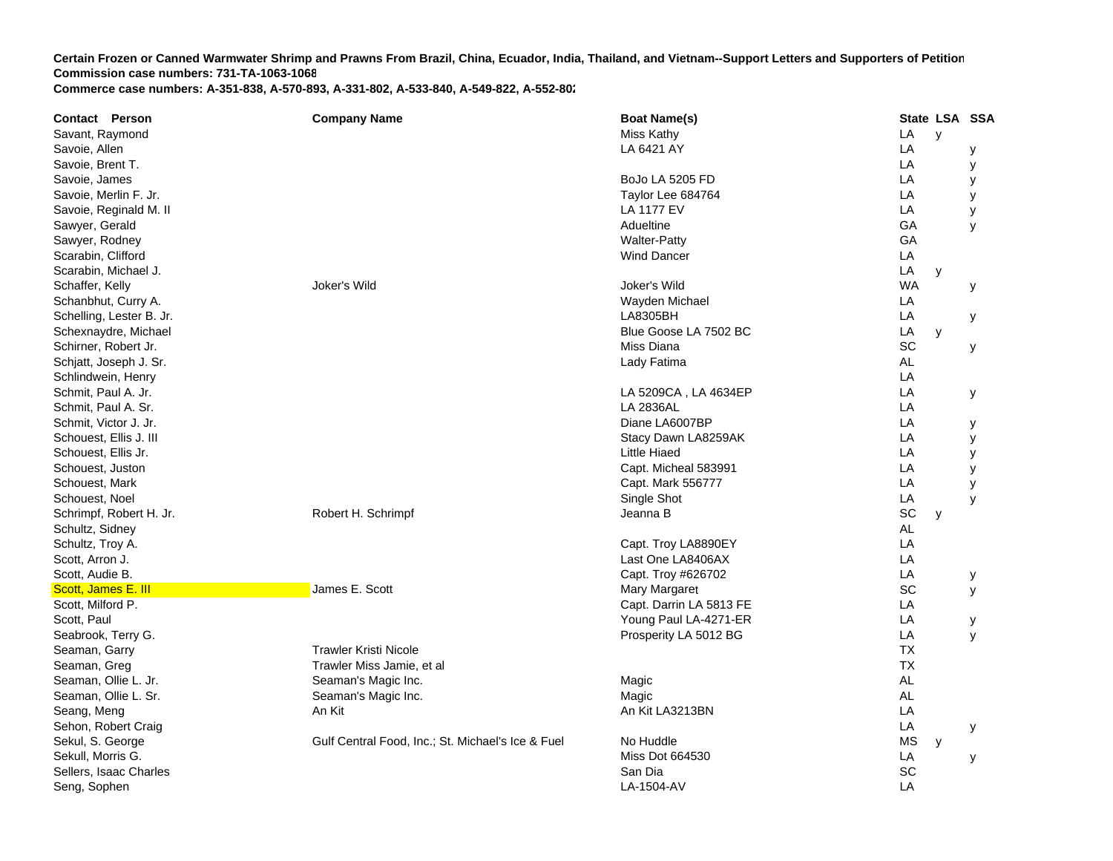| <b>Contact Person</b>    | <b>Company Name</b>                               | <b>Boat Name(s)</b>     | State LSA SSA  |
|--------------------------|---------------------------------------------------|-------------------------|----------------|
| Savant, Raymond          |                                                   | Miss Kathy              | LA<br>y        |
| Savoie, Allen            |                                                   | LA 6421 AY              | LA<br>у        |
| Savoie, Brent T.         |                                                   |                         | LA<br>У        |
| Savoie, James            |                                                   | BoJo LA 5205 FD         | LA<br>y        |
| Savoie, Merlin F. Jr.    |                                                   | Taylor Lee 684764       | LA<br>у        |
| Savoie, Reginald M. II   |                                                   | <b>LA 1177 EV</b>       | LA<br>у        |
| Sawyer, Gerald           |                                                   | Adueltine               | GA<br>У        |
| Sawyer, Rodney           |                                                   | <b>Walter-Patty</b>     | GA             |
| Scarabin, Clifford       |                                                   | <b>Wind Dancer</b>      | LA             |
| Scarabin, Michael J.     |                                                   |                         | LA<br>y        |
| Schaffer, Kelly          | Joker's Wild                                      | Joker's Wild            | <b>WA</b><br>у |
| Schanbhut, Curry A.      |                                                   | Wayden Michael          | LA             |
| Schelling, Lester B. Jr. |                                                   | LA8305BH                | LA<br>у        |
| Schexnaydre, Michael     |                                                   | Blue Goose LA 7502 BC   | LA<br>y        |
| Schirner, Robert Jr.     |                                                   | Miss Diana              | SC<br>у        |
| Schjatt, Joseph J. Sr.   |                                                   | Lady Fatima             | AL             |
| Schlindwein, Henry       |                                                   |                         | LA             |
| Schmit, Paul A. Jr.      |                                                   | LA 5209CA, LA 4634EP    | LA<br>У        |
| Schmit, Paul A. Sr.      |                                                   | LA 2836AL               | LA             |
| Schmit, Victor J. Jr.    |                                                   | Diane LA6007BP          | LA<br>у        |
| Schouest, Ellis J. III   |                                                   | Stacy Dawn LA8259AK     | LA<br>у        |
| Schouest, Ellis Jr.      |                                                   | Little Hiaed            | LA<br>у        |
| Schouest, Juston         |                                                   | Capt. Micheal 583991    | LA<br>y        |
| Schouest, Mark           |                                                   | Capt. Mark 556777       | LA<br>у        |
| Schouest, Noel           |                                                   | Single Shot             | LA<br>y        |
| Schrimpf, Robert H. Jr.  | Robert H. Schrimpf                                | Jeanna B                | SC<br>y        |
| Schultz, Sidney          |                                                   |                         | <b>AL</b>      |
| Schultz, Troy A.         |                                                   | Capt. Troy LA8890EY     | LA             |
| Scott, Arron J.          |                                                   | Last One LA8406AX       | LA             |
| Scott, Audie B.          |                                                   | Capt. Troy #626702      | LA<br>y        |
| Scott, James E. III      | James E. Scott                                    | <b>Mary Margaret</b>    | SC<br>y        |
| Scott, Milford P.        |                                                   | Capt. Darrin LA 5813 FE | LA             |
| Scott, Paul              |                                                   | Young Paul LA-4271-ER   | LA<br>у        |
| Seabrook, Terry G.       |                                                   | Prosperity LA 5012 BG   | LA<br>У        |
| Seaman, Garry            | <b>Trawler Kristi Nicole</b>                      |                         | <b>TX</b>      |
| Seaman, Greg             | Trawler Miss Jamie, et al                         |                         | <b>TX</b>      |
| Seaman, Ollie L. Jr.     | Seaman's Magic Inc.                               | Magic                   | AL             |
| Seaman, Ollie L. Sr.     | Seaman's Magic Inc.                               | Magic                   | AL             |
| Seang, Meng              | An Kit                                            | An Kit LA3213BN         | LA             |
| Sehon, Robert Craig      |                                                   |                         | LA<br>у        |
| Sekul, S. George         | Gulf Central Food, Inc.; St. Michael's Ice & Fuel | No Huddle               | MS<br>y        |
| Sekull, Morris G.        |                                                   | <b>Miss Dot 664530</b>  | LA<br>у        |
| Sellers, Isaac Charles   |                                                   | San Dia                 | SC             |
| Seng, Sophen             |                                                   | LA-1504-AV              | LA             |
|                          |                                                   |                         |                |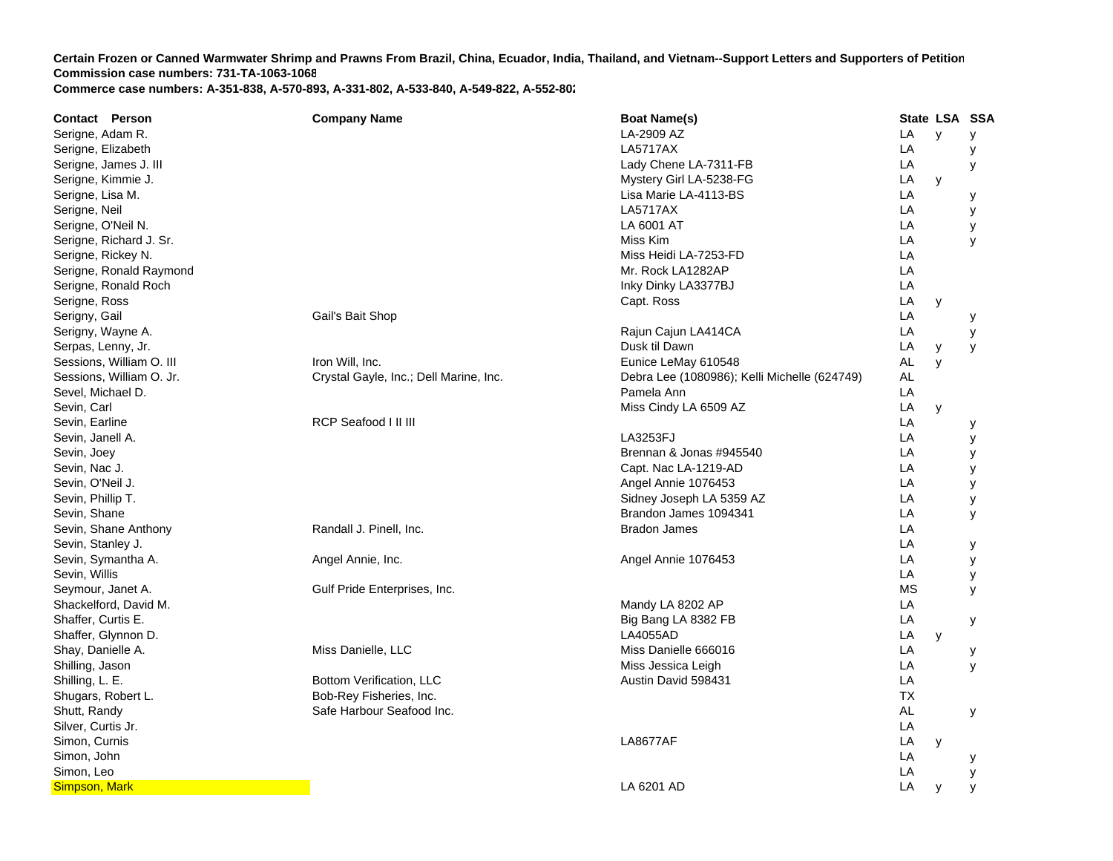| <b>Contact Person</b>    | <b>Company Name</b>                    | <b>Boat Name(s)</b>                          |           | State LSA SSA |   |
|--------------------------|----------------------------------------|----------------------------------------------|-----------|---------------|---|
| Serigne, Adam R.         |                                        | LA-2909 AZ                                   | LA        | y             | У |
| Serigne, Elizabeth       |                                        | <b>LA5717AX</b>                              | LA        |               | У |
| Serigne, James J. III    |                                        | Lady Chene LA-7311-FB                        | LA        |               | У |
| Serigne, Kimmie J.       |                                        | Mystery Girl LA-5238-FG                      | LA        | y             |   |
| Serigne, Lisa M.         |                                        | Lisa Marie LA-4113-BS                        | LA        |               | у |
| Serigne, Neil            |                                        | <b>LA5717AX</b>                              | LA        |               | у |
| Serigne, O'Neil N.       |                                        | LA 6001 AT                                   | LA        |               | у |
| Serigne, Richard J. Sr.  |                                        | Miss Kim                                     | LA        |               | y |
| Serigne, Rickey N.       |                                        | Miss Heidi LA-7253-FD                        | LA        |               |   |
| Serigne, Ronald Raymond  |                                        | Mr. Rock LA1282AP                            | LA        |               |   |
| Serigne, Ronald Roch     |                                        | Inky Dinky LA3377BJ                          | LA        |               |   |
| Serigne, Ross            |                                        | Capt. Ross                                   | LA        | y             |   |
| Serigny, Gail            | Gail's Bait Shop                       |                                              | LA        |               | у |
| Serigny, Wayne A.        |                                        | Rajun Cajun LA414CA                          | LA        |               | У |
| Serpas, Lenny, Jr.       |                                        | Dusk til Dawn                                | LA        | y             | У |
| Sessions, William O. III | Iron Will, Inc.                        | Eunice LeMay 610548                          | AL        | y             |   |
| Sessions, William O. Jr. | Crystal Gayle, Inc.; Dell Marine, Inc. | Debra Lee (1080986); Kelli Michelle (624749) | AL        |               |   |
| Sevel, Michael D.        |                                        | Pamela Ann                                   | LA        |               |   |
| Sevin, Carl              |                                        | Miss Cindy LA 6509 AZ                        | LA        | у             |   |
| Sevin, Earline           | RCP Seafood I II III                   |                                              | LA        |               | у |
| Sevin, Janell A.         |                                        | LA3253FJ                                     | LA        |               | у |
| Sevin, Joey              |                                        | Brennan & Jonas #945540                      | LA        |               | у |
| Sevin, Nac J.            |                                        | Capt. Nac LA-1219-AD                         | LA        |               | У |
| Sevin, O'Neil J.         |                                        | Angel Annie 1076453                          | LA        |               | У |
| Sevin, Phillip T.        |                                        | Sidney Joseph LA 5359 AZ                     | LA        |               | у |
| Sevin, Shane             |                                        | Brandon James 1094341                        | LA        |               | У |
| Sevin, Shane Anthony     | Randall J. Pinell, Inc.                | <b>Bradon James</b>                          | LA        |               |   |
| Sevin, Stanley J.        |                                        |                                              | LA        |               | у |
| Sevin, Symantha A.       | Angel Annie, Inc.                      | Angel Annie 1076453                          | LA        |               | У |
| Sevin, Willis            |                                        |                                              | LA        |               | у |
| Seymour, Janet A.        | Gulf Pride Enterprises, Inc.           |                                              | <b>MS</b> |               | у |
| Shackelford, David M.    |                                        | Mandy LA 8202 AP                             | LA        |               |   |
| Shaffer, Curtis E.       |                                        | Big Bang LA 8382 FB                          | LA        |               | у |
| Shaffer, Glynnon D.      |                                        | <b>LA4055AD</b>                              | LA        | y             |   |
| Shay, Danielle A.        | Miss Danielle, LLC                     | Miss Danielle 666016                         | LA        |               | у |
| Shilling, Jason          |                                        | Miss Jessica Leigh                           | LA        |               | y |
| Shilling, L. E.          | <b>Bottom Verification, LLC</b>        | Austin David 598431                          | LA        |               |   |
| Shugars, Robert L.       | Bob-Rey Fisheries, Inc.                |                                              | <b>TX</b> |               |   |
| Shutt, Randy             | Safe Harbour Seafood Inc.              |                                              | AL        |               | У |
| Silver, Curtis Jr.       |                                        |                                              | LA        |               |   |
| Simon, Curnis            |                                        | <b>LA8677AF</b>                              | LA        | y             |   |
| Simon, John              |                                        |                                              | LA        |               | у |
| Simon, Leo               |                                        |                                              | LA        |               | у |
| Simpson, Mark            |                                        | LA 6201 AD                                   | LA        | y             | У |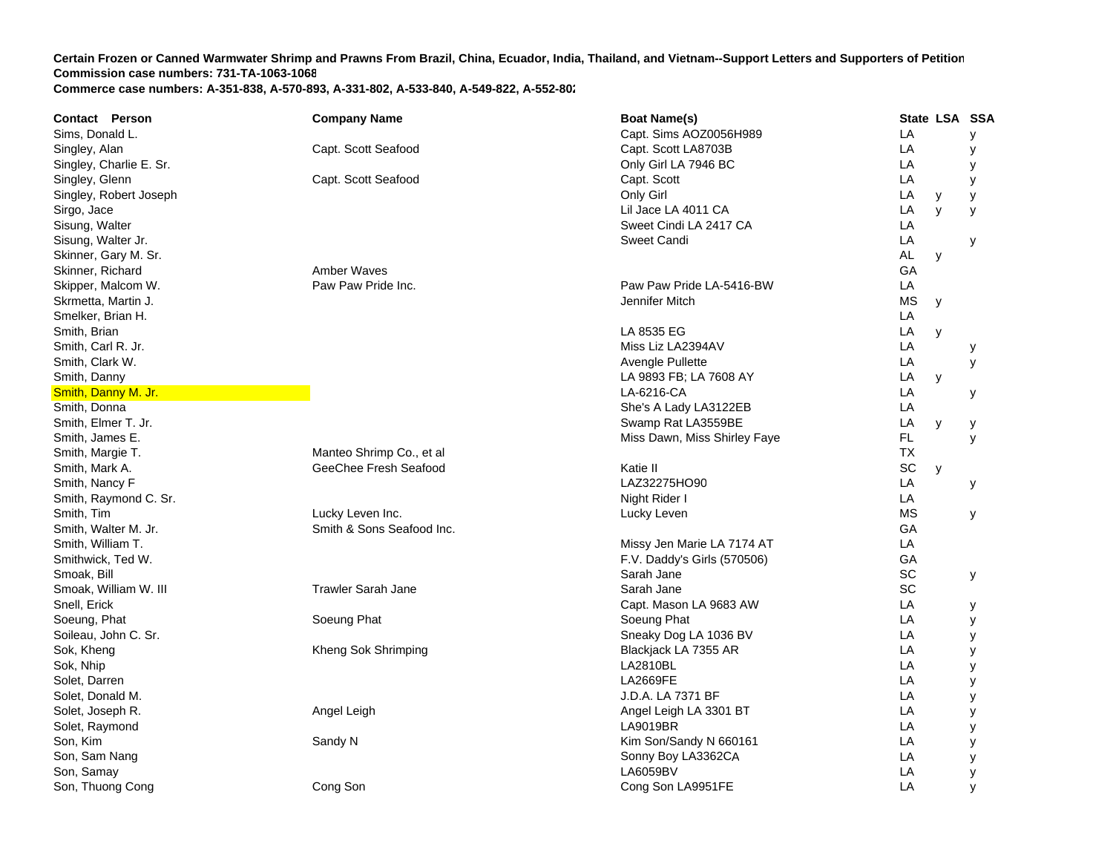| Sims, Donald L.<br>Capt. Sims AOZ0056H989<br>LA<br>У<br>LA<br>Singley, Alan<br>Capt. Scott Seafood<br>Capt. Scott LA8703B<br>У<br>LA<br>Singley, Charlie E. Sr.<br>Only Girl LA 7946 BC<br>у<br>Singley, Glenn<br>LA<br>Capt. Scott Seafood<br>Capt. Scott<br>y<br>Only Girl<br>LA<br>Singley, Robert Joseph<br>y<br>у<br>Sirgo, Jace<br>Lil Jace LA 4011 CA<br>LA<br>$\mathsf{V}$<br>y<br>Sweet Cindi LA 2417 CA<br>Sisung, Walter<br>LA<br>Sisung, Walter Jr.<br>Sweet Candi<br>LA<br>у<br><b>AL</b><br>Skinner, Gary M. Sr.<br>y<br>Skinner, Richard<br>Amber Waves<br>GA<br>Paw Paw Pride Inc.<br>Paw Paw Pride LA-5416-BW<br>LA<br>Skipper, Malcom W.<br>Skrmetta, Martin J.<br><b>MS</b><br>Jennifer Mitch<br>y<br>Smelker, Brian H.<br>LA<br>Smith, Brian<br>LA 8535 EG<br>LA<br>y<br>Miss Liz LA2394AV<br>LA<br>Smith, Carl R. Jr.<br>у<br>LA<br>Smith, Clark W.<br>Avengle Pullette<br>y<br>Smith, Danny<br>LA 9893 FB; LA 7608 AY<br>LA<br>y<br>LA-6216-CA<br>LA<br>Smith, Danny M. Jr.<br>у<br>LA<br>Smith, Donna<br>She's A Lady LA3122EB<br>Smith, Elmer T. Jr.<br>Swamp Rat LA3559BE<br>LA<br>y<br>у<br>FL.<br>Smith, James E.<br>Miss Dawn, Miss Shirley Faye<br>y<br>Manteo Shrimp Co., et al<br><b>TX</b><br>Smith, Margie T.<br>GeeChee Fresh Seafood<br>SC<br>Smith, Mark A.<br>Katie II<br>y<br>LAZ32275HO90<br>LA<br>Smith, Nancy F<br>У<br>Night Rider I<br>LA<br>Smith, Raymond C. Sr.<br>Lucky Leven Inc.<br><b>MS</b><br>Smith, Tim<br>Lucky Leven<br>У<br>Smith & Sons Seafood Inc.<br>GA<br>Smith, Walter M. Jr.<br>LA<br>Smith, William T.<br>Missy Jen Marie LA 7174 AT<br>GA<br>Smithwick, Ted W.<br>F.V. Daddy's Girls (570506)<br>SC<br>Sarah Jane<br>Smoak, Bill<br>У<br>SC<br><b>Trawler Sarah Jane</b><br>Smoak, William W. III<br>Sarah Jane<br>LA<br>Snell, Erick<br>Capt. Mason LA 9683 AW<br>у<br>LA<br>Soeung, Phat<br>Soeung Phat<br>Soeung Phat<br>у<br>Soileau, John C. Sr.<br>LA<br>Sneaky Dog LA 1036 BV<br>у<br>Sok, Kheng<br>LA<br>Kheng Sok Shrimping<br>Blackjack LA 7355 AR<br>у<br>Sok, Nhip<br>LA2810BL<br>LA<br>у<br>LA<br>Solet, Darren<br><b>LA2669FE</b><br>у<br>Solet, Donald M.<br>J.D.A. LA 7371 BF<br>LA<br>У<br>LA<br>Solet, Joseph R.<br>Angel Leigh<br>Angel Leigh LA 3301 BT<br>У<br>LA9019BR<br>LA<br>Solet, Raymond<br>у<br>Son, Kim<br>Sandy N<br>Kim Son/Sandy N 660161<br>LA<br>у<br>Son, Sam Nang<br>LA<br>Sonny Boy LA3362CA<br>у<br>LA6059BV<br>LA<br>Son, Samay<br>у<br>Son, Thuong Cong<br>Cong Son<br>LA<br>Cong Son LA9951FE<br>y | <b>Contact Person</b> | <b>Company Name</b> | <b>Boat Name(s)</b> | State LSA SSA |  |
|---------------------------------------------------------------------------------------------------------------------------------------------------------------------------------------------------------------------------------------------------------------------------------------------------------------------------------------------------------------------------------------------------------------------------------------------------------------------------------------------------------------------------------------------------------------------------------------------------------------------------------------------------------------------------------------------------------------------------------------------------------------------------------------------------------------------------------------------------------------------------------------------------------------------------------------------------------------------------------------------------------------------------------------------------------------------------------------------------------------------------------------------------------------------------------------------------------------------------------------------------------------------------------------------------------------------------------------------------------------------------------------------------------------------------------------------------------------------------------------------------------------------------------------------------------------------------------------------------------------------------------------------------------------------------------------------------------------------------------------------------------------------------------------------------------------------------------------------------------------------------------------------------------------------------------------------------------------------------------------------------------------------------------------------------------------------------------------------------------------------------------------------------------------------------------------------------------------------------------------------------------------------------------------------------------------------------------------------------------------------------------------------------------------------------------------------------------------------------------------------------------------|-----------------------|---------------------|---------------------|---------------|--|
|                                                                                                                                                                                                                                                                                                                                                                                                                                                                                                                                                                                                                                                                                                                                                                                                                                                                                                                                                                                                                                                                                                                                                                                                                                                                                                                                                                                                                                                                                                                                                                                                                                                                                                                                                                                                                                                                                                                                                                                                                                                                                                                                                                                                                                                                                                                                                                                                                                                                                                               |                       |                     |                     |               |  |
|                                                                                                                                                                                                                                                                                                                                                                                                                                                                                                                                                                                                                                                                                                                                                                                                                                                                                                                                                                                                                                                                                                                                                                                                                                                                                                                                                                                                                                                                                                                                                                                                                                                                                                                                                                                                                                                                                                                                                                                                                                                                                                                                                                                                                                                                                                                                                                                                                                                                                                               |                       |                     |                     |               |  |
|                                                                                                                                                                                                                                                                                                                                                                                                                                                                                                                                                                                                                                                                                                                                                                                                                                                                                                                                                                                                                                                                                                                                                                                                                                                                                                                                                                                                                                                                                                                                                                                                                                                                                                                                                                                                                                                                                                                                                                                                                                                                                                                                                                                                                                                                                                                                                                                                                                                                                                               |                       |                     |                     |               |  |
|                                                                                                                                                                                                                                                                                                                                                                                                                                                                                                                                                                                                                                                                                                                                                                                                                                                                                                                                                                                                                                                                                                                                                                                                                                                                                                                                                                                                                                                                                                                                                                                                                                                                                                                                                                                                                                                                                                                                                                                                                                                                                                                                                                                                                                                                                                                                                                                                                                                                                                               |                       |                     |                     |               |  |
|                                                                                                                                                                                                                                                                                                                                                                                                                                                                                                                                                                                                                                                                                                                                                                                                                                                                                                                                                                                                                                                                                                                                                                                                                                                                                                                                                                                                                                                                                                                                                                                                                                                                                                                                                                                                                                                                                                                                                                                                                                                                                                                                                                                                                                                                                                                                                                                                                                                                                                               |                       |                     |                     |               |  |
|                                                                                                                                                                                                                                                                                                                                                                                                                                                                                                                                                                                                                                                                                                                                                                                                                                                                                                                                                                                                                                                                                                                                                                                                                                                                                                                                                                                                                                                                                                                                                                                                                                                                                                                                                                                                                                                                                                                                                                                                                                                                                                                                                                                                                                                                                                                                                                                                                                                                                                               |                       |                     |                     |               |  |
|                                                                                                                                                                                                                                                                                                                                                                                                                                                                                                                                                                                                                                                                                                                                                                                                                                                                                                                                                                                                                                                                                                                                                                                                                                                                                                                                                                                                                                                                                                                                                                                                                                                                                                                                                                                                                                                                                                                                                                                                                                                                                                                                                                                                                                                                                                                                                                                                                                                                                                               |                       |                     |                     |               |  |
|                                                                                                                                                                                                                                                                                                                                                                                                                                                                                                                                                                                                                                                                                                                                                                                                                                                                                                                                                                                                                                                                                                                                                                                                                                                                                                                                                                                                                                                                                                                                                                                                                                                                                                                                                                                                                                                                                                                                                                                                                                                                                                                                                                                                                                                                                                                                                                                                                                                                                                               |                       |                     |                     |               |  |
|                                                                                                                                                                                                                                                                                                                                                                                                                                                                                                                                                                                                                                                                                                                                                                                                                                                                                                                                                                                                                                                                                                                                                                                                                                                                                                                                                                                                                                                                                                                                                                                                                                                                                                                                                                                                                                                                                                                                                                                                                                                                                                                                                                                                                                                                                                                                                                                                                                                                                                               |                       |                     |                     |               |  |
|                                                                                                                                                                                                                                                                                                                                                                                                                                                                                                                                                                                                                                                                                                                                                                                                                                                                                                                                                                                                                                                                                                                                                                                                                                                                                                                                                                                                                                                                                                                                                                                                                                                                                                                                                                                                                                                                                                                                                                                                                                                                                                                                                                                                                                                                                                                                                                                                                                                                                                               |                       |                     |                     |               |  |
|                                                                                                                                                                                                                                                                                                                                                                                                                                                                                                                                                                                                                                                                                                                                                                                                                                                                                                                                                                                                                                                                                                                                                                                                                                                                                                                                                                                                                                                                                                                                                                                                                                                                                                                                                                                                                                                                                                                                                                                                                                                                                                                                                                                                                                                                                                                                                                                                                                                                                                               |                       |                     |                     |               |  |
|                                                                                                                                                                                                                                                                                                                                                                                                                                                                                                                                                                                                                                                                                                                                                                                                                                                                                                                                                                                                                                                                                                                                                                                                                                                                                                                                                                                                                                                                                                                                                                                                                                                                                                                                                                                                                                                                                                                                                                                                                                                                                                                                                                                                                                                                                                                                                                                                                                                                                                               |                       |                     |                     |               |  |
|                                                                                                                                                                                                                                                                                                                                                                                                                                                                                                                                                                                                                                                                                                                                                                                                                                                                                                                                                                                                                                                                                                                                                                                                                                                                                                                                                                                                                                                                                                                                                                                                                                                                                                                                                                                                                                                                                                                                                                                                                                                                                                                                                                                                                                                                                                                                                                                                                                                                                                               |                       |                     |                     |               |  |
|                                                                                                                                                                                                                                                                                                                                                                                                                                                                                                                                                                                                                                                                                                                                                                                                                                                                                                                                                                                                                                                                                                                                                                                                                                                                                                                                                                                                                                                                                                                                                                                                                                                                                                                                                                                                                                                                                                                                                                                                                                                                                                                                                                                                                                                                                                                                                                                                                                                                                                               |                       |                     |                     |               |  |
|                                                                                                                                                                                                                                                                                                                                                                                                                                                                                                                                                                                                                                                                                                                                                                                                                                                                                                                                                                                                                                                                                                                                                                                                                                                                                                                                                                                                                                                                                                                                                                                                                                                                                                                                                                                                                                                                                                                                                                                                                                                                                                                                                                                                                                                                                                                                                                                                                                                                                                               |                       |                     |                     |               |  |
|                                                                                                                                                                                                                                                                                                                                                                                                                                                                                                                                                                                                                                                                                                                                                                                                                                                                                                                                                                                                                                                                                                                                                                                                                                                                                                                                                                                                                                                                                                                                                                                                                                                                                                                                                                                                                                                                                                                                                                                                                                                                                                                                                                                                                                                                                                                                                                                                                                                                                                               |                       |                     |                     |               |  |
|                                                                                                                                                                                                                                                                                                                                                                                                                                                                                                                                                                                                                                                                                                                                                                                                                                                                                                                                                                                                                                                                                                                                                                                                                                                                                                                                                                                                                                                                                                                                                                                                                                                                                                                                                                                                                                                                                                                                                                                                                                                                                                                                                                                                                                                                                                                                                                                                                                                                                                               |                       |                     |                     |               |  |
|                                                                                                                                                                                                                                                                                                                                                                                                                                                                                                                                                                                                                                                                                                                                                                                                                                                                                                                                                                                                                                                                                                                                                                                                                                                                                                                                                                                                                                                                                                                                                                                                                                                                                                                                                                                                                                                                                                                                                                                                                                                                                                                                                                                                                                                                                                                                                                                                                                                                                                               |                       |                     |                     |               |  |
|                                                                                                                                                                                                                                                                                                                                                                                                                                                                                                                                                                                                                                                                                                                                                                                                                                                                                                                                                                                                                                                                                                                                                                                                                                                                                                                                                                                                                                                                                                                                                                                                                                                                                                                                                                                                                                                                                                                                                                                                                                                                                                                                                                                                                                                                                                                                                                                                                                                                                                               |                       |                     |                     |               |  |
|                                                                                                                                                                                                                                                                                                                                                                                                                                                                                                                                                                                                                                                                                                                                                                                                                                                                                                                                                                                                                                                                                                                                                                                                                                                                                                                                                                                                                                                                                                                                                                                                                                                                                                                                                                                                                                                                                                                                                                                                                                                                                                                                                                                                                                                                                                                                                                                                                                                                                                               |                       |                     |                     |               |  |
|                                                                                                                                                                                                                                                                                                                                                                                                                                                                                                                                                                                                                                                                                                                                                                                                                                                                                                                                                                                                                                                                                                                                                                                                                                                                                                                                                                                                                                                                                                                                                                                                                                                                                                                                                                                                                                                                                                                                                                                                                                                                                                                                                                                                                                                                                                                                                                                                                                                                                                               |                       |                     |                     |               |  |
|                                                                                                                                                                                                                                                                                                                                                                                                                                                                                                                                                                                                                                                                                                                                                                                                                                                                                                                                                                                                                                                                                                                                                                                                                                                                                                                                                                                                                                                                                                                                                                                                                                                                                                                                                                                                                                                                                                                                                                                                                                                                                                                                                                                                                                                                                                                                                                                                                                                                                                               |                       |                     |                     |               |  |
|                                                                                                                                                                                                                                                                                                                                                                                                                                                                                                                                                                                                                                                                                                                                                                                                                                                                                                                                                                                                                                                                                                                                                                                                                                                                                                                                                                                                                                                                                                                                                                                                                                                                                                                                                                                                                                                                                                                                                                                                                                                                                                                                                                                                                                                                                                                                                                                                                                                                                                               |                       |                     |                     |               |  |
|                                                                                                                                                                                                                                                                                                                                                                                                                                                                                                                                                                                                                                                                                                                                                                                                                                                                                                                                                                                                                                                                                                                                                                                                                                                                                                                                                                                                                                                                                                                                                                                                                                                                                                                                                                                                                                                                                                                                                                                                                                                                                                                                                                                                                                                                                                                                                                                                                                                                                                               |                       |                     |                     |               |  |
|                                                                                                                                                                                                                                                                                                                                                                                                                                                                                                                                                                                                                                                                                                                                                                                                                                                                                                                                                                                                                                                                                                                                                                                                                                                                                                                                                                                                                                                                                                                                                                                                                                                                                                                                                                                                                                                                                                                                                                                                                                                                                                                                                                                                                                                                                                                                                                                                                                                                                                               |                       |                     |                     |               |  |
|                                                                                                                                                                                                                                                                                                                                                                                                                                                                                                                                                                                                                                                                                                                                                                                                                                                                                                                                                                                                                                                                                                                                                                                                                                                                                                                                                                                                                                                                                                                                                                                                                                                                                                                                                                                                                                                                                                                                                                                                                                                                                                                                                                                                                                                                                                                                                                                                                                                                                                               |                       |                     |                     |               |  |
|                                                                                                                                                                                                                                                                                                                                                                                                                                                                                                                                                                                                                                                                                                                                                                                                                                                                                                                                                                                                                                                                                                                                                                                                                                                                                                                                                                                                                                                                                                                                                                                                                                                                                                                                                                                                                                                                                                                                                                                                                                                                                                                                                                                                                                                                                                                                                                                                                                                                                                               |                       |                     |                     |               |  |
|                                                                                                                                                                                                                                                                                                                                                                                                                                                                                                                                                                                                                                                                                                                                                                                                                                                                                                                                                                                                                                                                                                                                                                                                                                                                                                                                                                                                                                                                                                                                                                                                                                                                                                                                                                                                                                                                                                                                                                                                                                                                                                                                                                                                                                                                                                                                                                                                                                                                                                               |                       |                     |                     |               |  |
|                                                                                                                                                                                                                                                                                                                                                                                                                                                                                                                                                                                                                                                                                                                                                                                                                                                                                                                                                                                                                                                                                                                                                                                                                                                                                                                                                                                                                                                                                                                                                                                                                                                                                                                                                                                                                                                                                                                                                                                                                                                                                                                                                                                                                                                                                                                                                                                                                                                                                                               |                       |                     |                     |               |  |
|                                                                                                                                                                                                                                                                                                                                                                                                                                                                                                                                                                                                                                                                                                                                                                                                                                                                                                                                                                                                                                                                                                                                                                                                                                                                                                                                                                                                                                                                                                                                                                                                                                                                                                                                                                                                                                                                                                                                                                                                                                                                                                                                                                                                                                                                                                                                                                                                                                                                                                               |                       |                     |                     |               |  |
|                                                                                                                                                                                                                                                                                                                                                                                                                                                                                                                                                                                                                                                                                                                                                                                                                                                                                                                                                                                                                                                                                                                                                                                                                                                                                                                                                                                                                                                                                                                                                                                                                                                                                                                                                                                                                                                                                                                                                                                                                                                                                                                                                                                                                                                                                                                                                                                                                                                                                                               |                       |                     |                     |               |  |
|                                                                                                                                                                                                                                                                                                                                                                                                                                                                                                                                                                                                                                                                                                                                                                                                                                                                                                                                                                                                                                                                                                                                                                                                                                                                                                                                                                                                                                                                                                                                                                                                                                                                                                                                                                                                                                                                                                                                                                                                                                                                                                                                                                                                                                                                                                                                                                                                                                                                                                               |                       |                     |                     |               |  |
|                                                                                                                                                                                                                                                                                                                                                                                                                                                                                                                                                                                                                                                                                                                                                                                                                                                                                                                                                                                                                                                                                                                                                                                                                                                                                                                                                                                                                                                                                                                                                                                                                                                                                                                                                                                                                                                                                                                                                                                                                                                                                                                                                                                                                                                                                                                                                                                                                                                                                                               |                       |                     |                     |               |  |
|                                                                                                                                                                                                                                                                                                                                                                                                                                                                                                                                                                                                                                                                                                                                                                                                                                                                                                                                                                                                                                                                                                                                                                                                                                                                                                                                                                                                                                                                                                                                                                                                                                                                                                                                                                                                                                                                                                                                                                                                                                                                                                                                                                                                                                                                                                                                                                                                                                                                                                               |                       |                     |                     |               |  |
|                                                                                                                                                                                                                                                                                                                                                                                                                                                                                                                                                                                                                                                                                                                                                                                                                                                                                                                                                                                                                                                                                                                                                                                                                                                                                                                                                                                                                                                                                                                                                                                                                                                                                                                                                                                                                                                                                                                                                                                                                                                                                                                                                                                                                                                                                                                                                                                                                                                                                                               |                       |                     |                     |               |  |
|                                                                                                                                                                                                                                                                                                                                                                                                                                                                                                                                                                                                                                                                                                                                                                                                                                                                                                                                                                                                                                                                                                                                                                                                                                                                                                                                                                                                                                                                                                                                                                                                                                                                                                                                                                                                                                                                                                                                                                                                                                                                                                                                                                                                                                                                                                                                                                                                                                                                                                               |                       |                     |                     |               |  |
|                                                                                                                                                                                                                                                                                                                                                                                                                                                                                                                                                                                                                                                                                                                                                                                                                                                                                                                                                                                                                                                                                                                                                                                                                                                                                                                                                                                                                                                                                                                                                                                                                                                                                                                                                                                                                                                                                                                                                                                                                                                                                                                                                                                                                                                                                                                                                                                                                                                                                                               |                       |                     |                     |               |  |
|                                                                                                                                                                                                                                                                                                                                                                                                                                                                                                                                                                                                                                                                                                                                                                                                                                                                                                                                                                                                                                                                                                                                                                                                                                                                                                                                                                                                                                                                                                                                                                                                                                                                                                                                                                                                                                                                                                                                                                                                                                                                                                                                                                                                                                                                                                                                                                                                                                                                                                               |                       |                     |                     |               |  |
|                                                                                                                                                                                                                                                                                                                                                                                                                                                                                                                                                                                                                                                                                                                                                                                                                                                                                                                                                                                                                                                                                                                                                                                                                                                                                                                                                                                                                                                                                                                                                                                                                                                                                                                                                                                                                                                                                                                                                                                                                                                                                                                                                                                                                                                                                                                                                                                                                                                                                                               |                       |                     |                     |               |  |
|                                                                                                                                                                                                                                                                                                                                                                                                                                                                                                                                                                                                                                                                                                                                                                                                                                                                                                                                                                                                                                                                                                                                                                                                                                                                                                                                                                                                                                                                                                                                                                                                                                                                                                                                                                                                                                                                                                                                                                                                                                                                                                                                                                                                                                                                                                                                                                                                                                                                                                               |                       |                     |                     |               |  |
|                                                                                                                                                                                                                                                                                                                                                                                                                                                                                                                                                                                                                                                                                                                                                                                                                                                                                                                                                                                                                                                                                                                                                                                                                                                                                                                                                                                                                                                                                                                                                                                                                                                                                                                                                                                                                                                                                                                                                                                                                                                                                                                                                                                                                                                                                                                                                                                                                                                                                                               |                       |                     |                     |               |  |
|                                                                                                                                                                                                                                                                                                                                                                                                                                                                                                                                                                                                                                                                                                                                                                                                                                                                                                                                                                                                                                                                                                                                                                                                                                                                                                                                                                                                                                                                                                                                                                                                                                                                                                                                                                                                                                                                                                                                                                                                                                                                                                                                                                                                                                                                                                                                                                                                                                                                                                               |                       |                     |                     |               |  |
|                                                                                                                                                                                                                                                                                                                                                                                                                                                                                                                                                                                                                                                                                                                                                                                                                                                                                                                                                                                                                                                                                                                                                                                                                                                                                                                                                                                                                                                                                                                                                                                                                                                                                                                                                                                                                                                                                                                                                                                                                                                                                                                                                                                                                                                                                                                                                                                                                                                                                                               |                       |                     |                     |               |  |
|                                                                                                                                                                                                                                                                                                                                                                                                                                                                                                                                                                                                                                                                                                                                                                                                                                                                                                                                                                                                                                                                                                                                                                                                                                                                                                                                                                                                                                                                                                                                                                                                                                                                                                                                                                                                                                                                                                                                                                                                                                                                                                                                                                                                                                                                                                                                                                                                                                                                                                               |                       |                     |                     |               |  |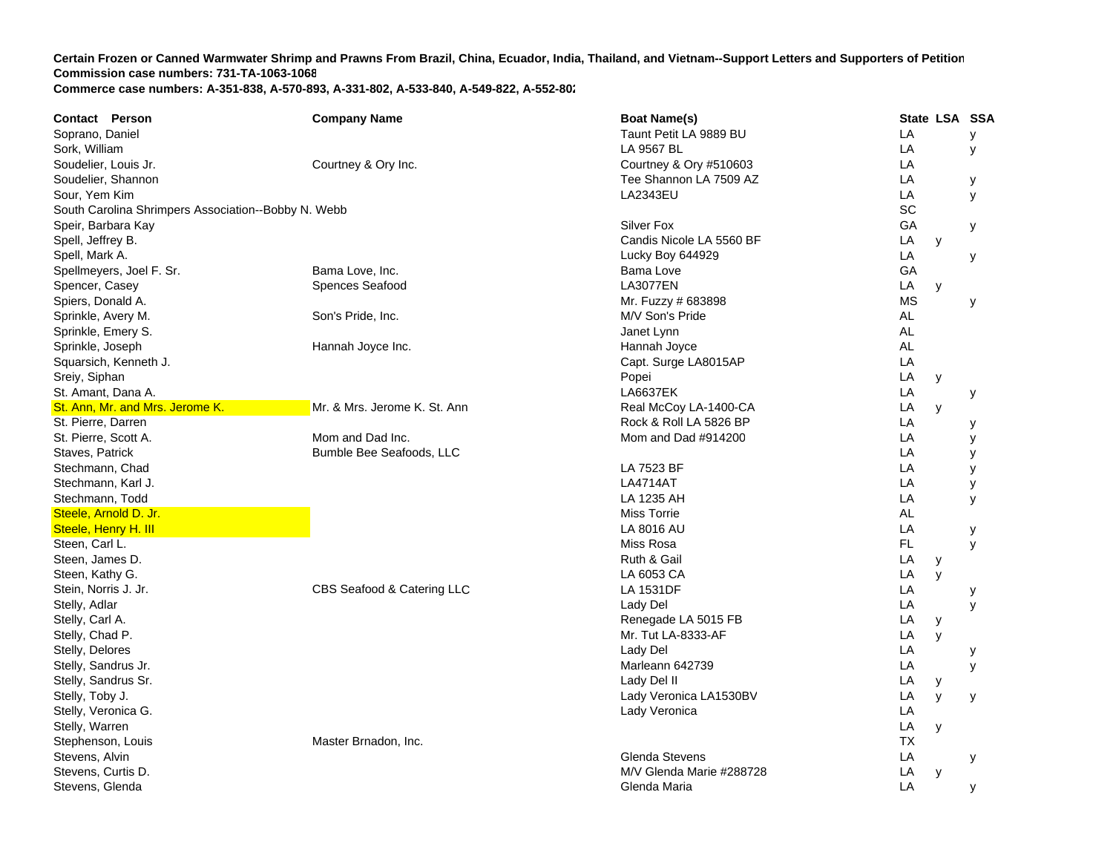| <b>Contact Person</b>                               | <b>Company Name</b>          | <b>Boat Name(s)</b>      |           | State LSA SSA |   |
|-----------------------------------------------------|------------------------------|--------------------------|-----------|---------------|---|
| Soprano, Daniel                                     |                              | Taunt Petit LA 9889 BU   | LA        |               | у |
| Sork, William                                       |                              | LA 9567 BL               | LA        |               | y |
| Soudelier, Louis Jr.                                | Courtney & Ory Inc.          | Courtney & Ory #510603   | LA        |               |   |
| Soudelier, Shannon                                  |                              | Tee Shannon LA 7509 AZ   | LA        |               | у |
| Sour, Yem Kim                                       |                              | LA2343EU                 | LA        |               | У |
| South Carolina Shrimpers Association--Bobby N. Webb |                              |                          | SC        |               |   |
| Speir, Barbara Kay                                  |                              | Silver Fox               | GA        |               | у |
| Spell, Jeffrey B.                                   |                              | Candis Nicole LA 5560 BF | LA        | у             |   |
| Spell, Mark A.                                      |                              | Lucky Boy 644929         | LA        |               | у |
| Spellmeyers, Joel F. Sr.                            | Bama Love, Inc.              | Bama Love                | GA        |               |   |
| Spencer, Casey                                      | Spences Seafood              | <b>LA3077EN</b>          | LA        | y             |   |
| Spiers, Donald A.                                   |                              | Mr. Fuzzy # 683898       | <b>MS</b> |               | У |
| Sprinkle, Avery M.                                  | Son's Pride, Inc.            | M/V Son's Pride          | AL        |               |   |
| Sprinkle, Emery S.                                  |                              | Janet Lynn               | <b>AL</b> |               |   |
| Sprinkle, Joseph                                    | Hannah Joyce Inc.            | Hannah Joyce             | <b>AL</b> |               |   |
| Squarsich, Kenneth J.                               |                              | Capt. Surge LA8015AP     | LA        |               |   |
| Sreiy, Siphan                                       |                              | Popei                    | LA        | у             |   |
| St. Amant, Dana A.                                  |                              | <b>LA6637EK</b>          | LA        |               | у |
| St. Ann, Mr. and Mrs. Jerome K.                     | Mr. & Mrs. Jerome K. St. Ann | Real McCoy LA-1400-CA    | LA        | y             |   |
| St. Pierre, Darren                                  |                              | Rock & Roll LA 5826 BP   | LA        |               | у |
| St. Pierre, Scott A.                                | Mom and Dad Inc.             | Mom and Dad #914200      | LA        |               | у |
| Staves, Patrick                                     | Bumble Bee Seafoods, LLC     |                          | LA        |               | у |
| Stechmann, Chad                                     |                              | LA 7523 BF               | LA        |               | y |
| Stechmann, Karl J.                                  |                              | <b>LA4714AT</b>          | LA        |               | у |
| Stechmann, Todd                                     |                              | LA 1235 AH               | LA        |               | У |
| Steele, Arnold D. Jr.                               |                              | <b>Miss Torrie</b>       | AL        |               |   |
| Steele, Henry H. III                                |                              | LA 8016 AU               | LA        |               | у |
| Steen, Carl L.                                      |                              | Miss Rosa                | FL.       |               | y |
| Steen, James D.                                     |                              | Ruth & Gail              | LA        | У             |   |
| Steen, Kathy G.                                     |                              | LA 6053 CA               | LA        | y             |   |
| Stein, Norris J. Jr.                                | CBS Seafood & Catering LLC   | LA 1531DF                | LA        |               | у |
| Stelly, Adlar                                       |                              | Lady Del                 | LA        |               | y |
| Stelly, Carl A.                                     |                              | Renegade LA 5015 FB      | LA        | y             |   |
| Stelly, Chad P.                                     |                              | Mr. Tut LA-8333-AF       | LA        | y             |   |
| Stelly, Delores                                     |                              | Lady Del                 | LA        |               | у |
| Stelly, Sandrus Jr.                                 |                              | Marleann 642739          | LA        |               | y |
| Stelly, Sandrus Sr.                                 |                              | Lady Del II              | LA        | У             |   |
| Stelly, Toby J.                                     |                              | Lady Veronica LA1530BV   | LA        | y             | У |
| Stelly, Veronica G.                                 |                              | Lady Veronica            | LA        |               |   |
| Stelly, Warren                                      |                              |                          | LA        | y             |   |
| Stephenson, Louis                                   | Master Brnadon, Inc.         |                          | <b>TX</b> |               |   |
| Stevens, Alvin                                      |                              | Glenda Stevens           | LA        |               | у |
| Stevens, Curtis D.                                  |                              | M/V Glenda Marie #288728 | LA        | y             |   |
| Stevens, Glenda                                     |                              | Glenda Maria             | LA        |               | у |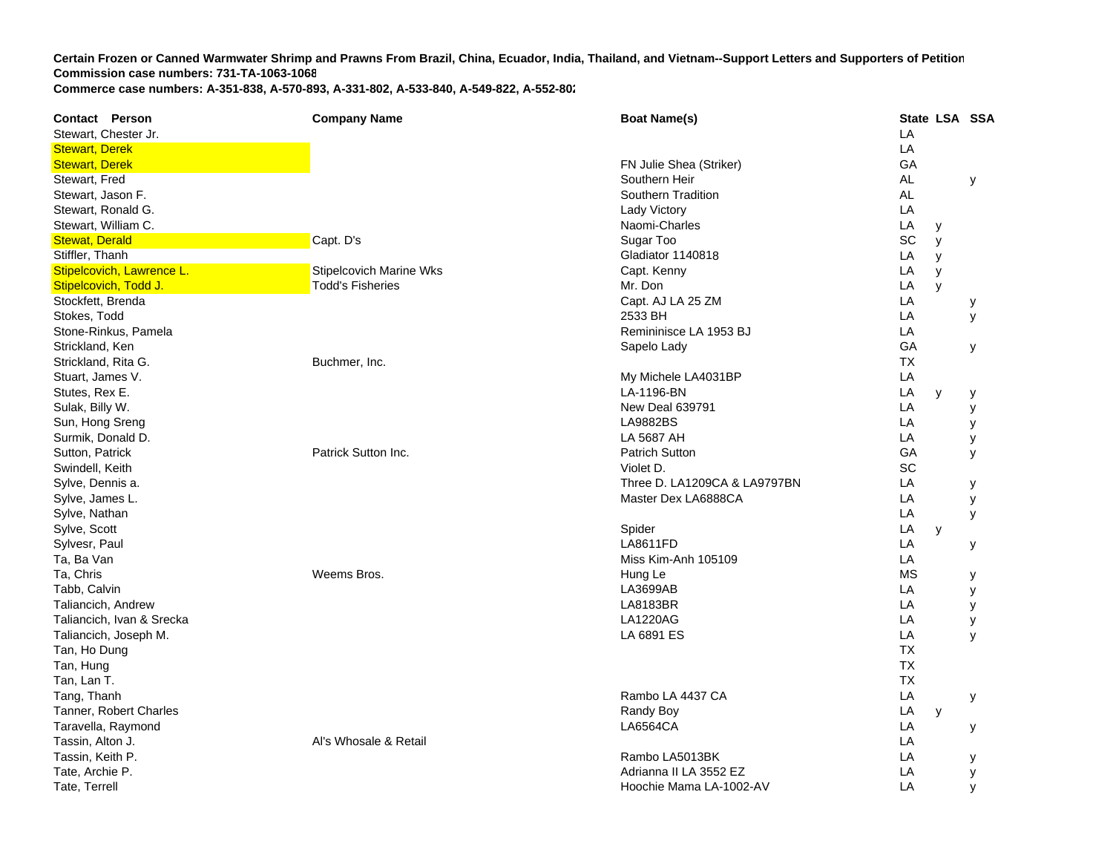**Contact Person Company Name Boat Name(s) State LSA SSA**  Stewart. Chester Jr. **LA** Stewart, Derek LA in the state of the state of the state of the state of the state of the state of the state of the state of the state of the state of the state of the state of the state of the state of the state of the st Stewart, Derek FR Julie Shea (Striker) Gerek FR Julie Shea (Striker) Gerek FR Julie Shea (Striker) GA Stewart, Fred Southern Heir AL y Stewart, Jason F. Southern Tradition AL Stewart, Ronald G. Lady Victory LA Stewart, William C. Naomi-Charles Library and Stewart, William C. **LA**  y Stewat, Derald Capter of Capt. D's Capt. D's Capt. D'annual Capt. D'annual Capt. D'annual Capt. D's Sugar Too Sugar Too SC y Stiffler, Thanh Gladiator 1140818 LA y Stipelcovich, Lawrence L. **Stipelcovich Marine Wks** Capt. Kenny Lawrence L. Capt. Kenny L. Stipelcovich Marine Wks **LA**  y **Stipelcovich, Todd J. The Community of Todd's Fisheries Community Community Community Community Community Community LA**  y Stockfett, Brenda Capt. And LA 25 ZM LA 25 ZM **LA**  y Stokes, Todd 2533 BH L A y Stone-Rinkus, Pamela Reminisce LA 1953 BJ Level and The Reminisce LA 1953 BJ Level and The Reminisce LA 1953 BJ **LA** Strickland, Ken Sapelo Lady Sapelo Lady Sapelo Lady Sapelo Lady Sapelo Lady Sapelo Lady Sapelo Lady Sapelo Lady **GA**  y Strickland, Rita G. Buchmer, Inc. TXStuart, James V. My Michele LA4031B PP LA Stutes, Rex E. LA-1196-BN L **LA**  y y Sulak, Billy W. New Deal 639791 L **LA**  y Sun, Hong Sreng LA9882BS L **LA**  y Surmik, Donald D. LA 5687 AH L **LA**  y Sutton, Patrick Patrick Sutton Inc. Patrich Sutton G **GA**  y Swindell, Keith Violet D. Schwarzer and Schwarzer and Schwarzer and Schwarzer and Violet D. Schwarzer and Schwarzer and Schwarzer and Schwarzer and Schwarzer and Schwarzer and Schwarzer and Schwarzer and Schwarzer and Schw Sylve, Dennis a. Three D. LA1209CA & LA9797B N LA y Sylve, James L. Master Dex LA6888C A LA y Sylve, Nathan LA y Sylve, Scott Spider LA y Sylvesr, Paul LA8611FD L **LA**  y Ta, Ba Van Miss Kim-Anh 105109 Late and the state of the state of the state of the state of the state of the state of the state of the state of the state of the state of the state of the state of the state of the state of **LA** Ta, Chris Weems Bros. Hung Le MS y Tabb, Calvin LA3699AB L **LA**  y Taliancich, Andre w LA8183B LA8183BR R LA y Taliancich, Ivan & Srecka LA1220AG L A y Taliancich, Joseph M. LA 6891 ES L A y Tan, Ho Dung TXTan, Hung TXTan, Lan T. TXTang, Thanh Rambo LA 4437 C A LA y Tanner, Robert Charles **Randy Boy** Charles Randy Boy **Charles Randy Boy Charles Randy Boy Charles** Randy Boy **LA** y Taravella, Raymond LA6564CA LA y Tassin, Alton J. Al's Whosale & Retail LA Tassin, Keith P. Rambo LA5013B KK LA y Tate, Archie P. Adrianna II LA 3552 E ZZ LA LA y Tate, Terrell Hoochie Mama LA-1002-A VLA y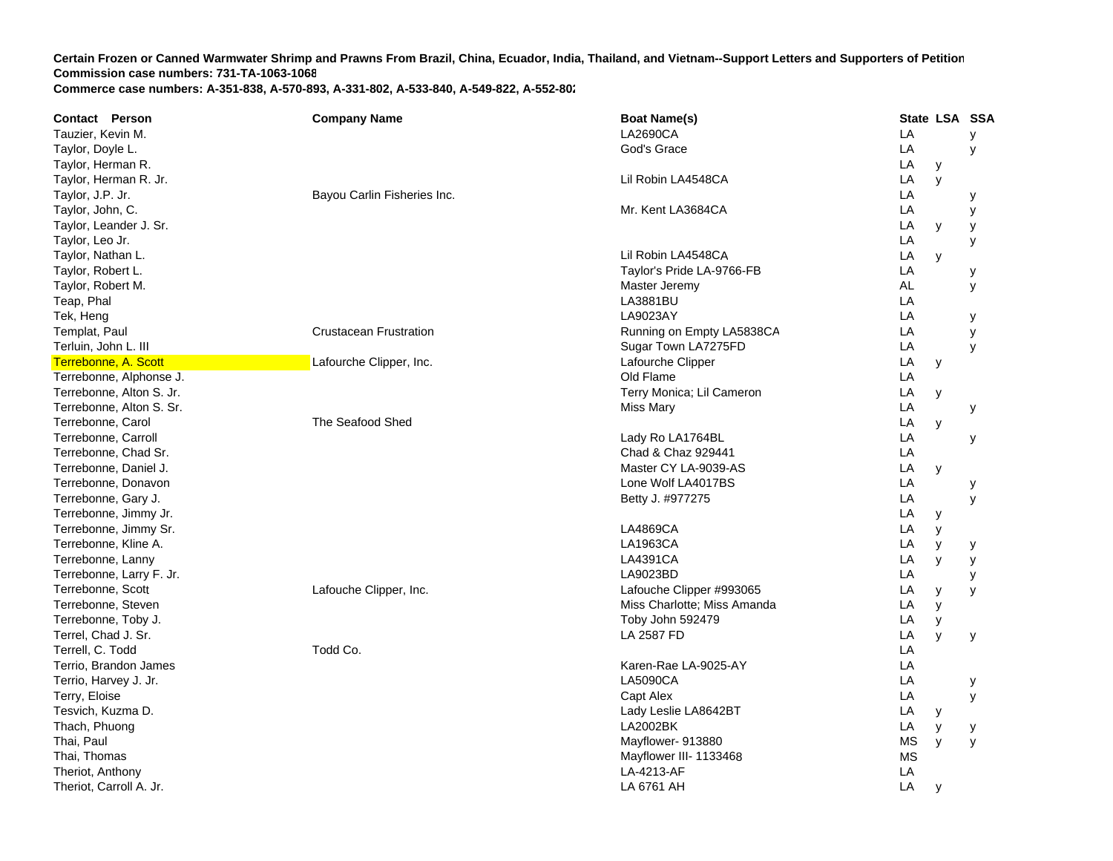| <b>Contact Person</b>    | <b>Company Name</b>           | <b>Boat Name(s)</b>         |           | State LSA SSA |   |
|--------------------------|-------------------------------|-----------------------------|-----------|---------------|---|
| Tauzier, Kevin M.        |                               | LA2690CA                    | LA        |               | У |
| Taylor, Doyle L.         |                               | God's Grace                 | LA        |               | У |
| Taylor, Herman R.        |                               |                             | LA        | y             |   |
| Taylor, Herman R. Jr.    |                               | Lil Robin LA4548CA          | LA        | y             |   |
| Taylor, J.P. Jr.         | Bayou Carlin Fisheries Inc.   |                             | LA        |               | у |
| Taylor, John, C.         |                               | Mr. Kent LA3684CA           | LA        |               | у |
| Taylor, Leander J. Sr.   |                               |                             | LA        | У             | У |
| Taylor, Leo Jr.          |                               |                             | LA        |               | У |
| Taylor, Nathan L.        |                               | Lil Robin LA4548CA          | LA        | y             |   |
| Taylor, Robert L.        |                               | Taylor's Pride LA-9766-FB   | LA        |               | у |
| Taylor, Robert M.        |                               | Master Jeremy               | <b>AL</b> |               | У |
| Teap, Phal               |                               | LA3881BU                    | LA        |               |   |
| Tek, Heng                |                               | LA9023AY                    | LA        |               | У |
| Templat, Paul            | <b>Crustacean Frustration</b> | Running on Empty LA5838CA   | LA        |               | y |
| Terluin, John L. III     |                               | Sugar Town LA7275FD         | LA        |               | У |
| Terrebonne, A. Scott     | Lafourche Clipper, Inc.       | Lafourche Clipper           | LA        | y             |   |
| Terrebonne, Alphonse J.  |                               | Old Flame                   | LA        |               |   |
| Terrebonne, Alton S. Jr. |                               | Terry Monica; Lil Cameron   | LA        | y             |   |
| Terrebonne, Alton S. Sr. |                               | <b>Miss Mary</b>            | LA        |               | y |
| Terrebonne, Carol        | The Seafood Shed              |                             | LA        | y             |   |
| Terrebonne, Carroll      |                               | Lady Ro LA1764BL            | LA        |               | у |
| Terrebonne, Chad Sr.     |                               | Chad & Chaz 929441          | LA        |               |   |
| Terrebonne, Daniel J.    |                               | Master CY LA-9039-AS        | LA        | y             |   |
| Terrebonne, Donavon      |                               | Lone Wolf LA4017BS          | LA        |               | у |
| Terrebonne, Gary J.      |                               | Betty J. #977275            | LA        |               | У |
| Terrebonne, Jimmy Jr.    |                               |                             | LA        | у             |   |
| Terrebonne, Jimmy Sr.    |                               | <b>LA4869CA</b>             | LA        | y             |   |
| Terrebonne, Kline A.     |                               | LA1963CA                    | LA        | y             | у |
| Terrebonne, Lanny        |                               | LA4391CA                    | LA        | y             | У |
| Terrebonne, Larry F. Jr. |                               | LA9023BD                    | LA        |               | у |
| Terrebonne, Scott        | Lafouche Clipper, Inc.        | Lafouche Clipper #993065    | LA        | y             | У |
| Terrebonne, Steven       |                               | Miss Charlotte; Miss Amanda | LA        | y             |   |
| Terrebonne, Toby J.      |                               | Toby John 592479            | LA        | y             |   |
| Terrel, Chad J. Sr.      |                               | LA 2587 FD                  | LA        | y             | У |
| Terrell, C. Todd         | Todd Co.                      |                             | LA        |               |   |
| Terrio, Brandon James    |                               | Karen-Rae LA-9025-AY        | LA        |               |   |
| Terrio, Harvey J. Jr.    |                               | <b>LA5090CA</b>             | LA        |               | у |
| Terry, Eloise            |                               | Capt Alex                   | LA        |               | У |
| Tesvich, Kuzma D.        |                               | Lady Leslie LA8642BT        | LA        | У             |   |
| Thach, Phuong            |                               | <b>LA2002BK</b>             | LA        | у             | у |
| Thai, Paul               |                               | Mayflower- 913880           | МS        | y             | У |
| Thai, Thomas             |                               | Mayflower III- 1133468      | <b>MS</b> |               |   |
| Theriot, Anthony         |                               | LA-4213-AF                  | LA        |               |   |
| Theriot, Carroll A. Jr.  |                               | LA 6761 AH                  | LA        | y             |   |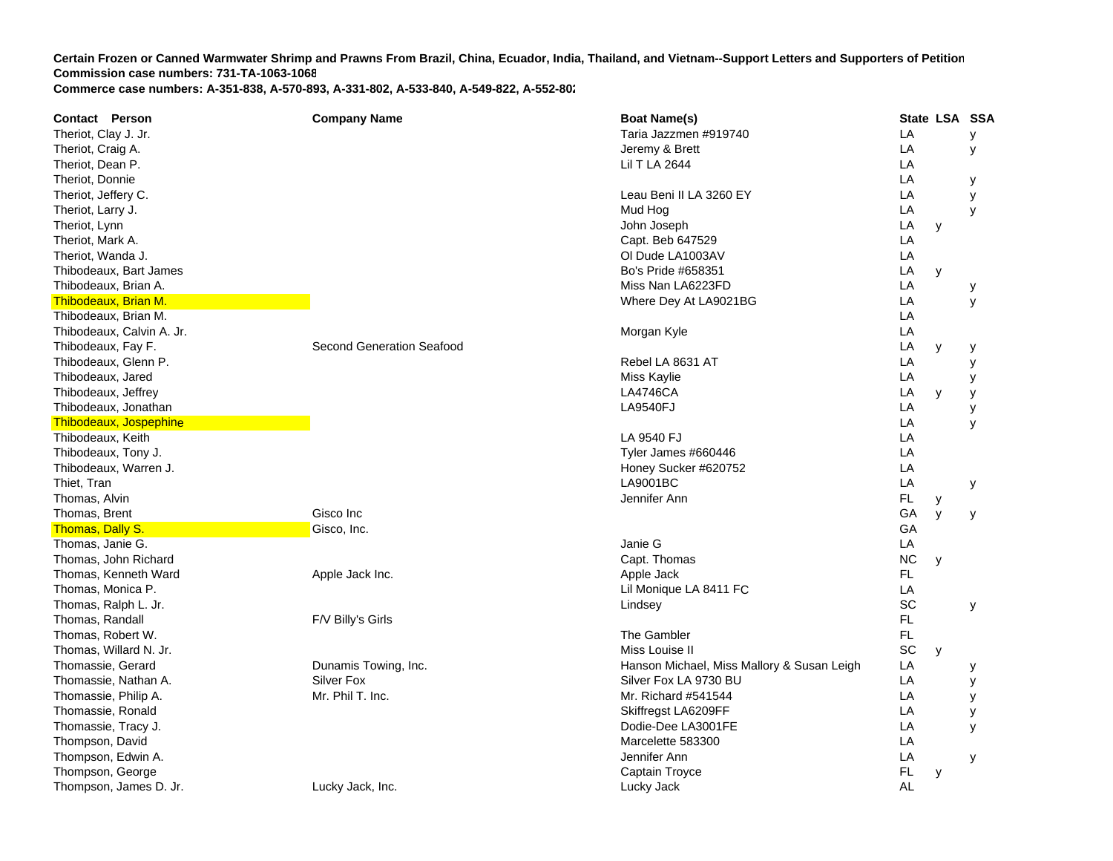**Contact Person Company Name Boat Name(s) State LSA SSA**  Theriot, Clay J. Jr. Clay J. Jr. Clay J. Jr. Clay J. Jr. Clay J. Jr. Clay J. Jr. Clay J. Jr. Clay J. Jr. Clay J. Jr. Clay J. Jr. Clay J. Jr. Clay J. Jr. Clay J. Jr. Clay J. Jr. Clay J. Jr. Clay J. Jr. Clay J. Jr. Clay J. J Theriot, Craig A. **Straig A.** Jeremy & Brett Lewis and Theriot, Craig A. Jeremy & Brett Lewis and Theriot, Craig A. **LA**  y Theriot, Dean P. Lil T LA 2644 L ATheriot, Donnie LA y Theriot, Jeffery C. Leau Beni II LA 3260 E Y LA y Theriot, Larry J. Mud Hog L A y Theriot, Lynn John Joseph L **LA**  y Theriot, Mark A. Capt. Beb 647529 LA Theriot, Wanda J. Ol Dude LA1003A VV LA Thibodeaux. Bart James Both Hart James Both Hart James Both Hart James Both Hart James Both Hart James Both Hart James Both Hart James Both Hart James Both Hart James Both Hart James Both Hart James Both Hart James Both Ha **LA**  y Thibodeaux, Brian A. New York 1988, New York 1998, New York 1999, Niss Nan LA6223FD LA6223FD **LA**  y Thibodeaux, Brian M. New York Control of the Control of the Control of the Control of the Control of the Control of the Control of the Control of the Control of the Control of the Control of the Control of the Control of t **LA**  y Thibodeaux, Brian M. LA Thibodeaux, Calvin A. Jr. Morgan Kyle Later and Calvin A. Jr. Morgan Kyle Later and Later and Later and Later and Later and Later and Later and Later and Later and Later and Later and Later and Later and Later and Later an **LA** Thibodeaux, Fay F. Network of Second Generation Seafood Communication Seafood Communication Seafood Communication Seafood Communication Seafood Communication Seafood Communication Seafood Communication Seafood Communicatio Thibodeaux, Glenn P. Rebel LA 8631 AT T<sub>a</sub> the contract of the contract of the contract of the contract of the contract of the contract of the contract of the contract of the contract of the contract of the contract of the contract of the contract of the contr LA y Thibodeaux, Jared Miss Kaylie Later and Thibodeaux, Jared Miss Kaylie Later and Thibodeaux, Jared Miss Kaylie **LA**  y Thibodeaux, Jeffrey **LA4746CA**  LA y y Thibodeaux, Jonathan LA9540FJ LA9540FJ LA9540FJ LA9540FJ LA9540FJ LA9540FJ LA9540FJ LA9540FJ **LA**  y Thibodeaux, Jospephine LA y Thibodeaux, Keith LA 9540 FJ LA 9640 FJ LA 9540 FJ LA 9540 FJ LA 9540 FJ LA 9540 FJ LA 9540 FJ LA 9540 FJ LA 9540 FJ LA 9540 FJ LA 9540 FJ LA 9540 FJ LA 9540 FJ LA 9540 FJ LA 9540 FJ LA 9540 FJ LA 9540 FJ LA 9540 FJ LA 954 AThibodeaux, Tony J. No. 2006 and Superior Control of the Control of Tyler James #660446 CALA LA Thibodeaux, Warren J. North Law Communications and the Communications of the Honey Sucker #620752 LA Thiet, Tran LA9001B LA9001BC C LA y Thomas, Alvin Jennifer Ann Jennifer Ann Jennifer Ann Jennifer Ann Jennifer Ann Jennifer Ann Jennifer Ann Jennifer Ann Jennifer Ann Jennifer Ann Jennifer Ann Jennifer Ann Jennifer Ann Jennifer Ann Jennifer Ann Jennifer Ann Thomas, Brent Gisco Inc GA y y Thomas, Dally S. Gisco, Inc. Gisco, Inc. GAThomas, Janie G. Janie G L **LA** Thomas, John Richard NC y North Capt. Thomas NC y Capt. Thomas NC y NC y NC y North Capt. Thomas NC y NC y NC y NC y NORT NORT NORT NORT NORT NORT NORTH CAPT. Thomas NC y NORT NORT NORT NORTH CAPT. Thomas NC y NORT NORTH C Thomas, Kenneth Ward **Apple Jack Inc.** Apple Jack Inc. Apple Jack Apple Jack Apple Jack FL Thomas, Monica P. Lil Monique LA 8411 F CC<sub>LA</sub> Thomas, Ralph L. Jr. North School and School and School and School and School and School and School and School and School and School and School and School and School and School and School and School and School and School a Thomas, Randall F/V Billy's Girls FL Thomas, Robert W. The Gambler FL Communication of the Gambler The Gambler The Gambler The Gambler The Gambler The Gambler The Gambler The Gambler The Gambler The Gambler The Gambler The Gambler The Gambler The Gambler The Thomas, Willard N. Jr. School and School and School and School and School and School and School and School and School and School and School and School and School and School and School and School and School and School and S Thomassie, Gerard **Exercical Contract Contract Contract Dunamis Towing, Inc.** Contract Contract Hanson Michael, Miss Mallory & Susan Leigh Leigh **LA**  y Thomassie, Nathan A. The Silver Fox Silver Fox Silver Fox Silver Fox LA 9730 BU LA 9730 BU **LA**  y Thomassie, Philip A. Thomassie, Philip A. Mr. Phil T. Inc. Communist Communist Communist Communist Communist Communist Communist Communist Communist Communist Communist Communist Communist Communist Communist Communist Com **LA**  y Thomassie, Ronald **Skiffregst LA6209FF** Channel Channel Channel Channel Channel Channel Channel Channel Channel Channel Channel Channel Channel Channel Channel Channel Channel Channel Channel Channel Channel Channel Channe A y Thomassie, Tracy J. Dodie-Dee LA3001FE LA y Thompson, David Marcelette 583300 L AThompson, Edwin A. **Jennifer Ann** Letter Ann Letter Ann Letter Ann Letter Ann Letter Ann Letter Ann Letter Ann Letter Ann Letter Ann Letter Ann Letter Ann Letter Ann Letter Ann Letter Ann Letter Ann Letter Ann Letter Ann L **LA**  y Thompson, George **Captain Troyce Captain Troyce Captain Troyce Captain Troyce Captain Troyce Captain Troyce** Thompson, James D. Jr. Lucky Jack, Inc. Lucky Jack AL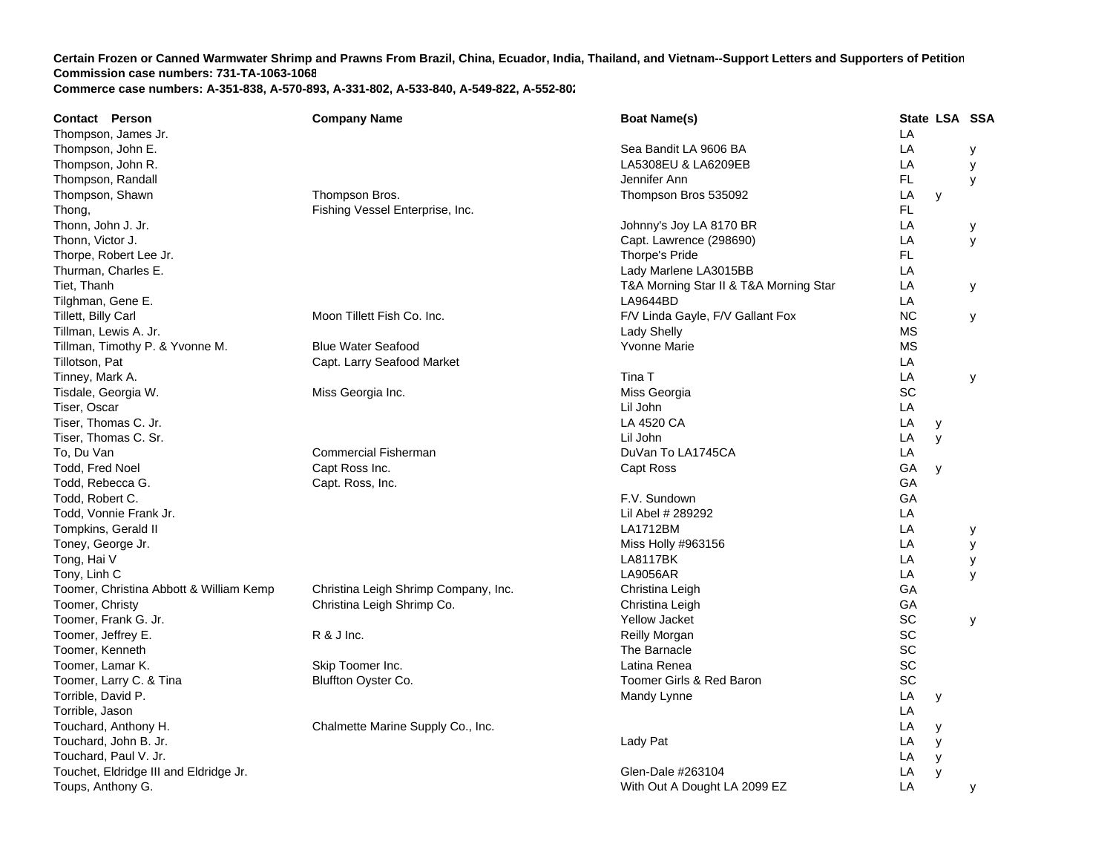| <b>Contact Person</b>                   | <b>Company Name</b>                  | <b>Boat Name(s)</b>                    |           | State LSA SSA |   |
|-----------------------------------------|--------------------------------------|----------------------------------------|-----------|---------------|---|
| Thompson, James Jr.                     |                                      |                                        | LA        |               |   |
| Thompson, John E.                       |                                      | Sea Bandit LA 9606 BA                  | LA        |               | у |
| Thompson, John R.                       |                                      | LA5308EU & LA6209EB                    | LA        |               | y |
| Thompson, Randall                       |                                      | Jennifer Ann                           | FL.       |               | y |
| Thompson, Shawn                         | Thompson Bros.                       | Thompson Bros 535092                   | LA        | y             |   |
| Thong,                                  | Fishing Vessel Enterprise, Inc.      |                                        | FL        |               |   |
| Thonn, John J. Jr.                      |                                      | Johnny's Joy LA 8170 BR                | LA        |               | у |
| Thonn, Victor J.                        |                                      | Capt. Lawrence (298690)                | LA        |               | У |
| Thorpe, Robert Lee Jr.                  |                                      | Thorpe's Pride                         | FL.       |               |   |
| Thurman, Charles E.                     |                                      | Lady Marlene LA3015BB                  | LA        |               |   |
| Tiet, Thanh                             |                                      | T&A Morning Star II & T&A Morning Star | LA        |               | У |
| Tilghman, Gene E.                       |                                      | LA9644BD                               | LA        |               |   |
| Tillett, Billy Carl                     | Moon Tillett Fish Co. Inc.           | F/V Linda Gayle, F/V Gallant Fox       | <b>NC</b> |               | У |
| Tillman, Lewis A. Jr.                   |                                      | <b>Lady Shelly</b>                     | <b>MS</b> |               |   |
| Tillman, Timothy P. & Yvonne M.         | <b>Blue Water Seafood</b>            | Yvonne Marie                           | <b>MS</b> |               |   |
| Tillotson, Pat                          | Capt. Larry Seafood Market           |                                        | LA        |               |   |
| Tinney, Mark A.                         |                                      | Tina T                                 | LA        |               | y |
| Tisdale, Georgia W.                     | Miss Georgia Inc.                    | Miss Georgia                           | SC        |               |   |
| Tiser, Oscar                            |                                      | Lil John                               | LA        |               |   |
| Tiser, Thomas C. Jr.                    |                                      | LA 4520 CA                             | LA        | у             |   |
| Tiser, Thomas C. Sr.                    |                                      | Lil John                               | LA        | y             |   |
| To, Du Van                              | <b>Commercial Fisherman</b>          | DuVan To LA1745CA                      | LA        |               |   |
| Todd, Fred Noel                         | Capt Ross Inc.                       | Capt Ross                              | GA        | y             |   |
| Todd, Rebecca G.                        | Capt. Ross, Inc.                     |                                        | GA        |               |   |
| Todd. Robert C.                         |                                      | F.V. Sundown                           | GA        |               |   |
| Todd, Vonnie Frank Jr.                  |                                      | Lil Abel # 289292                      | LA        |               |   |
| Tompkins, Gerald II                     |                                      | LA1712BM                               | LA        |               | у |
| Toney, George Jr.                       |                                      | Miss Holly #963156                     | LA        |               | У |
| Tong, Hai V                             |                                      | <b>LA8117BK</b>                        | LA        |               | у |
| Tony, Linh C                            |                                      | <b>LA9056AR</b>                        | LA        |               | У |
| Toomer, Christina Abbott & William Kemp | Christina Leigh Shrimp Company, Inc. | Christina Leigh                        | GA        |               |   |
| Toomer, Christy                         | Christina Leigh Shrimp Co.           | Christina Leigh                        | GA        |               |   |
| Toomer, Frank G. Jr.                    |                                      | <b>Yellow Jacket</b>                   | SC        |               | У |
| Toomer, Jeffrey E.                      | R & J Inc.                           | Reilly Morgan                          | SC        |               |   |
| Toomer, Kenneth                         |                                      | The Barnacle                           | SC        |               |   |
| Toomer, Lamar K.                        | Skip Toomer Inc.                     | Latina Renea                           | SC        |               |   |
| Toomer, Larry C. & Tina                 | Bluffton Oyster Co.                  | Toomer Girls & Red Baron               | SC        |               |   |
| Torrible, David P.                      |                                      | Mandy Lynne                            | LA        | y             |   |
| Torrible, Jason                         |                                      |                                        | LA        |               |   |
| Touchard, Anthony H.                    | Chalmette Marine Supply Co., Inc.    |                                        | LA        | У             |   |
| Touchard, John B. Jr.                   |                                      | Lady Pat                               | LA        | y             |   |
| Touchard, Paul V. Jr.                   |                                      |                                        | LA        | y             |   |
| Touchet, Eldridge III and Eldridge Jr.  |                                      | Glen-Dale #263104                      | LA        | y             |   |
| Toups, Anthony G.                       |                                      | With Out A Dought LA 2099 EZ           | LA        |               | у |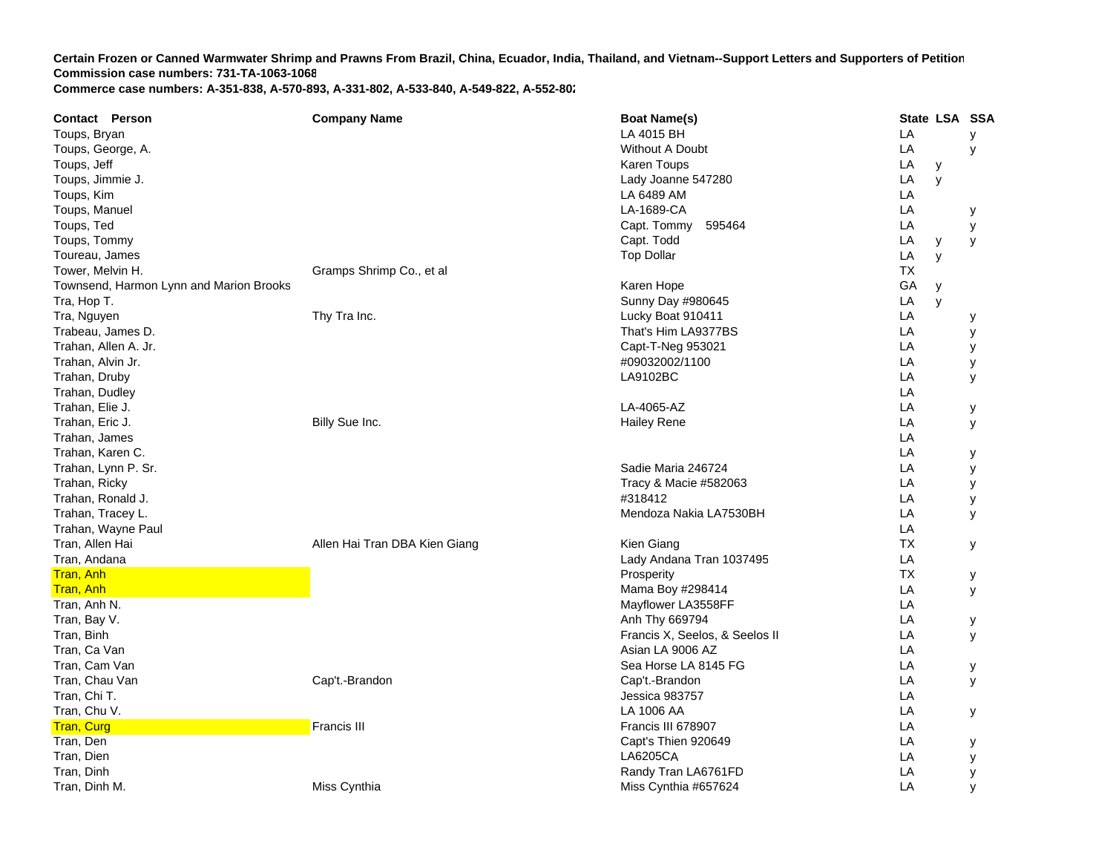| <b>Contact Person</b>                   | <b>Company Name</b>           | <b>Boat Name(s)</b>            | State LSA SSA |   |   |
|-----------------------------------------|-------------------------------|--------------------------------|---------------|---|---|
| Toups, Bryan                            |                               | LA 4015 BH                     | LA            |   | У |
| Toups, George, A.                       |                               | Without A Doubt                | LA            |   | У |
| Toups, Jeff                             |                               | Karen Toups                    | LA            | у |   |
| Toups, Jimmie J.                        |                               | Lady Joanne 547280             | LA            | y |   |
| Toups, Kim                              |                               | LA 6489 AM                     | LA            |   |   |
| Toups, Manuel                           |                               | LA-1689-CA                     | LA            |   | у |
| Toups, Ted                              |                               | Capt. Tommy<br>595464          | LA            |   | У |
| Toups, Tommy                            |                               | Capt. Todd                     | LA            | У | y |
| Toureau, James                          |                               | <b>Top Dollar</b>              | LA            | y |   |
| Tower, Melvin H.                        | Gramps Shrimp Co., et al      |                                | ТX            |   |   |
| Townsend, Harmon Lynn and Marion Brooks |                               | Karen Hope                     | GA            | y |   |
| Tra, Hop T.                             |                               | Sunny Day #980645              | LA            | y |   |
| Tra, Nguyen                             | Thy Tra Inc.                  | Lucky Boat 910411              | LA            |   | у |
| Trabeau, James D.                       |                               | That's Him LA9377BS            | LA            |   | у |
| Trahan, Allen A. Jr.                    |                               | Capt-T-Neg 953021              | LA            |   | У |
| Trahan, Alvin Jr.                       |                               | #09032002/1100                 | LA            |   | у |
| Trahan, Druby                           |                               | LA9102BC                       | LA            |   | y |
| Trahan, Dudley                          |                               |                                | LA            |   |   |
| Trahan, Elie J.                         |                               | LA-4065-AZ                     | LA            |   | у |
| Trahan, Eric J.                         | Billy Sue Inc.                | <b>Hailey Rene</b>             | LA            |   | у |
| Trahan, James                           |                               |                                | LA            |   |   |
| Trahan, Karen C.                        |                               |                                | LA            |   | у |
| Trahan, Lynn P. Sr.                     |                               | Sadie Maria 246724             | LA            |   | у |
| Trahan, Ricky                           |                               | Tracy & Macie #582063          | LA            |   | У |
| Trahan, Ronald J.                       |                               | #318412                        | LA            |   | у |
| Trahan, Tracey L.                       |                               | Mendoza Nakia LA7530BH         | LA            |   | У |
| Trahan, Wayne Paul                      |                               |                                | LA            |   |   |
| Tran, Allen Hai                         | Allen Hai Tran DBA Kien Giang | Kien Giang                     | <b>TX</b>     |   | у |
| Tran, Andana                            |                               | Lady Andana Tran 1037495       | LA            |   |   |
| <b>Tran, Anh</b>                        |                               | Prosperity                     | <b>TX</b>     |   | у |
| Tran, Anh                               |                               | Mama Boy #298414               | LA            |   | У |
| Tran, Anh N.                            |                               | Mayflower LA3558FF             | LA            |   |   |
| Tran, Bay V.                            |                               | Anh Thy 669794                 | LA            |   | у |
| Tran, Binh                              |                               | Francis X, Seelos, & Seelos II | LA            |   | У |
| Tran, Ca Van                            |                               | Asian LA 9006 AZ               | LA            |   |   |
| Tran, Cam Van                           |                               | Sea Horse LA 8145 FG           | LA            |   | у |
| Tran, Chau Van                          | Cap't.-Brandon                | Cap't.-Brandon                 | LA            |   | У |
| Tran, Chi T.                            |                               | Jessica 983757                 | LA            |   |   |
| Tran, Chu V.                            |                               | LA 1006 AA                     | LA            |   | у |
| <b>Tran, Curg</b>                       | <b>Francis III</b>            | Francis III 678907             | LA            |   |   |
| Tran, Den                               |                               | Capt's Thien 920649            | LA            |   | у |
| Tran, Dien                              |                               | LA6205CA                       | LA            |   | У |
| Tran, Dinh                              |                               | Randy Tran LA6761FD            | LA            |   | У |
| Tran, Dinh M.                           | Miss Cynthia                  | Miss Cynthia #657624           | LA            |   | y |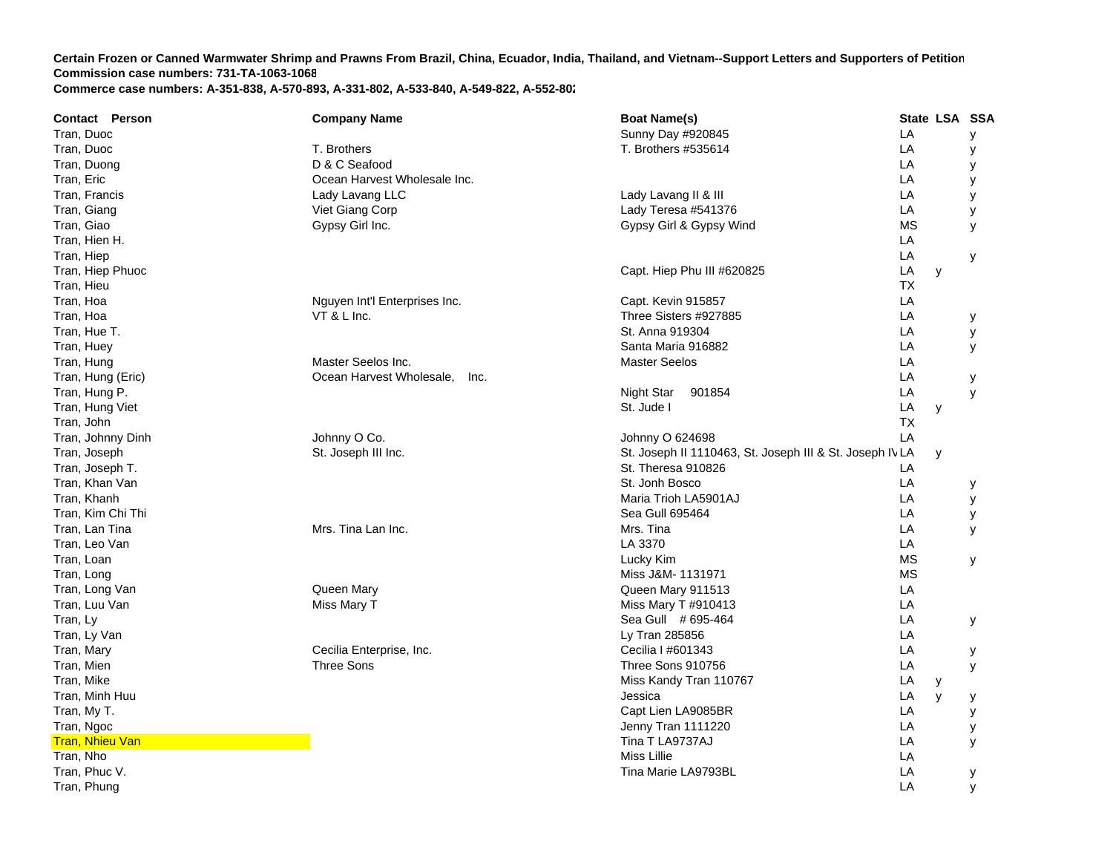| <b>Contact Person</b>  | <b>Company Name</b>              | <b>Boat Name(s)</b>                                     | State LSA SSA |   |
|------------------------|----------------------------------|---------------------------------------------------------|---------------|---|
| Tran, Duoc             |                                  | Sunny Day #920845                                       | LA            | у |
| Tran, Duoc             | T. Brothers                      | T. Brothers #535614                                     | LA            | у |
| Tran, Duong            | D & C Seafood                    |                                                         | LA            | у |
| Tran, Eric             | Ocean Harvest Wholesale Inc.     |                                                         | LA            | у |
| Tran, Francis          | Lady Lavang LLC                  | Lady Lavang II & III                                    | LA            | у |
| Tran, Giang            | Viet Giang Corp                  | Lady Teresa #541376                                     | LA            | у |
| Tran, Giao             | Gypsy Girl Inc.                  | Gypsy Girl & Gypsy Wind                                 | <b>MS</b>     | У |
| Tran, Hien H.          |                                  |                                                         | LA            |   |
| Tran, Hiep             |                                  |                                                         | LA            | у |
| Tran, Hiep Phuoc       |                                  | Capt. Hiep Phu III #620825                              | LA<br>y       |   |
| Tran, Hieu             |                                  |                                                         | ТX            |   |
| Tran, Hoa              | Nguyen Int'l Enterprises Inc.    | Capt. Kevin 915857                                      | LA            |   |
| Tran, Hoa              | VT & L Inc.                      | Three Sisters #927885                                   | LA            | У |
| Tran, Hue T.           |                                  | St. Anna 919304                                         | LA            | у |
| Tran, Huey             |                                  | Santa Maria 916882                                      | LA            | У |
| Tran, Hung             | Master Seelos Inc.               | <b>Master Seelos</b>                                    | LA            |   |
| Tran, Hung (Eric)      | Ocean Harvest Wholesale,<br>Inc. |                                                         | LA            | у |
| Tran, Hung P.          |                                  | Night Star<br>901854                                    | LA            | y |
| Tran, Hung Viet        |                                  | St. Jude I                                              | LA<br>y       |   |
| Tran, John             |                                  |                                                         | <b>TX</b>     |   |
| Tran, Johnny Dinh      | Johnny O Co.                     | Johnny O 624698                                         | LA            |   |
| Tran, Joseph           | St. Joseph III Inc.              | St. Joseph II 1110463, St. Joseph III & St. Joseph IVLA | y             |   |
| Tran, Joseph T.        |                                  | St. Theresa 910826                                      | LA            |   |
| Tran, Khan Van         |                                  | St. Jonh Bosco                                          | LA            | у |
| Tran, Khanh            |                                  | Maria Trioh LA5901AJ                                    | LA            | у |
| Tran, Kim Chi Thi      |                                  | Sea Gull 695464                                         | LA            | у |
| Tran, Lan Tina         | Mrs. Tina Lan Inc.               | Mrs. Tina                                               | LA            | y |
| Tran, Leo Van          |                                  | LA 3370                                                 | LA            |   |
| Tran, Loan             |                                  | Lucky Kim                                               | <b>MS</b>     | У |
| Tran, Long             |                                  | Miss J&M- 1131971                                       | <b>MS</b>     |   |
| Tran, Long Van         | Queen Mary                       | Queen Mary 911513                                       | LA            |   |
| Tran, Luu Van          | Miss Mary T                      | Miss Mary T #910413                                     | LA            |   |
| Tran, Ly               |                                  | Sea Gull # 695-464                                      | LA            | у |
| Tran, Ly Van           |                                  | Ly Tran 285856                                          | LA            |   |
| Tran, Mary             | Cecilia Enterprise, Inc.         | Cecilia I #601343                                       | LA            | у |
| Tran, Mien             | Three Sons                       | Three Sons 910756                                       | LA            | y |
| Tran, Mike             |                                  | Miss Kandy Tran 110767                                  | LA<br>у       |   |
| Tran, Minh Huu         |                                  | Jessica                                                 | LA<br>y       | у |
| Tran, My T.            |                                  | Capt Lien LA9085BR                                      | LA            | У |
| Tran, Ngoc             |                                  | Jenny Tran 1111220                                      | LA            | у |
| <b>Tran, Nhieu Van</b> |                                  | Tina T LA9737AJ                                         | LA            | y |
| Tran, Nho              |                                  | Miss Lillie                                             | LA            |   |
| Tran, Phuc V.          |                                  | Tina Marie LA9793BL                                     | LA            | У |
| Tran, Phung            |                                  |                                                         | LA            | y |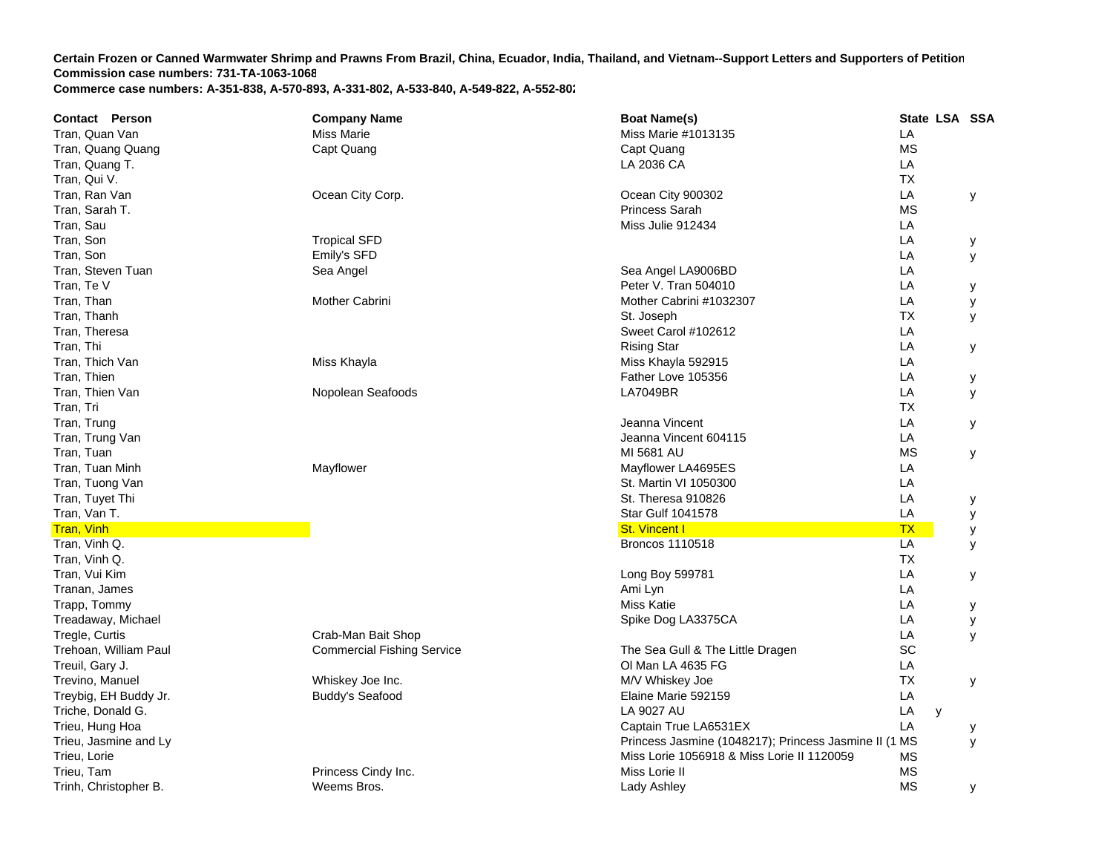| <b>Contact Person</b>                    | <b>Company Name</b>               | <b>Boat Name(s)</b>                                                            | State LSA SSA |   |
|------------------------------------------|-----------------------------------|--------------------------------------------------------------------------------|---------------|---|
| Tran, Quan Van                           | <b>Miss Marie</b>                 | Miss Marie #1013135                                                            | LA            |   |
| Tran, Quang Quang                        | Capt Quang                        | Capt Quang                                                                     | <b>MS</b>     |   |
| Tran, Quang T.                           |                                   | LA 2036 CA                                                                     | LA            |   |
| Tran, Qui V.                             |                                   |                                                                                | ТX            |   |
| Tran, Ran Van                            | Ocean City Corp.                  | Ocean City 900302                                                              | LA            | У |
| Tran, Sarah T.                           |                                   | <b>Princess Sarah</b>                                                          | <b>MS</b>     |   |
| Tran, Sau                                |                                   | Miss Julie 912434                                                              | LA            |   |
| Tran, Son                                | <b>Tropical SFD</b>               |                                                                                | LA            | у |
| Tran, Son                                | Emily's SFD                       |                                                                                | LA            | У |
| Tran, Steven Tuan                        | Sea Angel                         | Sea Angel LA9006BD                                                             | LA            |   |
| Tran, Te V                               |                                   | Peter V. Tran 504010                                                           | LA            | у |
| Tran, Than                               | Mother Cabrini                    | Mother Cabrini #1032307                                                        | LA            | У |
| Tran, Thanh                              |                                   | St. Joseph                                                                     | ТX            | У |
| Tran, Theresa                            |                                   | Sweet Carol #102612                                                            | LA            |   |
| Tran, Thi                                |                                   | <b>Rising Star</b>                                                             | LA            | у |
| Tran, Thich Van                          | Miss Khayla                       | Miss Khayla 592915                                                             | LA            |   |
| Tran, Thien                              |                                   | Father Love 105356                                                             | LA            | у |
| Tran, Thien Van                          | Nopolean Seafoods                 | <b>LA7049BR</b>                                                                | LA            | y |
| Tran, Tri                                |                                   |                                                                                | ТX            |   |
| Tran, Trung                              |                                   | Jeanna Vincent                                                                 | LA            | У |
| Tran, Trung Van                          |                                   | Jeanna Vincent 604115                                                          | LA            |   |
| Tran, Tuan                               |                                   | MI 5681 AU                                                                     | <b>MS</b>     | у |
| Tran, Tuan Minh                          | Mayflower                         | Mayflower LA4695ES                                                             | LA            |   |
| Tran, Tuong Van                          |                                   | St. Martin VI 1050300                                                          | LA            |   |
| Tran, Tuyet Thi                          |                                   | St. Theresa 910826                                                             | LA            | У |
| Tran, Van T.                             |                                   | <b>Star Gulf 1041578</b>                                                       | LA            | у |
| <b>Tran, Vinh</b>                        |                                   | <b>St. Vincent I</b>                                                           | <b>TX</b>     | у |
| Tran, Vinh Q.                            |                                   | Broncos 1110518                                                                | LA            | У |
| Tran, Vinh Q.                            |                                   |                                                                                | <b>TX</b>     |   |
| Tran, Vui Kim                            |                                   | Long Boy 599781                                                                | LA            | У |
| Tranan, James                            |                                   | Ami Lyn                                                                        | LA            |   |
| Trapp, Tommy                             |                                   | <b>Miss Katie</b>                                                              | LA            | у |
| Treadaway, Michael                       |                                   | Spike Dog LA3375CA                                                             | LA            | У |
| Tregle, Curtis                           | Crab-Man Bait Shop                |                                                                                | LA            | У |
| Trehoan, William Paul                    | <b>Commercial Fishing Service</b> | The Sea Gull & The Little Dragen                                               | SC            |   |
| Treuil, Gary J.                          |                                   | OI Man LA 4635 FG                                                              | LA            |   |
| Trevino, Manuel                          | Whiskey Joe Inc.                  | M/V Whiskey Joe                                                                | <b>TX</b>     | y |
| Treybig, EH Buddy Jr.                    | <b>Buddy's Seafood</b>            | Elaine Marie 592159                                                            | LA            |   |
| Triche, Donald G.                        |                                   | LA 9027 AU                                                                     | LA            |   |
|                                          |                                   |                                                                                | y<br>LA       |   |
| Trieu, Hung Hoa<br>Trieu, Jasmine and Ly |                                   | Captain True LA6531EX<br>Princess Jasmine (1048217); Princess Jasmine II (1 MS |               | у |
| Trieu, Lorie                             |                                   | Miss Lorie 1056918 & Miss Lorie II 1120059                                     | МS            | У |
| Trieu, Tam                               | Princess Cindy Inc.               | Miss Lorie II                                                                  | <b>MS</b>     |   |
|                                          |                                   |                                                                                | <b>MS</b>     |   |
| Trinh, Christopher B.                    | Weems Bros.                       | Lady Ashley                                                                    |               | у |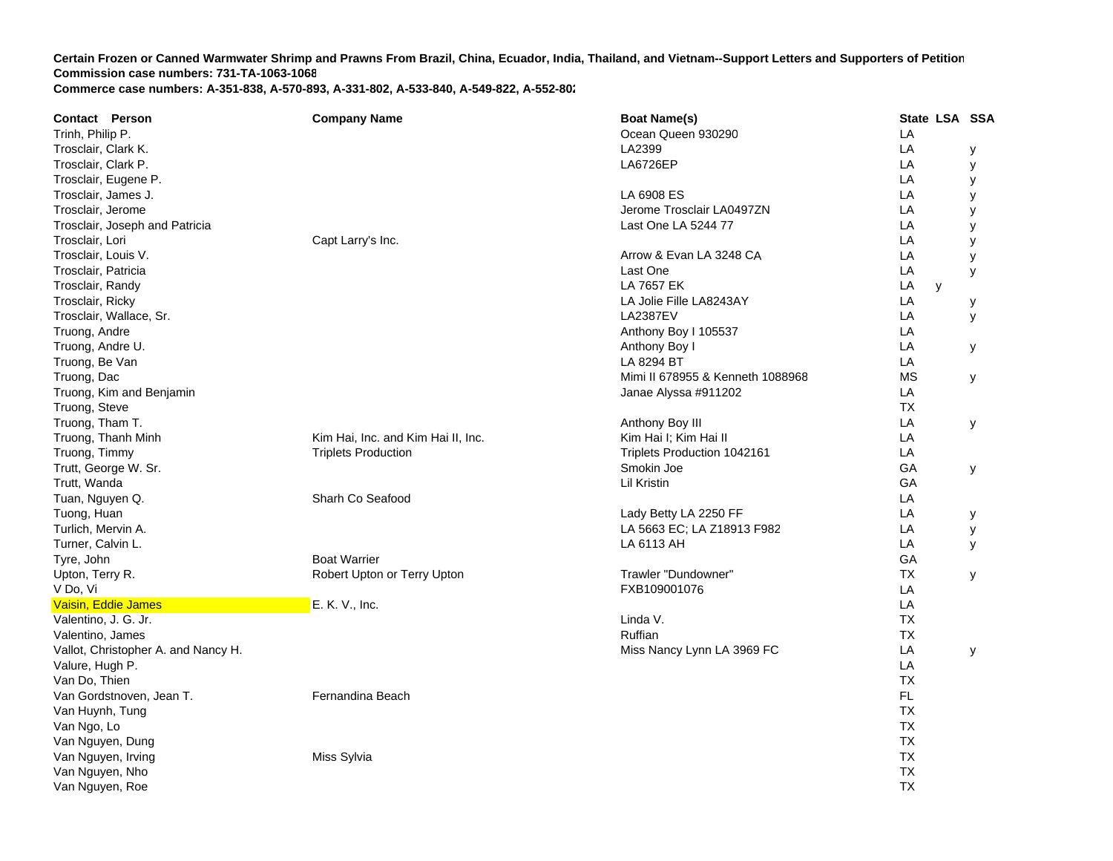| Trinh, Philip P.<br>Ocean Queen 930290<br>LA<br>LA2399<br>LA<br>Trosclair, Clark K.<br>у<br>Trosclair, Clark P.<br>LA<br><b>LA6726EP</b><br>У<br>LA<br>Trosclair, Eugene P.<br>у<br>Trosclair, James J.<br>LA 6908 ES<br>LA<br>у<br>Trosclair, Jerome<br>Jerome Trosclair LA0497ZN<br>LA<br>у<br>LA<br>Trosclair, Joseph and Patricia<br>Last One LA 5244 77<br>у<br>Capt Larry's Inc.<br>LA<br>Trosclair, Lori<br>y<br>Trosclair, Louis V.<br>LA<br>Arrow & Evan LA 3248 CA<br>у<br>Trosclair, Patricia<br>Last One<br>LA<br>У<br>Trosclair, Randy<br>LA 7657 EK<br>LA<br>y<br>Trosclair, Ricky<br>LA Jolie Fille LA8243AY<br>LA<br>у<br><b>LA2387EV</b><br>Trosclair, Wallace, Sr.<br>LA<br>У<br>LA<br>Truong, Andre<br>Anthony Boy I 105537<br>LA<br>Truong, Andre U.<br>Anthony Boy I<br>У<br>LA 8294 BT<br>Truong, Be Van<br>LA<br><b>MS</b><br>Truong, Dac<br>Mimi II 678955 & Kenneth 1088968<br>у<br>LA<br>Truong, Kim and Benjamin<br>Janae Alyssa #911202<br>Truong, Steve<br><b>TX</b><br>Truong, Tham T.<br>LA<br>Anthony Boy III<br>У<br>LA<br>Truong, Thanh Minh<br>Kim Hai, Inc. and Kim Hai II, Inc.<br>Kim Hai I; Kim Hai II<br>LA<br>Truong, Timmy<br><b>Triplets Production</b><br>Triplets Production 1042161<br>Trutt, George W. Sr.<br>Smokin Joe<br>GA<br>У<br>Trutt, Wanda<br>GA<br>Lil Kristin<br>LA<br>Tuan, Nguyen Q.<br>Sharh Co Seafood<br>Lady Betty LA 2250 FF<br>LA<br>Tuong, Huan<br>у<br>LA 5663 EC; LA Z18913 F982<br>LA<br>Turlich, Mervin A.<br>У<br>LA<br>Turner, Calvin L.<br>LA 6113 AH<br>У<br><b>Boat Warrier</b><br>GA<br>Tyre, John<br>Trawler "Dundowner"<br><b>TX</b><br>Upton, Terry R.<br>Robert Upton or Terry Upton<br>У<br>V Do, Vi<br>FXB109001076<br>LA<br>LA<br>Vaisin, Eddie James<br>E. K. V., Inc.<br><b>TX</b><br>Valentino, J. G. Jr.<br>Linda V.<br>Ruffian<br><b>TX</b><br>Valentino, James<br>LA<br>Vallot, Christopher A. and Nancy H.<br>Miss Nancy Lynn LA 3969 FC<br>У<br>LA<br>Valure, Hugh P. | <b>Contact Person</b> | <b>Company Name</b> | <b>Boat Name(s)</b> | State LSA SSA |  |
|-------------------------------------------------------------------------------------------------------------------------------------------------------------------------------------------------------------------------------------------------------------------------------------------------------------------------------------------------------------------------------------------------------------------------------------------------------------------------------------------------------------------------------------------------------------------------------------------------------------------------------------------------------------------------------------------------------------------------------------------------------------------------------------------------------------------------------------------------------------------------------------------------------------------------------------------------------------------------------------------------------------------------------------------------------------------------------------------------------------------------------------------------------------------------------------------------------------------------------------------------------------------------------------------------------------------------------------------------------------------------------------------------------------------------------------------------------------------------------------------------------------------------------------------------------------------------------------------------------------------------------------------------------------------------------------------------------------------------------------------------------------------------------------------------------------------------------------------------------------------------------------------------------------------------------------------------------------------|-----------------------|---------------------|---------------------|---------------|--|
|                                                                                                                                                                                                                                                                                                                                                                                                                                                                                                                                                                                                                                                                                                                                                                                                                                                                                                                                                                                                                                                                                                                                                                                                                                                                                                                                                                                                                                                                                                                                                                                                                                                                                                                                                                                                                                                                                                                                                                   |                       |                     |                     |               |  |
|                                                                                                                                                                                                                                                                                                                                                                                                                                                                                                                                                                                                                                                                                                                                                                                                                                                                                                                                                                                                                                                                                                                                                                                                                                                                                                                                                                                                                                                                                                                                                                                                                                                                                                                                                                                                                                                                                                                                                                   |                       |                     |                     |               |  |
|                                                                                                                                                                                                                                                                                                                                                                                                                                                                                                                                                                                                                                                                                                                                                                                                                                                                                                                                                                                                                                                                                                                                                                                                                                                                                                                                                                                                                                                                                                                                                                                                                                                                                                                                                                                                                                                                                                                                                                   |                       |                     |                     |               |  |
|                                                                                                                                                                                                                                                                                                                                                                                                                                                                                                                                                                                                                                                                                                                                                                                                                                                                                                                                                                                                                                                                                                                                                                                                                                                                                                                                                                                                                                                                                                                                                                                                                                                                                                                                                                                                                                                                                                                                                                   |                       |                     |                     |               |  |
|                                                                                                                                                                                                                                                                                                                                                                                                                                                                                                                                                                                                                                                                                                                                                                                                                                                                                                                                                                                                                                                                                                                                                                                                                                                                                                                                                                                                                                                                                                                                                                                                                                                                                                                                                                                                                                                                                                                                                                   |                       |                     |                     |               |  |
|                                                                                                                                                                                                                                                                                                                                                                                                                                                                                                                                                                                                                                                                                                                                                                                                                                                                                                                                                                                                                                                                                                                                                                                                                                                                                                                                                                                                                                                                                                                                                                                                                                                                                                                                                                                                                                                                                                                                                                   |                       |                     |                     |               |  |
|                                                                                                                                                                                                                                                                                                                                                                                                                                                                                                                                                                                                                                                                                                                                                                                                                                                                                                                                                                                                                                                                                                                                                                                                                                                                                                                                                                                                                                                                                                                                                                                                                                                                                                                                                                                                                                                                                                                                                                   |                       |                     |                     |               |  |
|                                                                                                                                                                                                                                                                                                                                                                                                                                                                                                                                                                                                                                                                                                                                                                                                                                                                                                                                                                                                                                                                                                                                                                                                                                                                                                                                                                                                                                                                                                                                                                                                                                                                                                                                                                                                                                                                                                                                                                   |                       |                     |                     |               |  |
|                                                                                                                                                                                                                                                                                                                                                                                                                                                                                                                                                                                                                                                                                                                                                                                                                                                                                                                                                                                                                                                                                                                                                                                                                                                                                                                                                                                                                                                                                                                                                                                                                                                                                                                                                                                                                                                                                                                                                                   |                       |                     |                     |               |  |
|                                                                                                                                                                                                                                                                                                                                                                                                                                                                                                                                                                                                                                                                                                                                                                                                                                                                                                                                                                                                                                                                                                                                                                                                                                                                                                                                                                                                                                                                                                                                                                                                                                                                                                                                                                                                                                                                                                                                                                   |                       |                     |                     |               |  |
|                                                                                                                                                                                                                                                                                                                                                                                                                                                                                                                                                                                                                                                                                                                                                                                                                                                                                                                                                                                                                                                                                                                                                                                                                                                                                                                                                                                                                                                                                                                                                                                                                                                                                                                                                                                                                                                                                                                                                                   |                       |                     |                     |               |  |
|                                                                                                                                                                                                                                                                                                                                                                                                                                                                                                                                                                                                                                                                                                                                                                                                                                                                                                                                                                                                                                                                                                                                                                                                                                                                                                                                                                                                                                                                                                                                                                                                                                                                                                                                                                                                                                                                                                                                                                   |                       |                     |                     |               |  |
|                                                                                                                                                                                                                                                                                                                                                                                                                                                                                                                                                                                                                                                                                                                                                                                                                                                                                                                                                                                                                                                                                                                                                                                                                                                                                                                                                                                                                                                                                                                                                                                                                                                                                                                                                                                                                                                                                                                                                                   |                       |                     |                     |               |  |
|                                                                                                                                                                                                                                                                                                                                                                                                                                                                                                                                                                                                                                                                                                                                                                                                                                                                                                                                                                                                                                                                                                                                                                                                                                                                                                                                                                                                                                                                                                                                                                                                                                                                                                                                                                                                                                                                                                                                                                   |                       |                     |                     |               |  |
|                                                                                                                                                                                                                                                                                                                                                                                                                                                                                                                                                                                                                                                                                                                                                                                                                                                                                                                                                                                                                                                                                                                                                                                                                                                                                                                                                                                                                                                                                                                                                                                                                                                                                                                                                                                                                                                                                                                                                                   |                       |                     |                     |               |  |
|                                                                                                                                                                                                                                                                                                                                                                                                                                                                                                                                                                                                                                                                                                                                                                                                                                                                                                                                                                                                                                                                                                                                                                                                                                                                                                                                                                                                                                                                                                                                                                                                                                                                                                                                                                                                                                                                                                                                                                   |                       |                     |                     |               |  |
|                                                                                                                                                                                                                                                                                                                                                                                                                                                                                                                                                                                                                                                                                                                                                                                                                                                                                                                                                                                                                                                                                                                                                                                                                                                                                                                                                                                                                                                                                                                                                                                                                                                                                                                                                                                                                                                                                                                                                                   |                       |                     |                     |               |  |
|                                                                                                                                                                                                                                                                                                                                                                                                                                                                                                                                                                                                                                                                                                                                                                                                                                                                                                                                                                                                                                                                                                                                                                                                                                                                                                                                                                                                                                                                                                                                                                                                                                                                                                                                                                                                                                                                                                                                                                   |                       |                     |                     |               |  |
|                                                                                                                                                                                                                                                                                                                                                                                                                                                                                                                                                                                                                                                                                                                                                                                                                                                                                                                                                                                                                                                                                                                                                                                                                                                                                                                                                                                                                                                                                                                                                                                                                                                                                                                                                                                                                                                                                                                                                                   |                       |                     |                     |               |  |
|                                                                                                                                                                                                                                                                                                                                                                                                                                                                                                                                                                                                                                                                                                                                                                                                                                                                                                                                                                                                                                                                                                                                                                                                                                                                                                                                                                                                                                                                                                                                                                                                                                                                                                                                                                                                                                                                                                                                                                   |                       |                     |                     |               |  |
|                                                                                                                                                                                                                                                                                                                                                                                                                                                                                                                                                                                                                                                                                                                                                                                                                                                                                                                                                                                                                                                                                                                                                                                                                                                                                                                                                                                                                                                                                                                                                                                                                                                                                                                                                                                                                                                                                                                                                                   |                       |                     |                     |               |  |
|                                                                                                                                                                                                                                                                                                                                                                                                                                                                                                                                                                                                                                                                                                                                                                                                                                                                                                                                                                                                                                                                                                                                                                                                                                                                                                                                                                                                                                                                                                                                                                                                                                                                                                                                                                                                                                                                                                                                                                   |                       |                     |                     |               |  |
|                                                                                                                                                                                                                                                                                                                                                                                                                                                                                                                                                                                                                                                                                                                                                                                                                                                                                                                                                                                                                                                                                                                                                                                                                                                                                                                                                                                                                                                                                                                                                                                                                                                                                                                                                                                                                                                                                                                                                                   |                       |                     |                     |               |  |
|                                                                                                                                                                                                                                                                                                                                                                                                                                                                                                                                                                                                                                                                                                                                                                                                                                                                                                                                                                                                                                                                                                                                                                                                                                                                                                                                                                                                                                                                                                                                                                                                                                                                                                                                                                                                                                                                                                                                                                   |                       |                     |                     |               |  |
|                                                                                                                                                                                                                                                                                                                                                                                                                                                                                                                                                                                                                                                                                                                                                                                                                                                                                                                                                                                                                                                                                                                                                                                                                                                                                                                                                                                                                                                                                                                                                                                                                                                                                                                                                                                                                                                                                                                                                                   |                       |                     |                     |               |  |
|                                                                                                                                                                                                                                                                                                                                                                                                                                                                                                                                                                                                                                                                                                                                                                                                                                                                                                                                                                                                                                                                                                                                                                                                                                                                                                                                                                                                                                                                                                                                                                                                                                                                                                                                                                                                                                                                                                                                                                   |                       |                     |                     |               |  |
|                                                                                                                                                                                                                                                                                                                                                                                                                                                                                                                                                                                                                                                                                                                                                                                                                                                                                                                                                                                                                                                                                                                                                                                                                                                                                                                                                                                                                                                                                                                                                                                                                                                                                                                                                                                                                                                                                                                                                                   |                       |                     |                     |               |  |
|                                                                                                                                                                                                                                                                                                                                                                                                                                                                                                                                                                                                                                                                                                                                                                                                                                                                                                                                                                                                                                                                                                                                                                                                                                                                                                                                                                                                                                                                                                                                                                                                                                                                                                                                                                                                                                                                                                                                                                   |                       |                     |                     |               |  |
|                                                                                                                                                                                                                                                                                                                                                                                                                                                                                                                                                                                                                                                                                                                                                                                                                                                                                                                                                                                                                                                                                                                                                                                                                                                                                                                                                                                                                                                                                                                                                                                                                                                                                                                                                                                                                                                                                                                                                                   |                       |                     |                     |               |  |
|                                                                                                                                                                                                                                                                                                                                                                                                                                                                                                                                                                                                                                                                                                                                                                                                                                                                                                                                                                                                                                                                                                                                                                                                                                                                                                                                                                                                                                                                                                                                                                                                                                                                                                                                                                                                                                                                                                                                                                   |                       |                     |                     |               |  |
|                                                                                                                                                                                                                                                                                                                                                                                                                                                                                                                                                                                                                                                                                                                                                                                                                                                                                                                                                                                                                                                                                                                                                                                                                                                                                                                                                                                                                                                                                                                                                                                                                                                                                                                                                                                                                                                                                                                                                                   |                       |                     |                     |               |  |
|                                                                                                                                                                                                                                                                                                                                                                                                                                                                                                                                                                                                                                                                                                                                                                                                                                                                                                                                                                                                                                                                                                                                                                                                                                                                                                                                                                                                                                                                                                                                                                                                                                                                                                                                                                                                                                                                                                                                                                   |                       |                     |                     |               |  |
|                                                                                                                                                                                                                                                                                                                                                                                                                                                                                                                                                                                                                                                                                                                                                                                                                                                                                                                                                                                                                                                                                                                                                                                                                                                                                                                                                                                                                                                                                                                                                                                                                                                                                                                                                                                                                                                                                                                                                                   |                       |                     |                     |               |  |
|                                                                                                                                                                                                                                                                                                                                                                                                                                                                                                                                                                                                                                                                                                                                                                                                                                                                                                                                                                                                                                                                                                                                                                                                                                                                                                                                                                                                                                                                                                                                                                                                                                                                                                                                                                                                                                                                                                                                                                   |                       |                     |                     |               |  |
|                                                                                                                                                                                                                                                                                                                                                                                                                                                                                                                                                                                                                                                                                                                                                                                                                                                                                                                                                                                                                                                                                                                                                                                                                                                                                                                                                                                                                                                                                                                                                                                                                                                                                                                                                                                                                                                                                                                                                                   |                       |                     |                     |               |  |
|                                                                                                                                                                                                                                                                                                                                                                                                                                                                                                                                                                                                                                                                                                                                                                                                                                                                                                                                                                                                                                                                                                                                                                                                                                                                                                                                                                                                                                                                                                                                                                                                                                                                                                                                                                                                                                                                                                                                                                   |                       |                     |                     |               |  |
|                                                                                                                                                                                                                                                                                                                                                                                                                                                                                                                                                                                                                                                                                                                                                                                                                                                                                                                                                                                                                                                                                                                                                                                                                                                                                                                                                                                                                                                                                                                                                                                                                                                                                                                                                                                                                                                                                                                                                                   | Van Do, Thien         |                     |                     | <b>TX</b>     |  |
| FL.<br>Van Gordstnoven, Jean T.<br>Fernandina Beach                                                                                                                                                                                                                                                                                                                                                                                                                                                                                                                                                                                                                                                                                                                                                                                                                                                                                                                                                                                                                                                                                                                                                                                                                                                                                                                                                                                                                                                                                                                                                                                                                                                                                                                                                                                                                                                                                                               |                       |                     |                     |               |  |
| <b>TX</b><br>Van Huynh, Tung                                                                                                                                                                                                                                                                                                                                                                                                                                                                                                                                                                                                                                                                                                                                                                                                                                                                                                                                                                                                                                                                                                                                                                                                                                                                                                                                                                                                                                                                                                                                                                                                                                                                                                                                                                                                                                                                                                                                      |                       |                     |                     |               |  |
| Van Ngo, Lo<br><b>TX</b>                                                                                                                                                                                                                                                                                                                                                                                                                                                                                                                                                                                                                                                                                                                                                                                                                                                                                                                                                                                                                                                                                                                                                                                                                                                                                                                                                                                                                                                                                                                                                                                                                                                                                                                                                                                                                                                                                                                                          |                       |                     |                     |               |  |
| <b>TX</b><br>Van Nguyen, Dung                                                                                                                                                                                                                                                                                                                                                                                                                                                                                                                                                                                                                                                                                                                                                                                                                                                                                                                                                                                                                                                                                                                                                                                                                                                                                                                                                                                                                                                                                                                                                                                                                                                                                                                                                                                                                                                                                                                                     |                       |                     |                     |               |  |
| <b>TX</b><br>Van Nguyen, Irving<br>Miss Sylvia                                                                                                                                                                                                                                                                                                                                                                                                                                                                                                                                                                                                                                                                                                                                                                                                                                                                                                                                                                                                                                                                                                                                                                                                                                                                                                                                                                                                                                                                                                                                                                                                                                                                                                                                                                                                                                                                                                                    |                       |                     |                     |               |  |
| <b>TX</b><br>Van Nguyen, Nho                                                                                                                                                                                                                                                                                                                                                                                                                                                                                                                                                                                                                                                                                                                                                                                                                                                                                                                                                                                                                                                                                                                                                                                                                                                                                                                                                                                                                                                                                                                                                                                                                                                                                                                                                                                                                                                                                                                                      |                       |                     |                     |               |  |
| <b>TX</b><br>Van Nguyen, Roe                                                                                                                                                                                                                                                                                                                                                                                                                                                                                                                                                                                                                                                                                                                                                                                                                                                                                                                                                                                                                                                                                                                                                                                                                                                                                                                                                                                                                                                                                                                                                                                                                                                                                                                                                                                                                                                                                                                                      |                       |                     |                     |               |  |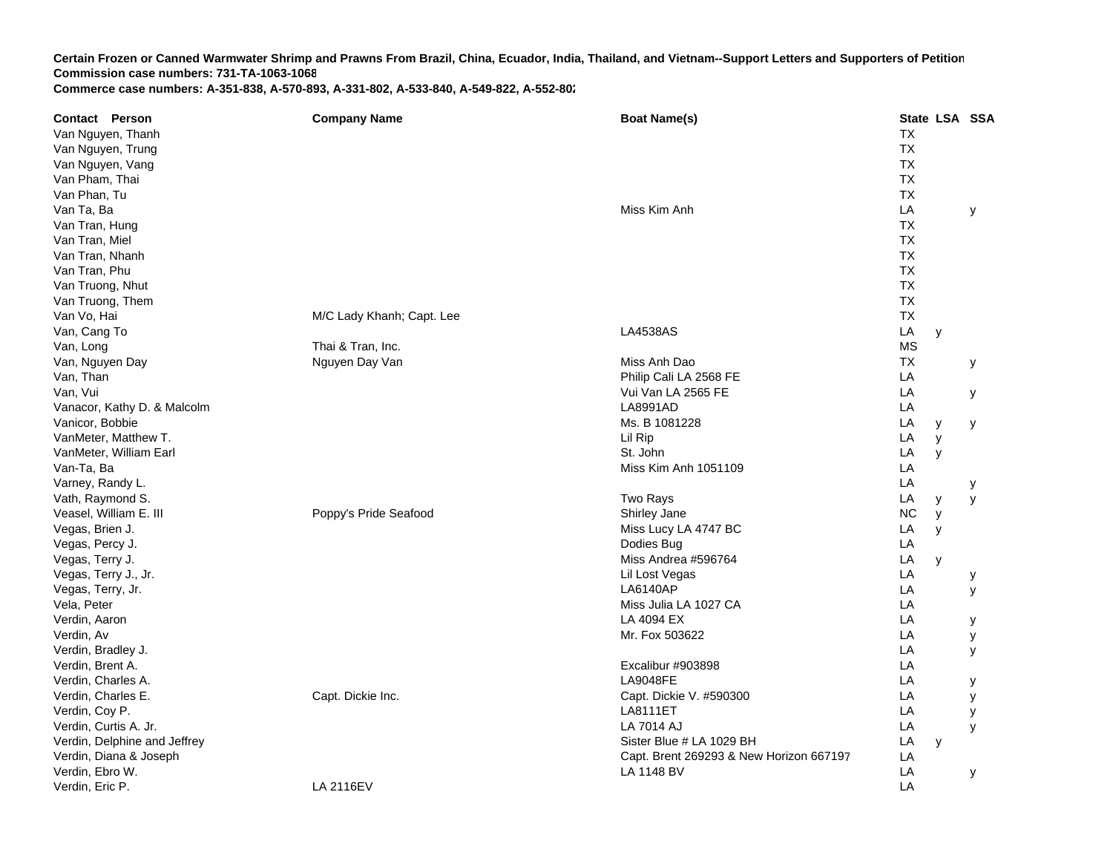| <b>Contact Person</b>        | <b>Company Name</b>       | <b>Boat Name(s)</b>                     |           |   | State LSA SSA |
|------------------------------|---------------------------|-----------------------------------------|-----------|---|---------------|
| Van Nguyen, Thanh            |                           |                                         | <b>TX</b> |   |               |
| Van Nguyen, Trung            |                           |                                         | <b>TX</b> |   |               |
| Van Nguyen, Vang             |                           |                                         | <b>TX</b> |   |               |
| Van Pham, Thai               |                           |                                         | <b>TX</b> |   |               |
| Van Phan, Tu                 |                           |                                         | <b>TX</b> |   |               |
| Van Ta, Ba                   |                           | Miss Kim Anh                            | LA        |   | y             |
| Van Tran, Hung               |                           |                                         | <b>TX</b> |   |               |
| Van Tran, Miel               |                           |                                         | <b>TX</b> |   |               |
| Van Tran, Nhanh              |                           |                                         | <b>TX</b> |   |               |
| Van Tran, Phu                |                           |                                         | <b>TX</b> |   |               |
| Van Truong, Nhut             |                           |                                         | <b>TX</b> |   |               |
| Van Truong, Them             |                           |                                         | <b>TX</b> |   |               |
| Van Vo, Hai                  | M/C Lady Khanh; Capt. Lee |                                         | <b>TX</b> |   |               |
| Van, Cang To                 |                           | <b>LA4538AS</b>                         | LA        | y |               |
| Van, Long                    | Thai & Tran, Inc.         |                                         | <b>MS</b> |   |               |
| Van, Nguyen Day              | Nguyen Day Van            | Miss Anh Dao                            | <b>TX</b> |   | у             |
| Van, Than                    |                           | Philip Cali LA 2568 FE                  | LA        |   |               |
| Van, Vui                     |                           | Vui Van LA 2565 FE                      | LA        |   | у             |
| Vanacor, Kathy D. & Malcolm  |                           | LA8991AD                                | LA        |   |               |
| Vanicor, Bobbie              |                           | Ms. B 1081228                           | LA        | У | У             |
| VanMeter, Matthew T.         |                           | Lil Rip                                 | LA        | y |               |
| VanMeter, William Earl       |                           | St. John                                | LA        | y |               |
| Van-Ta, Ba                   |                           | Miss Kim Anh 1051109                    | LA        |   |               |
| Varney, Randy L.             |                           |                                         | LA        |   |               |
| Vath, Raymond S.             |                           | <b>Two Rays</b>                         | LA        | у | у<br>y        |
| Veasel, William E. III       | Poppy's Pride Seafood     | Shirley Jane                            | <b>NC</b> | y |               |
| Vegas, Brien J.              |                           | Miss Lucy LA 4747 BC                    | LA        | y |               |
| Vegas, Percy J.              |                           | Dodies Bug                              | LA        |   |               |
| Vegas, Terry J.              |                           | Miss Andrea #596764                     | LA        | y |               |
| Vegas, Terry J., Jr.         |                           | Lil Lost Vegas                          | LA        |   | у             |
| Vegas, Terry, Jr.            |                           | <b>LA6140AP</b>                         | LA        |   | У             |
| Vela, Peter                  |                           | Miss Julia LA 1027 CA                   | LA        |   |               |
| Verdin, Aaron                |                           | LA 4094 EX                              | LA        |   | у             |
| Verdin, Av                   |                           | Mr. Fox 503622                          | LA        |   | У             |
| Verdin, Bradley J.           |                           |                                         | LA        |   | У             |
| Verdin, Brent A.             |                           | Excalibur #903898                       | LA        |   |               |
| Verdin, Charles A.           |                           | <b>LA9048FE</b>                         | LA        |   | у             |
| Verdin, Charles E.           | Capt. Dickie Inc.         | Capt. Dickie V. #590300                 | LA        |   | У             |
| Verdin, Coy P.               |                           | <b>LA8111ET</b>                         | LA        |   | У             |
| Verdin, Curtis A. Jr.        |                           | <b>LA 7014 AJ</b>                       | LA        |   | У             |
| Verdin, Delphine and Jeffrey |                           | Sister Blue # LA 1029 BH                | LA        | y |               |
| Verdin, Diana & Joseph       |                           | Capt. Brent 269293 & New Horizon 667197 | LA        |   |               |
| Verdin, Ebro W.              |                           | LA 1148 BV                              | LA        |   | У             |
| Verdin, Eric P.              | LA 2116EV                 |                                         | LA        |   |               |
|                              |                           |                                         |           |   |               |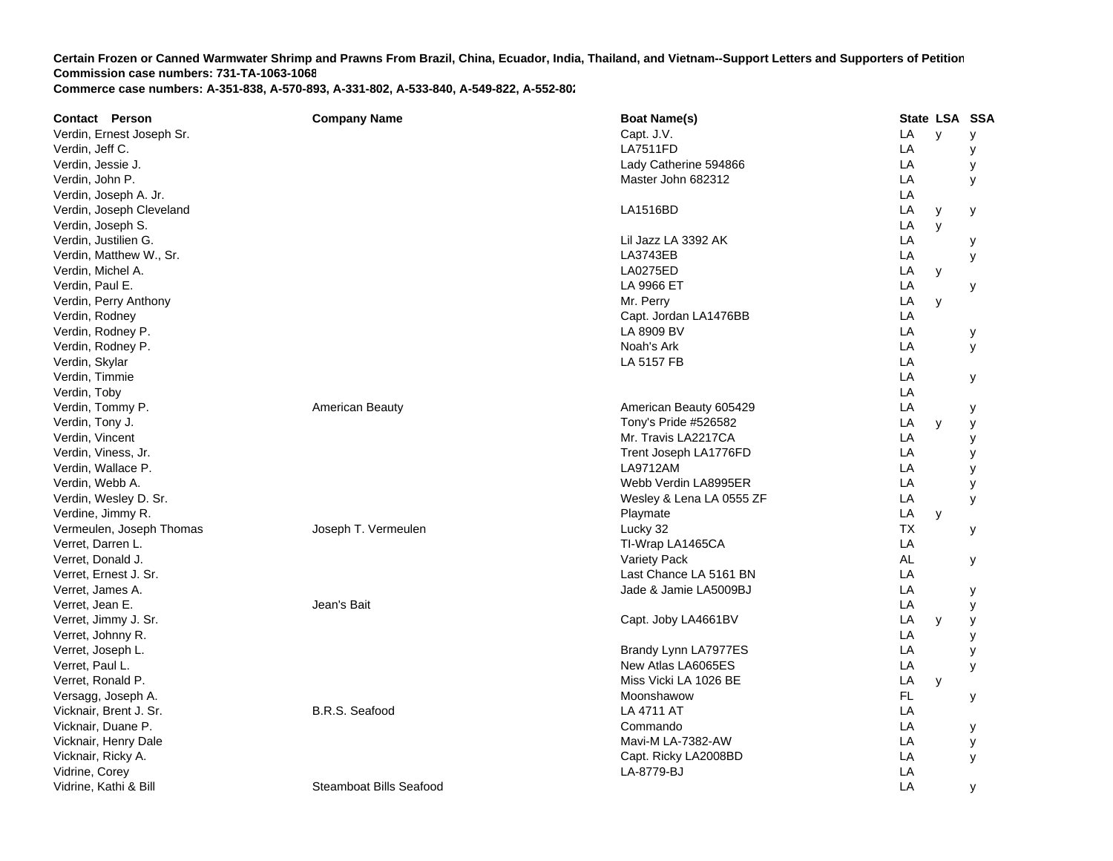| <b>Contact Person</b>     | <b>Company Name</b>     | <b>Boat Name(s)</b>      |           | State LSA SSA |   |
|---------------------------|-------------------------|--------------------------|-----------|---------------|---|
| Verdin, Ernest Joseph Sr. |                         | Capt. J.V.               | LA        | $\mathsf{V}$  | у |
| Verdin, Jeff C.           |                         | <b>LA7511FD</b>          | LA        |               | у |
| Verdin, Jessie J.         |                         | Lady Catherine 594866    | LA        |               | у |
| Verdin, John P.           |                         | Master John 682312       | LA        |               | У |
| Verdin, Joseph A. Jr.     |                         |                          | LA        |               |   |
| Verdin, Joseph Cleveland  |                         | LA1516BD                 | LA        | y             | у |
| Verdin, Joseph S.         |                         |                          | LA        | y             |   |
| Verdin, Justilien G.      |                         | Lil Jazz LA 3392 AK      | LA        |               | у |
| Verdin, Matthew W., Sr.   |                         | LA3743EB                 | LA        |               | y |
| Verdin, Michel A.         |                         | <b>LA0275ED</b>          | LA        | у             |   |
| Verdin, Paul E.           |                         | LA 9966 ET               | LA        |               | у |
| Verdin, Perry Anthony     |                         | Mr. Perry                | LA        | y             |   |
| Verdin, Rodney            |                         | Capt. Jordan LA1476BB    | LA        |               |   |
| Verdin, Rodney P.         |                         | LA 8909 BV               | LA        |               | у |
| Verdin, Rodney P.         |                         | Noah's Ark               | LA        |               | У |
| Verdin, Skylar            |                         | LA 5157 FB               | LA        |               |   |
| Verdin, Timmie            |                         |                          | LA        |               | У |
| Verdin, Toby              |                         |                          | LA        |               |   |
| Verdin, Tommy P.          | American Beauty         | American Beauty 605429   | LA        |               | у |
| Verdin, Tony J.           |                         | Tony's Pride #526582     | LA        | y             | у |
| Verdin, Vincent           |                         | Mr. Travis LA2217CA      | LA        |               | у |
| Verdin, Viness, Jr.       |                         | Trent Joseph LA1776FD    | LA        |               | у |
| Verdin, Wallace P.        |                         | LA9712AM                 | LA        |               | y |
| Verdin, Webb A.           |                         | Webb Verdin LA8995ER     | LA        |               | У |
| Verdin, Wesley D. Sr.     |                         | Wesley & Lena LA 0555 ZF | LA        |               | У |
| Verdine, Jimmy R.         |                         | Playmate                 | LA        | y             |   |
| Vermeulen, Joseph Thomas  | Joseph T. Vermeulen     | Lucky 32                 | <b>TX</b> |               | у |
| Verret, Darren L.         |                         | TI-Wrap LA1465CA         | LA        |               |   |
| Verret, Donald J.         |                         | Variety Pack             | <b>AL</b> |               | у |
| Verret, Ernest J. Sr.     |                         | Last Chance LA 5161 BN   | LA        |               |   |
| Verret, James A.          |                         | Jade & Jamie LA5009BJ    | LA        |               | у |
| Verret, Jean E.           | Jean's Bait             |                          | LA        |               | у |
| Verret, Jimmy J. Sr.      |                         | Capt. Joby LA4661BV      | LA        | y             | у |
| Verret, Johnny R.         |                         |                          | LA        |               | У |
| Verret, Joseph L.         |                         | Brandy Lynn LA7977ES     | LA        |               | у |
| Verret, Paul L.           |                         | New Atlas LA6065ES       | LA        |               | y |
| Verret, Ronald P.         |                         | Miss Vicki LA 1026 BE    | LA        | y             |   |
| Versagg, Joseph A.        |                         | Moonshawow               | FL        |               | у |
| Vicknair, Brent J. Sr.    | B.R.S. Seafood          | LA 4711 AT               | LA        |               |   |
| Vicknair, Duane P.        |                         | Commando                 | LA        |               | у |
| Vicknair, Henry Dale      |                         | Mavi-M LA-7382-AW        | LA        |               | у |
| Vicknair, Ricky A.        |                         | Capt. Ricky LA2008BD     | LA        |               | y |
| Vidrine, Corey            |                         | LA-8779-BJ               | LA        |               |   |
| Vidrine, Kathi & Bill     | Steamboat Bills Seafood |                          | LA        |               | у |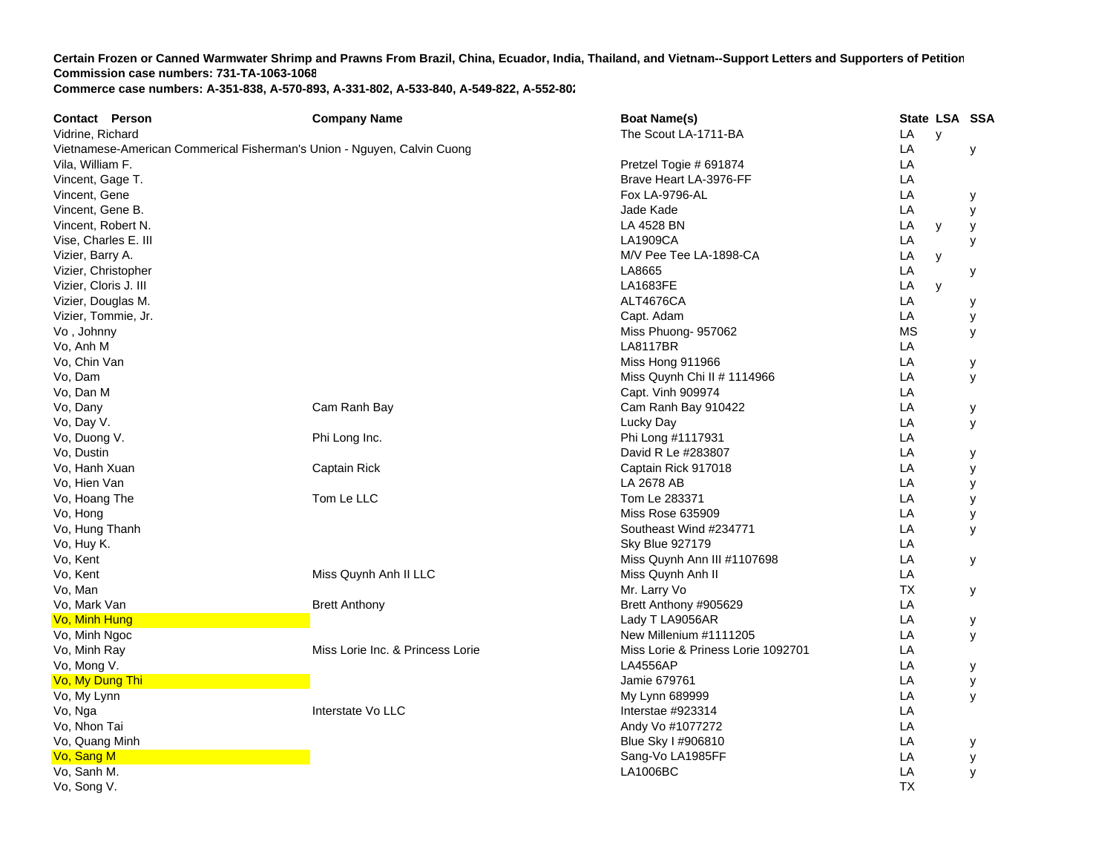| <b>Contact Person</b>                                                   | <b>Company Name</b>              | <b>Boat Name(s)</b>                | State LSA SSA |   |   |
|-------------------------------------------------------------------------|----------------------------------|------------------------------------|---------------|---|---|
| Vidrine, Richard                                                        |                                  | The Scout LA-1711-BA               | LA            | y |   |
| Vietnamese-American Commerical Fisherman's Union - Nguyen, Calvin Cuong |                                  |                                    | LA            |   | У |
| Vila, William F.                                                        |                                  | Pretzel Togie # 691874             | LA            |   |   |
| Vincent, Gage T.                                                        |                                  | Brave Heart LA-3976-FF             | LA            |   |   |
| Vincent, Gene                                                           |                                  | <b>Fox LA-9796-AL</b>              | LA            |   | у |
| Vincent, Gene B.                                                        |                                  | Jade Kade                          | LA            |   | у |
| Vincent, Robert N.                                                      |                                  | LA 4528 BN                         | LA            | У | у |
| Vise, Charles E. III                                                    |                                  | <b>LA1909CA</b>                    | LA            |   | У |
| Vizier, Barry A.                                                        |                                  | M/V Pee Tee LA-1898-CA             | LA            | у |   |
| Vizier, Christopher                                                     |                                  | LA8665                             | LA            |   | у |
| Vizier, Cloris J. III                                                   |                                  | <b>LA1683FE</b>                    | LA            | y |   |
| Vizier, Douglas M.                                                      |                                  | ALT4676CA                          | LA            |   | у |
| Vizier, Tommie, Jr.                                                     |                                  | Capt. Adam                         | LA            |   | у |
| Vo, Johnny                                                              |                                  | Miss Phuong- 957062                | <b>MS</b>     |   | У |
| Vo, Anh M                                                               |                                  | <b>LA8117BR</b>                    | LA            |   |   |
| Vo, Chin Van                                                            |                                  | Miss Hong 911966                   | LA            |   | у |
| Vo, Dam                                                                 |                                  | Miss Quynh Chi II $\#$ 1114966     | LA            |   | У |
| Vo, Dan M                                                               |                                  | Capt. Vinh 909974                  | LA            |   |   |
| Vo, Dany                                                                | Cam Ranh Bay                     | Cam Ranh Bay 910422                | LA            |   | у |
| Vo, Day V.                                                              |                                  | Lucky Day                          | LA            |   | У |
| Vo, Duong V.                                                            | Phi Long Inc.                    | Phi Long #1117931                  | LA            |   |   |
| Vo, Dustin                                                              |                                  | David R Le #283807                 | LA            |   | у |
| Vo, Hanh Xuan                                                           | Captain Rick                     | Captain Rick 917018                | LA            |   | У |
| Vo, Hien Van                                                            |                                  | LA 2678 AB                         | LA            |   | У |
| Vo, Hoang The                                                           | Tom Le LLC                       | Tom Le 283371                      | LA            |   | у |
| Vo, Hong                                                                |                                  | <b>Miss Rose 635909</b>            | LA            |   | у |
| Vo, Hung Thanh                                                          |                                  | Southeast Wind #234771             | LA            |   | у |
| Vo, Huy K.                                                              |                                  | <b>Sky Blue 927179</b>             | LA            |   |   |
| Vo, Kent                                                                |                                  | Miss Quynh Ann III #1107698        | LA            |   | У |
| Vo, Kent                                                                | Miss Quynh Anh II LLC            | Miss Quynh Anh II                  | LA            |   |   |
| Vo, Man                                                                 |                                  | Mr. Larry Vo                       | <b>TX</b>     |   | у |
| Vo, Mark Van                                                            | <b>Brett Anthony</b>             | Brett Anthony #905629              | LA            |   |   |
| Vo, Minh Hung                                                           |                                  | Lady T LA9056AR                    | LA            |   | у |
| Vo, Minh Ngoc                                                           |                                  | New Millenium #1111205             | LA            |   | У |
| Vo, Minh Ray                                                            | Miss Lorie Inc. & Princess Lorie | Miss Lorie & Priness Lorie 1092701 | LA            |   |   |
| Vo, Mong V.                                                             |                                  | <b>LA4556AP</b>                    | LA            |   | у |
| Vo, My Dung Thi                                                         |                                  | Jamie 679761                       | LA            |   | У |
| Vo, My Lynn                                                             |                                  | My Lynn 689999                     | LA            |   | У |
| Vo, Nga                                                                 | Interstate Vo LLC                | Interstae #923314                  | LA            |   |   |
| Vo, Nhon Tai                                                            |                                  | Andy Vo #1077272                   | LA            |   |   |
| Vo, Quang Minh                                                          |                                  | Blue Sky I #906810                 | LA            |   | у |
| Vo, Sang M                                                              |                                  | Sang-Vo LA1985FF                   | LA            |   | у |
| Vo, Sanh M.                                                             |                                  | LA1006BC                           | LA            |   | y |
| Vo. Song V.                                                             |                                  |                                    | <b>TX</b>     |   |   |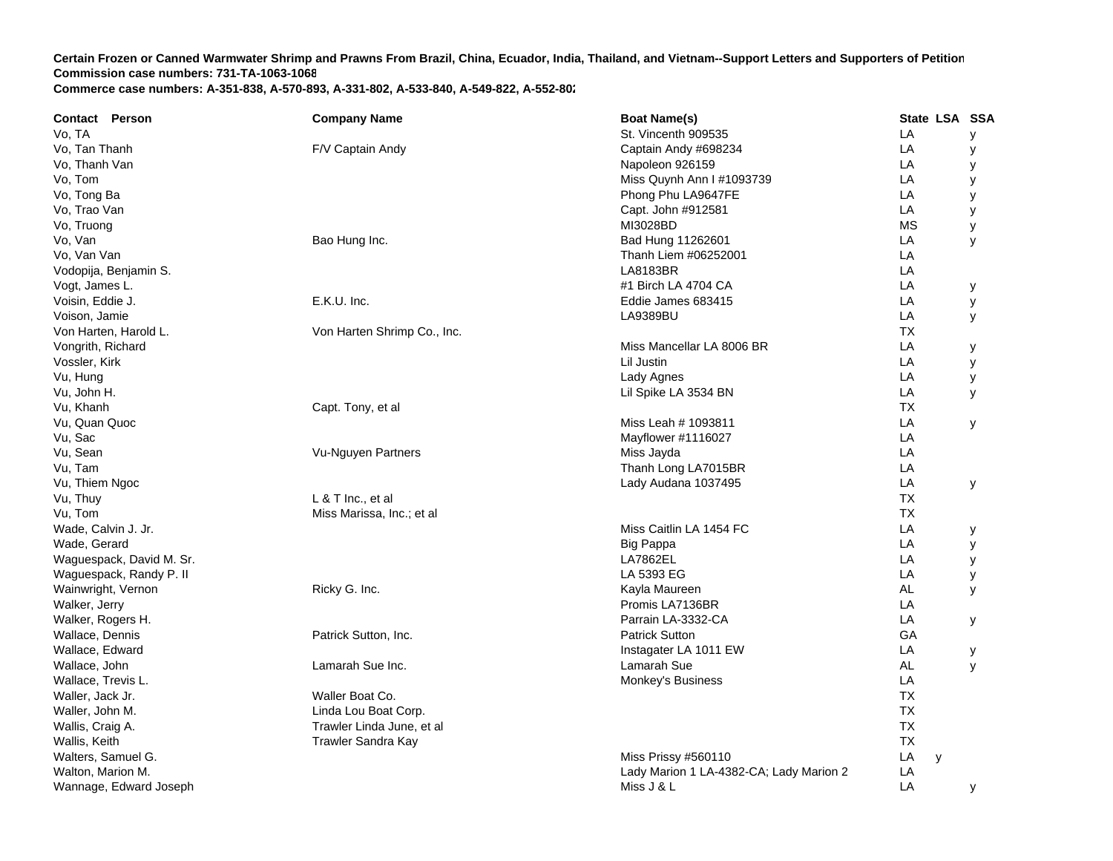| <b>Contact Person</b>    | <b>Company Name</b>         | <b>Boat Name(s)</b>                     | State LSA SSA |   |
|--------------------------|-----------------------------|-----------------------------------------|---------------|---|
| Vo, TA                   |                             | St. Vincenth 909535                     | LA            | У |
| Vo, Tan Thanh            | F/V Captain Andy            | Captain Andy #698234                    | LA            | у |
| Vo, Thanh Van            |                             | Napoleon 926159                         | LA            | у |
| Vo, Tom                  |                             | Miss Quynh Ann I #1093739               | LA            | у |
| Vo, Tong Ba              |                             | Phong Phu LA9647FE                      | LA            | у |
| Vo, Trao Van             |                             | Capt. John #912581                      | LA            | у |
| Vo, Truong               |                             | MI3028BD                                | <b>MS</b>     | у |
| Vo, Van                  | Bao Hung Inc.               | Bad Hung 11262601                       | LA            | y |
| Vo, Van Van              |                             | Thanh Liem #06252001                    | LA            |   |
| Vodopija, Benjamin S.    |                             | LA8183BR                                | LA            |   |
| Vogt, James L.           |                             | #1 Birch LA 4704 CA                     | LA            | у |
| Voisin, Eddie J.         | E.K.U. Inc.                 | Eddie James 683415                      | LA            | у |
| Voison, Jamie            |                             | LA9389BU                                | LA            | У |
| Von Harten, Harold L.    | Von Harten Shrimp Co., Inc. |                                         | <b>TX</b>     |   |
| Vongrith, Richard        |                             | Miss Mancellar LA 8006 BR               | LA            | у |
| Vossler, Kirk            |                             | Lil Justin                              | LA            | У |
| Vu, Hung                 |                             | Lady Agnes                              | LA            | у |
| Vu, John H.              |                             | Lil Spike LA 3534 BN                    | LA            | у |
| Vu, Khanh                | Capt. Tony, et al           |                                         | TX            |   |
| Vu, Quan Quoc            |                             | Miss Leah # 1093811                     | LA            | У |
| Vu, Sac                  |                             | Mayflower #1116027                      | LA            |   |
| Vu, Sean                 | Vu-Nguyen Partners          | Miss Jayda                              | LA            |   |
| Vu, Tam                  |                             | Thanh Long LA7015BR                     | LA            |   |
| Vu, Thiem Ngoc           |                             | Lady Audana 1037495                     | LA            | y |
| Vu, Thuy                 | L & T Inc., et al           |                                         | <b>TX</b>     |   |
| Vu, Tom                  | Miss Marissa, Inc.; et al   |                                         | <b>TX</b>     |   |
| Wade, Calvin J. Jr.      |                             | Miss Caitlin LA 1454 FC                 | LA            | у |
| Wade, Gerard             |                             | <b>Big Pappa</b>                        | LA            | у |
| Waguespack, David M. Sr. |                             | <b>LA7862EL</b>                         | LA            | у |
| Waguespack, Randy P. II  |                             | LA 5393 EG                              | LA            | у |
| Wainwright, Vernon       | Ricky G. Inc.               | Kayla Maureen                           | AL            | У |
| Walker, Jerry            |                             | Promis LA7136BR                         | LA            |   |
| Walker, Rogers H.        |                             | Parrain LA-3332-CA                      | LA            | у |
| Wallace, Dennis          | Patrick Sutton, Inc.        | <b>Patrick Sutton</b>                   | GA            |   |
| Wallace, Edward          |                             | Instagater LA 1011 EW                   | LA            | у |
| Wallace, John            | Lamarah Sue Inc.            | Lamarah Sue                             | AL            | y |
| Wallace, Trevis L.       |                             | Monkey's Business                       | LA            |   |
| Waller, Jack Jr.         | Waller Boat Co.             |                                         | <b>TX</b>     |   |
| Waller, John M.          | Linda Lou Boat Corp.        |                                         | <b>TX</b>     |   |
| Wallis, Craig A.         | Trawler Linda June, et al   |                                         | <b>TX</b>     |   |
| Wallis, Keith            | Trawler Sandra Kay          |                                         | <b>TX</b>     |   |
| Walters, Samuel G.       |                             | Miss Prissy #560110                     | LA<br>y       |   |
| Walton, Marion M.        |                             | Lady Marion 1 LA-4382-CA; Lady Marion 2 | LA            |   |
| Wannage, Edward Joseph   |                             | Miss J & L                              | LA            | У |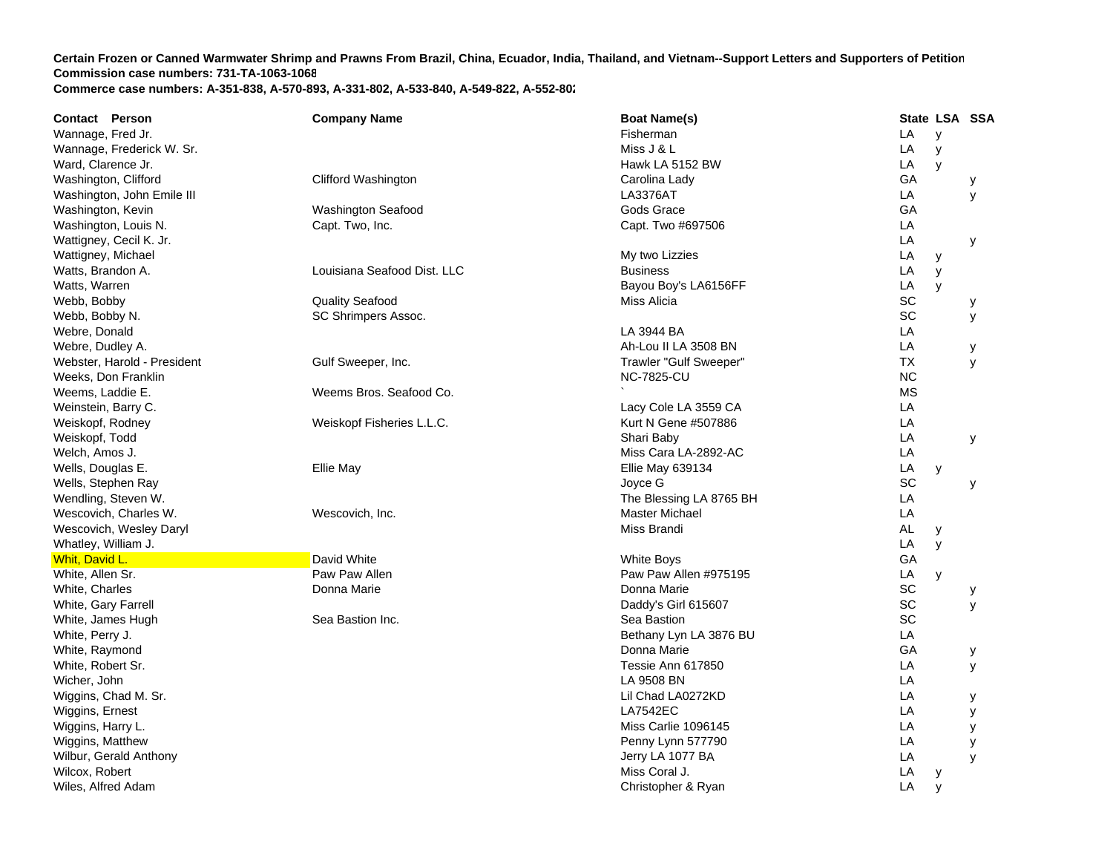| Contact Person              | <b>Company Name</b>         | <b>Boat Name(s)</b>     | State LSA SSA |   |   |
|-----------------------------|-----------------------------|-------------------------|---------------|---|---|
| Wannage, Fred Jr.           |                             | Fisherman               | LA            | y |   |
| Wannage, Frederick W. Sr.   |                             | Miss J & L              | LA            | y |   |
| Ward, Clarence Jr.          |                             | Hawk LA 5152 BW         | LA            | y |   |
| Washington, Clifford        | Clifford Washington         | Carolina Lady           | GA            |   | у |
| Washington, John Emile III  |                             | <b>LA3376AT</b>         | LA            |   | У |
| Washington, Kevin           | <b>Washington Seafood</b>   | Gods Grace              | GA            |   |   |
| Washington, Louis N.        | Capt. Two, Inc.             | Capt. Two #697506       | LA            |   |   |
| Wattigney, Cecil K. Jr.     |                             |                         | LA            |   | У |
| Wattigney, Michael          |                             | My two Lizzies          | LA            | У |   |
| Watts, Brandon A.           | Louisiana Seafood Dist. LLC | <b>Business</b>         | LA            | y |   |
| Watts, Warren               |                             | Bayou Boy's LA6156FF    | LA            | y |   |
| Webb, Bobby                 | <b>Quality Seafood</b>      | Miss Alicia             | SC            |   | у |
| Webb, Bobby N.              | SC Shrimpers Assoc.         |                         | SC            |   | У |
| Webre, Donald               |                             | LA 3944 BA              | LA            |   |   |
| Webre, Dudley A.            |                             | Ah-Lou II LA 3508 BN    | LA            |   | у |
| Webster, Harold - President | Gulf Sweeper, Inc.          | Trawler "Gulf Sweeper"  | ТX            |   | y |
| Weeks, Don Franklin         |                             | <b>NC-7825-CU</b>       | <b>NC</b>     |   |   |
| Weems, Laddie E.            | Weems Bros. Seafood Co.     |                         | <b>MS</b>     |   |   |
| Weinstein, Barry C.         |                             | Lacy Cole LA 3559 CA    | LA            |   |   |
| Weiskopf, Rodney            | Weiskopf Fisheries L.L.C.   | Kurt N Gene #507886     | LA            |   |   |
| Weiskopf, Todd              |                             | Shari Baby              | LA            |   | У |
| Welch, Amos J.              |                             | Miss Cara LA-2892-AC    | LA            |   |   |
| Wells, Douglas E.           | Ellie May                   | <b>Ellie May 639134</b> | LA            | y |   |
| Wells, Stephen Ray          |                             | Joyce G                 | SC            |   | У |
| Wendling, Steven W.         |                             | The Blessing LA 8765 BH | LA            |   |   |
| Wescovich, Charles W.       | Wescovich, Inc.             | <b>Master Michael</b>   | LA            |   |   |
| Wescovich, Wesley Daryl     |                             | Miss Brandi             | <b>AL</b>     | y |   |
| Whatley, William J.         |                             |                         | LA            | y |   |
| Whit, David L.              | David White                 | <b>White Boys</b>       | GA            |   |   |
| White, Allen Sr.            | Paw Paw Allen               | Paw Paw Allen #975195   | LA            | y |   |
| White, Charles              | Donna Marie                 | Donna Marie             | SC            |   | у |
| White, Gary Farrell         |                             | Daddy's Girl 615607     | SC            |   | y |
| White, James Hugh           | Sea Bastion Inc.            | Sea Bastion             | SC            |   |   |
| White, Perry J.             |                             | Bethany Lyn LA 3876 BU  | LA            |   |   |
| White, Raymond              |                             | Donna Marie             | GA            |   | у |
| White, Robert Sr.           |                             | Tessie Ann 617850       | LA            |   | У |
| Wicher, John                |                             | LA 9508 BN              | LA            |   |   |
| Wiggins, Chad M. Sr.        |                             | Lil Chad LA0272KD       | LA            |   | у |
| Wiggins, Ernest             |                             | <b>LA7542EC</b>         | LA            |   | У |
| Wiggins, Harry L.           |                             | Miss Carlie 1096145     | LA            |   | у |
| Wiggins, Matthew            |                             | Penny Lynn 577790       | LA            |   | у |
| Wilbur, Gerald Anthony      |                             | Jerry LA 1077 BA        | LA            |   | y |
| Wilcox, Robert              |                             | Miss Coral J.           | LA            | У |   |
| Wiles, Alfred Adam          |                             | Christopher & Ryan      | LA            | y |   |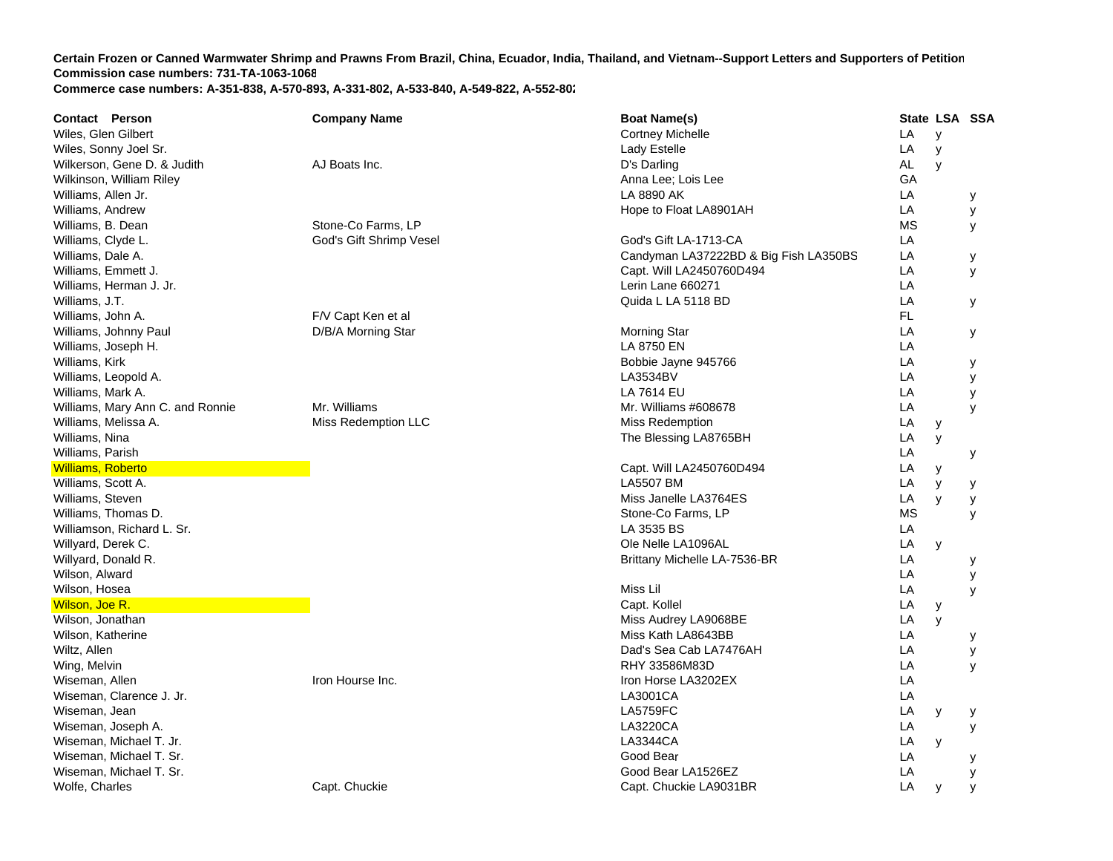| Wiles, Glen Gilbert<br>LA<br><b>Cortney Michelle</b><br>y<br>Wiles, Sonny Joel Sr.<br>LA<br>Lady Estelle<br>y<br>Wilkerson, Gene D. & Judith<br>AL<br>AJ Boats Inc.<br>D's Darling<br>y<br>Wilkinson, William Riley<br>GA<br>Anna Lee; Lois Lee<br>LA 8890 AK<br>LA<br>Williams, Allen Jr.<br>у<br>LA<br>Williams, Andrew<br>Hope to Float LA8901AH<br>У<br>Stone-Co Farms, LP<br><b>MS</b><br>Williams, B. Dean<br>У<br>God's Gift Shrimp Vesel<br>God's Gift LA-1713-CA<br>LA<br>Williams, Clyde L.<br>Candyman LA37222BD & Big Fish LA350BS<br>LA<br>Williams, Dale A.<br>у<br>LA<br>Capt. Will LA2450760D494<br>Williams, Emmett J.<br>y<br>LA<br>Lerin Lane 660271<br>Williams, Herman J. Jr.<br>LA<br>Quida L LA 5118 BD<br>Williams, J.T.<br>У<br>FL.<br>Williams, John A.<br>F/V Capt Ken et al<br>LA<br>D/B/A Morning Star<br>Williams, Johnny Paul<br><b>Morning Star</b><br>У<br>LA<br>Williams, Joseph H.<br>LA 8750 EN<br>LA<br>Williams, Kirk<br>Bobbie Jayne 945766<br>у<br>LA<br>LA3534BV<br>Williams, Leopold A.<br>У<br>LA<br>Williams, Mark A.<br>LA 7614 EU<br>У<br>Mr. Williams<br>LA<br>Williams, Mary Ann C. and Ronnie<br>Mr. Williams #608678<br>У<br>LA<br>Williams, Melissa A.<br>Miss Redemption LLC<br>Miss Redemption<br>У<br>Williams, Nina<br>LA<br>The Blessing LA8765BH<br>y<br>Williams, Parish<br>LA<br>у<br><b>Williams, Roberto</b><br>Capt. Will LA2450760D494<br>LA<br>y<br><b>LA5507 BM</b><br>Williams, Scott A.<br>LA<br>y<br>у<br>Miss Janelle LA3764ES<br>Williams, Steven<br>LA<br>y<br>У<br><b>MS</b><br>Williams, Thomas D.<br>Stone-Co Farms, LP<br>y<br>LA 3535 BS<br>LA<br>Williamson, Richard L. Sr.<br>LA<br>Willyard, Derek C.<br>Ole Nelle LA1096AL<br>y<br>LA<br>Willyard, Donald R.<br>Brittany Michelle LA-7536-BR<br>у<br>Wilson, Alward<br>LA<br>у<br>Miss Lil<br>LA<br>Wilson, Hosea<br>y<br>LA<br>Wilson, Joe R.<br>Capt. Kollel<br>У<br>LA<br>Wilson, Jonathan<br>Miss Audrey LA9068BE<br>y<br>Wilson, Katherine<br>Miss Kath LA8643BB<br>LA<br>у<br>Dad's Sea Cab LA7476AH<br>LA<br>Wiltz, Allen<br>у<br>RHY 33586M83D<br>LA<br>Wing, Melvin<br>У<br>LA<br>Wiseman, Allen<br>Iron Hourse Inc.<br>Iron Horse LA3202EX<br>LA<br>Wiseman, Clarence J. Jr.<br>LA3001CA<br>Wiseman, Jean<br><b>LA5759FC</b><br>LA<br>у<br>у<br>LA3220CA<br>LA<br>Wiseman, Joseph A.<br>У<br>LA3344CA<br>LA<br>Wiseman, Michael T. Jr.<br>y<br>Good Bear<br>LA<br>Wiseman, Michael T. Sr.<br>у<br>Wiseman, Michael T. Sr.<br>Good Bear LA1526EZ<br>LA<br>у | <b>Contact Person</b> | <b>Company Name</b> | <b>Boat Name(s)</b>    |    | State LSA SSA |  |
|------------------------------------------------------------------------------------------------------------------------------------------------------------------------------------------------------------------------------------------------------------------------------------------------------------------------------------------------------------------------------------------------------------------------------------------------------------------------------------------------------------------------------------------------------------------------------------------------------------------------------------------------------------------------------------------------------------------------------------------------------------------------------------------------------------------------------------------------------------------------------------------------------------------------------------------------------------------------------------------------------------------------------------------------------------------------------------------------------------------------------------------------------------------------------------------------------------------------------------------------------------------------------------------------------------------------------------------------------------------------------------------------------------------------------------------------------------------------------------------------------------------------------------------------------------------------------------------------------------------------------------------------------------------------------------------------------------------------------------------------------------------------------------------------------------------------------------------------------------------------------------------------------------------------------------------------------------------------------------------------------------------------------------------------------------------------------------------------------------------------------------------------------------------------------------------------------------------------------------------------------------------------------------------------------------------------------------------------------------------------------------------------------------------------------------------------------------------------------------------------------|-----------------------|---------------------|------------------------|----|---------------|--|
|                                                                                                                                                                                                                                                                                                                                                                                                                                                                                                                                                                                                                                                                                                                                                                                                                                                                                                                                                                                                                                                                                                                                                                                                                                                                                                                                                                                                                                                                                                                                                                                                                                                                                                                                                                                                                                                                                                                                                                                                                                                                                                                                                                                                                                                                                                                                                                                                                                                                                                      |                       |                     |                        |    |               |  |
|                                                                                                                                                                                                                                                                                                                                                                                                                                                                                                                                                                                                                                                                                                                                                                                                                                                                                                                                                                                                                                                                                                                                                                                                                                                                                                                                                                                                                                                                                                                                                                                                                                                                                                                                                                                                                                                                                                                                                                                                                                                                                                                                                                                                                                                                                                                                                                                                                                                                                                      |                       |                     |                        |    |               |  |
|                                                                                                                                                                                                                                                                                                                                                                                                                                                                                                                                                                                                                                                                                                                                                                                                                                                                                                                                                                                                                                                                                                                                                                                                                                                                                                                                                                                                                                                                                                                                                                                                                                                                                                                                                                                                                                                                                                                                                                                                                                                                                                                                                                                                                                                                                                                                                                                                                                                                                                      |                       |                     |                        |    |               |  |
|                                                                                                                                                                                                                                                                                                                                                                                                                                                                                                                                                                                                                                                                                                                                                                                                                                                                                                                                                                                                                                                                                                                                                                                                                                                                                                                                                                                                                                                                                                                                                                                                                                                                                                                                                                                                                                                                                                                                                                                                                                                                                                                                                                                                                                                                                                                                                                                                                                                                                                      |                       |                     |                        |    |               |  |
|                                                                                                                                                                                                                                                                                                                                                                                                                                                                                                                                                                                                                                                                                                                                                                                                                                                                                                                                                                                                                                                                                                                                                                                                                                                                                                                                                                                                                                                                                                                                                                                                                                                                                                                                                                                                                                                                                                                                                                                                                                                                                                                                                                                                                                                                                                                                                                                                                                                                                                      |                       |                     |                        |    |               |  |
|                                                                                                                                                                                                                                                                                                                                                                                                                                                                                                                                                                                                                                                                                                                                                                                                                                                                                                                                                                                                                                                                                                                                                                                                                                                                                                                                                                                                                                                                                                                                                                                                                                                                                                                                                                                                                                                                                                                                                                                                                                                                                                                                                                                                                                                                                                                                                                                                                                                                                                      |                       |                     |                        |    |               |  |
|                                                                                                                                                                                                                                                                                                                                                                                                                                                                                                                                                                                                                                                                                                                                                                                                                                                                                                                                                                                                                                                                                                                                                                                                                                                                                                                                                                                                                                                                                                                                                                                                                                                                                                                                                                                                                                                                                                                                                                                                                                                                                                                                                                                                                                                                                                                                                                                                                                                                                                      |                       |                     |                        |    |               |  |
|                                                                                                                                                                                                                                                                                                                                                                                                                                                                                                                                                                                                                                                                                                                                                                                                                                                                                                                                                                                                                                                                                                                                                                                                                                                                                                                                                                                                                                                                                                                                                                                                                                                                                                                                                                                                                                                                                                                                                                                                                                                                                                                                                                                                                                                                                                                                                                                                                                                                                                      |                       |                     |                        |    |               |  |
|                                                                                                                                                                                                                                                                                                                                                                                                                                                                                                                                                                                                                                                                                                                                                                                                                                                                                                                                                                                                                                                                                                                                                                                                                                                                                                                                                                                                                                                                                                                                                                                                                                                                                                                                                                                                                                                                                                                                                                                                                                                                                                                                                                                                                                                                                                                                                                                                                                                                                                      |                       |                     |                        |    |               |  |
|                                                                                                                                                                                                                                                                                                                                                                                                                                                                                                                                                                                                                                                                                                                                                                                                                                                                                                                                                                                                                                                                                                                                                                                                                                                                                                                                                                                                                                                                                                                                                                                                                                                                                                                                                                                                                                                                                                                                                                                                                                                                                                                                                                                                                                                                                                                                                                                                                                                                                                      |                       |                     |                        |    |               |  |
|                                                                                                                                                                                                                                                                                                                                                                                                                                                                                                                                                                                                                                                                                                                                                                                                                                                                                                                                                                                                                                                                                                                                                                                                                                                                                                                                                                                                                                                                                                                                                                                                                                                                                                                                                                                                                                                                                                                                                                                                                                                                                                                                                                                                                                                                                                                                                                                                                                                                                                      |                       |                     |                        |    |               |  |
|                                                                                                                                                                                                                                                                                                                                                                                                                                                                                                                                                                                                                                                                                                                                                                                                                                                                                                                                                                                                                                                                                                                                                                                                                                                                                                                                                                                                                                                                                                                                                                                                                                                                                                                                                                                                                                                                                                                                                                                                                                                                                                                                                                                                                                                                                                                                                                                                                                                                                                      |                       |                     |                        |    |               |  |
|                                                                                                                                                                                                                                                                                                                                                                                                                                                                                                                                                                                                                                                                                                                                                                                                                                                                                                                                                                                                                                                                                                                                                                                                                                                                                                                                                                                                                                                                                                                                                                                                                                                                                                                                                                                                                                                                                                                                                                                                                                                                                                                                                                                                                                                                                                                                                                                                                                                                                                      |                       |                     |                        |    |               |  |
|                                                                                                                                                                                                                                                                                                                                                                                                                                                                                                                                                                                                                                                                                                                                                                                                                                                                                                                                                                                                                                                                                                                                                                                                                                                                                                                                                                                                                                                                                                                                                                                                                                                                                                                                                                                                                                                                                                                                                                                                                                                                                                                                                                                                                                                                                                                                                                                                                                                                                                      |                       |                     |                        |    |               |  |
|                                                                                                                                                                                                                                                                                                                                                                                                                                                                                                                                                                                                                                                                                                                                                                                                                                                                                                                                                                                                                                                                                                                                                                                                                                                                                                                                                                                                                                                                                                                                                                                                                                                                                                                                                                                                                                                                                                                                                                                                                                                                                                                                                                                                                                                                                                                                                                                                                                                                                                      |                       |                     |                        |    |               |  |
|                                                                                                                                                                                                                                                                                                                                                                                                                                                                                                                                                                                                                                                                                                                                                                                                                                                                                                                                                                                                                                                                                                                                                                                                                                                                                                                                                                                                                                                                                                                                                                                                                                                                                                                                                                                                                                                                                                                                                                                                                                                                                                                                                                                                                                                                                                                                                                                                                                                                                                      |                       |                     |                        |    |               |  |
|                                                                                                                                                                                                                                                                                                                                                                                                                                                                                                                                                                                                                                                                                                                                                                                                                                                                                                                                                                                                                                                                                                                                                                                                                                                                                                                                                                                                                                                                                                                                                                                                                                                                                                                                                                                                                                                                                                                                                                                                                                                                                                                                                                                                                                                                                                                                                                                                                                                                                                      |                       |                     |                        |    |               |  |
|                                                                                                                                                                                                                                                                                                                                                                                                                                                                                                                                                                                                                                                                                                                                                                                                                                                                                                                                                                                                                                                                                                                                                                                                                                                                                                                                                                                                                                                                                                                                                                                                                                                                                                                                                                                                                                                                                                                                                                                                                                                                                                                                                                                                                                                                                                                                                                                                                                                                                                      |                       |                     |                        |    |               |  |
|                                                                                                                                                                                                                                                                                                                                                                                                                                                                                                                                                                                                                                                                                                                                                                                                                                                                                                                                                                                                                                                                                                                                                                                                                                                                                                                                                                                                                                                                                                                                                                                                                                                                                                                                                                                                                                                                                                                                                                                                                                                                                                                                                                                                                                                                                                                                                                                                                                                                                                      |                       |                     |                        |    |               |  |
|                                                                                                                                                                                                                                                                                                                                                                                                                                                                                                                                                                                                                                                                                                                                                                                                                                                                                                                                                                                                                                                                                                                                                                                                                                                                                                                                                                                                                                                                                                                                                                                                                                                                                                                                                                                                                                                                                                                                                                                                                                                                                                                                                                                                                                                                                                                                                                                                                                                                                                      |                       |                     |                        |    |               |  |
|                                                                                                                                                                                                                                                                                                                                                                                                                                                                                                                                                                                                                                                                                                                                                                                                                                                                                                                                                                                                                                                                                                                                                                                                                                                                                                                                                                                                                                                                                                                                                                                                                                                                                                                                                                                                                                                                                                                                                                                                                                                                                                                                                                                                                                                                                                                                                                                                                                                                                                      |                       |                     |                        |    |               |  |
|                                                                                                                                                                                                                                                                                                                                                                                                                                                                                                                                                                                                                                                                                                                                                                                                                                                                                                                                                                                                                                                                                                                                                                                                                                                                                                                                                                                                                                                                                                                                                                                                                                                                                                                                                                                                                                                                                                                                                                                                                                                                                                                                                                                                                                                                                                                                                                                                                                                                                                      |                       |                     |                        |    |               |  |
|                                                                                                                                                                                                                                                                                                                                                                                                                                                                                                                                                                                                                                                                                                                                                                                                                                                                                                                                                                                                                                                                                                                                                                                                                                                                                                                                                                                                                                                                                                                                                                                                                                                                                                                                                                                                                                                                                                                                                                                                                                                                                                                                                                                                                                                                                                                                                                                                                                                                                                      |                       |                     |                        |    |               |  |
|                                                                                                                                                                                                                                                                                                                                                                                                                                                                                                                                                                                                                                                                                                                                                                                                                                                                                                                                                                                                                                                                                                                                                                                                                                                                                                                                                                                                                                                                                                                                                                                                                                                                                                                                                                                                                                                                                                                                                                                                                                                                                                                                                                                                                                                                                                                                                                                                                                                                                                      |                       |                     |                        |    |               |  |
|                                                                                                                                                                                                                                                                                                                                                                                                                                                                                                                                                                                                                                                                                                                                                                                                                                                                                                                                                                                                                                                                                                                                                                                                                                                                                                                                                                                                                                                                                                                                                                                                                                                                                                                                                                                                                                                                                                                                                                                                                                                                                                                                                                                                                                                                                                                                                                                                                                                                                                      |                       |                     |                        |    |               |  |
|                                                                                                                                                                                                                                                                                                                                                                                                                                                                                                                                                                                                                                                                                                                                                                                                                                                                                                                                                                                                                                                                                                                                                                                                                                                                                                                                                                                                                                                                                                                                                                                                                                                                                                                                                                                                                                                                                                                                                                                                                                                                                                                                                                                                                                                                                                                                                                                                                                                                                                      |                       |                     |                        |    |               |  |
|                                                                                                                                                                                                                                                                                                                                                                                                                                                                                                                                                                                                                                                                                                                                                                                                                                                                                                                                                                                                                                                                                                                                                                                                                                                                                                                                                                                                                                                                                                                                                                                                                                                                                                                                                                                                                                                                                                                                                                                                                                                                                                                                                                                                                                                                                                                                                                                                                                                                                                      |                       |                     |                        |    |               |  |
|                                                                                                                                                                                                                                                                                                                                                                                                                                                                                                                                                                                                                                                                                                                                                                                                                                                                                                                                                                                                                                                                                                                                                                                                                                                                                                                                                                                                                                                                                                                                                                                                                                                                                                                                                                                                                                                                                                                                                                                                                                                                                                                                                                                                                                                                                                                                                                                                                                                                                                      |                       |                     |                        |    |               |  |
|                                                                                                                                                                                                                                                                                                                                                                                                                                                                                                                                                                                                                                                                                                                                                                                                                                                                                                                                                                                                                                                                                                                                                                                                                                                                                                                                                                                                                                                                                                                                                                                                                                                                                                                                                                                                                                                                                                                                                                                                                                                                                                                                                                                                                                                                                                                                                                                                                                                                                                      |                       |                     |                        |    |               |  |
|                                                                                                                                                                                                                                                                                                                                                                                                                                                                                                                                                                                                                                                                                                                                                                                                                                                                                                                                                                                                                                                                                                                                                                                                                                                                                                                                                                                                                                                                                                                                                                                                                                                                                                                                                                                                                                                                                                                                                                                                                                                                                                                                                                                                                                                                                                                                                                                                                                                                                                      |                       |                     |                        |    |               |  |
|                                                                                                                                                                                                                                                                                                                                                                                                                                                                                                                                                                                                                                                                                                                                                                                                                                                                                                                                                                                                                                                                                                                                                                                                                                                                                                                                                                                                                                                                                                                                                                                                                                                                                                                                                                                                                                                                                                                                                                                                                                                                                                                                                                                                                                                                                                                                                                                                                                                                                                      |                       |                     |                        |    |               |  |
|                                                                                                                                                                                                                                                                                                                                                                                                                                                                                                                                                                                                                                                                                                                                                                                                                                                                                                                                                                                                                                                                                                                                                                                                                                                                                                                                                                                                                                                                                                                                                                                                                                                                                                                                                                                                                                                                                                                                                                                                                                                                                                                                                                                                                                                                                                                                                                                                                                                                                                      |                       |                     |                        |    |               |  |
|                                                                                                                                                                                                                                                                                                                                                                                                                                                                                                                                                                                                                                                                                                                                                                                                                                                                                                                                                                                                                                                                                                                                                                                                                                                                                                                                                                                                                                                                                                                                                                                                                                                                                                                                                                                                                                                                                                                                                                                                                                                                                                                                                                                                                                                                                                                                                                                                                                                                                                      |                       |                     |                        |    |               |  |
|                                                                                                                                                                                                                                                                                                                                                                                                                                                                                                                                                                                                                                                                                                                                                                                                                                                                                                                                                                                                                                                                                                                                                                                                                                                                                                                                                                                                                                                                                                                                                                                                                                                                                                                                                                                                                                                                                                                                                                                                                                                                                                                                                                                                                                                                                                                                                                                                                                                                                                      |                       |                     |                        |    |               |  |
|                                                                                                                                                                                                                                                                                                                                                                                                                                                                                                                                                                                                                                                                                                                                                                                                                                                                                                                                                                                                                                                                                                                                                                                                                                                                                                                                                                                                                                                                                                                                                                                                                                                                                                                                                                                                                                                                                                                                                                                                                                                                                                                                                                                                                                                                                                                                                                                                                                                                                                      |                       |                     |                        |    |               |  |
|                                                                                                                                                                                                                                                                                                                                                                                                                                                                                                                                                                                                                                                                                                                                                                                                                                                                                                                                                                                                                                                                                                                                                                                                                                                                                                                                                                                                                                                                                                                                                                                                                                                                                                                                                                                                                                                                                                                                                                                                                                                                                                                                                                                                                                                                                                                                                                                                                                                                                                      |                       |                     |                        |    |               |  |
|                                                                                                                                                                                                                                                                                                                                                                                                                                                                                                                                                                                                                                                                                                                                                                                                                                                                                                                                                                                                                                                                                                                                                                                                                                                                                                                                                                                                                                                                                                                                                                                                                                                                                                                                                                                                                                                                                                                                                                                                                                                                                                                                                                                                                                                                                                                                                                                                                                                                                                      |                       |                     |                        |    |               |  |
|                                                                                                                                                                                                                                                                                                                                                                                                                                                                                                                                                                                                                                                                                                                                                                                                                                                                                                                                                                                                                                                                                                                                                                                                                                                                                                                                                                                                                                                                                                                                                                                                                                                                                                                                                                                                                                                                                                                                                                                                                                                                                                                                                                                                                                                                                                                                                                                                                                                                                                      |                       |                     |                        |    |               |  |
|                                                                                                                                                                                                                                                                                                                                                                                                                                                                                                                                                                                                                                                                                                                                                                                                                                                                                                                                                                                                                                                                                                                                                                                                                                                                                                                                                                                                                                                                                                                                                                                                                                                                                                                                                                                                                                                                                                                                                                                                                                                                                                                                                                                                                                                                                                                                                                                                                                                                                                      |                       |                     |                        |    |               |  |
|                                                                                                                                                                                                                                                                                                                                                                                                                                                                                                                                                                                                                                                                                                                                                                                                                                                                                                                                                                                                                                                                                                                                                                                                                                                                                                                                                                                                                                                                                                                                                                                                                                                                                                                                                                                                                                                                                                                                                                                                                                                                                                                                                                                                                                                                                                                                                                                                                                                                                                      |                       |                     |                        |    |               |  |
|                                                                                                                                                                                                                                                                                                                                                                                                                                                                                                                                                                                                                                                                                                                                                                                                                                                                                                                                                                                                                                                                                                                                                                                                                                                                                                                                                                                                                                                                                                                                                                                                                                                                                                                                                                                                                                                                                                                                                                                                                                                                                                                                                                                                                                                                                                                                                                                                                                                                                                      |                       |                     |                        |    |               |  |
|                                                                                                                                                                                                                                                                                                                                                                                                                                                                                                                                                                                                                                                                                                                                                                                                                                                                                                                                                                                                                                                                                                                                                                                                                                                                                                                                                                                                                                                                                                                                                                                                                                                                                                                                                                                                                                                                                                                                                                                                                                                                                                                                                                                                                                                                                                                                                                                                                                                                                                      |                       |                     |                        |    |               |  |
|                                                                                                                                                                                                                                                                                                                                                                                                                                                                                                                                                                                                                                                                                                                                                                                                                                                                                                                                                                                                                                                                                                                                                                                                                                                                                                                                                                                                                                                                                                                                                                                                                                                                                                                                                                                                                                                                                                                                                                                                                                                                                                                                                                                                                                                                                                                                                                                                                                                                                                      |                       |                     |                        |    |               |  |
| y<br>y                                                                                                                                                                                                                                                                                                                                                                                                                                                                                                                                                                                                                                                                                                                                                                                                                                                                                                                                                                                                                                                                                                                                                                                                                                                                                                                                                                                                                                                                                                                                                                                                                                                                                                                                                                                                                                                                                                                                                                                                                                                                                                                                                                                                                                                                                                                                                                                                                                                                                               | Wolfe, Charles        | Capt. Chuckie       | Capt. Chuckie LA9031BR | LA |               |  |